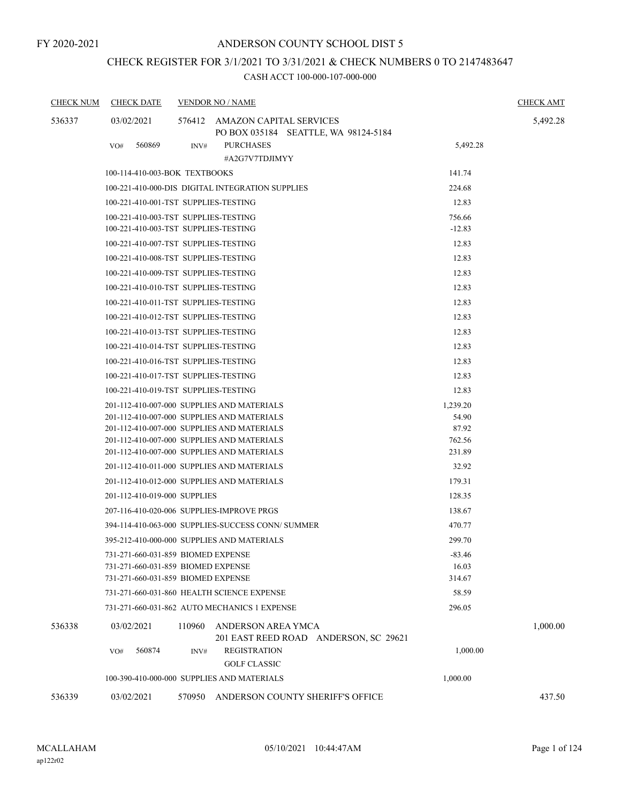# CHECK REGISTER FOR 3/1/2021 TO 3/31/2021 & CHECK NUMBERS 0 TO 2147483647

| <b>CHECK NUM</b> | <b>CHECK DATE</b>                                   |                 | <b>VENDOR NO / NAME</b>                                                                  |                  | <b>CHECK AMT</b> |  |  |  |
|------------------|-----------------------------------------------------|-----------------|------------------------------------------------------------------------------------------|------------------|------------------|--|--|--|
| 536337           | 03/02/2021                                          |                 | 576412 AMAZON CAPITAL SERVICES<br>PO BOX 035184 SEATTLE, WA 98124-5184                   |                  | 5,492.28         |  |  |  |
|                  | 560869<br>VO#                                       | INV#            | <b>PURCHASES</b><br>#A2G7V7TDJIMYY                                                       | 5,492.28         |                  |  |  |  |
|                  | 100-114-410-003-BOK TEXTBOOKS                       |                 |                                                                                          | 141.74           |                  |  |  |  |
|                  |                                                     |                 | 100-221-410-000-DIS DIGITAL INTEGRATION SUPPLIES                                         | 224.68           |                  |  |  |  |
|                  | 100-221-410-001-TST SUPPLIES-TESTING                |                 |                                                                                          | 12.83            |                  |  |  |  |
|                  | 100-221-410-003-TST SUPPLIES-TESTING                |                 |                                                                                          | 756.66           |                  |  |  |  |
|                  | 100-221-410-003-TST SUPPLIES-TESTING                |                 |                                                                                          | $-12.83$         |                  |  |  |  |
|                  | 100-221-410-007-TST SUPPLIES-TESTING                |                 |                                                                                          | 12.83            |                  |  |  |  |
|                  | 100-221-410-008-TST SUPPLIES-TESTING                |                 |                                                                                          | 12.83            |                  |  |  |  |
|                  | 100-221-410-009-TST SUPPLIES-TESTING                |                 |                                                                                          | 12.83            |                  |  |  |  |
|                  | 100-221-410-010-TST SUPPLIES-TESTING                |                 |                                                                                          | 12.83            |                  |  |  |  |
|                  | 100-221-410-011-TST SUPPLIES-TESTING                |                 |                                                                                          | 12.83            |                  |  |  |  |
|                  | 100-221-410-012-TST SUPPLIES-TESTING                |                 |                                                                                          | 12.83            |                  |  |  |  |
|                  | 100-221-410-013-TST SUPPLIES-TESTING                |                 |                                                                                          | 12.83            |                  |  |  |  |
|                  | 100-221-410-014-TST SUPPLIES-TESTING                |                 |                                                                                          | 12.83            |                  |  |  |  |
|                  | 100-221-410-016-TST SUPPLIES-TESTING                | 12.83           |                                                                                          |                  |                  |  |  |  |
|                  | 100-221-410-017-TST SUPPLIES-TESTING                |                 |                                                                                          | 12.83            |                  |  |  |  |
|                  | 100-221-410-019-TST SUPPLIES-TESTING                |                 |                                                                                          | 12.83            |                  |  |  |  |
|                  | 201-112-410-007-000 SUPPLIES AND MATERIALS          | 1,239.20        |                                                                                          |                  |                  |  |  |  |
|                  | 201-112-410-007-000 SUPPLIES AND MATERIALS<br>54.90 |                 |                                                                                          |                  |                  |  |  |  |
|                  |                                                     |                 | 201-112-410-007-000 SUPPLIES AND MATERIALS                                               | 87.92            |                  |  |  |  |
|                  |                                                     |                 | 201-112-410-007-000 SUPPLIES AND MATERIALS<br>201-112-410-007-000 SUPPLIES AND MATERIALS | 762.56<br>231.89 |                  |  |  |  |
|                  | 201-112-410-011-000 SUPPLIES AND MATERIALS          |                 |                                                                                          |                  |                  |  |  |  |
|                  | 201-112-410-012-000 SUPPLIES AND MATERIALS          | 32.92<br>179.31 |                                                                                          |                  |                  |  |  |  |
|                  | 201-112-410-019-000 SUPPLIES                        |                 |                                                                                          | 128.35           |                  |  |  |  |
|                  | 207-116-410-020-006 SUPPLIES-IMPROVE PRGS           |                 |                                                                                          | 138.67           |                  |  |  |  |
|                  |                                                     |                 | 394-114-410-063-000 SUPPLIES-SUCCESS CONN/SUMMER                                         | 470.77           |                  |  |  |  |
|                  |                                                     |                 | 395-212-410-000-000 SUPPLIES AND MATERIALS                                               | 299.70           |                  |  |  |  |
|                  | 731-271-660-031-859 BIOMED EXPENSE                  |                 |                                                                                          | -83.46           |                  |  |  |  |
|                  | 731-271-660-031-859 BIOMED EXPENSE                  |                 |                                                                                          | 16.03            |                  |  |  |  |
|                  | 731-271-660-031-859 BIOMED EXPENSE                  |                 |                                                                                          | 314.67           |                  |  |  |  |
|                  |                                                     |                 | 731-271-660-031-860 HEALTH SCIENCE EXPENSE                                               | 58.59            |                  |  |  |  |
|                  |                                                     |                 | 731-271-660-031-862 AUTO MECHANICS 1 EXPENSE                                             | 296.05           |                  |  |  |  |
| 536338           | 03/02/2021                                          | 110960          | ANDERSON AREA YMCA<br>201 EAST REED ROAD ANDERSON, SC 29621                              |                  | 1,000.00         |  |  |  |
|                  | 560874<br>VO#                                       | INV#            | <b>REGISTRATION</b>                                                                      | 1,000.00         |                  |  |  |  |
|                  |                                                     |                 | <b>GOLF CLASSIC</b>                                                                      |                  |                  |  |  |  |
|                  |                                                     |                 | 100-390-410-000-000 SUPPLIES AND MATERIALS                                               | 1,000.00         |                  |  |  |  |
| 536339           | 03/02/2021                                          | 570950          | ANDERSON COUNTY SHERIFF'S OFFICE                                                         |                  | 437.50           |  |  |  |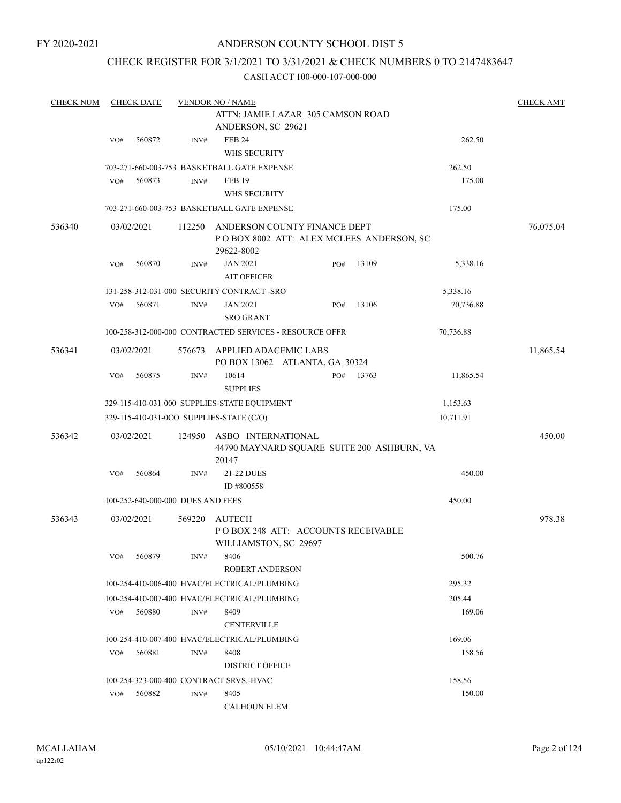# ANDERSON COUNTY SCHOOL DIST 5

# CHECK REGISTER FOR 3/1/2021 TO 3/31/2021 & CHECK NUMBERS 0 TO 2147483647

| <b>CHECK NUM</b> |     | <b>CHECK DATE</b>                 |        | <b>VENDOR NO / NAME</b>                                      |     |       |           | <b>CHECK AMT</b> |  |
|------------------|-----|-----------------------------------|--------|--------------------------------------------------------------|-----|-------|-----------|------------------|--|
|                  |     |                                   |        | ATTN: JAMIE LAZAR 305 CAMSON ROAD                            |     |       |           |                  |  |
|                  |     |                                   |        | ANDERSON, SC 29621                                           |     |       |           |                  |  |
|                  | VO# | 560872                            | INV#   | <b>FEB 24</b>                                                |     |       | 262.50    |                  |  |
|                  |     |                                   |        | WHS SECURITY                                                 |     |       |           |                  |  |
|                  |     |                                   |        | 703-271-660-003-753 BASKETBALL GATE EXPENSE                  |     |       | 262.50    |                  |  |
|                  | VO# | 560873                            | INV#   | <b>FEB 19</b>                                                |     |       | 175.00    |                  |  |
|                  |     |                                   |        | WHS SECURITY                                                 |     |       |           |                  |  |
|                  |     |                                   |        | 703-271-660-003-753 BASKETBALL GATE EXPENSE                  |     |       | 175.00    |                  |  |
| 536340           |     | 03/02/2021                        | 112250 | ANDERSON COUNTY FINANCE DEPT                                 |     |       |           | 76,075.04        |  |
|                  |     |                                   |        | POBOX 8002 ATT: ALEX MCLEES ANDERSON, SC                     |     |       |           |                  |  |
|                  |     |                                   |        | 29622-8002                                                   |     |       |           |                  |  |
|                  | VO# | 560870                            | INV#   | <b>JAN 2021</b>                                              | PO# | 13109 | 5,338.16  |                  |  |
|                  |     |                                   |        | <b>AIT OFFICER</b>                                           |     |       |           |                  |  |
|                  |     |                                   |        | 131-258-312-031-000 SECURITY CONTRACT-SRO                    |     |       | 5,338.16  |                  |  |
|                  | VO# | 560871                            | INV#   | <b>JAN 2021</b>                                              | PO# | 13106 | 70,736.88 |                  |  |
|                  |     |                                   |        | <b>SRO GRANT</b>                                             |     |       |           |                  |  |
|                  |     |                                   |        | 100-258-312-000-000 CONTRACTED SERVICES - RESOURCE OFFR      |     |       | 70,736.88 |                  |  |
| 536341           |     |                                   |        | APPLIED ADACEMIC LABS                                        |     |       |           |                  |  |
|                  |     | 03/02/2021                        | 576673 | PO BOX 13062 ATLANTA, GA 30324                               |     |       |           | 11,865.54        |  |
|                  | VO# | 560875                            | INV#   | 10614<br><b>SUPPLIES</b>                                     | PO# | 13763 | 11,865.54 |                  |  |
|                  |     |                                   |        | 329-115-410-031-000 SUPPLIES-STATE EQUIPMENT                 |     |       | 1,153.63  |                  |  |
|                  |     |                                   |        | 329-115-410-031-0CO SUPPLIES-STATE (C/O)                     |     |       | 10,711.91 |                  |  |
|                  |     |                                   |        |                                                              |     |       |           |                  |  |
| 536342           |     | 03/02/2021                        | 124950 | ASBO INTERNATIONAL                                           |     |       |           | 450.00           |  |
|                  |     |                                   |        | 44790 MAYNARD SQUARE SUITE 200 ASHBURN, VA<br>20147          |     |       |           |                  |  |
|                  | VO# | 560864                            | INV#   | 21-22 DUES                                                   |     |       | 450.00    |                  |  |
|                  |     |                                   |        | ID #800558                                                   |     |       |           |                  |  |
|                  |     | 100-252-640-000-000 DUES AND FEES |        |                                                              |     |       | 450.00    |                  |  |
|                  |     |                                   |        |                                                              |     |       |           |                  |  |
| 536343           |     | 03/02/2021                        | 569220 | <b>AUTECH</b>                                                |     |       |           | 978.38           |  |
|                  |     |                                   |        | PO BOX 248 ATT: ACCOUNTS RECEIVABLE<br>WILLIAMSTON, SC 29697 |     |       |           |                  |  |
|                  | VO# | 560879                            | INV#   | 8406                                                         |     |       | 500.76    |                  |  |
|                  |     |                                   |        | <b>ROBERT ANDERSON</b>                                       |     |       |           |                  |  |
|                  |     |                                   |        |                                                              |     |       |           |                  |  |
|                  |     |                                   |        | 100-254-410-006-400 HVAC/ELECTRICAL/PLUMBING                 |     |       | 295.32    |                  |  |
|                  |     |                                   |        | 100-254-410-007-400 HVAC/ELECTRICAL/PLUMBING                 |     |       | 205.44    |                  |  |
|                  | VO# | 560880                            | INV#   | 8409                                                         |     |       | 169.06    |                  |  |
|                  |     |                                   |        | <b>CENTERVILLE</b>                                           |     |       |           |                  |  |
|                  |     |                                   |        | 100-254-410-007-400 HVAC/ELECTRICAL/PLUMBING                 |     |       | 169.06    |                  |  |
|                  | VO# | 560881                            | INV#   | 8408                                                         |     |       | 158.56    |                  |  |
|                  |     |                                   |        | <b>DISTRICT OFFICE</b>                                       |     |       |           |                  |  |
|                  |     |                                   |        | 100-254-323-000-400 CONTRACT SRVS.-HVAC                      |     |       | 158.56    |                  |  |
|                  | VO# | 560882                            | INV#   | 8405                                                         |     |       | 150.00    |                  |  |
|                  |     |                                   |        | <b>CALHOUN ELEM</b>                                          |     |       |           |                  |  |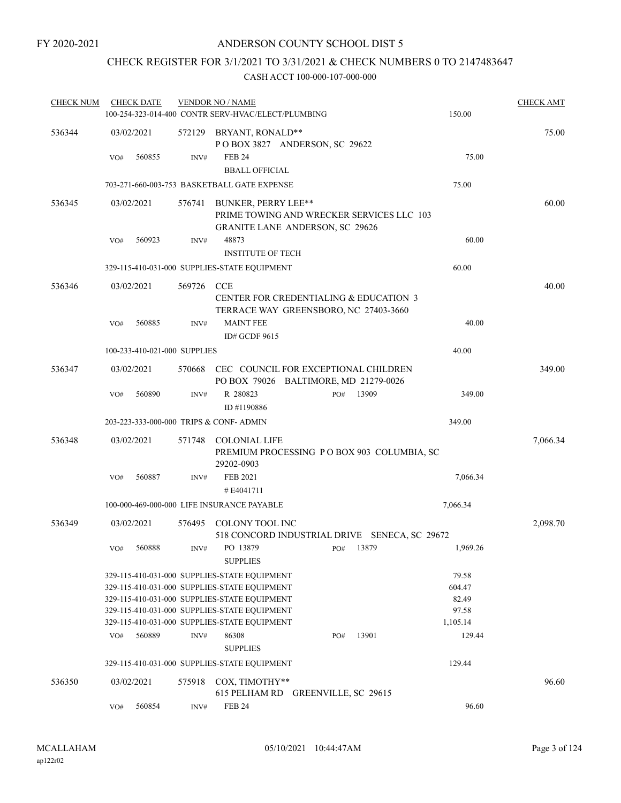# CHECK REGISTER FOR 3/1/2021 TO 3/31/2021 & CHECK NUMBERS 0 TO 2147483647

| <b>CHECK NUM</b> |            | <b>CHECK DATE</b>            |                  | <b>VENDOR NO / NAME</b>                                                                                                                                                                                                                      |     |       |                                               | <b>CHECK AMT</b> |
|------------------|------------|------------------------------|------------------|----------------------------------------------------------------------------------------------------------------------------------------------------------------------------------------------------------------------------------------------|-----|-------|-----------------------------------------------|------------------|
|                  |            |                              |                  | 100-254-323-014-400 CONTR SERV-HVAC/ELECT/PLUMBING                                                                                                                                                                                           |     |       | 150.00                                        |                  |
| 536344           | 03/02/2021 |                              | 572129           | BRYANT, RONALD**<br>POBOX 3827 ANDERSON, SC 29622                                                                                                                                                                                            |     |       |                                               | 75.00            |
|                  | VO#        | 560855                       | INV#             | <b>FEB 24</b>                                                                                                                                                                                                                                |     |       | 75.00                                         |                  |
|                  |            |                              |                  | <b>BBALL OFFICIAL</b>                                                                                                                                                                                                                        |     |       |                                               |                  |
|                  |            |                              |                  | 703-271-660-003-753 BASKETBALL GATE EXPENSE                                                                                                                                                                                                  |     |       | 75.00                                         |                  |
| 536345           | 03/02/2021 |                              | 576741           | BUNKER, PERRY LEE**<br>PRIME TOWING AND WRECKER SERVICES LLC 103                                                                                                                                                                             |     |       |                                               | 60.00            |
|                  | VO#        | 560923                       | INV#             | <b>GRANITE LANE ANDERSON, SC 29626</b><br>48873                                                                                                                                                                                              |     |       | 60.00                                         |                  |
|                  |            |                              |                  | <b>INSTITUTE OF TECH</b>                                                                                                                                                                                                                     |     |       |                                               |                  |
|                  |            |                              |                  | 329-115-410-031-000 SUPPLIES-STATE EQUIPMENT                                                                                                                                                                                                 |     |       | 60.00                                         |                  |
| 536346           | 03/02/2021 |                              | 569726           | <b>CCE</b>                                                                                                                                                                                                                                   |     |       |                                               | 40.00            |
|                  |            |                              |                  | CENTER FOR CREDENTIALING & EDUCATION 3<br>TERRACE WAY GREENSBORO, NC 27403-3660                                                                                                                                                              |     |       |                                               |                  |
|                  | VO#        | 560885                       | INV#             | <b>MAINT FEE</b><br>ID# GCDF 9615                                                                                                                                                                                                            |     |       | 40.00                                         |                  |
|                  |            | 100-233-410-021-000 SUPPLIES |                  |                                                                                                                                                                                                                                              |     |       | 40.00                                         |                  |
| 536347           | 03/02/2021 |                              | 570668           | CEC COUNCIL FOR EXCEPTIONAL CHILDREN<br>PO BOX 79026 BALTIMORE, MD 21279-0026                                                                                                                                                                |     |       |                                               | 349.00           |
|                  | VO#        | 560890                       | INV#             | R 280823                                                                                                                                                                                                                                     | PO# | 13909 | 349.00                                        |                  |
|                  |            |                              |                  | ID #1190886                                                                                                                                                                                                                                  |     |       |                                               |                  |
|                  |            |                              |                  | 203-223-333-000-000 TRIPS & CONF- ADMIN                                                                                                                                                                                                      |     |       | 349.00                                        |                  |
| 536348           | 03/02/2021 |                              | 571748           | <b>COLONIAL LIFE</b><br>PREMIUM PROCESSING PO BOX 903 COLUMBIA, SC<br>29202-0903                                                                                                                                                             |     |       |                                               | 7,066.34         |
|                  | VO#        | 560887                       | INV#             | FEB 2021<br>#E4041711                                                                                                                                                                                                                        |     |       | 7,066.34                                      |                  |
|                  |            |                              |                  | 100-000-469-000-000 LIFE INSURANCE PAYABLE                                                                                                                                                                                                   |     |       | 7,066.34                                      |                  |
|                  |            |                              |                  |                                                                                                                                                                                                                                              |     |       |                                               |                  |
| 536349           | 03/02/2021 |                              | 576495           | COLONY TOOL INC<br>518 CONCORD INDUSTRIAL DRIVE SENECA, SC 29672                                                                                                                                                                             |     |       |                                               | 2,098.70         |
|                  | VO#        | 560888                       | INV#             | PO 13879<br><b>SUPPLIES</b>                                                                                                                                                                                                                  | PO# | 13879 | 1,969.26                                      |                  |
|                  |            |                              |                  | 329-115-410-031-000 SUPPLIES-STATE EQUIPMENT<br>329-115-410-031-000 SUPPLIES-STATE EQUIPMENT<br>329-115-410-031-000 SUPPLIES-STATE EQUIPMENT<br>329-115-410-031-000 SUPPLIES-STATE EQUIPMENT<br>329-115-410-031-000 SUPPLIES-STATE EQUIPMENT |     |       | 79.58<br>604.47<br>82.49<br>97.58<br>1,105.14 |                  |
|                  | VO#        | 560889                       | $\mathrm{INV}\#$ | 86308<br><b>SUPPLIES</b>                                                                                                                                                                                                                     | PO# | 13901 | 129.44                                        |                  |
|                  |            |                              |                  | 329-115-410-031-000 SUPPLIES-STATE EQUIPMENT                                                                                                                                                                                                 |     |       | 129.44                                        |                  |
| 536350           | 03/02/2021 |                              | 575918           | COX, TIMOTHY**<br>615 PELHAM RD GREENVILLE, SC 29615                                                                                                                                                                                         |     |       |                                               | 96.60            |
|                  | VO#        | 560854                       | INV#             | <b>FEB 24</b>                                                                                                                                                                                                                                |     |       | 96.60                                         |                  |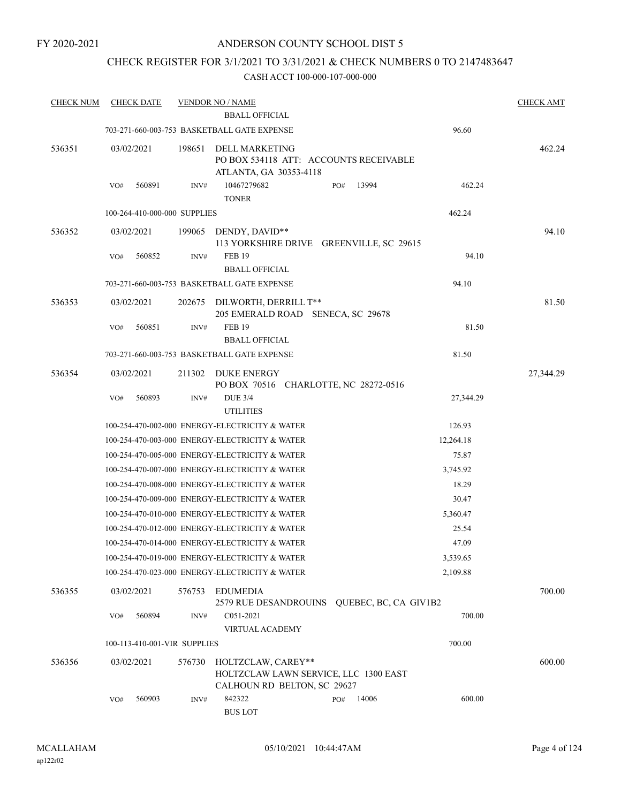# ANDERSON COUNTY SCHOOL DIST 5

# CHECK REGISTER FOR 3/1/2021 TO 3/31/2021 & CHECK NUMBERS 0 TO 2147483647

| <b>CHECK NUM</b> |            | <b>CHECK DATE</b> |                              | <b>VENDOR NO / NAME</b>                                                                    |     |       |           | <b>CHECK AMT</b> |
|------------------|------------|-------------------|------------------------------|--------------------------------------------------------------------------------------------|-----|-------|-----------|------------------|
|                  |            |                   |                              | <b>BBALL OFFICIAL</b>                                                                      |     |       |           |                  |
|                  |            |                   |                              | 703-271-660-003-753 BASKETBALL GATE EXPENSE                                                |     |       | 96.60     |                  |
| 536351           | 03/02/2021 |                   | 198651                       | <b>DELL MARKETING</b><br>PO BOX 534118 ATT: ACCOUNTS RECEIVABLE<br>ATLANTA, GA 30353-4118  |     |       |           | 462.24           |
|                  | VO#        | 560891            | INV#                         | 10467279682<br><b>TONER</b>                                                                | PO# | 13994 | 462.24    |                  |
|                  |            |                   | 100-264-410-000-000 SUPPLIES |                                                                                            |     |       | 462.24    |                  |
| 536352           | 03/02/2021 |                   | 199065                       | DENDY, DAVID**<br>113 YORKSHIRE DRIVE GREENVILLE, SC 29615                                 |     |       |           | 94.10            |
|                  | VO#        | 560852            | INV#                         | <b>FEB 19</b><br><b>BBALL OFFICIAL</b>                                                     |     |       | 94.10     |                  |
|                  |            |                   |                              | 703-271-660-003-753 BASKETBALL GATE EXPENSE                                                |     |       | 94.10     |                  |
| 536353           | 03/02/2021 |                   | 202675                       | DILWORTH, DERRILL T**<br>205 EMERALD ROAD SENECA, SC 29678                                 |     |       |           | 81.50            |
|                  | VO#        | 560851            | INV#                         | <b>FEB 19</b><br><b>BBALL OFFICIAL</b>                                                     |     |       | 81.50     |                  |
|                  |            |                   |                              | 703-271-660-003-753 BASKETBALL GATE EXPENSE                                                |     |       | 81.50     |                  |
| 536354           | 03/02/2021 |                   | 211302                       | DUKE ENERGY<br>PO BOX 70516 CHARLOTTE, NC 28272-0516                                       |     |       |           | 27,344.29        |
|                  | VO#        | 560893            | INV#                         | <b>DUE 3/4</b><br><b>UTILITIES</b>                                                         |     |       | 27,344.29 |                  |
|                  |            |                   |                              | 100-254-470-002-000 ENERGY-ELECTRICITY & WATER                                             |     |       | 126.93    |                  |
|                  |            |                   |                              | 100-254-470-003-000 ENERGY-ELECTRICITY & WATER                                             |     |       | 12,264.18 |                  |
|                  |            |                   |                              | 100-254-470-005-000 ENERGY-ELECTRICITY & WATER                                             |     |       | 75.87     |                  |
|                  |            |                   |                              | 100-254-470-007-000 ENERGY-ELECTRICITY & WATER                                             |     |       | 3,745.92  |                  |
|                  |            |                   |                              | 100-254-470-008-000 ENERGY-ELECTRICITY & WATER                                             |     |       | 18.29     |                  |
|                  |            |                   |                              | 100-254-470-009-000 ENERGY-ELECTRICITY & WATER                                             |     |       | 30.47     |                  |
|                  |            |                   |                              | 100-254-470-010-000 ENERGY-ELECTRICITY & WATER                                             |     |       | 5,360.47  |                  |
|                  |            |                   |                              | 100-254-470-012-000 ENERGY-ELECTRICITY & WATER                                             |     |       | 25.54     |                  |
|                  |            |                   |                              | 100-254-470-014-000 ENERGY-ELECTRICITY & WATER                                             |     |       | 47.09     |                  |
|                  |            |                   |                              | 100-254-470-019-000 ENERGY-ELECTRICITY & WATER                                             |     |       | 3,539.65  |                  |
|                  |            |                   |                              | 100-254-470-023-000 ENERGY-ELECTRICITY & WATER                                             |     |       | 2,109.88  |                  |
| 536355           | 03/02/2021 |                   | 576753                       | <b>EDUMEDIA</b><br>2579 RUE DESANDROUINS QUEBEC, BC, CA GIV1B2                             |     |       |           | 700.00           |
|                  | VO#        | 560894            | INV#                         | C051-2021<br>VIRTUAL ACADEMY                                                               |     |       | 700.00    |                  |
|                  |            |                   | 100-113-410-001-VIR SUPPLIES |                                                                                            |     |       | 700.00    |                  |
| 536356           | 03/02/2021 |                   | 576730                       | HOLTZCLAW, CAREY**<br>HOLTZCLAW LAWN SERVICE, LLC 1300 EAST<br>CALHOUN RD BELTON, SC 29627 |     |       |           | 600.00           |
|                  | VO#        | 560903            | INV#                         | 842322<br><b>BUS LOT</b>                                                                   | PO# | 14006 | 600.00    |                  |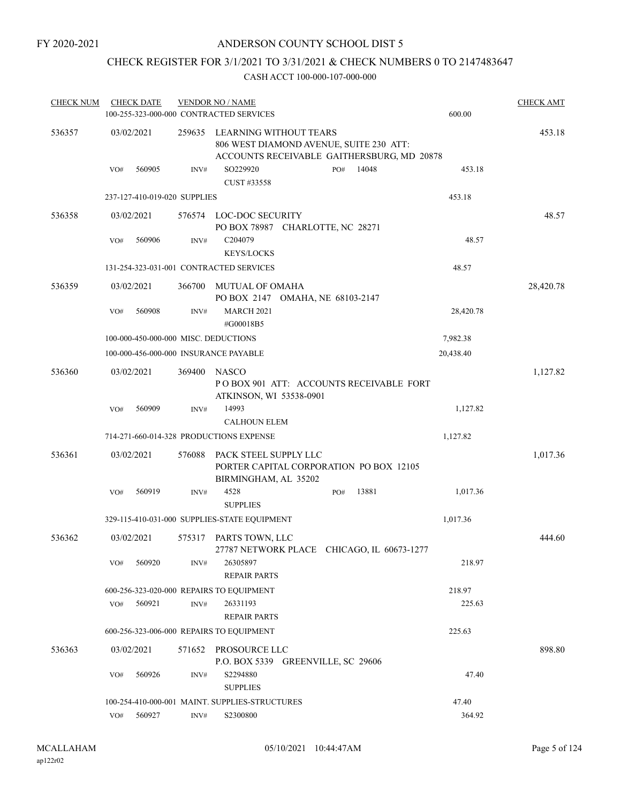# CHECK REGISTER FOR 3/1/2021 TO 3/31/2021 & CHECK NUMBERS 0 TO 2147483647

| <b>CHECK NUM</b> | <b>CHECK DATE</b>                              |                  | <b>VENDOR NO / NAME</b>                                                                                         |     |       |           | <b>CHECK AMT</b> |
|------------------|------------------------------------------------|------------------|-----------------------------------------------------------------------------------------------------------------|-----|-------|-----------|------------------|
|                  | 100-255-323-000-000 CONTRACTED SERVICES        |                  |                                                                                                                 |     |       | 600.00    |                  |
| 536357           | 03/02/2021                                     | 259635           | LEARNING WITHOUT TEARS<br>806 WEST DIAMOND AVENUE, SUITE 230 ATT:<br>ACCOUNTS RECEIVABLE GAITHERSBURG, MD 20878 |     |       |           | 453.18           |
|                  | 560905<br>VO#                                  | INV#             | SO229920<br>CUST #33558                                                                                         | PO# | 14048 | 453.18    |                  |
|                  | 237-127-410-019-020 SUPPLIES                   |                  |                                                                                                                 |     |       | 453.18    |                  |
| 536358           | 03/02/2021                                     |                  | 576574 LOC-DOC SECURITY<br>PO BOX 78987 CHARLOTTE, NC 28271                                                     |     |       |           | 48.57            |
|                  | 560906<br>VO#                                  | INV#             | C204079<br><b>KEYS/LOCKS</b>                                                                                    |     |       | 48.57     |                  |
|                  | 131-254-323-031-001 CONTRACTED SERVICES        |                  |                                                                                                                 |     |       | 48.57     |                  |
| 536359           | 03/02/2021                                     | 366700           | MUTUAL OF OMAHA<br>PO BOX 2147 OMAHA, NE 68103-2147                                                             |     |       |           | 28,420.78        |
|                  | 560908<br>VO#                                  | INV#             | <b>MARCH 2021</b><br>#G00018B5                                                                                  |     |       | 28,420.78 |                  |
|                  | 100-000-450-000-000 MISC. DEDUCTIONS           |                  |                                                                                                                 |     |       | 7,982.38  |                  |
|                  | 100-000-456-000-000 INSURANCE PAYABLE          |                  |                                                                                                                 |     |       | 20,438.40 |                  |
| 536360           | 03/02/2021                                     | 369400           | <b>NASCO</b><br>POBOX 901 ATT: ACCOUNTS RECEIVABLE FORT<br>ATKINSON, WI 53538-0901                              |     |       |           | 1,127.82         |
|                  | 560909<br>VO#                                  | INV#             | 14993<br><b>CALHOUN ELEM</b>                                                                                    |     |       | 1,127.82  |                  |
|                  | 714-271-660-014-328 PRODUCTIONS EXPENSE        |                  |                                                                                                                 |     |       | 1,127.82  |                  |
| 536361           | 03/02/2021                                     | 576088           | PACK STEEL SUPPLY LLC<br>PORTER CAPITAL CORPORATION PO BOX 12105<br>BIRMINGHAM, AL 35202                        |     |       |           | 1,017.36         |
|                  | 560919<br>VO#                                  | INV#             | 4528<br><b>SUPPLIES</b>                                                                                         | PO# | 13881 | 1,017.36  |                  |
|                  | 329-115-410-031-000 SUPPLIES-STATE EQUIPMENT   |                  |                                                                                                                 |     |       | 1,017.36  |                  |
| 536362           | 03/02/2021                                     | 575317           | PARTS TOWN, LLC<br>27787 NETWORK PLACE CHICAGO, IL 60673-1277                                                   |     |       |           | 444.60           |
|                  | 560920<br>VO#                                  | INV#             | 26305897<br><b>REPAIR PARTS</b>                                                                                 |     |       | 218.97    |                  |
|                  | 600-256-323-020-000 REPAIRS TO EQUIPMENT       |                  |                                                                                                                 |     |       | 218.97    |                  |
|                  | 560921<br>VO#                                  | $\mathrm{INV}\#$ | 26331193<br><b>REPAIR PARTS</b>                                                                                 |     |       | 225.63    |                  |
|                  | 600-256-323-006-000 REPAIRS TO EQUIPMENT       |                  |                                                                                                                 |     |       | 225.63    |                  |
| 536363           | 03/02/2021                                     | 571652           | PROSOURCE LLC<br>P.O. BOX 5339 GREENVILLE, SC 29606                                                             |     |       |           | 898.80           |
|                  | 560926<br>VO#                                  | INV#             | S2294880<br><b>SUPPLIES</b>                                                                                     |     |       | 47.40     |                  |
|                  | 100-254-410-000-001 MAINT. SUPPLIES-STRUCTURES |                  |                                                                                                                 |     |       | 47.40     |                  |
|                  | 560927<br>VO#                                  | INV#             | S2300800                                                                                                        |     |       | 364.92    |                  |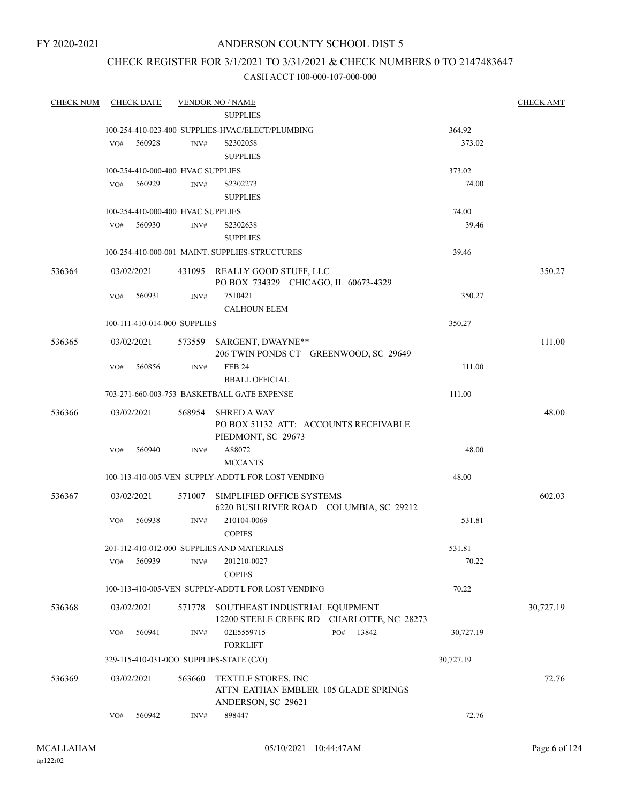# ANDERSON COUNTY SCHOOL DIST 5

# CHECK REGISTER FOR 3/1/2021 TO 3/31/2021 & CHECK NUMBERS 0 TO 2147483647

| <b>CHECK NUM</b> |            | <b>CHECK DATE</b>                 |        | <b>VENDOR NO / NAME</b>                                                           |     |       |           | <b>CHECK AMT</b> |
|------------------|------------|-----------------------------------|--------|-----------------------------------------------------------------------------------|-----|-------|-----------|------------------|
|                  |            |                                   |        | <b>SUPPLIES</b>                                                                   |     |       |           |                  |
|                  |            |                                   |        | 100-254-410-023-400 SUPPLIES-HVAC/ELECT/PLUMBING                                  |     |       | 364.92    |                  |
|                  | VO#        | 560928                            | INV#   | S2302058<br><b>SUPPLIES</b>                                                       |     |       | 373.02    |                  |
|                  |            | 100-254-410-000-400 HVAC SUPPLIES |        |                                                                                   |     |       | 373.02    |                  |
|                  | VO#        | 560929                            | INV#   | S2302273<br><b>SUPPLIES</b>                                                       |     |       | 74.00     |                  |
|                  |            | 100-254-410-000-400 HVAC SUPPLIES |        |                                                                                   |     |       | 74.00     |                  |
|                  | VO#        | 560930                            | INV#   | S2302638<br><b>SUPPLIES</b>                                                       |     |       | 39.46     |                  |
|                  |            |                                   |        | 100-254-410-000-001 MAINT. SUPPLIES-STRUCTURES                                    |     |       | 39.46     |                  |
| 536364           | 03/02/2021 |                                   |        | 431095 REALLY GOOD STUFF, LLC<br>PO BOX 734329 CHICAGO, IL 60673-4329             |     |       |           | 350.27           |
|                  | VO#        | 560931                            | INV#   | 7510421<br><b>CALHOUN ELEM</b>                                                    |     |       | 350.27    |                  |
|                  |            | 100-111-410-014-000 SUPPLIES      |        |                                                                                   |     |       | 350.27    |                  |
| 536365           | 03/02/2021 |                                   |        | 573559 SARGENT, DWAYNE**<br>206 TWIN PONDS CT GREENWOOD, SC 29649                 |     |       |           | 111.00           |
|                  | VO#        | 560856                            | INV#   | <b>FEB 24</b><br><b>BBALL OFFICIAL</b>                                            |     |       | 111.00    |                  |
|                  |            |                                   |        | 703-271-660-003-753 BASKETBALL GATE EXPENSE                                       |     |       | 111.00    |                  |
| 536366           | 03/02/2021 |                                   | 568954 | <b>SHRED A WAY</b><br>PO BOX 51132 ATT: ACCOUNTS RECEIVABLE                       |     |       |           | 48.00            |
|                  | VO#        | 560940                            | INV#   | PIEDMONT, SC 29673<br>A88072<br><b>MCCANTS</b>                                    |     |       | 48.00     |                  |
|                  |            |                                   |        | 100-113-410-005-VEN SUPPLY-ADDT'L FOR LOST VENDING                                |     |       | 48.00     |                  |
| 536367           | 03/02/2021 |                                   | 571007 | SIMPLIFIED OFFICE SYSTEMS<br>6220 BUSH RIVER ROAD COLUMBIA, SC 29212              |     |       |           | 602.03           |
|                  | VO#        | 560938                            | INV#   | 210104-0069<br><b>COPIES</b>                                                      |     |       | 531.81    |                  |
|                  |            |                                   |        | 201-112-410-012-000 SUPPLIES AND MATERIALS                                        |     |       | 531.81    |                  |
|                  | VO#        | 560939                            | INV#   | 201210-0027<br><b>COPIES</b>                                                      |     |       | 70.22     |                  |
|                  |            |                                   |        | 100-113-410-005-VEN SUPPLY-ADDT'L FOR LOST VENDING                                |     |       | 70.22     |                  |
| 536368           | 03/02/2021 |                                   | 571778 | SOUTHEAST INDUSTRIAL EQUIPMENT<br>12200 STEELE CREEK RD CHARLOTTE, NC 28273       |     |       |           | 30,727.19        |
|                  | VO#        | 560941                            | INV#   | 02E5559715<br><b>FORKLIFT</b>                                                     | PO# | 13842 | 30,727.19 |                  |
|                  |            |                                   |        | 329-115-410-031-0CO SUPPLIES-STATE (C/O)                                          |     |       | 30,727.19 |                  |
| 536369           | 03/02/2021 |                                   | 563660 | TEXTILE STORES, INC<br>ATTN EATHAN EMBLER 105 GLADE SPRINGS<br>ANDERSON, SC 29621 |     |       |           | 72.76            |
|                  | VO#        | 560942                            | INV#   | 898447                                                                            |     |       | 72.76     |                  |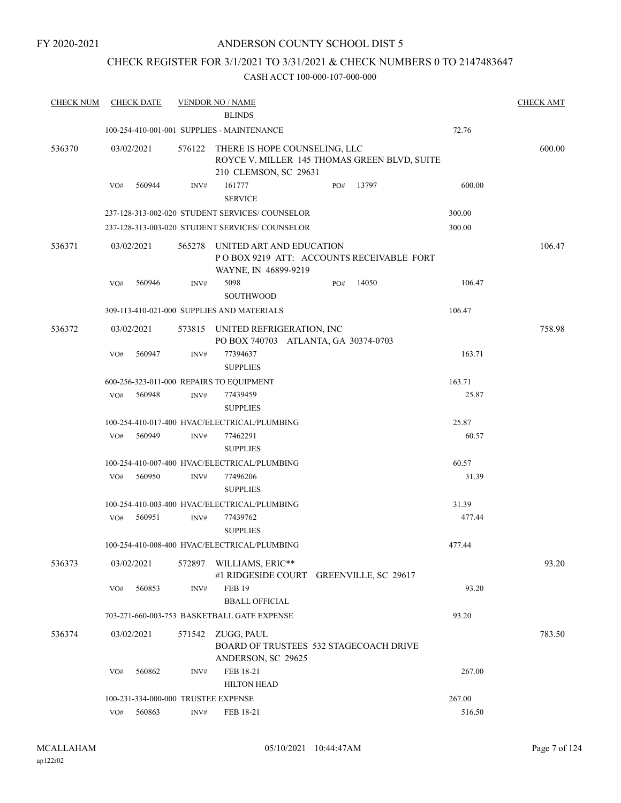# ANDERSON COUNTY SCHOOL DIST 5

# CHECK REGISTER FOR 3/1/2021 TO 3/31/2021 & CHECK NUMBERS 0 TO 2147483647

| <b>CHECK NUM</b> | <b>CHECK DATE</b> |                                     | <b>VENDOR NO / NAME</b><br><b>BLINDS</b>                                                               |     |       |        | <b>CHECK AMT</b> |
|------------------|-------------------|-------------------------------------|--------------------------------------------------------------------------------------------------------|-----|-------|--------|------------------|
|                  |                   |                                     |                                                                                                        |     |       |        |                  |
|                  |                   |                                     | 100-254-410-001-001 SUPPLIES - MAINTENANCE                                                             |     |       | 72.76  |                  |
| 536370           | 03/02/2021        | 576122                              | THERE IS HOPE COUNSELING, LLC<br>ROYCE V. MILLER 145 THOMAS GREEN BLVD, SUITE<br>210 CLEMSON, SC 29631 |     |       |        | 600.00           |
|                  | 560944<br>VO#     | INV#                                | 161777<br><b>SERVICE</b>                                                                               | PO# | 13797 | 600.00 |                  |
|                  |                   |                                     | 237-128-313-002-020 STUDENT SERVICES/COUNSELOR                                                         |     |       | 300.00 |                  |
|                  |                   |                                     | 237-128-313-003-020 STUDENT SERVICES/COUNSELOR                                                         |     |       | 300.00 |                  |
| 536371           | 03/02/2021        | 565278                              | UNITED ART AND EDUCATION<br>POBOX 9219 ATT: ACCOUNTS RECEIVABLE FORT<br>WAYNE, IN 46899-9219           |     |       |        | 106.47           |
|                  | 560946<br>VO#     | INV#                                | 5098<br><b>SOUTHWOOD</b>                                                                               | PO# | 14050 | 106.47 |                  |
|                  |                   |                                     | 309-113-410-021-000 SUPPLIES AND MATERIALS                                                             |     |       | 106.47 |                  |
| 536372           | 03/02/2021        | 573815                              | UNITED REFRIGERATION, INC<br>PO BOX 740703 ATLANTA, GA 30374-0703                                      |     |       |        | 758.98           |
|                  | 560947<br>VO#     | INV#                                | 77394637<br><b>SUPPLIES</b>                                                                            |     |       | 163.71 |                  |
|                  |                   |                                     | 600-256-323-011-000 REPAIRS TO EQUIPMENT                                                               |     |       | 163.71 |                  |
|                  | 560948<br>VO#     | INV#                                | 77439459<br><b>SUPPLIES</b>                                                                            |     |       | 25.87  |                  |
|                  |                   |                                     | 100-254-410-017-400 HVAC/ELECTRICAL/PLUMBING                                                           |     |       | 25.87  |                  |
|                  | 560949<br>VO#     | INV#                                | 77462291<br><b>SUPPLIES</b>                                                                            |     |       | 60.57  |                  |
|                  |                   |                                     | 100-254-410-007-400 HVAC/ELECTRICAL/PLUMBING                                                           |     |       | 60.57  |                  |
|                  | 560950<br>VO#     | INV#                                | 77496206<br><b>SUPPLIES</b>                                                                            |     |       | 31.39  |                  |
|                  |                   |                                     | 100-254-410-003-400 HVAC/ELECTRICAL/PLUMBING                                                           |     |       | 31.39  |                  |
|                  | 560951<br>VO#     | INV#                                | 77439762<br><b>SUPPLIES</b>                                                                            |     |       | 477.44 |                  |
|                  |                   |                                     | 100-254-410-008-400 HVAC/ELECTRICAL/PLUMBING                                                           |     |       | 477.44 |                  |
| 536373           | 03/02/2021        | 572897                              | WILLIAMS, ERIC**<br>#1 RIDGESIDE COURT GREENVILLE, SC 29617                                            |     |       |        | 93.20            |
|                  | 560853<br>VO#     | INV#                                | <b>FEB 19</b>                                                                                          |     |       | 93.20  |                  |
|                  |                   |                                     | <b>BBALL OFFICIAL</b>                                                                                  |     |       |        |                  |
|                  |                   |                                     | 703-271-660-003-753 BASKETBALL GATE EXPENSE                                                            |     |       | 93.20  |                  |
| 536374           | 03/02/2021        | 571542                              | ZUGG, PAUL<br>BOARD OF TRUSTEES 532 STAGECOACH DRIVE<br>ANDERSON, SC 29625                             |     |       |        | 783.50           |
|                  | 560862<br>VO#     | INV#                                | FEB 18-21<br><b>HILTON HEAD</b>                                                                        |     |       | 267.00 |                  |
|                  |                   | 100-231-334-000-000 TRUSTEE EXPENSE |                                                                                                        |     |       | 267.00 |                  |
|                  | 560863<br>VO#     | INV#                                | FEB 18-21                                                                                              |     |       | 516.50 |                  |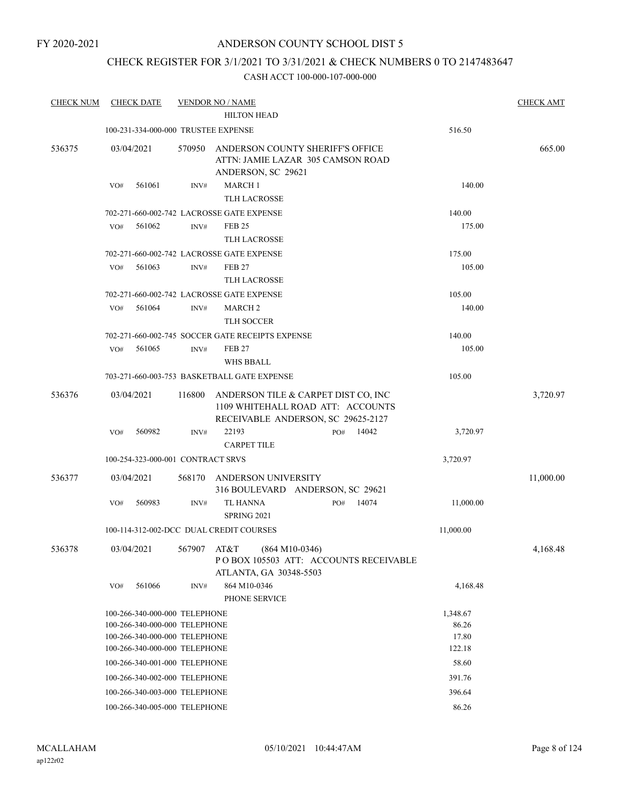# ANDERSON COUNTY SCHOOL DIST 5

# CHECK REGISTER FOR 3/1/2021 TO 3/31/2021 & CHECK NUMBERS 0 TO 2147483647

| <b>CHECK NUM</b> | <b>CHECK DATE</b>                   |        | <b>VENDOR NO / NAME</b>                                                                                        |           | <b>CHECK AMT</b> |
|------------------|-------------------------------------|--------|----------------------------------------------------------------------------------------------------------------|-----------|------------------|
|                  |                                     |        | <b>HILTON HEAD</b>                                                                                             |           |                  |
|                  | 100-231-334-000-000 TRUSTEE EXPENSE |        |                                                                                                                | 516.50    |                  |
| 536375           | 03/04/2021                          | 570950 | ANDERSON COUNTY SHERIFF'S OFFICE<br>ATTN: JAMIE LAZAR 305 CAMSON ROAD<br>ANDERSON, SC 29621                    |           | 665.00           |
|                  | 561061<br>VO#                       | INV#   | <b>MARCH 1</b>                                                                                                 | 140.00    |                  |
|                  |                                     |        | <b>TLH LACROSSE</b>                                                                                            |           |                  |
|                  |                                     |        | 702-271-660-002-742 LACROSSE GATE EXPENSE                                                                      | 140.00    |                  |
|                  | 561062<br>VO#                       | INV#   | <b>FEB 25</b>                                                                                                  | 175.00    |                  |
|                  |                                     |        | <b>TLH LACROSSE</b>                                                                                            |           |                  |
|                  |                                     |        | 702-271-660-002-742 LACROSSE GATE EXPENSE                                                                      | 175.00    |                  |
|                  | 561063<br>VO#                       | INV#   | FEB <sub>27</sub>                                                                                              | 105.00    |                  |
|                  |                                     |        | <b>TLH LACROSSE</b>                                                                                            |           |                  |
|                  |                                     |        | 702-271-660-002-742 LACROSSE GATE EXPENSE                                                                      | 105.00    |                  |
|                  | 561064<br>VO#                       | INV#   | MARCH <sub>2</sub>                                                                                             | 140.00    |                  |
|                  |                                     |        | <b>TLH SOCCER</b>                                                                                              |           |                  |
|                  |                                     |        | 702-271-660-002-745 SOCCER GATE RECEIPTS EXPENSE                                                               | 140.00    |                  |
|                  | 561065<br>VO#                       | INV#   | <b>FEB 27</b><br><b>WHS BBALL</b>                                                                              | 105.00    |                  |
|                  |                                     |        | 703-271-660-003-753 BASKETBALL GATE EXPENSE                                                                    | 105.00    |                  |
| 536376           | 03/04/2021                          | 116800 | ANDERSON TILE & CARPET DIST CO, INC<br>1109 WHITEHALL ROAD ATT: ACCOUNTS<br>RECEIVABLE ANDERSON, SC 29625-2127 |           | 3,720.97         |
|                  | 560982<br>VO#                       | INV#   | 22193<br>14042<br>PO#<br><b>CARPET TILE</b>                                                                    | 3,720.97  |                  |
|                  | 100-254-323-000-001 CONTRACT SRVS   |        |                                                                                                                | 3,720.97  |                  |
| 536377           | 03/04/2021                          | 568170 | ANDERSON UNIVERSITY                                                                                            |           | 11,000.00        |
|                  | 560983<br>VO#                       | INV#   | 316 BOULEVARD ANDERSON, SC 29621<br>TL HANNA<br>14074<br>PO#<br>SPRING 2021                                    | 11,000.00 |                  |
|                  |                                     |        | 100-114-312-002-DCC DUAL CREDIT COURSES                                                                        | 11,000.00 |                  |
|                  |                                     |        |                                                                                                                |           |                  |
| 536378           | 03/04/2021                          | 567907 | AT&T<br>$(864 M10-0346)$<br>POBOX 105503 ATT: ACCOUNTS RECEIVABLE<br>ATLANTA, GA 30348-5503                    |           | 4,168.48         |
|                  | 561066<br>VO#                       | INV#   | 864 M10-0346<br>PHONE SERVICE                                                                                  | 4,168.48  |                  |
|                  | 100-266-340-000-000 TELEPHONE       |        |                                                                                                                | 1,348.67  |                  |
|                  | 100-266-340-000-000 TELEPHONE       |        |                                                                                                                | 86.26     |                  |
|                  | 100-266-340-000-000 TELEPHONE       |        |                                                                                                                | 17.80     |                  |
|                  | 100-266-340-000-000 TELEPHONE       |        |                                                                                                                | 122.18    |                  |
|                  | 100-266-340-001-000 TELEPHONE       |        |                                                                                                                | 58.60     |                  |
|                  | 100-266-340-002-000 TELEPHONE       |        |                                                                                                                | 391.76    |                  |
|                  | 100-266-340-003-000 TELEPHONE       |        |                                                                                                                | 396.64    |                  |
|                  | 100-266-340-005-000 TELEPHONE       |        |                                                                                                                | 86.26     |                  |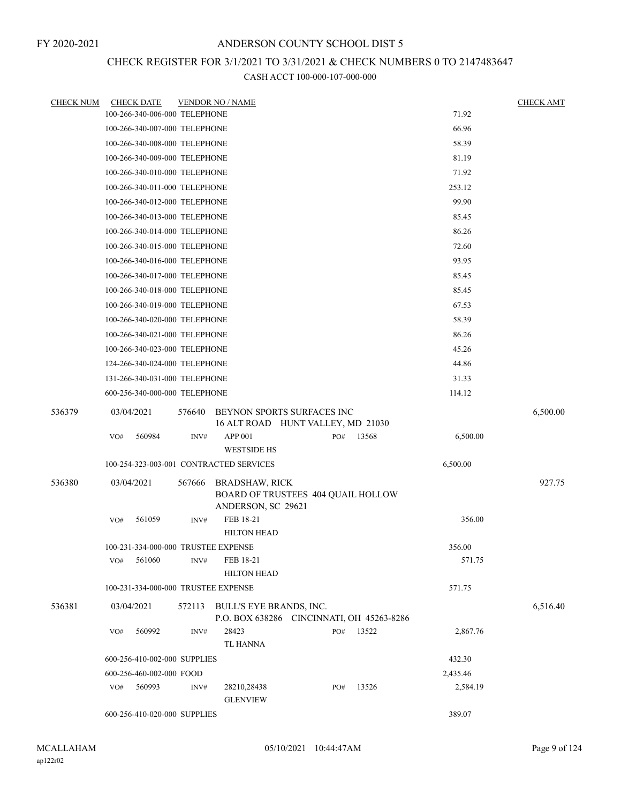# CHECK REGISTER FOR 3/1/2021 TO 3/31/2021 & CHECK NUMBERS 0 TO 2147483647

| <b>CHECK NUM</b> | <b>CHECK DATE</b>                       |        | <b>VENDOR NO / NAME</b>                                                           |  |        |       |          | <b>CHECK AMT</b> |
|------------------|-----------------------------------------|--------|-----------------------------------------------------------------------------------|--|--------|-------|----------|------------------|
|                  | 100-266-340-006-000 TELEPHONE           |        |                                                                                   |  |        |       | 71.92    |                  |
|                  | 100-266-340-007-000 TELEPHONE           |        |                                                                                   |  |        |       | 66.96    |                  |
|                  | 100-266-340-008-000 TELEPHONE           |        |                                                                                   |  |        |       | 58.39    |                  |
|                  | 100-266-340-009-000 TELEPHONE           |        |                                                                                   |  |        |       | 81.19    |                  |
|                  | 100-266-340-010-000 TELEPHONE           |        |                                                                                   |  |        |       | 71.92    |                  |
|                  | 100-266-340-011-000 TELEPHONE           |        |                                                                                   |  |        |       | 253.12   |                  |
|                  | 100-266-340-012-000 TELEPHONE           |        |                                                                                   |  |        |       | 99.90    |                  |
|                  | 100-266-340-013-000 TELEPHONE           |        |                                                                                   |  |        |       | 85.45    |                  |
|                  | 100-266-340-014-000 TELEPHONE           |        |                                                                                   |  |        |       | 86.26    |                  |
|                  | 100-266-340-015-000 TELEPHONE           |        |                                                                                   |  |        |       | 72.60    |                  |
|                  | 100-266-340-016-000 TELEPHONE           |        |                                                                                   |  |        |       | 93.95    |                  |
|                  | 100-266-340-017-000 TELEPHONE           |        |                                                                                   |  |        |       | 85.45    |                  |
|                  | 100-266-340-018-000 TELEPHONE           |        | 85.45                                                                             |  |        |       |          |                  |
|                  | 100-266-340-019-000 TELEPHONE           |        | 67.53                                                                             |  |        |       |          |                  |
|                  | 100-266-340-020-000 TELEPHONE           |        | 58.39                                                                             |  |        |       |          |                  |
|                  | 100-266-340-021-000 TELEPHONE           |        | 86.26                                                                             |  |        |       |          |                  |
|                  | 100-266-340-023-000 TELEPHONE           |        |                                                                                   |  |        |       | 45.26    |                  |
|                  | 124-266-340-024-000 TELEPHONE           |        |                                                                                   |  |        |       | 44.86    |                  |
|                  | 131-266-340-031-000 TELEPHONE           |        |                                                                                   |  |        |       | 31.33    |                  |
|                  | 600-256-340-000-000 TELEPHONE           |        |                                                                                   |  |        |       | 114.12   |                  |
| 536379           | 03/04/2021                              | 576640 | BEYNON SPORTS SURFACES INC<br>16 ALT ROAD HUNT VALLEY, MD 21030                   |  |        |       |          | 6,500.00         |
|                  | 560984<br>VO#                           | INV#   | <b>APP 001</b><br><b>WESTSIDE HS</b>                                              |  | PO#    | 13568 | 6,500.00 |                  |
|                  | 100-254-323-003-001 CONTRACTED SERVICES |        |                                                                                   |  |        |       | 6,500.00 |                  |
| 536380           | 03/04/2021                              | 567666 |                                                                                   |  |        |       |          | 927.75           |
|                  |                                         |        | <b>BRADSHAW, RICK</b><br>BOARD OF TRUSTEES 404 QUAIL HOLLOW<br>ANDERSON, SC 29621 |  |        |       |          |                  |
|                  | 561059<br>VO#                           | INV#   | FEB 18-21<br><b>HILTON HEAD</b>                                                   |  | 356.00 |       |          |                  |
|                  | 100-231-334-000-000 TRUSTEE EXPENSE     |        |                                                                                   |  |        |       | 356.00   |                  |
|                  | 561060<br>VO#                           | INV#   | FEB 18-21<br><b>HILTON HEAD</b>                                                   |  |        |       | 571.75   |                  |
|                  | 100-231-334-000-000 TRUSTEE EXPENSE     |        |                                                                                   |  |        |       | 571.75   |                  |
| 536381           | 03/04/2021                              |        | 572113 BULL'S EYE BRANDS, INC.<br>P.O. BOX 638286 CINCINNATI, OH 45263-8286       |  |        |       |          | 6,516.40         |
|                  | 560992<br>VO#                           | INV#   | 28423<br><b>TL HANNA</b>                                                          |  | PO#    | 13522 | 2,867.76 |                  |
|                  | 600-256-410-002-000 SUPPLIES            |        |                                                                                   |  |        |       | 432.30   |                  |
|                  | 600-256-460-002-000 FOOD                |        |                                                                                   |  |        |       | 2,435.46 |                  |
|                  | 560993<br>VO#                           | INV#   | 28210,28438<br><b>GLENVIEW</b>                                                    |  | PO#    | 13526 | 2,584.19 |                  |
|                  | 600-256-410-020-000 SUPPLIES            |        |                                                                                   |  |        |       | 389.07   |                  |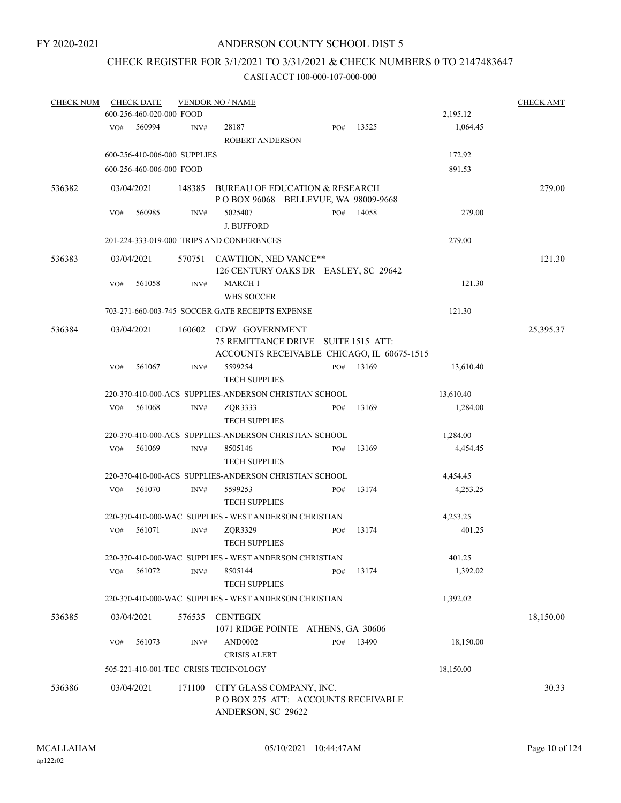# CHECK REGISTER FOR 3/1/2021 TO 3/31/2021 & CHECK NUMBERS 0 TO 2147483647

| <b>CHECK NUM</b> |     | <b>CHECK AMT</b><br><b>CHECK DATE</b><br><b>VENDOR NO / NAME</b> |        |                                                                                                            |     |       |           |           |  |  |  |
|------------------|-----|------------------------------------------------------------------|--------|------------------------------------------------------------------------------------------------------------|-----|-------|-----------|-----------|--|--|--|
|                  |     | 600-256-460-020-000 FOOD                                         |        |                                                                                                            |     |       | 2,195.12  |           |  |  |  |
|                  | VO# | 560994                                                           | INV#   | 28187<br><b>ROBERT ANDERSON</b>                                                                            | PO# | 13525 | 1,064.45  |           |  |  |  |
|                  |     | 600-256-410-006-000 SUPPLIES                                     |        |                                                                                                            |     |       | 172.92    |           |  |  |  |
|                  |     | 600-256-460-006-000 FOOD                                         |        |                                                                                                            |     |       | 891.53    |           |  |  |  |
| 536382           |     | 03/04/2021                                                       | 148385 | BUREAU OF EDUCATION & RESEARCH<br>PO BOX 96068 BELLEVUE, WA 98009-9668                                     |     |       |           | 279.00    |  |  |  |
|                  | VO# | 560985                                                           | INV#   | 5025407<br><b>J. BUFFORD</b>                                                                               | PO# | 14058 | 279.00    |           |  |  |  |
|                  |     |                                                                  |        | 201-224-333-019-000 TRIPS AND CONFERENCES                                                                  |     |       | 279.00    |           |  |  |  |
| 536383           |     | 03/04/2021                                                       |        | 570751 CAWTHON, NED VANCE**<br>126 CENTURY OAKS DR EASLEY, SC 29642                                        |     |       |           | 121.30    |  |  |  |
|                  | VO# | 561058                                                           | INV#   | <b>MARCH1</b><br><b>WHS SOCCER</b>                                                                         |     |       | 121.30    |           |  |  |  |
|                  |     |                                                                  |        | 703-271-660-003-745 SOCCER GATE RECEIPTS EXPENSE                                                           |     |       | 121.30    |           |  |  |  |
| 536384           |     | 03/04/2021                                                       |        | 160602 CDW GOVERNMENT<br>75 REMITTANCE DRIVE SUITE 1515 ATT:<br>ACCOUNTS RECEIVABLE CHICAGO, IL 60675-1515 |     |       |           | 25,395.37 |  |  |  |
|                  | VO# | 561067                                                           | INV#   | 5599254<br><b>TECH SUPPLIES</b>                                                                            | PO# | 13169 | 13,610.40 |           |  |  |  |
|                  |     |                                                                  |        | 220-370-410-000-ACS SUPPLIES-ANDERSON CHRISTIAN SCHOOL                                                     |     |       | 13,610.40 |           |  |  |  |
|                  | VO# | 561068                                                           | INV#   | ZQR3333<br><b>TECH SUPPLIES</b>                                                                            | PO# | 13169 | 1,284.00  |           |  |  |  |
|                  |     |                                                                  |        | 220-370-410-000-ACS SUPPLIES-ANDERSON CHRISTIAN SCHOOL                                                     |     |       | 1,284.00  |           |  |  |  |
|                  | VO# | 561069                                                           | INV#   | 8505146<br><b>TECH SUPPLIES</b>                                                                            | PO# | 13169 | 4,454.45  |           |  |  |  |
|                  |     |                                                                  |        | 220-370-410-000-ACS SUPPLIES-ANDERSON CHRISTIAN SCHOOL                                                     |     |       | 4,454.45  |           |  |  |  |
|                  | VO# | 561070                                                           | INV#   | 5599253<br><b>TECH SUPPLIES</b>                                                                            | PO# | 13174 | 4,253.25  |           |  |  |  |
|                  |     |                                                                  |        | 220-370-410-000-WAC SUPPLIES - WEST ANDERSON CHRISTIAN                                                     |     |       | 4,253.25  |           |  |  |  |
|                  | VO# | 561071                                                           | INV#   | ZQR3329<br><b>TECH SUPPLIES</b>                                                                            | PO# | 13174 | 401.25    |           |  |  |  |
|                  |     |                                                                  |        | 220-370-410-000-WAC SUPPLIES - WEST ANDERSON CHRISTIAN                                                     |     |       | 401.25    |           |  |  |  |
|                  | VO# | 561072                                                           | INV#   | 8505144<br><b>TECH SUPPLIES</b>                                                                            | PO# | 13174 | 1,392.02  |           |  |  |  |
|                  |     |                                                                  |        | 220-370-410-000-WAC SUPPLIES - WEST ANDERSON CHRISTIAN                                                     |     |       | 1,392.02  |           |  |  |  |
| 536385           |     | 03/04/2021                                                       | 576535 | <b>CENTEGIX</b><br>1071 RIDGE POINTE ATHENS, GA 30606                                                      |     |       |           | 18,150.00 |  |  |  |
|                  | VO# | 561073                                                           | INV#   | <b>AND0002</b><br><b>CRISIS ALERT</b>                                                                      | PO# | 13490 | 18,150.00 |           |  |  |  |
|                  |     |                                                                  |        | 505-221-410-001-TEC CRISIS TECHNOLOGY                                                                      |     |       | 18,150.00 |           |  |  |  |
| 536386           |     | 03/04/2021                                                       | 171100 | CITY GLASS COMPANY, INC.<br>POBOX 275 ATT: ACCOUNTS RECEIVABLE<br>ANDERSON, SC 29622                       |     |       |           | 30.33     |  |  |  |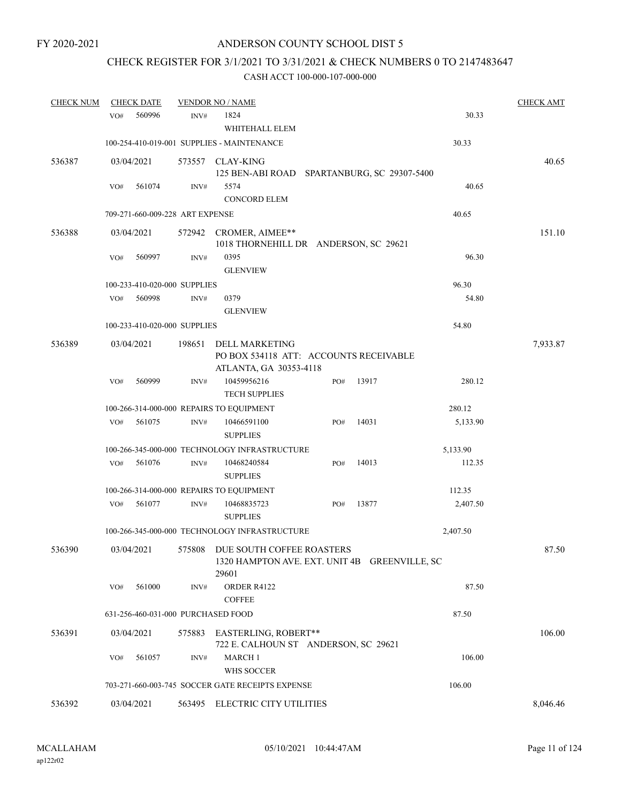# CHECK REGISTER FOR 3/1/2021 TO 3/31/2021 & CHECK NUMBERS 0 TO 2147483647

| <b>CHECK NUM</b> |                                                      | <b>CHECK DATE</b> |                                 | <b>VENDOR NO / NAME</b>                                                                    |  |        |       |          | <b>CHECK AMT</b> |
|------------------|------------------------------------------------------|-------------------|---------------------------------|--------------------------------------------------------------------------------------------|--|--------|-------|----------|------------------|
|                  | VO#                                                  | 560996            | INV#                            | 1824<br>WHITEHALL ELEM                                                                     |  |        |       | 30.33    |                  |
|                  |                                                      |                   |                                 | 100-254-410-019-001 SUPPLIES - MAINTENANCE                                                 |  |        |       | 30.33    |                  |
| 536387           | 03/04/2021                                           |                   |                                 | 573557 CLAY-KING<br>125 BEN-ABI ROAD SPARTANBURG, SC 29307-5400                            |  |        |       |          | 40.65            |
|                  | VO#                                                  | 561074            | INV#                            | 5574<br><b>CONCORD ELEM</b>                                                                |  |        |       | 40.65    |                  |
|                  |                                                      |                   | 709-271-660-009-228 ART EXPENSE |                                                                                            |  |        |       | 40.65    |                  |
| 536388           | 03/04/2021                                           |                   | 572942                          | CROMER, AIMEE**<br>1018 THORNEHILL DR ANDERSON, SC 29621                                   |  |        |       |          | 151.10           |
|                  | VO#                                                  | 560997            | $\mathrm{INV}\#$                | 0395<br><b>GLENVIEW</b>                                                                    |  |        |       | 96.30    |                  |
|                  |                                                      |                   | 100-233-410-020-000 SUPPLIES    |                                                                                            |  |        |       | 96.30    |                  |
|                  | VO#                                                  | 560998            | INV#                            | 0379<br><b>GLENVIEW</b>                                                                    |  |        |       | 54.80    |                  |
|                  |                                                      |                   | 100-233-410-020-000 SUPPLIES    |                                                                                            |  |        |       | 54.80    |                  |
| 536389           | 03/04/2021                                           |                   | 198651                          | <b>DELL MARKETING</b><br>PO BOX 534118 ATT: ACCOUNTS RECEIVABLE<br>ATLANTA, GA 30353-4118  |  |        |       |          | 7,933.87         |
|                  | VO#                                                  | 560999            | INV#                            | 10459956216<br><b>TECH SUPPLIES</b>                                                        |  | PO#    | 13917 | 280.12   |                  |
|                  |                                                      |                   |                                 | 100-266-314-000-000 REPAIRS TO EQUIPMENT                                                   |  |        |       | 280.12   |                  |
|                  | VO#                                                  | 561075            | INV#                            | 10466591100<br><b>SUPPLIES</b>                                                             |  | PO#    | 14031 | 5,133.90 |                  |
|                  |                                                      |                   |                                 | 100-266-345-000-000 TECHNOLOGY INFRASTRUCTURE                                              |  |        |       | 5,133.90 |                  |
|                  | VO#                                                  | 561076            | INV#                            | 10468240584<br><b>SUPPLIES</b>                                                             |  | PO#    | 14013 | 112.35   |                  |
|                  |                                                      |                   |                                 | 100-266-314-000-000 REPAIRS TO EQUIPMENT                                                   |  |        |       | 112.35   |                  |
|                  | VO#                                                  | 561077            | INV#                            | 10468835723<br><b>SUPPLIES</b>                                                             |  | PO#    | 13877 | 2,407.50 |                  |
|                  |                                                      |                   |                                 | 100-266-345-000-000 TECHNOLOGY INFRASTRUCTURE                                              |  |        |       | 2,407.50 |                  |
| 536390           |                                                      | 03/04/2021        |                                 | 575808 DUE SOUTH COFFEE ROASTERS<br>1320 HAMPTON AVE. EXT. UNIT 4B GREENVILLE, SC<br>29601 |  |        |       |          | 87.50            |
|                  | VO#                                                  | 561000            | INV#                            | ORDER R4122<br><b>COFFEE</b>                                                               |  |        |       | 87.50    |                  |
|                  |                                                      |                   |                                 | 631-256-460-031-000 PURCHASED FOOD                                                         |  |        |       | 87.50    |                  |
| 536391           | 03/04/2021                                           |                   |                                 | 575883 EASTERLING, ROBERT**<br>722 E. CALHOUN ST ANDERSON, SC 29621                        |  |        |       |          | 106.00           |
|                  | <b>MARCH1</b><br>561057<br>INV#<br>VO#<br>WHS SOCCER |                   |                                 |                                                                                            |  | 106.00 |       |          |                  |
|                  |                                                      |                   |                                 | 703-271-660-003-745 SOCCER GATE RECEIPTS EXPENSE                                           |  |        |       | 106.00   |                  |
| 536392           | 03/04/2021                                           |                   |                                 | 563495 ELECTRIC CITY UTILITIES                                                             |  |        |       |          | 8,046.46         |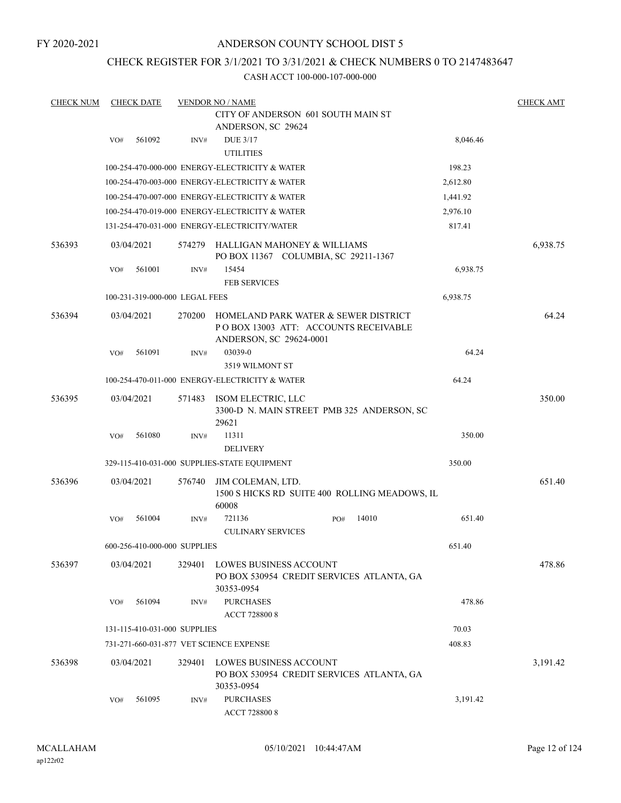# ANDERSON COUNTY SCHOOL DIST 5

# CHECK REGISTER FOR 3/1/2021 TO 3/31/2021 & CHECK NUMBERS 0 TO 2147483647

| <b>CHECK NUM</b> |     | <b>CHECK DATE</b>              |        | <b>VENDOR NO / NAME</b>                                                                                  |  |          |       |          | <b>CHECK AMT</b> |
|------------------|-----|--------------------------------|--------|----------------------------------------------------------------------------------------------------------|--|----------|-------|----------|------------------|
|                  |     |                                |        | CITY OF ANDERSON 601 SOUTH MAIN ST                                                                       |  |          |       |          |                  |
|                  |     |                                |        | ANDERSON, SC 29624                                                                                       |  |          |       |          |                  |
|                  | VO# | 561092                         | INV#   | <b>DUE 3/17</b><br><b>UTILITIES</b>                                                                      |  |          |       | 8,046.46 |                  |
|                  |     |                                |        | 100-254-470-000-000 ENERGY-ELECTRICITY & WATER                                                           |  |          |       | 198.23   |                  |
|                  |     |                                |        | 100-254-470-003-000 ENERGY-ELECTRICITY & WATER                                                           |  |          |       | 2,612.80 |                  |
|                  |     |                                |        | 100-254-470-007-000 ENERGY-ELECTRICITY & WATER                                                           |  |          |       | 1,441.92 |                  |
|                  |     |                                |        | 100-254-470-019-000 ENERGY-ELECTRICITY & WATER                                                           |  |          |       | 2,976.10 |                  |
|                  |     |                                |        | 131-254-470-031-000 ENERGY-ELECTRICITY/WATER                                                             |  |          |       | 817.41   |                  |
| 536393           |     | 03/04/2021                     | 574279 | HALLIGAN MAHONEY & WILLIAMS<br>PO BOX 11367 COLUMBIA, SC 29211-1367                                      |  |          |       |          | 6,938.75         |
|                  | VO# | 561001                         | INV#   | 15454<br><b>FEB SERVICES</b>                                                                             |  | 6,938.75 |       |          |                  |
|                  |     | 100-231-319-000-000 LEGAL FEES |        |                                                                                                          |  |          |       | 6,938.75 |                  |
| 536394           |     | 03/04/2021                     | 270200 | HOMELAND PARK WATER & SEWER DISTRICT<br>PO BOX 13003 ATT: ACCOUNTS RECEIVABLE<br>ANDERSON, SC 29624-0001 |  |          |       |          | 64.24            |
|                  | VO# | 561091                         | INV#   | 03039-0<br>3519 WILMONT ST                                                                               |  |          |       | 64.24    |                  |
|                  |     |                                |        | 100-254-470-011-000 ENERGY-ELECTRICITY & WATER                                                           |  |          |       | 64.24    |                  |
| 536395           |     | 03/04/2021                     | 571483 | ISOM ELECTRIC, LLC<br>3300-D N. MAIN STREET PMB 325 ANDERSON, SC<br>29621                                |  |          |       |          | 350.00           |
|                  | VO# | 561080                         | INV#   | 11311                                                                                                    |  |          |       | 350.00   |                  |
|                  |     |                                |        | <b>DELIVERY</b>                                                                                          |  |          |       |          |                  |
|                  |     |                                |        | 329-115-410-031-000 SUPPLIES-STATE EQUIPMENT                                                             |  |          |       | 350.00   |                  |
| 536396           |     | 03/04/2021                     | 576740 | JIM COLEMAN, LTD.<br>1500 S HICKS RD SUITE 400 ROLLING MEADOWS, IL<br>60008                              |  |          |       |          | 651.40           |
|                  | VO# | 561004                         | INV#   | 721136<br><b>CULINARY SERVICES</b>                                                                       |  | PO#      | 14010 | 651.40   |                  |
|                  |     | 600-256-410-000-000 SUPPLIES   |        |                                                                                                          |  |          |       | 651.40   |                  |
| 536397           |     | 03/04/2021                     | 329401 | LOWES BUSINESS ACCOUNT<br>PO BOX 530954 CREDIT SERVICES ATLANTA, GA<br>30353-0954                        |  |          |       |          | 478.86           |
|                  | VO# | 561094                         | INV#   | <b>PURCHASES</b><br>ACCT 728800 8                                                                        |  |          |       | 478.86   |                  |
|                  |     | 131-115-410-031-000 SUPPLIES   |        |                                                                                                          |  |          |       | 70.03    |                  |
|                  |     |                                |        | 731-271-660-031-877 VET SCIENCE EXPENSE                                                                  |  |          |       | 408.83   |                  |
| 536398           |     | 03/04/2021                     | 329401 | LOWES BUSINESS ACCOUNT<br>PO BOX 530954 CREDIT SERVICES ATLANTA, GA<br>30353-0954                        |  |          |       |          | 3,191.42         |
|                  | VO# | 561095                         | INV#   | <b>PURCHASES</b><br>ACCT 728800 8                                                                        |  |          |       | 3,191.42 |                  |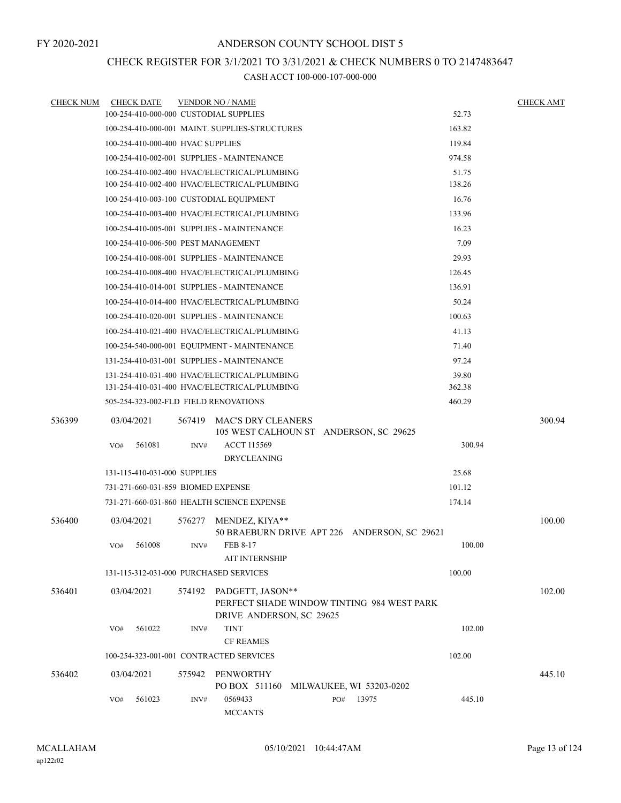# CHECK REGISTER FOR 3/1/2021 TO 3/31/2021 & CHECK NUMBERS 0 TO 2147483647

| <b>CHECK NUM</b> | <b>CHECK DATE</b>                      |        | <b>VENDOR NO / NAME</b>                                                                    |     |                          |        | <b>CHECK AMT</b> |
|------------------|----------------------------------------|--------|--------------------------------------------------------------------------------------------|-----|--------------------------|--------|------------------|
|                  | 100-254-410-000-000 CUSTODIAL SUPPLIES |        |                                                                                            |     |                          | 52.73  |                  |
|                  |                                        |        | 100-254-410-000-001 MAINT. SUPPLIES-STRUCTURES                                             |     |                          | 163.82 |                  |
|                  | 100-254-410-000-400 HVAC SUPPLIES      |        |                                                                                            |     |                          | 119.84 |                  |
|                  |                                        |        | 100-254-410-002-001 SUPPLIES - MAINTENANCE                                                 |     |                          | 974.58 |                  |
|                  |                                        |        | 100-254-410-002-400 HVAC/ELECTRICAL/PLUMBING                                               |     |                          | 51.75  |                  |
|                  |                                        |        | 100-254-410-002-400 HVAC/ELECTRICAL/PLUMBING                                               |     |                          | 138.26 |                  |
|                  |                                        |        | 100-254-410-003-100 CUSTODIAL EQUIPMENT                                                    |     |                          | 16.76  |                  |
|                  |                                        |        | 100-254-410-003-400 HVAC/ELECTRICAL/PLUMBING                                               |     |                          | 133.96 |                  |
|                  |                                        |        | 100-254-410-005-001 SUPPLIES - MAINTENANCE                                                 |     |                          | 16.23  |                  |
|                  | 100-254-410-006-500 PEST MANAGEMENT    |        |                                                                                            |     |                          | 7.09   |                  |
|                  |                                        |        | 100-254-410-008-001 SUPPLIES - MAINTENANCE                                                 |     |                          | 29.93  |                  |
|                  |                                        |        | 100-254-410-008-400 HVAC/ELECTRICAL/PLUMBING                                               |     |                          | 126.45 |                  |
|                  |                                        |        | 100-254-410-014-001 SUPPLIES - MAINTENANCE                                                 |     |                          | 136.91 |                  |
|                  |                                        |        | 100-254-410-014-400 HVAC/ELECTRICAL/PLUMBING                                               |     |                          | 50.24  |                  |
|                  |                                        |        | 100-254-410-020-001 SUPPLIES - MAINTENANCE                                                 |     |                          | 100.63 |                  |
|                  |                                        |        | 100-254-410-021-400 HVAC/ELECTRICAL/PLUMBING                                               |     |                          | 41.13  |                  |
|                  |                                        |        | 100-254-540-000-001 EQUIPMENT - MAINTENANCE                                                |     |                          | 71.40  |                  |
|                  |                                        |        | 131-254-410-031-001 SUPPLIES - MAINTENANCE                                                 |     |                          | 97.24  |                  |
|                  |                                        |        | 131-254-410-031-400 HVAC/ELECTRICAL/PLUMBING                                               |     |                          | 39.80  |                  |
|                  |                                        |        | 131-254-410-031-400 HVAC/ELECTRICAL/PLUMBING                                               |     |                          | 362.38 |                  |
|                  | 505-254-323-002-FLD FIELD RENOVATIONS  |        |                                                                                            |     |                          | 460.29 |                  |
| 536399           | 03/04/2021                             | 567419 | MAC'S DRY CLEANERS<br>105 WEST CALHOUN ST ANDERSON, SC 29625                               |     |                          |        | 300.94           |
|                  | 561081<br>VO#                          | INV#   | <b>ACCT 115569</b>                                                                         |     |                          | 300.94 |                  |
|                  |                                        |        | <b>DRYCLEANING</b>                                                                         |     |                          |        |                  |
|                  | 131-115-410-031-000 SUPPLIES           |        |                                                                                            |     |                          | 25.68  |                  |
|                  | 731-271-660-031-859 BIOMED EXPENSE     |        |                                                                                            |     |                          | 101.12 |                  |
|                  |                                        |        | 731-271-660-031-860 HEALTH SCIENCE EXPENSE                                                 |     |                          | 174.14 |                  |
| 536400           | 03/04/2021                             | 576277 | MENDEZ, KIYA**<br>50 BRAEBURN DRIVE APT 226 ANDERSON, SC 29621                             |     |                          |        | 100.00           |
|                  | 561008<br>VO#                          | INV#   | FEB 8-17<br><b>AIT INTERNSHIP</b>                                                          |     |                          | 100.00 |                  |
|                  | 131-115-312-031-000 PURCHASED SERVICES |        |                                                                                            |     |                          | 100.00 |                  |
|                  |                                        |        |                                                                                            |     |                          |        |                  |
| 536401           | 03/04/2021                             | 574192 | PADGETT, JASON**<br>PERFECT SHADE WINDOW TINTING 984 WEST PARK<br>DRIVE ANDERSON, SC 29625 |     |                          |        | 102.00           |
|                  | 561022<br>VO#                          | INV#   | <b>TINT</b>                                                                                |     |                          | 102.00 |                  |
|                  |                                        |        | <b>CF REAMES</b>                                                                           |     |                          |        |                  |
|                  |                                        |        | 100-254-323-001-001 CONTRACTED SERVICES                                                    |     |                          | 102.00 |                  |
| 536402           | 03/04/2021                             | 575942 | PENWORTHY<br>PO BOX 511160                                                                 |     | MILWAUKEE, WI 53203-0202 |        | 445.10           |
|                  | 561023<br>VO#                          | INV#   | 0569433<br><b>MCCANTS</b>                                                                  | PO# | 13975                    | 445.10 |                  |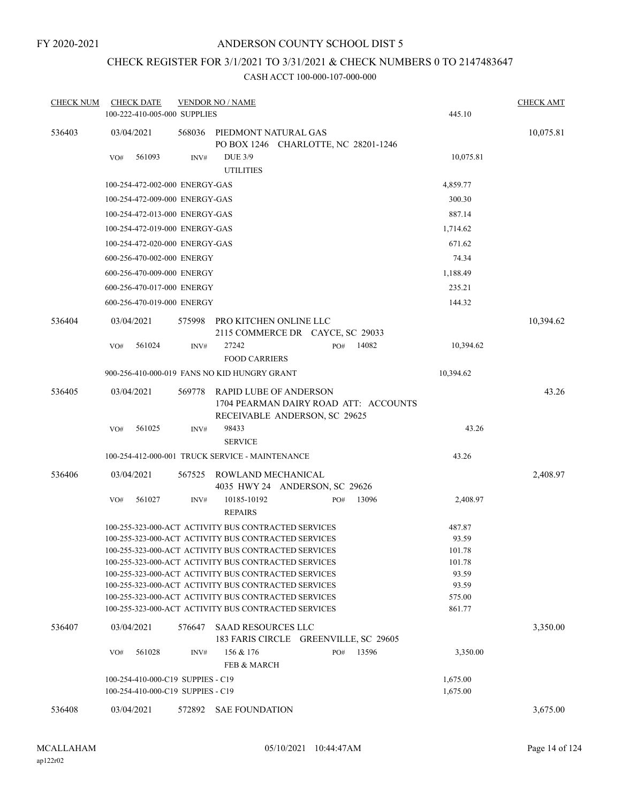# CHECK REGISTER FOR 3/1/2021 TO 3/31/2021 & CHECK NUMBERS 0 TO 2147483647

| <b>CHECK NUM</b> | <b>CHECK DATE</b>                                                                                            |        | <b>VENDOR NO / NAME</b>                                      |     |                                       |                 | <b>CHECK AMT</b> |
|------------------|--------------------------------------------------------------------------------------------------------------|--------|--------------------------------------------------------------|-----|---------------------------------------|-----------------|------------------|
|                  | 100-222-410-005-000 SUPPLIES                                                                                 |        |                                                              |     |                                       | 445.10          |                  |
| 536403           | 03/04/2021                                                                                                   | 568036 | PIEDMONT NATURAL GAS<br>PO BOX 1246 CHARLOTTE, NC 28201-1246 |     |                                       |                 | 10,075.81        |
|                  | 561093<br>VO#                                                                                                | INV#   | <b>DUE 3/9</b>                                               |     |                                       | 10,075.81       |                  |
|                  |                                                                                                              |        | <b>UTILITIES</b>                                             |     |                                       |                 |                  |
|                  | 100-254-472-002-000 ENERGY-GAS                                                                               |        |                                                              |     |                                       | 4,859.77        |                  |
|                  | 100-254-472-009-000 ENERGY-GAS                                                                               |        |                                                              |     |                                       | 300.30          |                  |
|                  | 100-254-472-013-000 ENERGY-GAS                                                                               |        |                                                              |     |                                       | 887.14          |                  |
|                  | 100-254-472-019-000 ENERGY-GAS                                                                               |        |                                                              |     |                                       | 1,714.62        |                  |
|                  | 100-254-472-020-000 ENERGY-GAS                                                                               |        |                                                              |     |                                       | 671.62          |                  |
|                  | 600-256-470-002-000 ENERGY                                                                                   |        |                                                              |     |                                       | 74.34           |                  |
|                  | 600-256-470-009-000 ENERGY                                                                                   |        |                                                              |     |                                       | 1,188.49        |                  |
|                  | 600-256-470-017-000 ENERGY                                                                                   |        |                                                              |     |                                       | 235.21          |                  |
|                  | 600-256-470-019-000 ENERGY                                                                                   |        |                                                              |     |                                       | 144.32          |                  |
| 536404           | 03/04/2021                                                                                                   | 575998 | PRO KITCHEN ONLINE LLC<br>2115 COMMERCE DR CAYCE, SC 29033   |     |                                       |                 | 10,394.62        |
|                  | 561024<br>VO#                                                                                                | INV#   | 27242                                                        | PO# | 14082                                 | 10,394.62       |                  |
|                  |                                                                                                              |        | <b>FOOD CARRIERS</b>                                         |     |                                       |                 |                  |
|                  | 900-256-410-000-019 FANS NO KID HUNGRY GRANT                                                                 |        |                                                              |     |                                       | 10,394.62       |                  |
| 536405           | 03/04/2021                                                                                                   | 569778 | RAPID LUBE OF ANDERSON                                       |     |                                       |                 | 43.26            |
|                  |                                                                                                              |        |                                                              |     | 1704 PEARMAN DAIRY ROAD ATT: ACCOUNTS |                 |                  |
|                  |                                                                                                              |        | RECEIVABLE ANDERSON, SC 29625                                |     |                                       |                 |                  |
|                  | 561025<br>VO#                                                                                                | INV#   | 98433<br><b>SERVICE</b>                                      |     |                                       | 43.26           |                  |
|                  |                                                                                                              |        |                                                              |     |                                       |                 |                  |
|                  | 100-254-412-000-001 TRUCK SERVICE - MAINTENANCE                                                              |        |                                                              |     |                                       | 43.26           |                  |
| 536406           | 03/04/2021                                                                                                   | 567525 | ROWLAND MECHANICAL<br>4035 HWY 24 ANDERSON, SC 29626         |     |                                       |                 | 2,408.97         |
|                  | 561027<br>VO#                                                                                                | INV#   | 10185-10192                                                  | PO# | 13096                                 | 2,408.97        |                  |
|                  |                                                                                                              |        | <b>REPAIRS</b>                                               |     |                                       |                 |                  |
|                  | 100-255-323-000-ACT ACTIVITY BUS CONTRACTED SERVICES                                                         |        |                                                              |     |                                       | 487.87          |                  |
|                  | 100-255-323-000-ACT ACTIVITY BUS CONTRACTED SERVICES                                                         |        |                                                              |     |                                       | 93.59           |                  |
|                  | 100-255-323-000-ACT ACTIVITY BUS CONTRACTED SERVICES                                                         |        |                                                              |     |                                       | 101.78          |                  |
|                  | 100-255-323-000-ACT ACTIVITY BUS CONTRACTED SERVICES<br>100-255-323-000-ACT ACTIVITY BUS CONTRACTED SERVICES |        |                                                              |     |                                       | 101.78<br>93.59 |                  |
|                  | 100-255-323-000-ACT ACTIVITY BUS CONTRACTED SERVICES                                                         |        |                                                              |     |                                       | 93.59           |                  |
|                  | 100-255-323-000-ACT ACTIVITY BUS CONTRACTED SERVICES                                                         |        |                                                              |     |                                       | 575.00          |                  |
|                  | 100-255-323-000-ACT ACTIVITY BUS CONTRACTED SERVICES                                                         |        |                                                              |     |                                       | 861.77          |                  |
| 536407           | 03/04/2021                                                                                                   |        | 576647 SAAD RESOURCES LLC                                    |     |                                       |                 | 3,350.00         |
|                  |                                                                                                              |        | 183 FARIS CIRCLE GREENVILLE, SC 29605                        |     |                                       |                 |                  |
|                  | 561028<br>VO#                                                                                                | INV#   | 156 & 176                                                    | PO# | 13596                                 | 3,350.00        |                  |
|                  |                                                                                                              |        | FEB & MARCH                                                  |     |                                       |                 |                  |
|                  | 100-254-410-000-C19 SUPPIES - C19                                                                            |        |                                                              |     |                                       | 1,675.00        |                  |
|                  | 100-254-410-000-C19 SUPPIES - C19                                                                            |        |                                                              |     |                                       | 1,675.00        |                  |
| 536408           | 03/04/2021                                                                                                   |        | 572892 SAE FOUNDATION                                        |     |                                       |                 | 3,675.00         |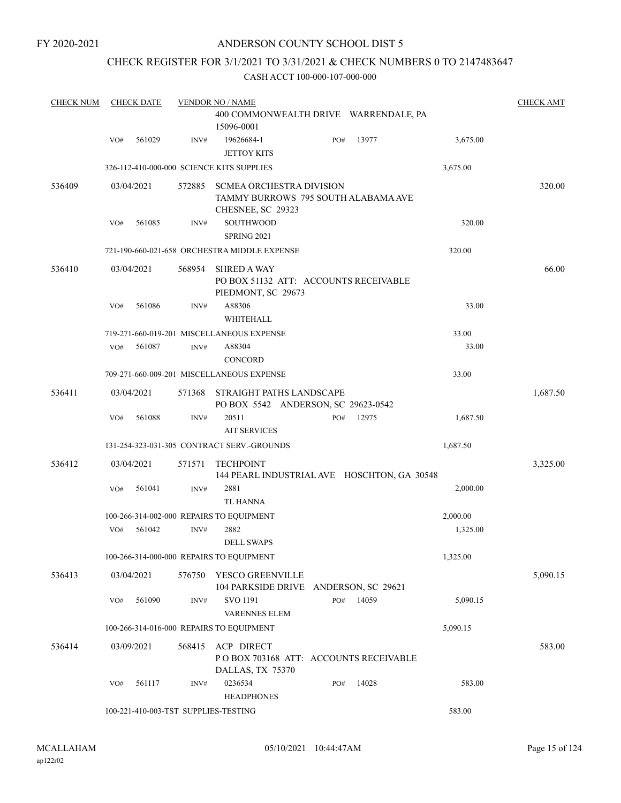# CHECK REGISTER FOR 3/1/2021 TO 3/31/2021 & CHECK NUMBERS 0 TO 2147483647

| <b>CHECK NUM</b> |     | <b>CHECK DATE</b> |        | <b>VENDOR NO / NAME</b>                                                                     |     |       |          | <b>CHECK AMT</b> |
|------------------|-----|-------------------|--------|---------------------------------------------------------------------------------------------|-----|-------|----------|------------------|
|                  |     |                   |        | 400 COMMONWEALTH DRIVE WARRENDALE, PA<br>15096-0001                                         |     |       |          |                  |
|                  | VO# | 561029            | INV#   | 19626684-1<br><b>JETTOY KITS</b>                                                            | PO# | 13977 | 3,675.00 |                  |
|                  |     |                   |        | 326-112-410-000-000 SCIENCE KITS SUPPLIES                                                   |     |       | 3,675.00 |                  |
| 536409           |     | 03/04/2021        | 572885 | <b>SCMEA ORCHESTRA DIVISION</b><br>TAMMY BURROWS 795 SOUTH ALABAMA AVE<br>CHESNEE, SC 29323 |     |       |          | 320.00           |
|                  | VO# | 561085            | INV#   | SOUTHWOOD<br><b>SPRING 2021</b>                                                             |     |       | 320.00   |                  |
|                  |     |                   |        | 721-190-660-021-658 ORCHESTRA MIDDLE EXPENSE                                                |     |       | 320.00   |                  |
| 536410           |     | 03/04/2021        | 568954 | <b>SHRED A WAY</b><br>PO BOX 51132 ATT: ACCOUNTS RECEIVABLE<br>PIEDMONT, SC 29673           |     |       |          | 66.00            |
|                  | VO# | 561086            | INV#   | A88306<br><b>WHITEHALL</b>                                                                  |     |       | 33.00    |                  |
|                  |     |                   |        | 719-271-660-019-201 MISCELLANEOUS EXPENSE                                                   |     |       | 33.00    |                  |
|                  | VO# | 561087            | INV#   | A88304<br><b>CONCORD</b>                                                                    |     |       | 33.00    |                  |
|                  |     |                   |        | 709-271-660-009-201 MISCELLANEOUS EXPENSE                                                   |     |       | 33.00    |                  |
| 536411           |     | 03/04/2021        | 571368 | STRAIGHT PATHS LANDSCAPE<br>PO BOX 5542 ANDERSON, SC 29623-0542                             |     |       |          | 1,687.50         |
|                  | VO# | 561088            | INV#   | 20511<br><b>AIT SERVICES</b>                                                                | PO# | 12975 | 1,687.50 |                  |
|                  |     |                   |        | 131-254-323-031-305 CONTRACT SERV.-GROUNDS                                                  |     |       | 1,687.50 |                  |
| 536412           |     | 03/04/2021        | 571571 | <b>TECHPOINT</b><br>144 PEARL INDUSTRIAL AVE HOSCHTON, GA 30548                             |     |       |          | 3,325.00         |
|                  | VO# | 561041            | INV#   | 2881<br><b>TL HANNA</b>                                                                     |     |       | 2,000.00 |                  |
|                  |     |                   |        | 100-266-314-002-000 REPAIRS TO EQUIPMENT                                                    |     |       | 2,000.00 |                  |
|                  | VO# | 561042            | INV#   | 2882<br><b>DELL SWAPS</b>                                                                   |     |       | 1,325.00 |                  |
|                  |     |                   |        | 100-266-314-000-000 REPAIRS TO EQUIPMENT                                                    |     |       | 1,325.00 |                  |
| 536413           |     | 03/04/2021        | 576750 | YESCO GREENVILLE<br>104 PARKSIDE DRIVE ANDERSON, SC 29621                                   |     |       |          | 5,090.15         |
|                  | VO# | 561090            | INV#   | SVO 1191<br><b>VARENNES ELEM</b>                                                            | PO# | 14059 | 5,090.15 |                  |
|                  |     |                   |        | 100-266-314-016-000 REPAIRS TO EQUIPMENT                                                    |     |       | 5,090.15 |                  |
| 536414           |     | 03/09/2021        | 568415 | ACP DIRECT<br>PO BOX 703168 ATT: ACCOUNTS RECEIVABLE<br>DALLAS, TX 75370                    |     |       |          | 583.00           |
|                  | VO# | 561117            | INV#   | 0236534<br><b>HEADPHONES</b>                                                                | PO# | 14028 | 583.00   |                  |
|                  |     |                   |        | 100-221-410-003-TST SUPPLIES-TESTING                                                        |     |       | 583.00   |                  |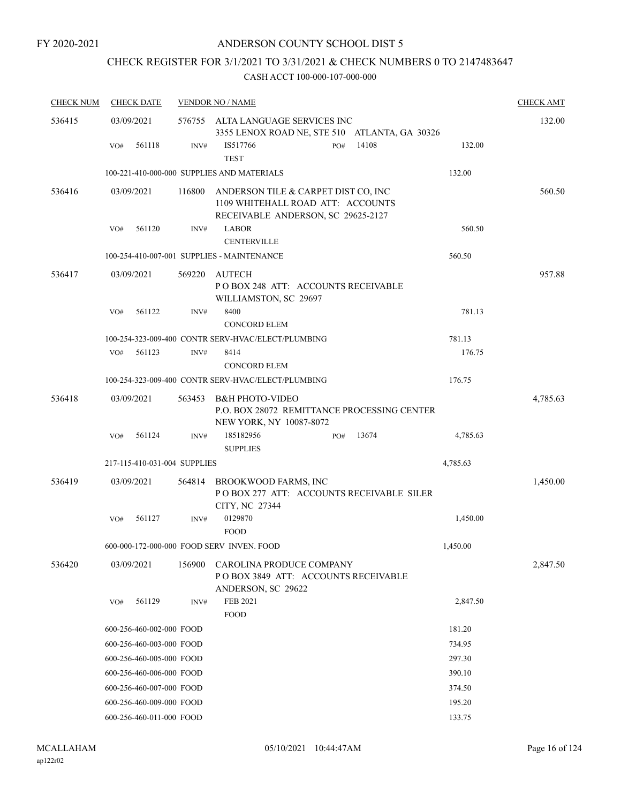# CHECK REGISTER FOR 3/1/2021 TO 3/31/2021 & CHECK NUMBERS 0 TO 2147483647

| <b>CHECK NUM</b> | <b>CHECK DATE</b>            |        | <b>VENDOR NO / NAME</b>                                                                                        |          | <b>CHECK AMT</b> |
|------------------|------------------------------|--------|----------------------------------------------------------------------------------------------------------------|----------|------------------|
| 536415           | 03/09/2021                   | 576755 | ALTA LANGUAGE SERVICES INC<br>3355 LENOX ROAD NE, STE 510 ATLANTA, GA 30326                                    |          | 132.00           |
|                  | 561118<br>VO#                | INV#   | 14108<br>IS517766<br>PO#<br><b>TEST</b>                                                                        | 132.00   |                  |
|                  |                              |        | 100-221-410-000-000 SUPPLIES AND MATERIALS                                                                     | 132.00   |                  |
| 536416           | 03/09/2021                   | 116800 | ANDERSON TILE & CARPET DIST CO, INC<br>1109 WHITEHALL ROAD ATT: ACCOUNTS<br>RECEIVABLE ANDERSON, SC 29625-2127 |          | 560.50           |
|                  | 561120<br>VO#                | INV#   | <b>LABOR</b><br><b>CENTERVILLE</b>                                                                             | 560.50   |                  |
|                  |                              |        | 100-254-410-007-001 SUPPLIES - MAINTENANCE                                                                     | 560.50   |                  |
| 536417           | 03/09/2021                   | 569220 | AUTECH<br>POBOX 248 ATT: ACCOUNTS RECEIVABLE<br>WILLIAMSTON, SC 29697                                          |          | 957.88           |
|                  | VO#<br>561122                | INV#   | 8400<br><b>CONCORD ELEM</b>                                                                                    | 781.13   |                  |
|                  |                              |        | 100-254-323-009-400 CONTR SERV-HVAC/ELECT/PLUMBING                                                             | 781.13   |                  |
|                  | 561123<br>VO#                | INV#   | 8414<br><b>CONCORD ELEM</b>                                                                                    | 176.75   |                  |
|                  |                              |        | 100-254-323-009-400 CONTR SERV-HVAC/ELECT/PLUMBING                                                             | 176.75   |                  |
| 536418           | 03/09/2021                   | 563453 | <b>B&amp;H PHOTO-VIDEO</b><br>P.O. BOX 28072 REMITTANCE PROCESSING CENTER<br>NEW YORK, NY 10087-8072           |          | 4,785.63         |
|                  | VO#<br>561124                | INV#   | 185182956<br>13674<br>PO#<br><b>SUPPLIES</b>                                                                   | 4,785.63 |                  |
|                  | 217-115-410-031-004 SUPPLIES |        |                                                                                                                | 4,785.63 |                  |
| 536419           | 03/09/2021                   | 564814 | BROOKWOOD FARMS, INC<br>POBOX 277 ATT: ACCOUNTS RECEIVABLE SILER<br>CITY, NC 27344                             |          | 1,450.00         |
|                  | 561127<br>VO#                | INV#   | 0129870<br><b>FOOD</b>                                                                                         | 1,450.00 |                  |
|                  |                              |        | 600-000-172-000-000 FOOD SERV INVEN. FOOD                                                                      | 1,450.00 |                  |
| 536420           | 03/09/2021                   | 156900 | CAROLINA PRODUCE COMPANY<br>POBOX 3849 ATT: ACCOUNTS RECEIVABLE<br>ANDERSON, SC 29622                          |          | 2,847.50         |
|                  | 561129<br>VO#                | INV#   | FEB 2021<br><b>FOOD</b>                                                                                        | 2,847.50 |                  |
|                  | 600-256-460-002-000 FOOD     |        |                                                                                                                | 181.20   |                  |
|                  | 600-256-460-003-000 FOOD     |        |                                                                                                                | 734.95   |                  |
|                  | 600-256-460-005-000 FOOD     |        |                                                                                                                | 297.30   |                  |
|                  | 600-256-460-006-000 FOOD     |        |                                                                                                                | 390.10   |                  |
|                  | 600-256-460-007-000 FOOD     |        |                                                                                                                | 374.50   |                  |
|                  | 600-256-460-009-000 FOOD     |        |                                                                                                                | 195.20   |                  |
|                  | 600-256-460-011-000 FOOD     |        |                                                                                                                | 133.75   |                  |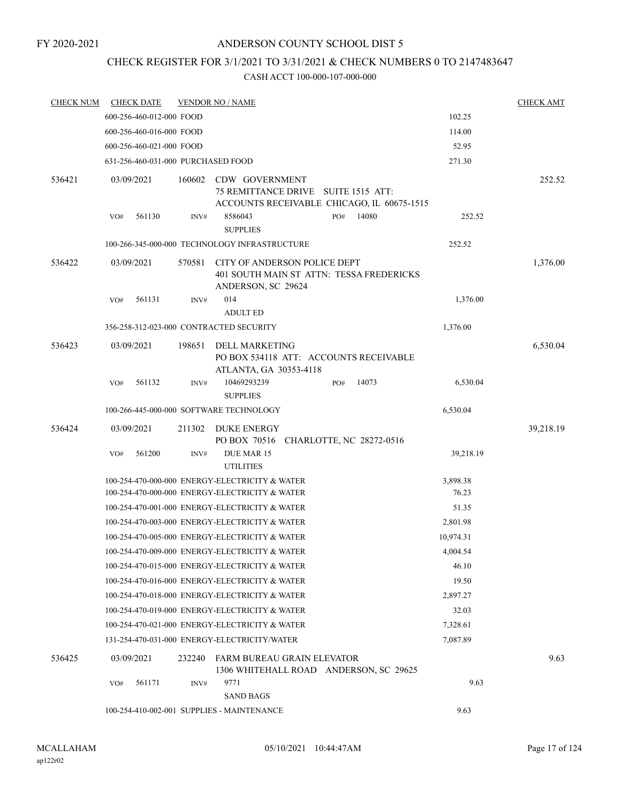# ANDERSON COUNTY SCHOOL DIST 5

# CHECK REGISTER FOR 3/1/2021 TO 3/31/2021 & CHECK NUMBERS 0 TO 2147483647

| <b>CHECK NUM</b> | <b>CHECK DATE</b>                       |        | <b>VENDOR NO / NAME</b>                                                                          |       |                                            |                   | <b>CHECK AMT</b> |
|------------------|-----------------------------------------|--------|--------------------------------------------------------------------------------------------------|-------|--------------------------------------------|-------------------|------------------|
|                  | 600-256-460-012-000 FOOD                |        |                                                                                                  |       |                                            | 102.25            |                  |
|                  | 600-256-460-016-000 FOOD                |        |                                                                                                  |       |                                            | 114.00            |                  |
|                  | 600-256-460-021-000 FOOD                |        |                                                                                                  | 52.95 |                                            |                   |                  |
|                  | 631-256-460-031-000 PURCHASED FOOD      |        |                                                                                                  |       |                                            | 271.30            |                  |
| 536421           | 03/09/2021                              | 160602 | CDW GOVERNMENT<br>75 REMITTANCE DRIVE SUITE 1515 ATT:                                            |       | ACCOUNTS RECEIVABLE CHICAGO, IL 60675-1515 |                   | 252.52           |
|                  | 561130<br>VO#                           | INV#   | 8586043<br><b>SUPPLIES</b>                                                                       | PO#   | 14080                                      | 252.52            |                  |
|                  |                                         |        | 100-266-345-000-000 TECHNOLOGY INFRASTRUCTURE                                                    |       |                                            | 252.52            |                  |
| 536422           | 03/09/2021                              | 570581 | CITY OF ANDERSON POLICE DEPT<br>401 SOUTH MAIN ST ATTN: TESSA FREDERICKS<br>ANDERSON, SC 29624   |       |                                            |                   | 1,376.00         |
|                  | 561131<br>VO#                           | INV#   | 014<br><b>ADULT ED</b>                                                                           |       |                                            | 1,376.00          |                  |
|                  | 356-258-312-023-000 CONTRACTED SECURITY |        |                                                                                                  |       |                                            | 1,376.00          |                  |
| 536423           | 03/09/2021                              | 198651 | DELL MARKETING<br>PO BOX 534118 ATT: ACCOUNTS RECEIVABLE<br>ATLANTA, GA 30353-4118               |       |                                            |                   | 6,530.04         |
|                  | 561132<br>VO#                           | INV#   | 10469293239<br><b>SUPPLIES</b>                                                                   | PO#   | 14073                                      | 6,530.04          |                  |
|                  |                                         |        | 100-266-445-000-000 SOFTWARE TECHNOLOGY                                                          |       |                                            | 6,530.04          |                  |
| 536424           | 03/09/2021                              | 211302 | <b>DUKE ENERGY</b><br>PO BOX 70516 CHARLOTTE, NC 28272-0516                                      |       |                                            |                   | 39,218.19        |
|                  | 561200<br>VO#                           | INV#   | DUE MAR 15<br><b>UTILITIES</b>                                                                   |       |                                            | 39,218.19         |                  |
|                  |                                         |        | 100-254-470-000-000 ENERGY-ELECTRICITY & WATER<br>100-254-470-000-000 ENERGY-ELECTRICITY & WATER |       |                                            | 3,898.38<br>76.23 |                  |
|                  |                                         |        | 100-254-470-001-000 ENERGY-ELECTRICITY & WATER                                                   |       |                                            | 51.35             |                  |
|                  |                                         |        | 100-254-470-003-000 ENERGY-ELECTRICITY & WATER                                                   |       |                                            | 2,801.98          |                  |
|                  |                                         |        | 100-254-470-005-000 ENERGY-ELECTRICITY & WATER                                                   |       |                                            | 10,974.31         |                  |
|                  |                                         |        | 100-254-470-009-000 ENERGY-ELECTRICITY & WATER                                                   |       |                                            | 4,004.54          |                  |
|                  |                                         |        | 100-254-470-015-000 ENERGY-ELECTRICITY & WATER                                                   |       |                                            | 46.10             |                  |
|                  |                                         |        | 100-254-470-016-000 ENERGY-ELECTRICITY & WATER                                                   |       |                                            | 19.50             |                  |
|                  |                                         |        | 100-254-470-018-000 ENERGY-ELECTRICITY & WATER                                                   |       |                                            | 2,897.27          |                  |
|                  |                                         |        | 100-254-470-019-000 ENERGY-ELECTRICITY & WATER                                                   |       |                                            | 32.03             |                  |
|                  |                                         |        | 100-254-470-021-000 ENERGY-ELECTRICITY & WATER                                                   |       |                                            | 7,328.61          |                  |
|                  |                                         |        | 131-254-470-031-000 ENERGY-ELECTRICITY/WATER                                                     |       |                                            | 7,087.89          |                  |
| 536425           | 03/09/2021                              | 232240 | FARM BUREAU GRAIN ELEVATOR<br>1306 WHITEHALL ROAD ANDERSON, SC 29625                             |       |                                            |                   | 9.63             |
|                  | 561171<br>VO#                           | INV#   | 9771                                                                                             |       |                                            | 9.63              |                  |
|                  |                                         |        | <b>SAND BAGS</b>                                                                                 |       |                                            |                   |                  |
|                  |                                         |        | 100-254-410-002-001 SUPPLIES - MAINTENANCE                                                       |       |                                            | 9.63              |                  |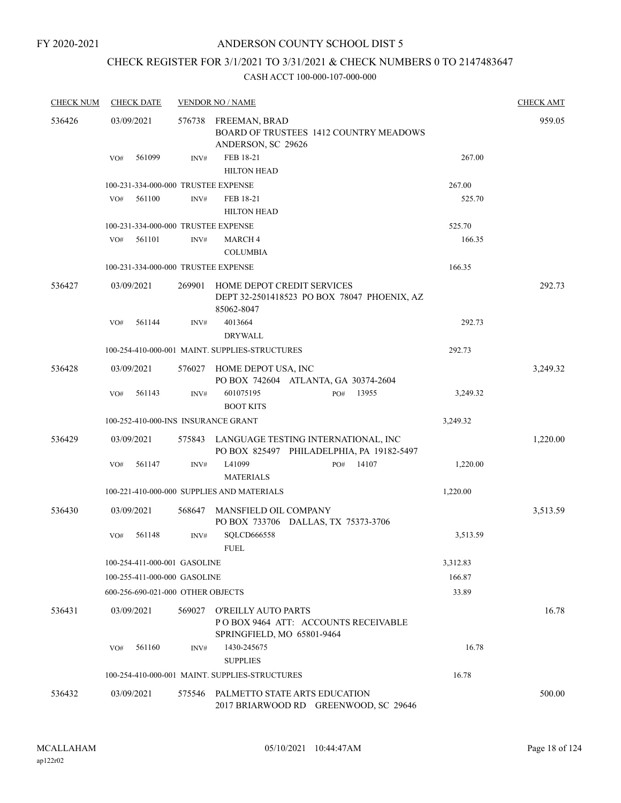# ANDERSON COUNTY SCHOOL DIST 5

# CHECK REGISTER FOR 3/1/2021 TO 3/31/2021 & CHECK NUMBERS 0 TO 2147483647

| <b>CHECK NUM</b> | <b>CHECK DATE</b>                   |        | <b>VENDOR NO / NAME</b>                                                                  |          | <b>CHECK AMT</b> |
|------------------|-------------------------------------|--------|------------------------------------------------------------------------------------------|----------|------------------|
| 536426           | 03/09/2021                          | 576738 | FREEMAN, BRAD<br><b>BOARD OF TRUSTEES 1412 COUNTRY MEADOWS</b><br>ANDERSON, SC 29626     |          | 959.05           |
|                  | 561099<br>VO#                       | INV#   | FEB 18-21<br><b>HILTON HEAD</b>                                                          | 267.00   |                  |
|                  | 100-231-334-000-000 TRUSTEE EXPENSE |        |                                                                                          | 267.00   |                  |
|                  | 561100<br>VO#                       | INV#   | FEB 18-21                                                                                | 525.70   |                  |
|                  |                                     |        | <b>HILTON HEAD</b>                                                                       |          |                  |
|                  | 100-231-334-000-000 TRUSTEE EXPENSE |        |                                                                                          | 525.70   |                  |
|                  | 561101<br>VO#                       | INV#   | <b>MARCH4</b><br><b>COLUMBIA</b>                                                         | 166.35   |                  |
|                  | 100-231-334-000-000 TRUSTEE EXPENSE |        |                                                                                          | 166.35   |                  |
| 536427           | 03/09/2021                          | 269901 | HOME DEPOT CREDIT SERVICES<br>DEPT 32-2501418523 PO BOX 78047 PHOENIX, AZ<br>85062-8047  |          | 292.73           |
|                  | 561144<br>VO#                       | INV#   | 4013664<br><b>DRYWALL</b>                                                                | 292.73   |                  |
|                  |                                     |        | 100-254-410-000-001 MAINT, SUPPLIES-STRUCTURES                                           | 292.73   |                  |
| 536428           | 03/09/2021                          | 576027 | HOME DEPOT USA, INC<br>PO BOX 742604 ATLANTA, GA 30374-2604                              |          | 3,249.32         |
|                  | 561143<br>VO#                       | INV#   | 601075195<br>13955<br>PO#                                                                | 3,249.32 |                  |
|                  |                                     |        | <b>BOOT KITS</b>                                                                         |          |                  |
|                  | 100-252-410-000-INS INSURANCE GRANT |        |                                                                                          | 3,249.32 |                  |
| 536429           | 03/09/2021                          |        | 575843 LANGUAGE TESTING INTERNATIONAL, INC<br>PO BOX 825497 PHILADELPHIA, PA 19182-5497  |          | 1,220.00         |
|                  | 561147<br>VO#                       | INV#   | L41099<br>14107<br>PO#<br><b>MATERIALS</b>                                               | 1,220.00 |                  |
|                  |                                     |        | 100-221-410-000-000 SUPPLIES AND MATERIALS                                               | 1,220.00 |                  |
| 536430           | 03/09/2021                          | 568647 | MANSFIELD OIL COMPANY<br>PO BOX 733706 DALLAS, TX 75373-3706                             |          | 3,513.59         |
|                  | VO#<br>561148                       | INV#   | SQLCD666558<br><b>FUEL</b>                                                               | 3,513.59 |                  |
|                  | 100-254-411-000-001 GASOLINE        |        |                                                                                          | 3,312.83 |                  |
|                  | 100-255-411-000-000 GASOLINE        |        |                                                                                          | 166.87   |                  |
|                  | 600-256-690-021-000 OTHER OBJECTS   |        |                                                                                          | 33.89    |                  |
| 536431           | 03/09/2021                          | 569027 | O'REILLY AUTO PARTS<br>POBOX 9464 ATT: ACCOUNTS RECEIVABLE<br>SPRINGFIELD, MO 65801-9464 |          | 16.78            |
|                  | 561160<br>VO#                       | INV#   | 1430-245675<br><b>SUPPLIES</b>                                                           | 16.78    |                  |
|                  |                                     |        | 100-254-410-000-001 MAINT. SUPPLIES-STRUCTURES                                           | 16.78    |                  |
| 536432           | 03/09/2021                          |        | 575546 PALMETTO STATE ARTS EDUCATION<br>2017 BRIARWOOD RD GREENWOOD, SC 29646            |          | 500.00           |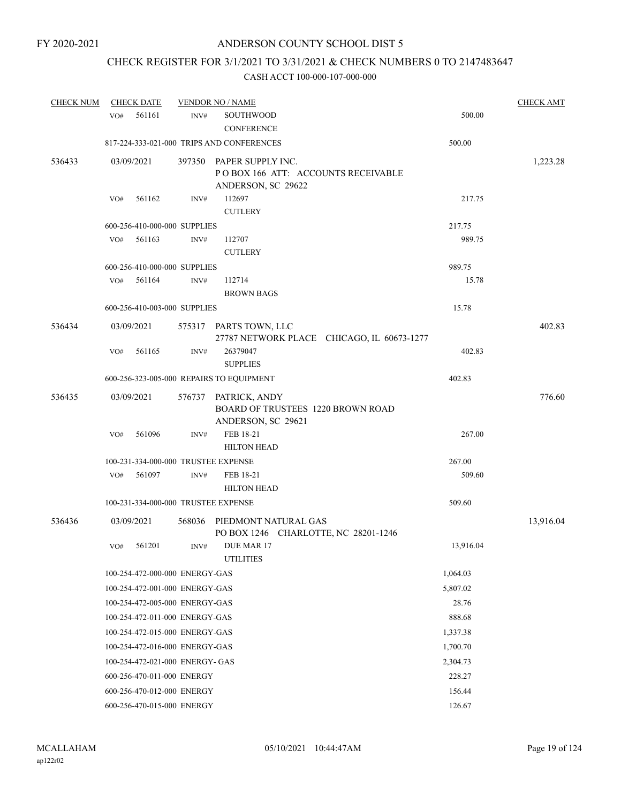# CHECK REGISTER FOR 3/1/2021 TO 3/31/2021 & CHECK NUMBERS 0 TO 2147483647

| <b>CHECK NUM</b> | <b>CHECK DATE</b> |                                 |        | <b>VENDOR NO / NAME</b>                                                         |           | <b>CHECK AMT</b> |
|------------------|-------------------|---------------------------------|--------|---------------------------------------------------------------------------------|-----------|------------------|
|                  | VO#               | 561161                          | INV#   | <b>SOUTHWOOD</b><br><b>CONFERENCE</b>                                           | 500.00    |                  |
|                  |                   |                                 |        | 817-224-333-021-000 TRIPS AND CONFERENCES                                       | 500.00    |                  |
| 536433           | 03/09/2021        |                                 | 397350 | PAPER SUPPLY INC.<br>POBOX 166 ATT: ACCOUNTS RECEIVABLE<br>ANDERSON, SC 29622   |           | 1,223.28         |
|                  | VO#               | 561162                          | INV#   | 112697                                                                          | 217.75    |                  |
|                  |                   |                                 |        | <b>CUTLERY</b>                                                                  |           |                  |
|                  |                   | 600-256-410-000-000 SUPPLIES    |        |                                                                                 | 217.75    |                  |
|                  | VO#               | 561163                          | INV#   | 112707<br><b>CUTLERY</b>                                                        | 989.75    |                  |
|                  |                   | 600-256-410-000-000 SUPPLIES    |        |                                                                                 | 989.75    |                  |
|                  | VO#               | 561164                          | INV#   | 112714<br><b>BROWN BAGS</b>                                                     | 15.78     |                  |
|                  |                   | 600-256-410-003-000 SUPPLIES    |        |                                                                                 | 15.78     |                  |
| 536434           | 03/09/2021        |                                 |        | 575317 PARTS TOWN, LLC<br>27787 NETWORK PLACE CHICAGO, IL 60673-1277            |           | 402.83           |
|                  | VO#               | 561165                          | INV#   | 26379047                                                                        | 402.83    |                  |
|                  |                   |                                 |        | <b>SUPPLIES</b>                                                                 |           |                  |
|                  |                   |                                 |        | 600-256-323-005-000 REPAIRS TO EQUIPMENT                                        | 402.83    |                  |
| 536435           | 03/09/2021        |                                 | 576737 | PATRICK, ANDY<br><b>BOARD OF TRUSTEES 1220 BROWN ROAD</b><br>ANDERSON, SC 29621 |           | 776.60           |
|                  | VO#               | 561096                          | INV#   | FEB 18-21                                                                       | 267.00    |                  |
|                  |                   |                                 |        | <b>HILTON HEAD</b>                                                              |           |                  |
|                  |                   |                                 |        | 100-231-334-000-000 TRUSTEE EXPENSE                                             | 267.00    |                  |
|                  | VO#               | 561097                          | INV#   | FEB 18-21<br><b>HILTON HEAD</b>                                                 | 509.60    |                  |
|                  |                   |                                 |        | 100-231-334-000-000 TRUSTEE EXPENSE                                             | 509.60    |                  |
| 536436           | 03/09/2021        |                                 | 568036 | PIEDMONT NATURAL GAS<br>PO BOX 1246 CHARLOTTE, NC 28201-1246                    |           | 13,916.04        |
|                  | VO#               | 561201                          | INV#   | DUE MAR 17<br><b>UTILITIES</b>                                                  | 13,916.04 |                  |
|                  |                   | 100-254-472-000-000 ENERGY-GAS  |        |                                                                                 | 1,064.03  |                  |
|                  |                   | 100-254-472-001-000 ENERGY-GAS  |        |                                                                                 | 5,807.02  |                  |
|                  |                   | 100-254-472-005-000 ENERGY-GAS  |        |                                                                                 | 28.76     |                  |
|                  |                   | 100-254-472-011-000 ENERGY-GAS  |        |                                                                                 | 888.68    |                  |
|                  |                   | 100-254-472-015-000 ENERGY-GAS  |        |                                                                                 | 1,337.38  |                  |
|                  |                   | 100-254-472-016-000 ENERGY-GAS  |        |                                                                                 | 1,700.70  |                  |
|                  |                   | 100-254-472-021-000 ENERGY- GAS |        |                                                                                 | 2,304.73  |                  |
|                  |                   | 600-256-470-011-000 ENERGY      |        |                                                                                 | 228.27    |                  |
|                  |                   | 600-256-470-012-000 ENERGY      |        |                                                                                 | 156.44    |                  |
|                  |                   | 600-256-470-015-000 ENERGY      |        |                                                                                 | 126.67    |                  |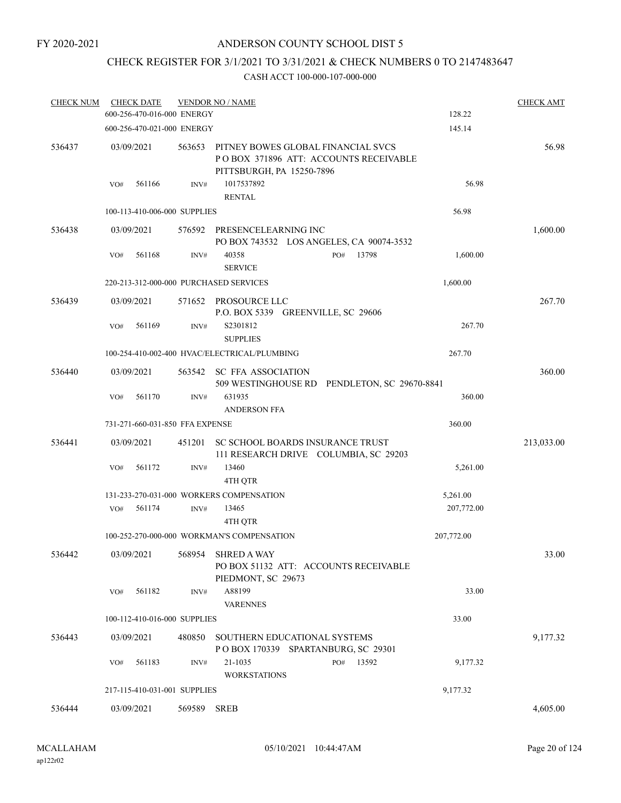# ANDERSON COUNTY SCHOOL DIST 5

# CHECK REGISTER FOR 3/1/2021 TO 3/31/2021 & CHECK NUMBERS 0 TO 2147483647

| <b>CHECK NUM</b> | <b>CHECK DATE</b>                      |        | <b>VENDOR NO / NAME</b>                                                                                  |            | <b>CHECK AMT</b> |
|------------------|----------------------------------------|--------|----------------------------------------------------------------------------------------------------------|------------|------------------|
|                  | 600-256-470-016-000 ENERGY             |        |                                                                                                          | 128.22     |                  |
|                  | 600-256-470-021-000 ENERGY             |        |                                                                                                          | 145.14     |                  |
| 536437           | 03/09/2021                             | 563653 | PITNEY BOWES GLOBAL FINANCIAL SVCS<br>POBOX 371896 ATT: ACCOUNTS RECEIVABLE<br>PITTSBURGH, PA 15250-7896 |            | 56.98            |
|                  | 561166<br>VO#                          | INV#   | 1017537892<br><b>RENTAL</b>                                                                              | 56.98      |                  |
|                  | 100-113-410-006-000 SUPPLIES           |        |                                                                                                          | 56.98      |                  |
| 536438           | 03/09/2021                             | 576592 | PRESENCELEARNING INC<br>PO BOX 743532 LOS ANGELES, CA 90074-3532                                         |            | 1,600.00         |
|                  | 561168<br>VO#                          | INV#   | 40358<br>13798<br>PO#<br><b>SERVICE</b>                                                                  | 1,600.00   |                  |
|                  | 220-213-312-000-000 PURCHASED SERVICES |        |                                                                                                          | 1,600.00   |                  |
| 536439           | 03/09/2021                             | 571652 | PROSOURCE LLC<br>P.O. BOX 5339 GREENVILLE, SC 29606                                                      |            | 267.70           |
|                  | 561169<br>VO#                          | INV#   | S2301812<br><b>SUPPLIES</b>                                                                              | 267.70     |                  |
|                  |                                        |        | 100-254-410-002-400 HVAC/ELECTRICAL/PLUMBING                                                             | 267.70     |                  |
| 536440           | 03/09/2021                             | 563542 | <b>SC FFA ASSOCIATION</b><br>509 WESTINGHOUSE RD PENDLETON, SC 29670-8841                                |            | 360.00           |
|                  | VO#<br>561170                          | INV#   | 631935<br><b>ANDERSON FFA</b>                                                                            | 360.00     |                  |
|                  | 731-271-660-031-850 FFA EXPENSE        |        |                                                                                                          | 360.00     |                  |
| 536441           | 03/09/2021                             | 451201 | SC SCHOOL BOARDS INSURANCE TRUST<br>111 RESEARCH DRIVE COLUMBIA, SC 29203                                |            | 213,033.00       |
|                  | 561172<br>VO#                          | INV#   | 13460<br>4TH QTR                                                                                         | 5,261.00   |                  |
|                  |                                        |        | 131-233-270-031-000 WORKERS COMPENSATION                                                                 | 5,261.00   |                  |
|                  | 561174<br>VO#                          | INV#   | 13465<br>4TH QTR                                                                                         | 207,772.00 |                  |
|                  |                                        |        | 100-252-270-000-000 WORKMAN'S COMPENSATION                                                               | 207,772.00 |                  |
| 536442           | 03/09/2021                             | 568954 | <b>SHRED A WAY</b><br>PO BOX 51132 ATT: ACCOUNTS RECEIVABLE<br>PIEDMONT, SC 29673                        |            | 33.00            |
|                  | VO#<br>561182                          | INV#   | A88199<br><b>VARENNES</b>                                                                                | 33.00      |                  |
|                  | 100-112-410-016-000 SUPPLIES           |        |                                                                                                          | 33.00      |                  |
| 536443           | 03/09/2021                             | 480850 | SOUTHERN EDUCATIONAL SYSTEMS<br>POBOX 170339 SPARTANBURG, SC 29301                                       |            | 9,177.32         |
|                  | 561183<br>VO#                          | INV#   | 21-1035<br>13592<br>PO#<br><b>WORKSTATIONS</b>                                                           | 9,177.32   |                  |
|                  | 217-115-410-031-001 SUPPLIES           |        |                                                                                                          | 9,177.32   |                  |
| 536444           | 03/09/2021                             | 569589 | <b>SREB</b>                                                                                              |            | 4,605.00         |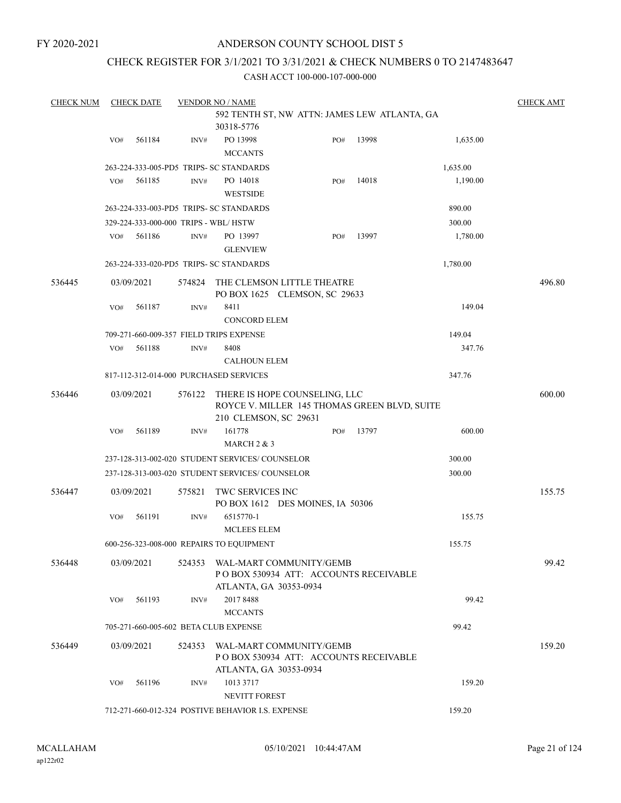#### ANDERSON COUNTY SCHOOL DIST 5

# CHECK REGISTER FOR 3/1/2021 TO 3/31/2021 & CHECK NUMBERS 0 TO 2147483647

| <b>CHECK NUM</b> |     | <b>CHECK DATE</b> |        | <b>VENDOR NO / NAME</b>                                                                    |     |       |          | <b>CHECK AMT</b> |
|------------------|-----|-------------------|--------|--------------------------------------------------------------------------------------------|-----|-------|----------|------------------|
|                  |     |                   |        | 592 TENTH ST, NW ATTN: JAMES LEW ATLANTA, GA                                               |     |       |          |                  |
|                  |     |                   |        | 30318-5776                                                                                 |     |       |          |                  |
|                  | VO# | 561184            | INV#   | PO 13998<br><b>MCCANTS</b>                                                                 | PO# | 13998 | 1,635.00 |                  |
|                  |     |                   |        | 263-224-333-005-PD5 TRIPS- SC STANDARDS                                                    |     |       | 1,635.00 |                  |
|                  | VO# | 561185            | INV#   | PO 14018<br><b>WESTSIDE</b>                                                                | PO# | 14018 | 1,190.00 |                  |
|                  |     |                   |        | 263-224-333-003-PD5 TRIPS- SC STANDARDS                                                    |     |       | 890.00   |                  |
|                  |     |                   |        | 329-224-333-000-000 TRIPS - WBL/HSTW                                                       |     |       | 300.00   |                  |
|                  | VO# | 561186            | INV#   | PO 13997<br><b>GLENVIEW</b>                                                                | PO# | 13997 | 1,780.00 |                  |
|                  |     |                   |        | 263-224-333-020-PD5 TRIPS- SC STANDARDS                                                    |     |       | 1,780.00 |                  |
| 536445           |     | 03/09/2021        | 574824 | THE CLEMSON LITTLE THEATRE                                                                 |     |       |          | 496.80           |
|                  |     |                   |        | PO BOX 1625 CLEMSON, SC 29633                                                              |     |       |          |                  |
|                  | VO# | 561187            | INV#   | 8411<br><b>CONCORD ELEM</b>                                                                |     |       | 149.04   |                  |
|                  |     |                   |        | 709-271-660-009-357 FIELD TRIPS EXPENSE                                                    |     |       | 149.04   |                  |
|                  | VO# | 561188            | INV#   | 8408                                                                                       |     |       | 347.76   |                  |
|                  |     |                   |        | <b>CALHOUN ELEM</b>                                                                        |     |       |          |                  |
|                  |     |                   |        | 817-112-312-014-000 PURCHASED SERVICES                                                     |     |       | 347.76   |                  |
| 536446           |     | 03/09/2021        | 576122 | THERE IS HOPE COUNSELING, LLC<br>ROYCE V. MILLER 145 THOMAS GREEN BLVD, SUITE              |     |       |          | 600.00           |
|                  |     |                   |        | 210 CLEMSON, SC 29631                                                                      |     |       |          |                  |
|                  | VO# | 561189            | INV#   | 161778                                                                                     | PO# | 13797 | 600.00   |                  |
|                  |     |                   |        | MARCH $2 & 3$                                                                              |     |       |          |                  |
|                  |     |                   |        | 237-128-313-002-020 STUDENT SERVICES/ COUNSELOR                                            |     |       | 300.00   |                  |
|                  |     |                   |        | 237-128-313-003-020 STUDENT SERVICES/ COUNSELOR                                            |     |       | 300.00   |                  |
| 536447           |     | 03/09/2021        | 575821 | TWC SERVICES INC<br>PO BOX 1612 DES MOINES, IA 50306                                       |     |       |          | 155.75           |
|                  | VO# | 561191            | INV#   | 6515770-1<br><b>MCLEES ELEM</b>                                                            |     |       | 155.75   |                  |
|                  |     |                   |        | 600-256-323-008-000 REPAIRS TO EQUIPMENT                                                   |     |       | 155.75   |                  |
| 536448           |     | 03/09/2021        | 524353 | WAL-MART COMMUNITY/GEMB<br>POBOX 530934 ATT: ACCOUNTS RECEIVABLE<br>ATLANTA, GA 30353-0934 |     |       |          | 99.42            |
|                  | VO# | 561193            | INV#   | 2017 8488<br><b>MCCANTS</b>                                                                |     |       | 99.42    |                  |
|                  |     |                   |        | 705-271-660-005-602 BETA CLUB EXPENSE                                                      |     |       | 99.42    |                  |
| 536449           |     | 03/09/2021        | 524353 | WAL-MART COMMUNITY/GEMB<br>POBOX 530934 ATT: ACCOUNTS RECEIVABLE                           |     |       |          | 159.20           |
|                  | VO# | 561196            | INV#   | ATLANTA, GA 30353-0934<br>1013 3717<br>NEVITT FOREST                                       |     |       | 159.20   |                  |
|                  |     |                   |        | 712-271-660-012-324 POSTIVE BEHAVIOR I.S. EXPENSE                                          |     |       | 159.20   |                  |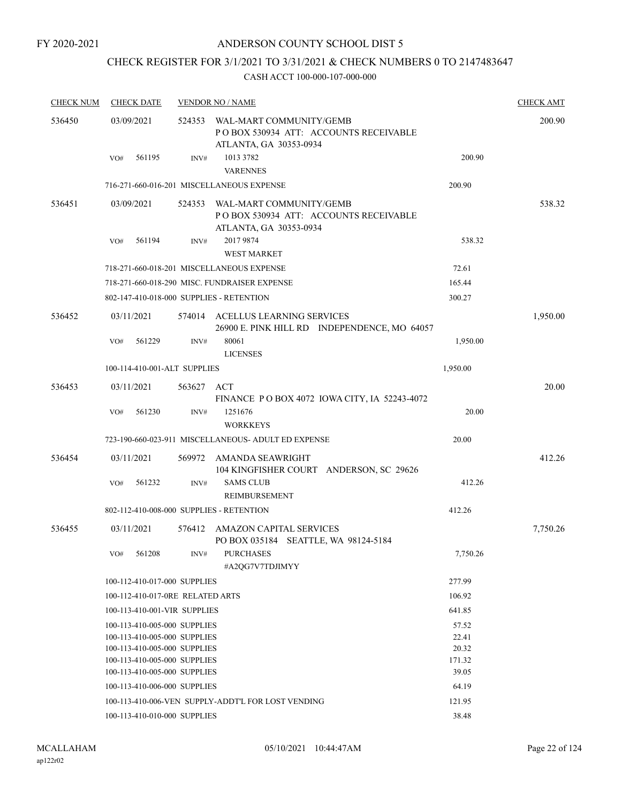# CHECK REGISTER FOR 3/1/2021 TO 3/31/2021 & CHECK NUMBERS 0 TO 2147483647

| <b>CHECK NUM</b> |                   | <b>CHECK DATE</b> |                                  | <b>VENDOR NO / NAME</b>                                                                            |          | <b>CHECK AMT</b> |
|------------------|-------------------|-------------------|----------------------------------|----------------------------------------------------------------------------------------------------|----------|------------------|
| 536450           | 03/09/2021        |                   |                                  | 524353 WAL-MART COMMUNITY/GEMB<br>POBOX 530934 ATT: ACCOUNTS RECEIVABLE<br>ATLANTA, GA 30353-0934  |          | 200.90           |
|                  | VO#               | 561195            | INV#                             | 1013 3782<br><b>VARENNES</b>                                                                       | 200.90   |                  |
|                  |                   |                   |                                  | 716-271-660-016-201 MISCELLANEOUS EXPENSE                                                          | 200.90   |                  |
| 536451           | 03/09/2021        |                   |                                  | 524353 WAL-MART COMMUNITY/GEMB<br>PO BOX 530934 ATT: ACCOUNTS RECEIVABLE<br>ATLANTA, GA 30353-0934 |          | 538.32           |
|                  | VO#               | 561194            | INV#                             | 2017 9874<br><b>WEST MARKET</b>                                                                    | 538.32   |                  |
|                  |                   |                   |                                  | 718-271-660-018-201 MISCELLANEOUS EXPENSE                                                          | 72.61    |                  |
|                  |                   |                   |                                  |                                                                                                    |          |                  |
|                  |                   |                   |                                  | 718-271-660-018-290 MISC. FUNDRAISER EXPENSE                                                       | 165.44   |                  |
|                  |                   |                   |                                  | 802-147-410-018-000 SUPPLIES - RETENTION                                                           | 300.27   |                  |
| 536452           | 03/11/2021<br>VO# | 561229            | INV#                             | 574014 ACELLUS LEARNING SERVICES<br>26900 E. PINK HILL RD INDEPENDENCE, MO 64057<br>80061          | 1,950.00 | 1,950.00         |
|                  |                   |                   |                                  | <b>LICENSES</b>                                                                                    |          |                  |
|                  |                   |                   | 100-114-410-001-ALT SUPPLIES     |                                                                                                    | 1,950.00 |                  |
| 536453           | 03/11/2021        |                   | 563627                           | ACT<br>FINANCE PO BOX 4072 IOWA CITY, IA 52243-4072                                                |          | 20.00            |
|                  | VO#               | 561230            | INV#                             | 1251676<br><b>WORKKEYS</b>                                                                         | 20.00    |                  |
|                  |                   |                   |                                  | 723-190-660-023-911 MISCELLANEOUS- ADULT ED EXPENSE                                                | 20.00    |                  |
| 536454           | 03/11/2021        |                   | 569972                           | AMANDA SEAWRIGHT<br>104 KINGFISHER COURT ANDERSON, SC 29626                                        |          | 412.26           |
|                  | VO#               | 561232            | INV#                             | <b>SAMS CLUB</b><br><b>REIMBURSEMENT</b>                                                           | 412.26   |                  |
|                  |                   |                   |                                  | 802-112-410-008-000 SUPPLIES - RETENTION                                                           | 412.26   |                  |
| 536455           | 03/11/2021        |                   |                                  | 576412 AMAZON CAPITAL SERVICES<br>PO BOX 035184 SEATTLE, WA 98124-5184                             |          | 7,750.26         |
|                  | VO#               | 561208            |                                  | INV# PURCHASES<br>#A2QG7V7TDJIMYY                                                                  | 7,750.26 |                  |
|                  |                   |                   | 100-112-410-017-000 SUPPLIES     |                                                                                                    | 277.99   |                  |
|                  |                   |                   | 100-112-410-017-0RE RELATED ARTS |                                                                                                    | 106.92   |                  |
|                  |                   |                   | 100-113-410-001-VIR SUPPLIES     |                                                                                                    | 641.85   |                  |
|                  |                   |                   | 100-113-410-005-000 SUPPLIES     |                                                                                                    | 57.52    |                  |
|                  |                   |                   | 100-113-410-005-000 SUPPLIES     |                                                                                                    | 22.41    |                  |
|                  |                   |                   | 100-113-410-005-000 SUPPLIES     |                                                                                                    | 20.32    |                  |
|                  |                   |                   | 100-113-410-005-000 SUPPLIES     |                                                                                                    | 171.32   |                  |
|                  |                   |                   | 100-113-410-005-000 SUPPLIES     |                                                                                                    | 39.05    |                  |
|                  |                   |                   | 100-113-410-006-000 SUPPLIES     |                                                                                                    | 64.19    |                  |
|                  |                   |                   |                                  | 100-113-410-006-VEN SUPPLY-ADDT'L FOR LOST VENDING                                                 | 121.95   |                  |
|                  |                   |                   | 100-113-410-010-000 SUPPLIES     |                                                                                                    | 38.48    |                  |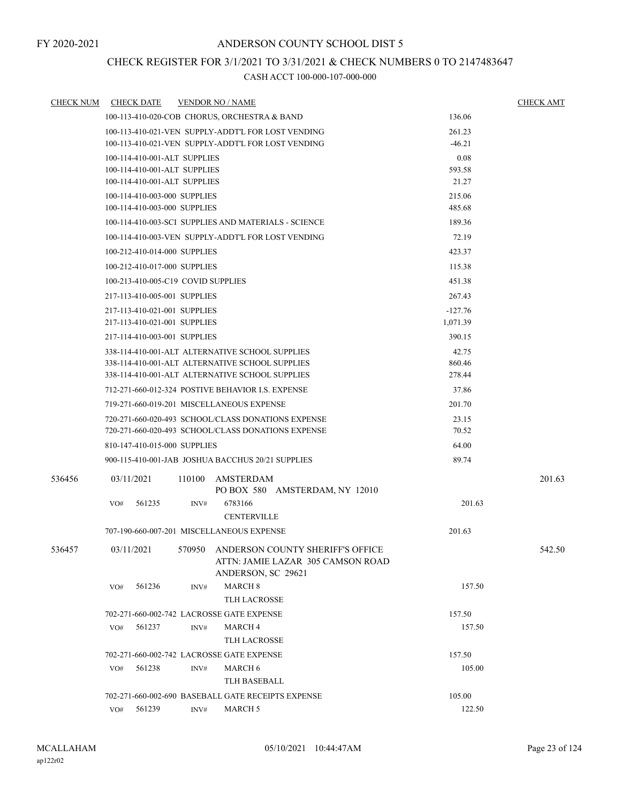# CHECK REGISTER FOR 3/1/2021 TO 3/31/2021 & CHECK NUMBERS 0 TO 2147483647

| <b>CHECK NUM</b> | <b>CHECK DATE</b>                                  |        | <b>VENDOR NO / NAME</b>                              |           | <b>CHECK AMT</b> |
|------------------|----------------------------------------------------|--------|------------------------------------------------------|-----------|------------------|
|                  |                                                    |        | 100-113-410-020-COB CHORUS, ORCHESTRA & BAND         | 136.06    |                  |
|                  |                                                    |        | 100-113-410-021-VEN SUPPLY-ADDT'L FOR LOST VENDING   | 261.23    |                  |
|                  |                                                    |        | 100-113-410-021-VEN SUPPLY-ADDT'L FOR LOST VENDING   | $-46.21$  |                  |
|                  | 100-114-410-001-ALT SUPPLIES                       |        | 0.08                                                 |           |                  |
|                  | 100-114-410-001-ALT SUPPLIES                       |        |                                                      | 593.58    |                  |
|                  | 100-114-410-001-ALT SUPPLIES                       |        |                                                      | 21.27     |                  |
|                  | 100-114-410-003-000 SUPPLIES                       |        |                                                      | 215.06    |                  |
|                  | 100-114-410-003-000 SUPPLIES                       |        |                                                      | 485.68    |                  |
|                  |                                                    |        | 100-114-410-003-SCI SUPPLIES AND MATERIALS - SCIENCE | 189.36    |                  |
|                  |                                                    |        | 100-114-410-003-VEN SUPPLY-ADDT'L FOR LOST VENDING   | 72.19     |                  |
|                  | 100-212-410-014-000 SUPPLIES                       |        |                                                      | 423.37    |                  |
|                  | 100-212-410-017-000 SUPPLIES                       |        |                                                      | 115.38    |                  |
|                  | 100-213-410-005-C19 COVID SUPPLIES                 |        |                                                      | 451.38    |                  |
|                  | 217-113-410-005-001 SUPPLIES                       |        |                                                      | 267.43    |                  |
|                  | 217-113-410-021-001 SUPPLIES                       |        |                                                      | $-127.76$ |                  |
|                  | 217-113-410-021-001 SUPPLIES                       |        | 1,071.39                                             |           |                  |
|                  | 217-114-410-003-001 SUPPLIES                       |        |                                                      | 390.15    |                  |
|                  | 338-114-410-001-ALT ALTERNATIVE SCHOOL SUPPLIES    |        | 42.75                                                |           |                  |
|                  |                                                    |        | 338-114-410-001-ALT ALTERNATIVE SCHOOL SUPPLIES      | 860.46    |                  |
|                  | 338-114-410-001-ALT ALTERNATIVE SCHOOL SUPPLIES    |        | 278.44                                               |           |                  |
|                  | 712-271-660-012-324 POSTIVE BEHAVIOR LS. EXPENSE   |        | 37.86                                                |           |                  |
|                  |                                                    |        | 719-271-660-019-201 MISCELLANEOUS EXPENSE            | 201.70    |                  |
|                  | 720-271-660-020-493 SCHOOL/CLASS DONATIONS EXPENSE |        | 23.15                                                |           |                  |
|                  | 720-271-660-020-493 SCHOOL/CLASS DONATIONS EXPENSE |        | 70.52                                                |           |                  |
|                  | 810-147-410-015-000 SUPPLIES                       |        | 64.00                                                |           |                  |
|                  |                                                    |        | 900-115-410-001-JAB JOSHUA BACCHUS 20/21 SUPPLIES    | 89.74     |                  |
| 536456           | 03/11/2021                                         | 110100 | AMSTERDAM                                            |           | 201.63           |
|                  |                                                    |        | PO BOX 580 AMSTERDAM, NY 12010                       |           |                  |
|                  | 561235<br>VO#                                      | INV#   | 6783166                                              | 201.63    |                  |
|                  |                                                    |        | <b>CENTERVILLE</b>                                   |           |                  |
|                  |                                                    |        | 707-190-660-007-201 MISCELLANEOUS EXPENSE            | 201.63    |                  |
| 536457           | 03/11/2021                                         |        | 570950 ANDERSON COUNTY SHERIFF'S OFFICE              |           | 542.50           |
|                  |                                                    |        | ATTN: JAMIE LAZAR 305 CAMSON ROAD                    |           |                  |
|                  |                                                    |        | ANDERSON, SC 29621                                   |           |                  |
|                  | VO#<br>561236                                      | INV#   | <b>MARCH 8</b>                                       | 157.50    |                  |
|                  |                                                    |        | <b>TLH LACROSSE</b>                                  |           |                  |
|                  |                                                    |        | 702-271-660-002-742 LACROSSE GATE EXPENSE            | 157.50    |                  |
|                  | 561237<br>VO#                                      | INV#   | MARCH 4                                              | 157.50    |                  |
|                  |                                                    |        | <b>TLH LACROSSE</b>                                  |           |                  |
|                  |                                                    |        | 702-271-660-002-742 LACROSSE GATE EXPENSE            | 157.50    |                  |
|                  | 561238<br>VO#                                      | INV#   | <b>MARCH 6</b>                                       | 105.00    |                  |
|                  |                                                    |        | TLH BASEBALL                                         |           |                  |
|                  |                                                    |        | 702-271-660-002-690 BASEBALL GATE RECEIPTS EXPENSE   | 105.00    |                  |
|                  | VO# 561239                                         | INV#   | MARCH 5                                              | 122.50    |                  |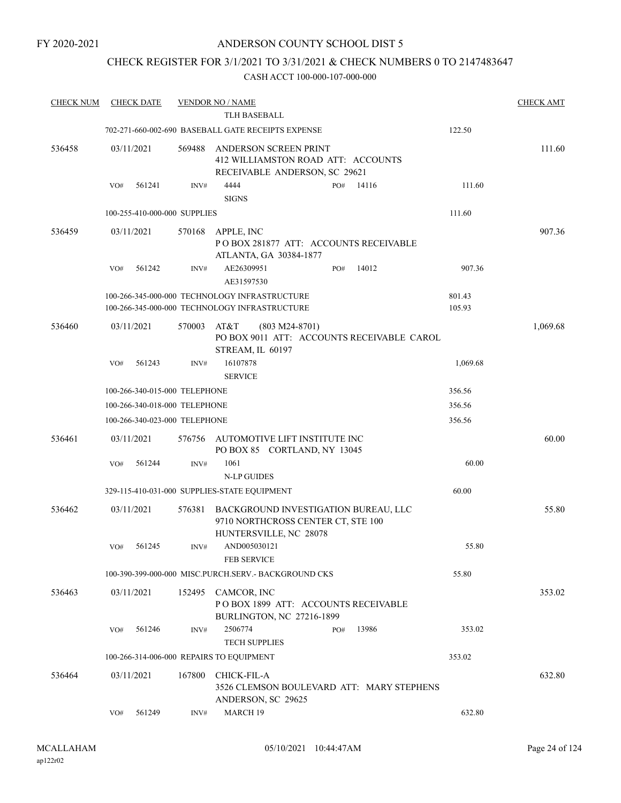#### ANDERSON COUNTY SCHOOL DIST 5

# CHECK REGISTER FOR 3/1/2021 TO 3/31/2021 & CHECK NUMBERS 0 TO 2147483647

| <b>CHECK NUM</b> | <b>CHECK DATE</b>             |        | <b>VENDOR NO / NAME</b>                                                                              |                  | <b>CHECK AMT</b> |
|------------------|-------------------------------|--------|------------------------------------------------------------------------------------------------------|------------------|------------------|
|                  |                               |        | <b>TLH BASEBALL</b>                                                                                  |                  |                  |
|                  |                               |        | 702-271-660-002-690 BASEBALL GATE RECEIPTS EXPENSE                                                   | 122.50           |                  |
| 536458           | 03/11/2021                    | 569488 | ANDERSON SCREEN PRINT<br>412 WILLIAMSTON ROAD ATT: ACCOUNTS<br>RECEIVABLE ANDERSON, SC 29621         |                  | 111.60           |
|                  | 561241<br>VO#                 | INV#   | 4444<br>14116<br>PO#<br><b>SIGNS</b>                                                                 | 111.60           |                  |
|                  | 100-255-410-000-000 SUPPLIES  |        |                                                                                                      | 111.60           |                  |
| 536459           | 03/11/2021                    | 570168 | APPLE, INC<br>POBOX 281877 ATT: ACCOUNTS RECEIVABLE<br>ATLANTA, GA 30384-1877                        |                  | 907.36           |
|                  | 561242<br>VO#                 | INV#   | AE26309951<br>14012<br>PO#<br>AE31597530                                                             | 907.36           |                  |
|                  |                               |        | 100-266-345-000-000 TECHNOLOGY INFRASTRUCTURE<br>100-266-345-000-000 TECHNOLOGY INFRASTRUCTURE       | 801.43<br>105.93 |                  |
| 536460           | 03/11/2021                    | 570003 | AT&T<br>$(803 M24-8701)$<br>PO BOX 9011 ATT: ACCOUNTS RECEIVABLE CAROL<br>STREAM, IL 60197           |                  | 1,069.68         |
|                  | 561243<br>VO#                 | INV#   | 16107878<br><b>SERVICE</b>                                                                           | 1,069.68         |                  |
|                  | 100-266-340-015-000 TELEPHONE |        |                                                                                                      | 356.56           |                  |
|                  | 100-266-340-018-000 TELEPHONE |        |                                                                                                      | 356.56           |                  |
|                  | 100-266-340-023-000 TELEPHONE |        |                                                                                                      | 356.56           |                  |
| 536461           | 03/11/2021                    | 576756 | AUTOMOTIVE LIFT INSTITUTE INC<br>PO BOX 85 CORTLAND, NY 13045                                        |                  | 60.00            |
|                  | 561244<br>VO#                 | INV#   | 1061<br><b>N-LP GUIDES</b>                                                                           | 60.00            |                  |
|                  |                               |        | 329-115-410-031-000 SUPPLIES-STATE EQUIPMENT                                                         | 60.00            |                  |
| 536462           | 03/11/2021                    | 576381 | BACKGROUND INVESTIGATION BUREAU, LLC<br>9710 NORTHCROSS CENTER CT, STE 100<br>HUNTERSVILLE, NC 28078 |                  | 55.80            |
|                  | 561245<br>VO#                 | INV#   | AND005030121<br><b>FEB SERVICE</b>                                                                   | 55.80            |                  |
|                  |                               |        | 100-390-399-000-000 MISC.PURCH.SERV.- BACKGROUND CKS                                                 | 55.80            |                  |
| 536463           | 03/11/2021                    | 152495 | CAMCOR, INC<br>POBOX 1899 ATT: ACCOUNTS RECEIVABLE<br>BURLINGTON, NC 27216-1899                      |                  | 353.02           |
|                  | 561246<br>VO#                 | INV#   | 2506774<br>13986<br>PO#<br><b>TECH SUPPLIES</b>                                                      | 353.02           |                  |
|                  |                               |        | 100-266-314-006-000 REPAIRS TO EQUIPMENT                                                             | 353.02           |                  |
| 536464           | 03/11/2021                    | 167800 | CHICK-FIL-A<br>3526 CLEMSON BOULEVARD ATT: MARY STEPHENS<br>ANDERSON, SC 29625                       |                  | 632.80           |
|                  | 561249<br>VO#                 | INV#   | MARCH 19                                                                                             | 632.80           |                  |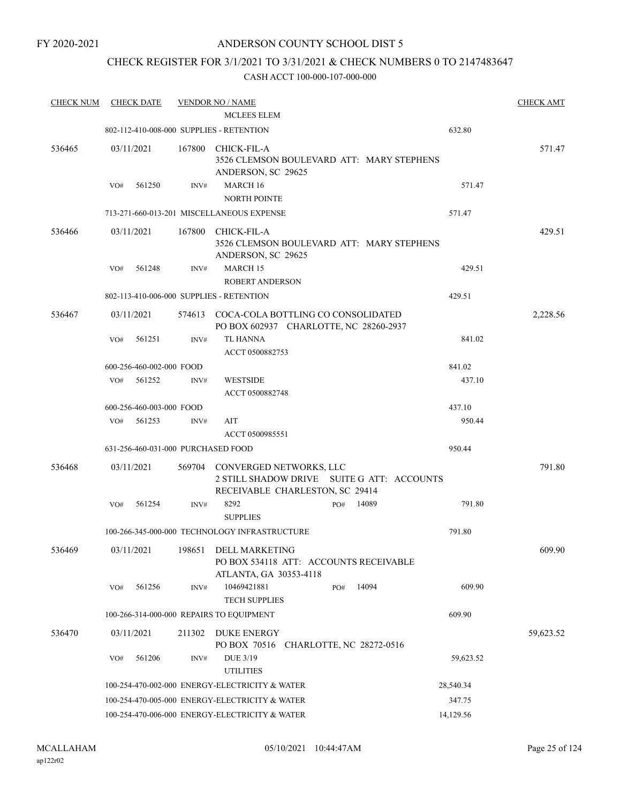# CHECK REGISTER FOR 3/1/2021 TO 3/31/2021 & CHECK NUMBERS 0 TO 2147483647

| <b>CHECK NUM</b> | <b>CHECK DATE</b>                        |        | <b>VENDOR NO / NAME</b>                                                                                  |              |           | <b>CHECK AMT</b> |
|------------------|------------------------------------------|--------|----------------------------------------------------------------------------------------------------------|--------------|-----------|------------------|
|                  |                                          |        | <b>MCLEES ELEM</b>                                                                                       |              |           |                  |
|                  | 802-112-410-008-000 SUPPLIES - RETENTION |        |                                                                                                          |              | 632.80    |                  |
| 536465           | 03/11/2021                               | 167800 | <b>CHICK-FIL-A</b><br>3526 CLEMSON BOULEVARD ATT: MARY STEPHENS<br>ANDERSON, SC 29625                    |              |           | 571.47           |
|                  | 561250<br>VO#                            | INV#   | MARCH 16<br><b>NORTH POINTE</b>                                                                          |              | 571.47    |                  |
|                  |                                          |        | 713-271-660-013-201 MISCELLANEOUS EXPENSE                                                                |              | 571.47    |                  |
| 536466           | 03/11/2021                               | 167800 | CHICK-FIL-A<br>3526 CLEMSON BOULEVARD ATT: MARY STEPHENS<br>ANDERSON, SC 29625                           |              |           | 429.51           |
|                  | 561248<br>VO#                            | INV#   | MARCH 15<br><b>ROBERT ANDERSON</b>                                                                       |              | 429.51    |                  |
|                  | 802-113-410-006-000 SUPPLIES - RETENTION |        |                                                                                                          |              | 429.51    |                  |
| 536467           | 03/11/2021                               |        | 574613 COCA-COLA BOTTLING CO CONSOLIDATED<br>PO BOX 602937 CHARLOTTE, NC 28260-2937                      |              |           | 2,228.56         |
|                  | VO#<br>561251                            | INV#   | TL HANNA<br>ACCT 0500882753                                                                              |              | 841.02    |                  |
|                  | 600-256-460-002-000 FOOD                 |        |                                                                                                          |              | 841.02    |                  |
|                  | $VO#$ 561252                             | INV#   | <b>WESTSIDE</b><br>ACCT 0500882748                                                                       |              | 437.10    |                  |
|                  |                                          |        |                                                                                                          |              |           |                  |
|                  | 600-256-460-003-000 FOOD                 |        |                                                                                                          |              | 437.10    |                  |
|                  | 561253<br>VO#                            | INV#   | AIT<br>ACCT 0500985551                                                                                   |              | 950.44    |                  |
|                  | 631-256-460-031-000 PURCHASED FOOD       |        |                                                                                                          |              | 950.44    |                  |
| 536468           | 03/11/2021                               | 569704 | CONVERGED NETWORKS, LLC<br>2 STILL SHADOW DRIVE SUITE G ATT: ACCOUNTS<br>RECEIVABLE CHARLESTON, SC 29414 |              |           | 791.80           |
|                  | 561254<br>VO#                            | INV#   | 8292<br><b>SUPPLIES</b>                                                                                  | PO#<br>14089 | 791.80    |                  |
|                  |                                          |        | 100-266-345-000-000 TECHNOLOGY INFRASTRUCTURE                                                            |              | 791.80    |                  |
| 536469           | 03/11/2021                               |        | 198651 DELL MARKETING<br>PO BOX 534118 ATT: ACCOUNTS RECEIVABLE<br>ATLANTA, GA 30353-4118                |              |           | 609.90           |
|                  | 561256<br>VO#                            | INV#   | 10469421881<br><b>TECH SUPPLIES</b>                                                                      | 14094<br>PO# | 609.90    |                  |
|                  |                                          |        | 100-266-314-000-000 REPAIRS TO EQUIPMENT                                                                 |              | 609.90    |                  |
| 536470           | 03/11/2021                               | 211302 | DUKE ENERGY                                                                                              |              |           | 59,623.52        |
|                  |                                          |        | PO BOX 70516 CHARLOTTE, NC 28272-0516                                                                    |              |           |                  |
|                  | VO#<br>561206                            | INV#   | <b>DUE 3/19</b><br><b>UTILITIES</b>                                                                      |              | 59,623.52 |                  |
|                  |                                          |        | 100-254-470-002-000 ENERGY-ELECTRICITY & WATER                                                           |              | 28,540.34 |                  |
|                  |                                          |        | 100-254-470-005-000 ENERGY-ELECTRICITY & WATER                                                           |              | 347.75    |                  |
|                  |                                          |        | 100-254-470-006-000 ENERGY-ELECTRICITY & WATER                                                           |              | 14,129.56 |                  |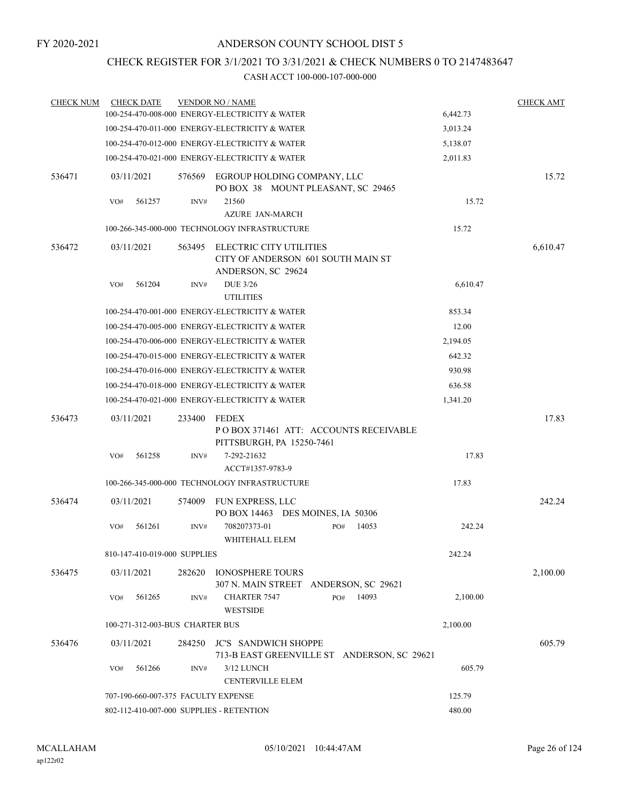# CHECK REGISTER FOR 3/1/2021 TO 3/31/2021 & CHECK NUMBERS 0 TO 2147483647

| <b>CHECK NUM</b> | <b>CHECK DATE</b>                        |        | <b>VENDOR NO / NAME</b>                                                             |          | <b>CHECK AMT</b> |
|------------------|------------------------------------------|--------|-------------------------------------------------------------------------------------|----------|------------------|
|                  |                                          |        | 100-254-470-008-000 ENERGY-ELECTRICITY & WATER                                      | 6,442.73 |                  |
|                  |                                          |        | 100-254-470-011-000 ENERGY-ELECTRICITY & WATER                                      | 3,013.24 |                  |
|                  |                                          |        | 100-254-470-012-000 ENERGY-ELECTRICITY & WATER                                      | 5,138.07 |                  |
|                  |                                          |        | 100-254-470-021-000 ENERGY-ELECTRICITY & WATER                                      | 2,011.83 |                  |
| 536471           | 03/11/2021                               | 576569 | EGROUP HOLDING COMPANY, LLC<br>PO BOX 38 MOUNT PLEASANT, SC 29465                   |          | 15.72            |
|                  | 561257<br>VO#                            | INV#   | 21560<br><b>AZURE JAN-MARCH</b>                                                     | 15.72    |                  |
|                  |                                          |        | 100-266-345-000-000 TECHNOLOGY INFRASTRUCTURE                                       | 15.72    |                  |
|                  |                                          |        |                                                                                     |          |                  |
| 536472           | 03/11/2021                               | 563495 | ELECTRIC CITY UTILITIES<br>CITY OF ANDERSON 601 SOUTH MAIN ST<br>ANDERSON, SC 29624 |          | 6,610.47         |
|                  | 561204<br>VO#                            | INV#   | <b>DUE 3/26</b><br><b>UTILITIES</b>                                                 | 6,610.47 |                  |
|                  |                                          |        | 100-254-470-001-000 ENERGY-ELECTRICITY & WATER                                      | 853.34   |                  |
|                  |                                          |        | 100-254-470-005-000 ENERGY-ELECTRICITY & WATER                                      | 12.00    |                  |
|                  |                                          |        | 100-254-470-006-000 ENERGY-ELECTRICITY & WATER                                      | 2,194.05 |                  |
|                  |                                          |        | 100-254-470-015-000 ENERGY-ELECTRICITY & WATER                                      | 642.32   |                  |
|                  |                                          |        | 100-254-470-016-000 ENERGY-ELECTRICITY & WATER                                      | 930.98   |                  |
|                  |                                          |        | 100-254-470-018-000 ENERGY-ELECTRICITY & WATER                                      | 636.58   |                  |
|                  |                                          |        | 100-254-470-021-000 ENERGY-ELECTRICITY & WATER                                      | 1,341.20 |                  |
|                  | 03/11/2021                               | 233400 | <b>FEDEX</b>                                                                        |          | 17.83            |
| 536473           |                                          |        | PO BOX 371461 ATT: ACCOUNTS RECEIVABLE<br>PITTSBURGH, PA 15250-7461                 |          |                  |
|                  | 561258<br>VO#                            | INV#   | 7-292-21632<br>ACCT#1357-9783-9                                                     | 17.83    |                  |
|                  |                                          |        | 100-266-345-000-000 TECHNOLOGY INFRASTRUCTURE                                       | 17.83    |                  |
| 536474           | 03/11/2021                               | 574009 | FUN EXPRESS, LLC<br>PO BOX 14463 DES MOINES, IA 50306                               |          | 242.24           |
|                  | 561261<br>VO#                            | INV#   | 708207373-01<br>14053<br>PO#<br>WHITEHALL ELEM                                      | 242.24   |                  |
|                  | 810-147-410-019-000 SUPPLIES             |        |                                                                                     | 242.24   |                  |
| 536475           | 03/11/2021                               | 282620 | <b>IONOSPHERE TOURS</b><br>307 N. MAIN STREET ANDERSON, SC 29621                    |          | 2,100.00         |
|                  | VO#<br>561265                            | INV#   | 14093<br><b>CHARTER 7547</b><br>PO#<br><b>WESTSIDE</b>                              | 2,100.00 |                  |
|                  | 100-271-312-003-BUS CHARTER BUS          |        |                                                                                     | 2,100.00 |                  |
| 536476           | 03/11/2021                               | 284250 | <b>JC'S SANDWICH SHOPPE</b><br>713-B EAST GREENVILLE ST ANDERSON, SC 29621          |          | 605.79           |
|                  | 561266<br>VO#                            | INV#   | 3/12 LUNCH<br><b>CENTERVILLE ELEM</b>                                               | 605.79   |                  |
|                  | 707-190-660-007-375 FACULTY EXPENSE      |        |                                                                                     | 125.79   |                  |
|                  | 802-112-410-007-000 SUPPLIES - RETENTION |        | 480.00                                                                              |          |                  |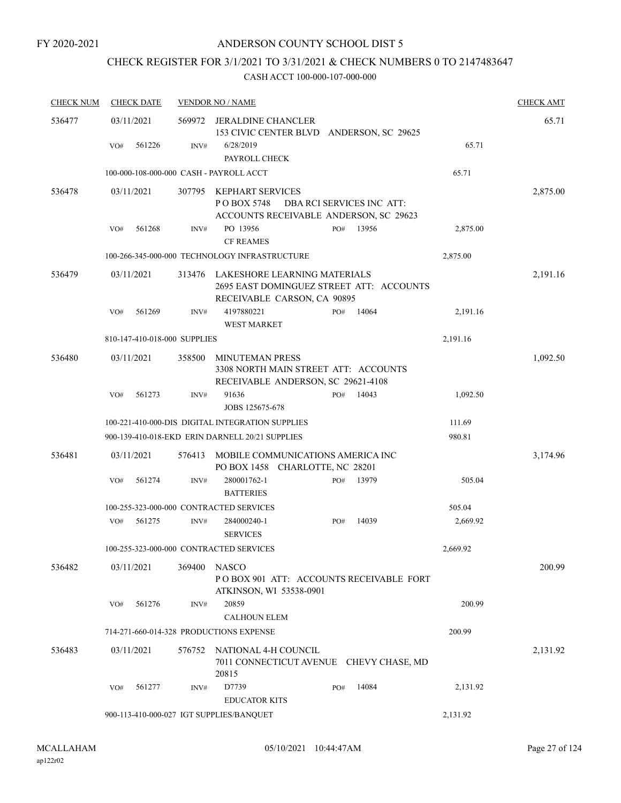# CHECK REGISTER FOR 3/1/2021 TO 3/31/2021 & CHECK NUMBERS 0 TO 2147483647

| <b>CHECK NUM</b> | <b>CHECK DATE</b>                        |        | <b>VENDOR NO / NAME</b>                                                                                 |     |                           |          | <b>CHECK AMT</b> |
|------------------|------------------------------------------|--------|---------------------------------------------------------------------------------------------------------|-----|---------------------------|----------|------------------|
| 536477           | 03/11/2021                               | 569972 | JERALDINE CHANCLER<br>153 CIVIC CENTER BLVD ANDERSON, SC 29625                                          |     |                           |          | 65.71            |
|                  | 561226<br>VO#                            | INV#   | 6/28/2019<br>PAYROLL CHECK                                                                              |     |                           | 65.71    |                  |
|                  | 100-000-108-000-000 CASH - PAYROLL ACCT  |        |                                                                                                         |     |                           | 65.71    |                  |
| 536478           | 03/11/2021                               | 307795 | KEPHART SERVICES<br>PO BOX 5748<br>ACCOUNTS RECEIVABLE ANDERSON, SC 29623                               |     | DBA RCI SERVICES INC ATT: |          | 2,875.00         |
|                  | 561268<br>VO#                            | INV#   | PO 13956<br><b>CF REAMES</b>                                                                            | PO# | 13956                     | 2,875.00 |                  |
|                  |                                          |        | 100-266-345-000-000 TECHNOLOGY INFRASTRUCTURE                                                           |     |                           | 2,875.00 |                  |
| 536479           | 03/11/2021                               | 313476 | LAKESHORE LEARNING MATERIALS<br>2695 EAST DOMINGUEZ STREET ATT: ACCOUNTS<br>RECEIVABLE CARSON, CA 90895 |     |                           |          | 2,191.16         |
|                  | 561269<br>VO#                            | INV#   | 4197880221<br><b>WEST MARKET</b>                                                                        | PO# | 14064                     | 2,191.16 |                  |
|                  | 810-147-410-018-000 SUPPLIES             |        |                                                                                                         |     |                           | 2,191.16 |                  |
| 536480           | 03/11/2021                               | 358500 | MINUTEMAN PRESS<br>3308 NORTH MAIN STREET ATT: ACCOUNTS<br>RECEIVABLE ANDERSON, SC 29621-4108           |     |                           |          | 1,092.50         |
|                  | 561273<br>VO#                            | INV#   | 91636<br>JOBS 125675-678                                                                                | PO# | 14043                     | 1,092.50 |                  |
|                  |                                          |        | 100-221-410-000-DIS DIGITAL INTEGRATION SUPPLIES                                                        |     |                           | 111.69   |                  |
|                  |                                          |        | 900-139-410-018-EKD ERIN DARNELL 20/21 SUPPLIES                                                         |     |                           | 980.81   |                  |
| 536481           | 03/11/2021                               | 576413 | MOBILE COMMUNICATIONS AMERICA INC<br>PO BOX 1458 CHARLOTTE, NC 28201                                    |     |                           |          | 3,174.96         |
|                  | 561274<br>VO#                            | INV#   | 280001762-1<br><b>BATTERIES</b>                                                                         | PO# | 13979                     | 505.04   |                  |
|                  | 100-255-323-000-000 CONTRACTED SERVICES  |        |                                                                                                         |     |                           | 505.04   |                  |
|                  | 561275<br>VO#                            | INV#   | 284000240-1<br><b>SERVICES</b>                                                                          | PO# | 14039                     | 2,669.92 |                  |
|                  | 100-255-323-000-000 CONTRACTED SERVICES  |        |                                                                                                         |     |                           | 2,669.92 |                  |
| 536482           | 03/11/2021                               | 369400 | NASCO<br>POBOX 901 ATT: ACCOUNTS RECEIVABLE FORT<br>ATKINSON, WI 53538-0901                             |     |                           |          | 200.99           |
|                  | 561276<br>VO#                            | INV#   | 20859<br><b>CALHOUN ELEM</b>                                                                            |     |                           | 200.99   |                  |
|                  | 714-271-660-014-328 PRODUCTIONS EXPENSE  |        |                                                                                                         |     |                           | 200.99   |                  |
| 536483           | 03/11/2021                               | 576752 | NATIONAL 4-H COUNCIL<br>7011 CONNECTICUT AVENUE CHEVY CHASE, MD<br>20815                                |     |                           |          | 2,131.92         |
|                  | VO#<br>561277                            | INV#   | D7739<br><b>EDUCATOR KITS</b>                                                                           | PO# | 14084                     | 2,131.92 |                  |
|                  | 900-113-410-000-027 IGT SUPPLIES/BANQUET |        |                                                                                                         |     |                           | 2,131.92 |                  |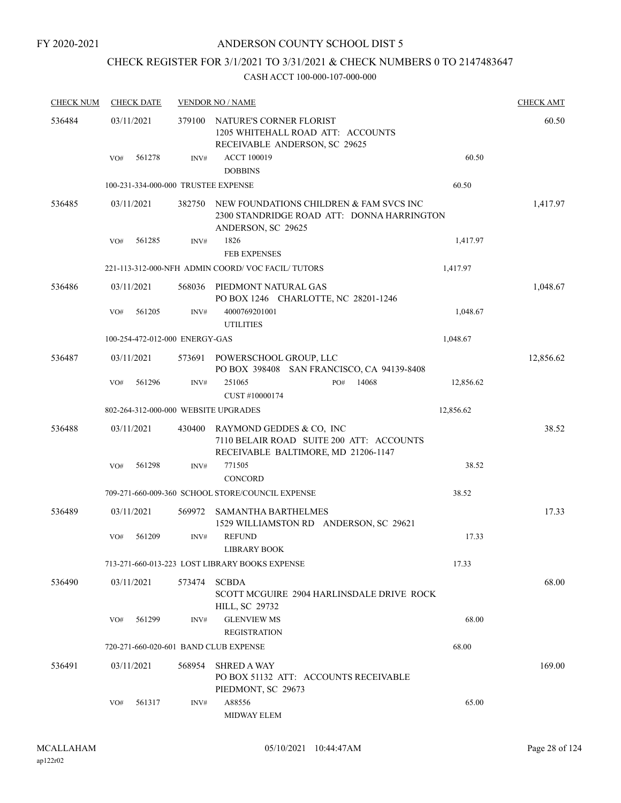# CHECK REGISTER FOR 3/1/2021 TO 3/31/2021 & CHECK NUMBERS 0 TO 2147483647

| <b>CHECK NUM</b> | <b>CHECK DATE</b> |                                       | <b>VENDOR NO / NAME</b>                                                                                     |           | <b>CHECK AMT</b> |
|------------------|-------------------|---------------------------------------|-------------------------------------------------------------------------------------------------------------|-----------|------------------|
| 536484           | 03/11/2021        | 379100                                | NATURE'S CORNER FLORIST<br>1205 WHITEHALL ROAD ATT: ACCOUNTS<br>RECEIVABLE ANDERSON, SC 29625               |           | 60.50            |
|                  | VO#               | 561278<br>INV#                        | <b>ACCT 100019</b><br><b>DOBBINS</b>                                                                        | 60.50     |                  |
|                  |                   | 100-231-334-000-000 TRUSTEE EXPENSE   |                                                                                                             | 60.50     |                  |
| 536485           | 03/11/2021        | 382750                                | NEW FOUNDATIONS CHILDREN & FAM SVCS INC<br>2300 STANDRIDGE ROAD ATT: DONNA HARRINGTON<br>ANDERSON, SC 29625 |           | 1,417.97         |
|                  | VO#               | 561285<br>INV#                        | 1826<br><b>FEB EXPENSES</b>                                                                                 | 1,417.97  |                  |
|                  |                   |                                       | 221-113-312-000-NFH ADMIN COORD/VOC FACIL/TUTORS                                                            | 1,417.97  |                  |
| 536486           | 03/11/2021        | 568036                                | PIEDMONT NATURAL GAS<br>PO BOX 1246 CHARLOTTE, NC 28201-1246                                                |           | 1,048.67         |
|                  | VO#               | 561205<br>INV#                        | 4000769201001<br><b>UTILITIES</b>                                                                           | 1,048.67  |                  |
|                  |                   | 100-254-472-012-000 ENERGY-GAS        |                                                                                                             | 1,048.67  |                  |
| 536487           | 03/11/2021        | 573691                                | POWERSCHOOL GROUP, LLC<br>PO BOX 398408 SAN FRANCISCO, CA 94139-8408                                        |           | 12,856.62        |
|                  | VO#               | 561296<br>INV#                        | 251065<br>14068<br>PO#                                                                                      | 12,856.62 |                  |
|                  |                   |                                       | CUST #10000174                                                                                              |           |                  |
|                  |                   | 802-264-312-000-000 WEBSITE UPGRADES  |                                                                                                             | 12,856.62 |                  |
| 536488           | 03/11/2021        | 430400                                | RAYMOND GEDDES & CO, INC<br>7110 BELAIR ROAD SUITE 200 ATT: ACCOUNTS<br>RECEIVABLE BALTIMORE, MD 21206-1147 |           | 38.52            |
|                  | VO#               | 561298<br>INV#                        | 771505<br><b>CONCORD</b>                                                                                    | 38.52     |                  |
|                  |                   |                                       | 709-271-660-009-360 SCHOOL STORE/COUNCIL EXPENSE                                                            | 38.52     |                  |
| 536489           | 03/11/2021        | 569972                                | <b>SAMANTHA BARTHELMES</b><br>1529 WILLIAMSTON RD ANDERSON, SC 29621                                        |           | 17.33            |
|                  | VO#               | 561209<br>INV#                        | <b>REFUND</b><br>LIBRARY BOOK                                                                               | 17.33     |                  |
|                  |                   |                                       | 713-271-660-013-223 LOST LIBRARY BOOKS EXPENSE                                                              | 17.33     |                  |
| 536490           | 03/11/2021        | 573474                                | <b>SCBDA</b><br>SCOTT MCGUIRE 2904 HARLINSDALE DRIVE ROCK<br>HILL, SC 29732                                 |           | 68.00            |
|                  | VO#               | 561299<br>INV#                        | <b>GLENVIEW MS</b><br><b>REGISTRATION</b>                                                                   | 68.00     |                  |
|                  |                   | 720-271-660-020-601 BAND CLUB EXPENSE |                                                                                                             | 68.00     |                  |
| 536491           | 03/11/2021        | 568954                                | <b>SHRED A WAY</b><br>PO BOX 51132 ATT: ACCOUNTS RECEIVABLE<br>PIEDMONT, SC 29673                           |           | 169.00           |
|                  | VO#               | 561317<br>INV#                        | A88556<br><b>MIDWAY ELEM</b>                                                                                | 65.00     |                  |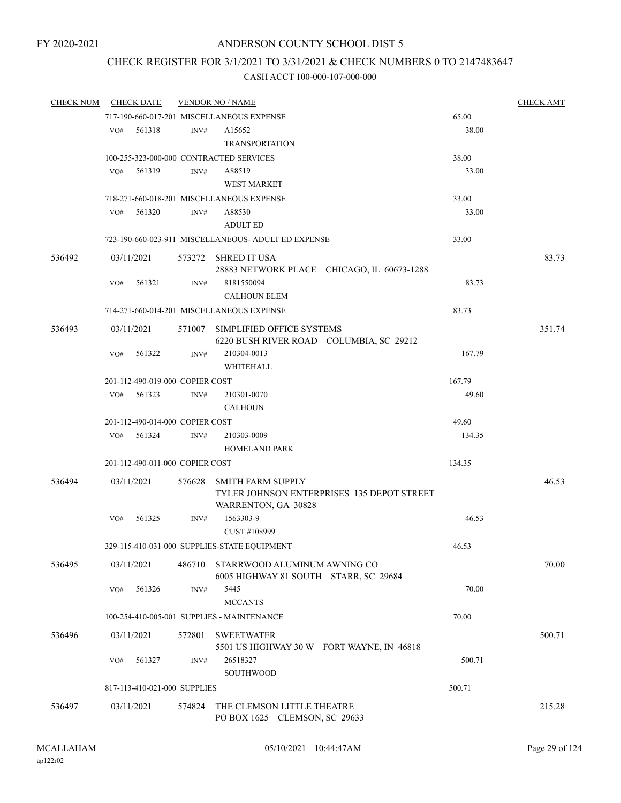# CHECK REGISTER FOR 3/1/2021 TO 3/31/2021 & CHECK NUMBERS 0 TO 2147483647

| <b>CHECK NUM</b> |     | <b>CHECK DATE</b>               |        | <b>VENDOR NO / NAME</b>                                                                       |        | <b>CHECK AMT</b> |
|------------------|-----|---------------------------------|--------|-----------------------------------------------------------------------------------------------|--------|------------------|
|                  |     |                                 |        | 717-190-660-017-201 MISCELLANEOUS EXPENSE                                                     | 65.00  |                  |
|                  | VO# | 561318                          | INV#   | A15652<br><b>TRANSPORTATION</b>                                                               | 38.00  |                  |
|                  |     |                                 |        | 100-255-323-000-000 CONTRACTED SERVICES                                                       | 38.00  |                  |
|                  | VO# | 561319                          | INV#   | A88519                                                                                        | 33.00  |                  |
|                  |     |                                 |        | <b>WEST MARKET</b>                                                                            |        |                  |
|                  |     |                                 |        | 718-271-660-018-201 MISCELLANEOUS EXPENSE                                                     | 33.00  |                  |
|                  | VO# | 561320                          | INV#   | A88530                                                                                        | 33.00  |                  |
|                  |     |                                 |        | <b>ADULT ED</b>                                                                               |        |                  |
|                  |     |                                 |        | 723-190-660-023-911 MISCELLANEOUS- ADULT ED EXPENSE                                           | 33.00  |                  |
|                  |     |                                 |        |                                                                                               |        |                  |
| 536492           |     | 03/11/2021                      |        | 573272 SHRED IT USA                                                                           |        | 83.73            |
|                  |     |                                 |        | 28883 NETWORK PLACE CHICAGO, IL 60673-1288                                                    |        |                  |
|                  | VO# | 561321                          | INV#   | 8181550094                                                                                    | 83.73  |                  |
|                  |     |                                 |        | <b>CALHOUN ELEM</b>                                                                           |        |                  |
|                  |     |                                 |        | 714-271-660-014-201 MISCELLANEOUS EXPENSE                                                     | 83.73  |                  |
| 536493           |     | 03/11/2021                      |        | 571007 SIMPLIFIED OFFICE SYSTEMS<br>6220 BUSH RIVER ROAD COLUMBIA, SC 29212                   |        | 351.74           |
|                  | VO# | 561322                          | INV#   | 210304-0013                                                                                   | 167.79 |                  |
|                  |     |                                 |        | <b>WHITEHALL</b>                                                                              |        |                  |
|                  |     | 201-112-490-019-000 COPIER COST |        |                                                                                               | 167.79 |                  |
|                  | VO# | 561323                          | INV#   | 210301-0070                                                                                   | 49.60  |                  |
|                  |     |                                 |        | <b>CALHOUN</b>                                                                                |        |                  |
|                  |     | 201-112-490-014-000 COPIER COST |        |                                                                                               | 49.60  |                  |
|                  | VO# | 561324                          | INV#   | 210303-0009                                                                                   | 134.35 |                  |
|                  |     |                                 |        | <b>HOMELAND PARK</b>                                                                          |        |                  |
|                  |     | 201-112-490-011-000 COPIER COST |        |                                                                                               | 134.35 |                  |
| 536494           |     | 03/11/2021                      | 576628 | <b>SMITH FARM SUPPLY</b><br>TYLER JOHNSON ENTERPRISES 135 DEPOT STREET<br>WARRENTON, GA 30828 |        | 46.53            |
|                  |     | $VO#$ 561325                    | INV#   | 1563303-9                                                                                     | 46.53  |                  |
|                  |     |                                 |        | CUST #108999                                                                                  |        |                  |
|                  |     |                                 |        | 329-115-410-031-000 SUPPLIES-STATE EQUIPMENT                                                  | 46.53  |                  |
| 536495           |     | 03/11/2021                      | 486710 | STARRWOOD ALUMINUM AWNING CO<br>6005 HIGHWAY 81 SOUTH STARR, SC 29684                         |        | 70.00            |
|                  | VO# | 561326                          | INV#   | 5445                                                                                          | 70.00  |                  |
|                  |     |                                 |        | <b>MCCANTS</b>                                                                                |        |                  |
|                  |     |                                 |        | 100-254-410-005-001 SUPPLIES - MAINTENANCE                                                    | 70.00  |                  |
| 536496           |     | 03/11/2021                      | 572801 | <b>SWEETWATER</b><br>5501 US HIGHWAY 30 W FORT WAYNE, IN 46818                                |        | 500.71           |
|                  | VO# | 561327                          | INV#   | 26518327                                                                                      | 500.71 |                  |
|                  |     |                                 |        | SOUTHWOOD                                                                                     |        |                  |
|                  |     | 817-113-410-021-000 SUPPLIES    |        |                                                                                               | 500.71 |                  |
| 536497           |     | 03/11/2021                      | 574824 | THE CLEMSON LITTLE THEATRE<br>PO BOX 1625 CLEMSON, SC 29633                                   |        | 215.28           |
|                  |     |                                 |        |                                                                                               |        |                  |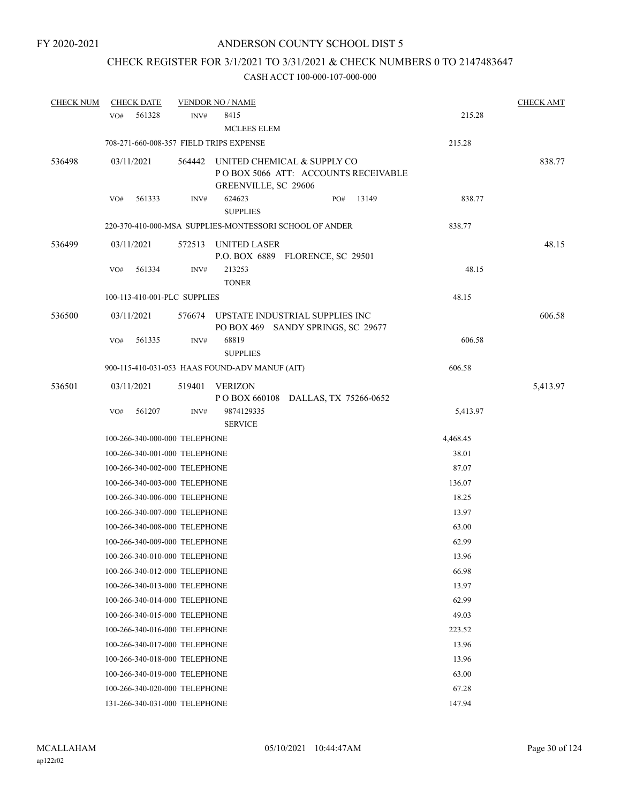# CHECK REGISTER FOR 3/1/2021 TO 3/31/2021 & CHECK NUMBERS 0 TO 2147483647

| <b>CHECK NUM</b> | <b>CHECK DATE</b>                       |                | <b>VENDOR NO / NAME</b>                                 |                                     |       |          | <b>CHECK AMT</b> |
|------------------|-----------------------------------------|----------------|---------------------------------------------------------|-------------------------------------|-------|----------|------------------|
|                  | 561328<br>VO#                           | INV#           | 8415<br><b>MCLEES ELEM</b>                              |                                     |       | 215.28   |                  |
|                  | 708-271-660-008-357 FIELD TRIPS EXPENSE |                |                                                         |                                     |       | 215.28   |                  |
| 536498           | 03/11/2021                              | 564442         | UNITED CHEMICAL & SUPPLY CO<br>GREENVILLE, SC 29606     | POBOX 5066 ATT: ACCOUNTS RECEIVABLE |       |          | 838.77           |
|                  | 561333<br>VO#                           | INV#           | 624623<br><b>SUPPLIES</b>                               | PO#                                 | 13149 | 838.77   |                  |
|                  |                                         |                | 220-370-410-000-MSA SUPPLIES-MONTESSORI SCHOOL OF ANDER |                                     |       | 838.77   |                  |
| 536499           | 03/11/2021                              | 572513         | UNITED LASER<br>P.O. BOX 6889 FLORENCE, SC 29501        |                                     |       |          | 48.15            |
|                  | VO#<br>561334                           | INV#           | 213253<br><b>TONER</b>                                  |                                     |       | 48.15    |                  |
|                  | 100-113-410-001-PLC SUPPLIES            |                |                                                         |                                     |       | 48.15    |                  |
| 536500           | 03/11/2021                              |                | 576674 UPSTATE INDUSTRIAL SUPPLIES INC                  | PO BOX 469 SANDY SPRINGS, SC 29677  |       |          | 606.58           |
|                  | 561335<br>VO#                           | $\text{INV}\#$ | 68819<br><b>SUPPLIES</b>                                |                                     |       | 606.58   |                  |
|                  |                                         |                | 900-115-410-031-053 HAAS FOUND-ADV MANUF (AIT)          |                                     |       | 606.58   |                  |
| 536501           | 03/11/2021                              | 519401         | <b>VERIZON</b><br>P O BOX 660108 DALLAS, TX 75266-0652  |                                     |       |          | 5,413.97         |
|                  | VO#<br>561207                           | INV#           | 9874129335<br><b>SERVICE</b>                            |                                     |       | 5,413.97 |                  |
|                  | 100-266-340-000-000 TELEPHONE           |                |                                                         |                                     |       | 4,468.45 |                  |
|                  | 100-266-340-001-000 TELEPHONE           |                |                                                         |                                     |       | 38.01    |                  |
|                  | 100-266-340-002-000 TELEPHONE           |                |                                                         |                                     |       | 87.07    |                  |
|                  | 100-266-340-003-000 TELEPHONE           |                |                                                         |                                     |       | 136.07   |                  |
|                  | 100-266-340-006-000 TELEPHONE           |                |                                                         |                                     |       | 18.25    |                  |
|                  | 100-266-340-007-000 TELEPHONE           |                |                                                         |                                     |       | 13.97    |                  |
|                  | 100-266-340-008-000 TELEPHONE           |                |                                                         |                                     |       | 63.00    |                  |
|                  | 100-266-340-009-000 TELEPHONE           |                |                                                         |                                     |       | 62.99    |                  |
|                  | 100-266-340-010-000 TELEPHONE           |                |                                                         |                                     |       | 13.96    |                  |
|                  | 100-266-340-012-000 TELEPHONE           |                |                                                         |                                     |       | 66.98    |                  |
|                  | 100-266-340-013-000 TELEPHONE           |                |                                                         |                                     |       | 13.97    |                  |
|                  | 100-266-340-014-000 TELEPHONE           |                |                                                         |                                     |       | 62.99    |                  |
|                  | 100-266-340-015-000 TELEPHONE           |                |                                                         |                                     |       | 49.03    |                  |
|                  | 100-266-340-016-000 TELEPHONE           |                |                                                         |                                     |       | 223.52   |                  |
|                  | 100-266-340-017-000 TELEPHONE           |                |                                                         |                                     |       | 13.96    |                  |
|                  | 100-266-340-018-000 TELEPHONE           |                |                                                         |                                     |       | 13.96    |                  |
|                  | 100-266-340-019-000 TELEPHONE           |                |                                                         |                                     |       | 63.00    |                  |
|                  | 100-266-340-020-000 TELEPHONE           |                |                                                         |                                     |       | 67.28    |                  |
|                  | 131-266-340-031-000 TELEPHONE           |                |                                                         |                                     |       | 147.94   |                  |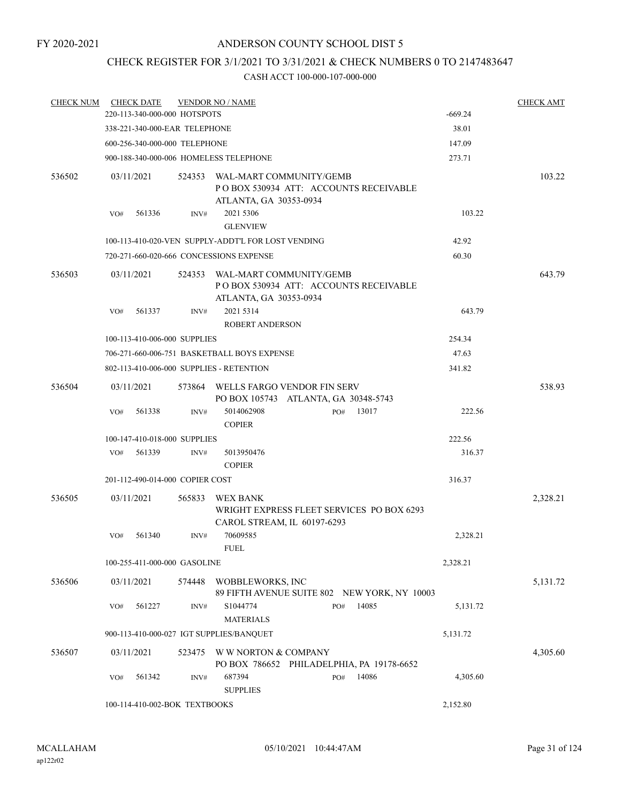# CHECK REGISTER FOR 3/1/2021 TO 3/31/2021 & CHECK NUMBERS 0 TO 2147483647

| <b>CHECK NUM</b> |                                          | <b>CHECK DATE</b><br><b>VENDOR NO / NAME</b><br>220-113-340-000-000 HOTSPOTS |        |                                                                          |                                                                                                   |              |  |           | <b>CHECK AMT</b> |
|------------------|------------------------------------------|------------------------------------------------------------------------------|--------|--------------------------------------------------------------------------|---------------------------------------------------------------------------------------------------|--------------|--|-----------|------------------|
|                  |                                          |                                                                              |        |                                                                          |                                                                                                   |              |  | $-669.24$ |                  |
|                  |                                          | 338-221-340-000-EAR TELEPHONE                                                |        |                                                                          |                                                                                                   |              |  | 38.01     |                  |
|                  |                                          | 600-256-340-000-000 TELEPHONE                                                |        |                                                                          |                                                                                                   |              |  | 147.09    |                  |
|                  |                                          |                                                                              |        | 900-188-340-000-006 HOMELESS TELEPHONE                                   |                                                                                                   |              |  | 273.71    |                  |
| 536502           |                                          | 03/11/2021                                                                   |        | 524353 WAL-MART COMMUNITY/GEMB<br>POBOX 530934 ATT: ACCOUNTS RECEIVABLE  |                                                                                                   |              |  |           | 103.22           |
|                  |                                          |                                                                              |        | ATLANTA, GA 30353-0934                                                   |                                                                                                   |              |  |           |                  |
|                  | VO#                                      | 561336                                                                       | INV#   | 2021 5306<br><b>GLENVIEW</b>                                             |                                                                                                   | 103.22       |  |           |                  |
|                  |                                          |                                                                              |        | 100-113-410-020-VEN SUPPLY-ADDT'L FOR LOST VENDING                       |                                                                                                   |              |  | 42.92     |                  |
|                  |                                          |                                                                              |        | 720-271-660-020-666 CONCESSIONS EXPENSE                                  |                                                                                                   |              |  | 60.30     |                  |
| 536503           | 03/11/2021                               |                                                                              |        |                                                                          | 524353 WAL-MART COMMUNITY/GEMB<br>POBOX 530934 ATT: ACCOUNTS RECEIVABLE<br>ATLANTA, GA 30353-0934 |              |  |           | 643.79           |
|                  | VO#                                      | 561337                                                                       | INV#   | 2021 5314<br><b>ROBERT ANDERSON</b>                                      |                                                                                                   |              |  | 643.79    |                  |
|                  |                                          | 100-113-410-006-000 SUPPLIES                                                 |        |                                                                          |                                                                                                   |              |  | 254.34    |                  |
|                  |                                          |                                                                              |        | 706-271-660-006-751 BASKETBALL BOYS EXPENSE                              |                                                                                                   |              |  | 47.63     |                  |
|                  |                                          |                                                                              |        | 802-113-410-006-000 SUPPLIES - RETENTION                                 |                                                                                                   |              |  | 341.82    |                  |
| 536504           |                                          | 03/11/2021                                                                   | 573864 | WELLS FARGO VENDOR FIN SERV<br>PO BOX 105743 ATLANTA, GA 30348-5743      |                                                                                                   |              |  |           | 538.93           |
|                  | VO#                                      | 561338                                                                       | INV#   | 5014062908<br><b>COPIER</b>                                              |                                                                                                   | 13017<br>PO# |  | 222.56    |                  |
|                  |                                          | 100-147-410-018-000 SUPPLIES                                                 |        |                                                                          |                                                                                                   |              |  | 222.56    |                  |
|                  | VO#                                      | 561339                                                                       | INV#   | 5013950476<br><b>COPIER</b>                                              |                                                                                                   |              |  | 316.37    |                  |
|                  |                                          | 201-112-490-014-000 COPIER COST                                              |        |                                                                          |                                                                                                   |              |  | 316.37    |                  |
| 536505           |                                          | 03/11/2021                                                                   | 565833 | WEX BANK                                                                 |                                                                                                   |              |  |           | 2,328.21         |
|                  |                                          |                                                                              |        | WRIGHT EXPRESS FLEET SERVICES PO BOX 6293<br>CAROL STREAM, IL 60197-6293 |                                                                                                   |              |  |           |                  |
|                  | VO#                                      | 561340                                                                       | INV#   | 70609585<br><b>FUEL</b>                                                  |                                                                                                   |              |  | 2,328.21  |                  |
|                  |                                          | 100-255-411-000-000 GASOLINE                                                 |        |                                                                          |                                                                                                   |              |  | 2,328.21  |                  |
| 536506           |                                          | 03/11/2021                                                                   |        | 574448 WOBBLEWORKS, INC<br>89 FIFTH AVENUE SUITE 802 NEW YORK, NY 10003  |                                                                                                   |              |  |           | 5,131.72         |
|                  | VO#                                      | 561227                                                                       | INV#   | S1044774<br><b>MATERIALS</b>                                             |                                                                                                   | 14085<br>PO# |  | 5,131.72  |                  |
|                  | 900-113-410-000-027 IGT SUPPLIES/BANQUET |                                                                              |        |                                                                          |                                                                                                   |              |  | 5,131.72  |                  |
| 536507           |                                          | 03/11/2021                                                                   | 523475 | W W NORTON & COMPANY<br>PO BOX 786652 PHILADELPHIA, PA 19178-6652        |                                                                                                   |              |  |           | 4,305.60         |
|                  | VO#                                      | 561342                                                                       | INV#   | 687394<br><b>SUPPLIES</b>                                                |                                                                                                   | 14086<br>PO# |  | 4,305.60  |                  |
|                  | 100-114-410-002-BOK TEXTBOOKS            |                                                                              |        |                                                                          |                                                                                                   |              |  | 2,152.80  |                  |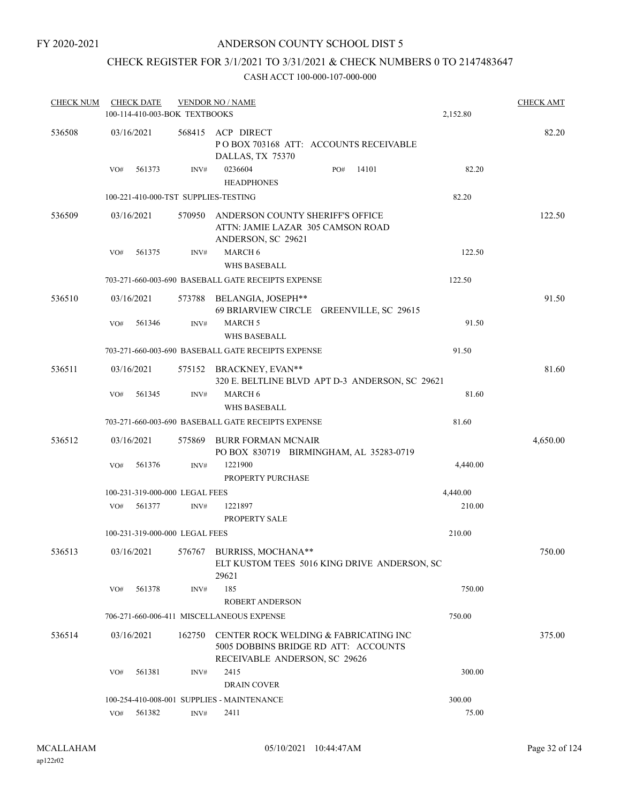# ANDERSON COUNTY SCHOOL DIST 5

# CHECK REGISTER FOR 3/1/2021 TO 3/31/2021 & CHECK NUMBERS 0 TO 2147483647

| <b>CHECK NUM</b> |     | <b>CHECK DATE</b><br>100-114-410-003-BOK TEXTBOOKS |        | <b>VENDOR NO / NAME</b>                                                                                        |     |       | 2,152.80 | <b>CHECK AMT</b> |
|------------------|-----|----------------------------------------------------|--------|----------------------------------------------------------------------------------------------------------------|-----|-------|----------|------------------|
| 536508           |     | 03/16/2021                                         |        | 568415 ACP DIRECT<br>POBOX 703168 ATT: ACCOUNTS RECEIVABLE<br>DALLAS, TX 75370                                 |     |       |          | 82.20            |
|                  | VO# | 561373                                             | INV#   | 0236604<br><b>HEADPHONES</b>                                                                                   | PO# | 14101 | 82.20    |                  |
|                  |     |                                                    |        | 100-221-410-000-TST SUPPLIES-TESTING                                                                           |     |       | 82.20    |                  |
| 536509           |     | 03/16/2021                                         | 570950 | ANDERSON COUNTY SHERIFF'S OFFICE<br>ATTN: JAMIE LAZAR 305 CAMSON ROAD<br>ANDERSON, SC 29621                    |     |       |          | 122.50           |
|                  | VO# | 561375                                             | INV#   | <b>MARCH 6</b><br><b>WHS BASEBALL</b>                                                                          |     |       | 122.50   |                  |
|                  |     |                                                    |        | 703-271-660-003-690 BASEBALL GATE RECEIPTS EXPENSE                                                             |     |       | 122.50   |                  |
| 536510           |     | 03/16/2021                                         |        | 573788 BELANGIA, JOSEPH**<br>69 BRIARVIEW CIRCLE GREENVILLE, SC 29615                                          |     |       |          | 91.50            |
|                  | VO# | 561346                                             | INV#   | <b>MARCH 5</b><br>WHS BASEBALL                                                                                 |     |       | 91.50    |                  |
|                  |     |                                                    |        | 703-271-660-003-690 BASEBALL GATE RECEIPTS EXPENSE                                                             |     |       | 91.50    |                  |
| 536511           |     | 03/16/2021                                         |        | 575152 BRACKNEY, EVAN**<br>320 E. BELTLINE BLVD APT D-3 ANDERSON, SC 29621                                     |     |       |          | 81.60            |
|                  | VO# | 561345                                             | INV#   | <b>MARCH 6</b><br><b>WHS BASEBALL</b>                                                                          |     |       | 81.60    |                  |
|                  |     |                                                    |        | 703-271-660-003-690 BASEBALL GATE RECEIPTS EXPENSE                                                             |     |       | 81.60    |                  |
| 536512           |     | 03/16/2021                                         | 575869 | BURR FORMAN MCNAIR<br>PO BOX 830719 BIRMINGHAM, AL 35283-0719                                                  |     |       |          | 4,650.00         |
|                  | VO# | 561376                                             | INV#   | 1221900<br>PROPERTY PURCHASE                                                                                   |     |       | 4,440.00 |                  |
|                  |     | 100-231-319-000-000 LEGAL FEES                     |        |                                                                                                                |     |       | 4,440.00 |                  |
|                  | VO# | 561377                                             | INV#   | 1221897<br>PROPERTY SALE                                                                                       |     |       | 210.00   |                  |
|                  |     | 100-231-319-000-000 LEGAL FEES                     |        |                                                                                                                |     |       | 210.00   |                  |
| 536513           |     | 03/16/2021                                         |        | 576767 BURRISS, MOCHANA**<br>ELT KUSTOM TEES 5016 KING DRIVE ANDERSON, SC<br>29621                             |     |       |          | 750.00           |
|                  | VO# | 561378                                             | INV#   | 185                                                                                                            |     |       | 750.00   |                  |
|                  |     |                                                    |        | <b>ROBERT ANDERSON</b>                                                                                         |     |       |          |                  |
|                  |     |                                                    |        | 706-271-660-006-411 MISCELLANEOUS EXPENSE                                                                      |     |       | 750.00   |                  |
| 536514           |     | 03/16/2021                                         | 162750 | CENTER ROCK WELDING & FABRICATING INC<br>5005 DOBBINS BRIDGE RD ATT: ACCOUNTS<br>RECEIVABLE ANDERSON, SC 29626 |     |       |          | 375.00           |
|                  | VO# | 561381                                             | INV#   | 2415<br>DRAIN COVER                                                                                            |     |       | 300.00   |                  |
|                  |     |                                                    |        | 100-254-410-008-001 SUPPLIES - MAINTENANCE                                                                     |     |       | 300.00   |                  |
|                  | VO# | 561382                                             | INV#   | 2411                                                                                                           |     |       | 75.00    |                  |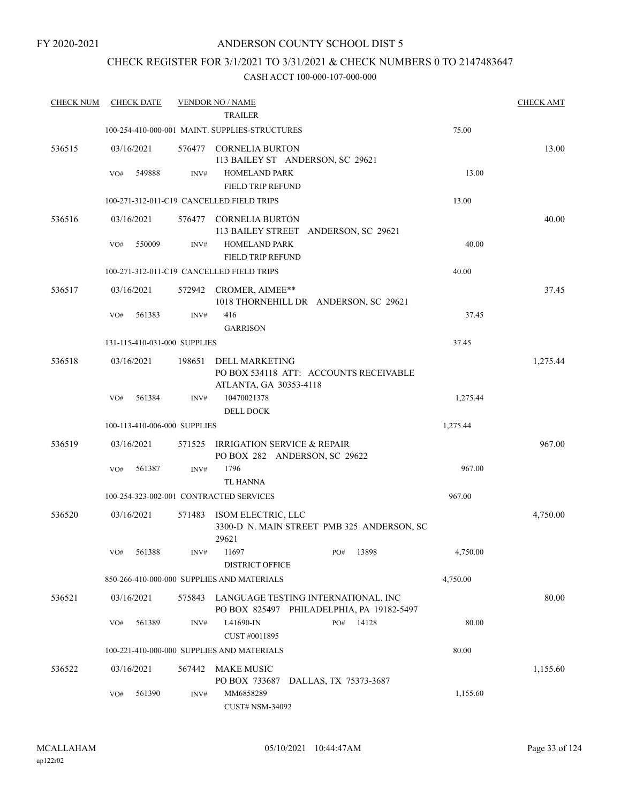# ANDERSON COUNTY SCHOOL DIST 5

# CHECK REGISTER FOR 3/1/2021 TO 3/31/2021 & CHECK NUMBERS 0 TO 2147483647

| <b>CHECK NUM</b> | <b>CHECK DATE</b>            |        | <b>VENDOR NO / NAME</b>                                      |                                                                                  |          | <b>CHECK AMT</b> |
|------------------|------------------------------|--------|--------------------------------------------------------------|----------------------------------------------------------------------------------|----------|------------------|
|                  |                              |        | <b>TRAILER</b>                                               |                                                                                  |          |                  |
|                  |                              |        | 100-254-410-000-001 MAINT, SUPPLIES-STRUCTURES               |                                                                                  | 75.00    |                  |
| 536515           | 03/16/2021                   |        | 576477 CORNELIA BURTON<br>113 BAILEY ST ANDERSON, SC 29621   |                                                                                  |          | 13.00            |
|                  | VO#<br>549888                | INV#   | <b>HOMELAND PARK</b><br>FIELD TRIP REFUND                    |                                                                                  | 13.00    |                  |
|                  |                              |        | 100-271-312-011-C19 CANCELLED FIELD TRIPS                    |                                                                                  | 13.00    |                  |
| 536516           | 03/16/2021                   |        | 576477 CORNELIA BURTON                                       | 113 BAILEY STREET ANDERSON, SC 29621                                             |          | 40.00            |
|                  | 550009<br>VO#                | INV#   | <b>HOMELAND PARK</b><br>FIELD TRIP REFUND                    |                                                                                  | 40.00    |                  |
|                  |                              |        | 100-271-312-011-C19 CANCELLED FIELD TRIPS                    |                                                                                  | 40.00    |                  |
| 536517           | 03/16/2021                   |        | 572942 CROMER, AIMEE**                                       | 1018 THORNEHILL DR ANDERSON, SC 29621                                            |          | 37.45            |
|                  | 561383<br>VO#                | INV#   | 416<br><b>GARRISON</b>                                       |                                                                                  | 37.45    |                  |
|                  | 131-115-410-031-000 SUPPLIES |        |                                                              |                                                                                  | 37.45    |                  |
| 536518           | 03/16/2021                   | 198651 | <b>DELL MARKETING</b>                                        | PO BOX 534118 ATT: ACCOUNTS RECEIVABLE                                           |          | 1,275.44         |
|                  | 561384<br>VO#                | INV#   | ATLANTA, GA 30353-4118<br>10470021378                        |                                                                                  | 1,275.44 |                  |
|                  | 100-113-410-006-000 SUPPLIES |        | <b>DELL DOCK</b>                                             |                                                                                  | 1,275.44 |                  |
|                  |                              |        |                                                              |                                                                                  |          |                  |
| 536519           | 03/16/2021                   | 571525 | IRRIGATION SERVICE & REPAIR<br>PO BOX 282 ANDERSON, SC 29622 |                                                                                  |          | 967.00           |
|                  | 561387<br>VO#                | INV#   | 1796                                                         |                                                                                  | 967.00   |                  |
|                  |                              |        | <b>TL HANNA</b>                                              |                                                                                  |          |                  |
|                  |                              |        | 100-254-323-002-001 CONTRACTED SERVICES                      |                                                                                  | 967.00   |                  |
| 536520           | 03/16/2021                   | 571483 | ISOM ELECTRIC, LLC<br>29621                                  | 3300-D N. MAIN STREET PMB 325 ANDERSON, SC                                       |          | 4,750.00         |
|                  | 561388<br>VO#                | INV#   | 11697<br><b>DISTRICT OFFICE</b>                              | 13898<br>PO#                                                                     | 4,750.00 |                  |
|                  |                              |        | 850-266-410-000-000 SUPPLIES AND MATERIALS                   |                                                                                  | 4,750.00 |                  |
| 536521           | 03/16/2021                   | 575843 |                                                              | LANGUAGE TESTING INTERNATIONAL, INC<br>PO BOX 825497 PHILADELPHIA, PA 19182-5497 |          | 80.00            |
|                  | 561389<br>VO#                | INV#   | L41690-IN<br>CUST #0011895                                   | 14128<br>PO#                                                                     | 80.00    |                  |
|                  |                              |        | 100-221-410-000-000 SUPPLIES AND MATERIALS                   |                                                                                  | 80.00    |                  |
| 536522           | 03/16/2021                   | 567442 | <b>MAKE MUSIC</b><br>PO BOX 733687 DALLAS, TX 75373-3687     |                                                                                  |          | 1,155.60         |
|                  | 561390<br>VO#                | INV#   | MM6858289<br><b>CUST# NSM-34092</b>                          |                                                                                  | 1,155.60 |                  |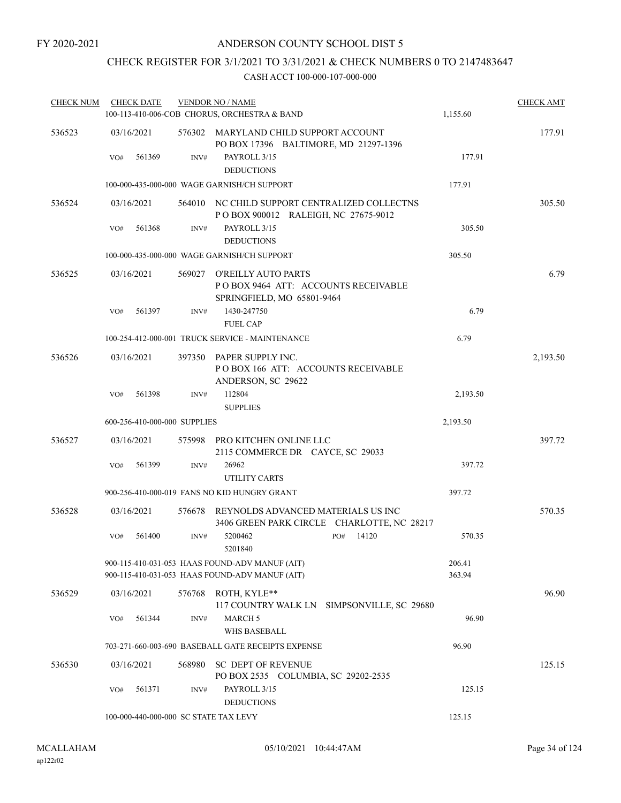# CHECK REGISTER FOR 3/1/2021 TO 3/31/2021 & CHECK NUMBERS 0 TO 2147483647

| <b>CHECK NUM</b> | <b>CHECK DATE</b> |                                       | <b>VENDOR NO / NAME</b>                                                                          |                  | <b>CHECK AMT</b> |
|------------------|-------------------|---------------------------------------|--------------------------------------------------------------------------------------------------|------------------|------------------|
|                  |                   |                                       | 100-113-410-006-COB CHORUS, ORCHESTRA & BAND                                                     | 1,155.60         |                  |
| 536523           | 03/16/2021        |                                       | 576302 MARYLAND CHILD SUPPORT ACCOUNT<br>PO BOX 17396 BALTIMORE, MD 21297-1396                   |                  | 177.91           |
|                  | 561369<br>VO#     | INV#                                  | PAYROLL 3/15<br><b>DEDUCTIONS</b>                                                                | 177.91           |                  |
|                  |                   |                                       | 100-000-435-000-000 WAGE GARNISH/CH SUPPORT                                                      | 177.91           |                  |
| 536524           | 03/16/2021        |                                       | 564010 NC CHILD SUPPORT CENTRALIZED COLLECTNS<br>POBOX 900012 RALEIGH, NC 27675-9012             |                  | 305.50           |
|                  | 561368<br>VO#     | INV#                                  | PAYROLL 3/15                                                                                     | 305.50           |                  |
|                  |                   |                                       | <b>DEDUCTIONS</b>                                                                                |                  |                  |
|                  |                   |                                       | 100-000-435-000-000 WAGE GARNISH/CH SUPPORT                                                      | 305.50           |                  |
| 536525           | 03/16/2021        | 569027                                | O'REILLY AUTO PARTS<br>POBOX 9464 ATT: ACCOUNTS RECEIVABLE<br>SPRINGFIELD, MO 65801-9464         |                  | 6.79             |
|                  | 561397<br>VO#     | INV#                                  | 1430-247750<br><b>FUEL CAP</b>                                                                   | 6.79             |                  |
|                  |                   |                                       | 100-254-412-000-001 TRUCK SERVICE - MAINTENANCE                                                  | 6.79             |                  |
| 536526           | 03/16/2021        | 397350                                | PAPER SUPPLY INC.<br>POBOX 166 ATT: ACCOUNTS RECEIVABLE<br>ANDERSON, SC 29622                    |                  | 2,193.50         |
|                  | 561398<br>VO#     | INV#                                  | 112804                                                                                           | 2,193.50         |                  |
|                  |                   |                                       | <b>SUPPLIES</b>                                                                                  |                  |                  |
|                  |                   | 600-256-410-000-000 SUPPLIES          |                                                                                                  | 2,193.50         |                  |
| 536527           | 03/16/2021        |                                       | 575998 PRO KITCHEN ONLINE LLC<br>2115 COMMERCE DR CAYCE, SC 29033                                |                  | 397.72           |
|                  | 561399<br>VO#     | INV#                                  | 26962<br><b>UTILITY CARTS</b>                                                                    | 397.72           |                  |
|                  |                   |                                       | 900-256-410-000-019 FANS NO KID HUNGRY GRANT                                                     | 397.72           |                  |
| 536528           | 03/16/2021        | 576678                                | REYNOLDS ADVANCED MATERIALS US INC<br>3406 GREEN PARK CIRCLE CHARLOTTE, NC 28217                 |                  | 570.35           |
|                  | 561400<br>VO#     | INV#                                  | 5200462<br>PO#<br>5201840                                                                        | 14120<br>570.35  |                  |
|                  |                   |                                       | 900-115-410-031-053 HAAS FOUND-ADV MANUF (AIT)<br>900-115-410-031-053 HAAS FOUND-ADV MANUF (AIT) | 206.41<br>363.94 |                  |
| 536529           | 03/16/2021        | 576768                                | ROTH, KYLE**<br>117 COUNTRY WALK LN SIMPSONVILLE, SC 29680                                       |                  | 96.90            |
|                  | 561344<br>VO#     | INV#                                  | <b>MARCH 5</b><br><b>WHS BASEBALL</b>                                                            | 96.90            |                  |
|                  |                   |                                       | 703-271-660-003-690 BASEBALL GATE RECEIPTS EXPENSE                                               | 96.90            |                  |
| 536530           | 03/16/2021        | 568980                                | <b>SC DEPT OF REVENUE</b><br>PO BOX 2535 COLUMBIA, SC 29202-2535                                 |                  | 125.15           |
|                  | 561371<br>VO#     | INV#                                  | PAYROLL 3/15<br><b>DEDUCTIONS</b>                                                                | 125.15           |                  |
|                  |                   | 100-000-440-000-000 SC STATE TAX LEVY |                                                                                                  | 125.15           |                  |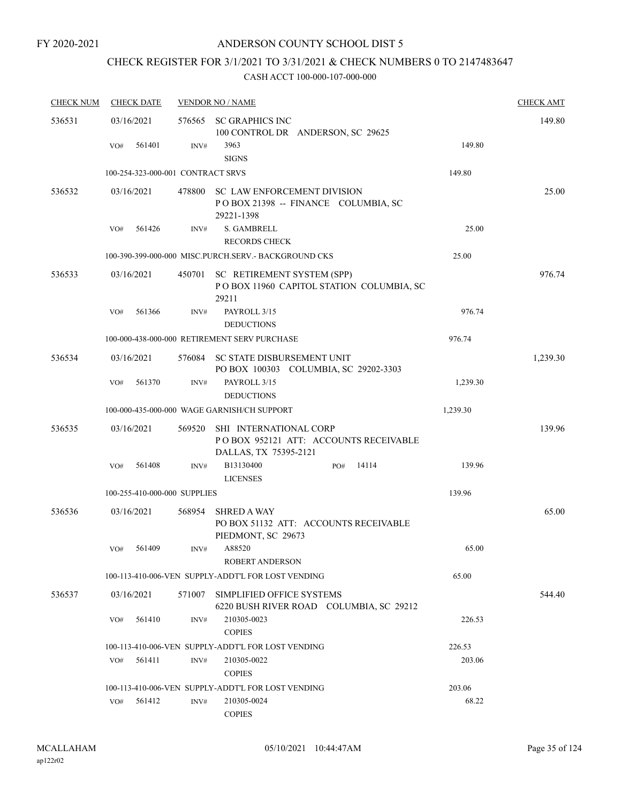# CHECK REGISTER FOR 3/1/2021 TO 3/31/2021 & CHECK NUMBERS 0 TO 2147483647

| <b>CHECK NUM</b> | <b>CHECK DATE</b>                 |        | <b>VENDOR NO / NAME</b>                                                                  |          | <b>CHECK AMT</b> |
|------------------|-----------------------------------|--------|------------------------------------------------------------------------------------------|----------|------------------|
| 536531           | 03/16/2021                        | 576565 | <b>SC GRAPHICS INC</b>                                                                   |          | 149.80           |
|                  |                                   |        | 100 CONTROL DR ANDERSON, SC 29625                                                        |          |                  |
|                  | 561401<br>VO#                     | INV#   | 3963<br><b>SIGNS</b>                                                                     | 149.80   |                  |
|                  | 100-254-323-000-001 CONTRACT SRVS |        |                                                                                          | 149.80   |                  |
| 536532           | 03/16/2021                        | 478800 | <b>SC LAW ENFORCEMENT DIVISION</b>                                                       |          | 25.00            |
|                  |                                   |        | POBOX 21398 -- FINANCE COLUMBIA, SC                                                      |          |                  |
|                  | 561426<br>VO#                     |        | 29221-1398<br>S. GAMBRELL                                                                | 25.00    |                  |
|                  |                                   | INV#   | <b>RECORDS CHECK</b>                                                                     |          |                  |
|                  |                                   |        | 100-390-399-000-000 MISC.PURCH.SERV. - BACKGROUND CKS                                    | 25.00    |                  |
|                  |                                   |        |                                                                                          |          | 976.74           |
| 536533           | 03/16/2021                        | 450701 | SC RETIREMENT SYSTEM (SPP)<br>POBOX 11960 CAPITOL STATION COLUMBIA, SC<br>29211          |          |                  |
|                  | 561366<br>VO#                     | INV#   | PAYROLL 3/15<br><b>DEDUCTIONS</b>                                                        | 976.74   |                  |
|                  |                                   |        | 100-000-438-000-000 RETIREMENT SERV PURCHASE                                             | 976.74   |                  |
| 536534           | 03/16/2021                        | 576084 | <b>SC STATE DISBURSEMENT UNIT</b><br>PO BOX 100303 COLUMBIA, SC 29202-3303               |          | 1,239.30         |
|                  | 561370<br>VO#                     | INV#   | PAYROLL 3/15<br><b>DEDUCTIONS</b>                                                        | 1,239.30 |                  |
|                  |                                   |        | 100-000-435-000-000 WAGE GARNISH/CH SUPPORT                                              | 1,239.30 |                  |
| 536535           | 03/16/2021                        | 569520 | SHI INTERNATIONAL CORP<br>POBOX 952121 ATT: ACCOUNTS RECEIVABLE<br>DALLAS, TX 75395-2121 |          | 139.96           |
|                  | 561408<br>VO#                     | INV#   | B13130400<br>14114<br>PO#<br><b>LICENSES</b>                                             | 139.96   |                  |
|                  | 100-255-410-000-000 SUPPLIES      |        |                                                                                          | 139.96   |                  |
| 536536           | 03/16/2021                        | 568954 | <b>SHRED A WAY</b><br>PO BOX 51132 ATT: ACCOUNTS RECEIVABLE<br>PIEDMONT, SC 29673        |          | 65.00            |
|                  | 561409<br>VO#                     | INV#   | A88520<br><b>ROBERT ANDERSON</b>                                                         | 65.00    |                  |
|                  |                                   |        | 100-113-410-006-VEN SUPPLY-ADDT'L FOR LOST VENDING                                       | 65.00    |                  |
| 536537           | 03/16/2021                        | 571007 | SIMPLIFIED OFFICE SYSTEMS<br>6220 BUSH RIVER ROAD COLUMBIA, SC 29212                     |          | 544.40           |
|                  | 561410<br>VO#                     | INV#   | 210305-0023<br><b>COPIES</b>                                                             | 226.53   |                  |
|                  |                                   |        | 100-113-410-006-VEN SUPPLY-ADDT'L FOR LOST VENDING                                       | 226.53   |                  |
|                  | VO#<br>561411                     | INV#   | 210305-0022<br><b>COPIES</b>                                                             | 203.06   |                  |
|                  |                                   |        | 100-113-410-006-VEN SUPPLY-ADDT'L FOR LOST VENDING                                       | 203.06   |                  |
|                  | 561412<br>VO#                     | INV#   | 210305-0024<br><b>COPIES</b>                                                             | 68.22    |                  |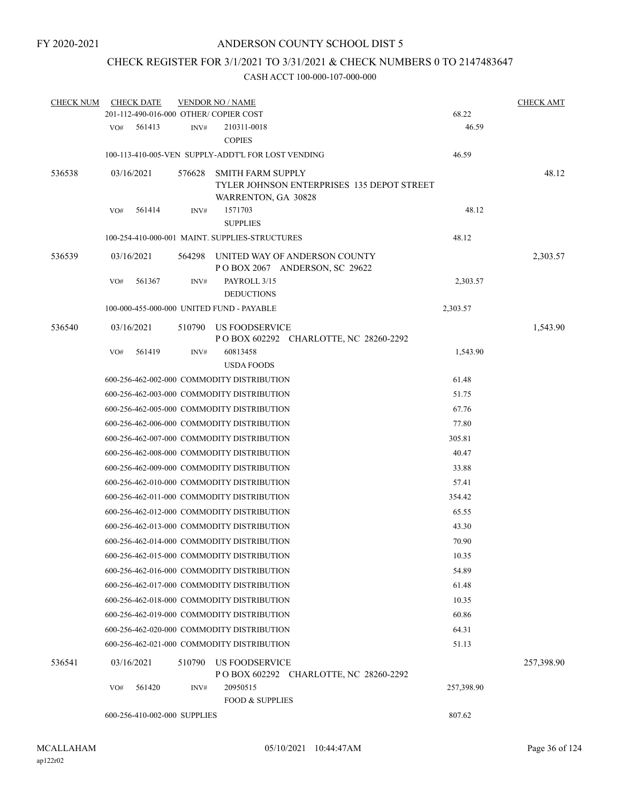# CHECK REGISTER FOR 3/1/2021 TO 3/31/2021 & CHECK NUMBERS 0 TO 2147483647

| <b>CHECK NUM</b> |     | <b>CHECK DATE</b>            |        | <b>VENDOR NO / NAME</b>                            |                                                                |            | <b>CHECK AMT</b> |
|------------------|-----|------------------------------|--------|----------------------------------------------------|----------------------------------------------------------------|------------|------------------|
|                  |     |                              |        | 201-112-490-016-000 OTHER/COPIER COST              |                                                                | 68.22      |                  |
|                  | VO# | 561413                       | INV#   | 210311-0018<br><b>COPIES</b>                       |                                                                | 46.59      |                  |
|                  |     |                              |        | 100-113-410-005-VEN SUPPLY-ADDT'L FOR LOST VENDING |                                                                | 46.59      |                  |
| 536538           |     | 03/16/2021                   | 576628 | <b>SMITH FARM SUPPLY</b><br>WARRENTON, GA 30828    | TYLER JOHNSON ENTERPRISES 135 DEPOT STREET                     |            | 48.12            |
|                  | VO# | 561414                       | INV#   | 1571703<br><b>SUPPLIES</b>                         |                                                                | 48.12      |                  |
|                  |     |                              |        | 100-254-410-000-001 MAINT. SUPPLIES-STRUCTURES     |                                                                | 48.12      |                  |
| 536539           |     | 03/16/2021                   | 564298 |                                                    | UNITED WAY OF ANDERSON COUNTY<br>POBOX 2067 ANDERSON, SC 29622 |            | 2,303.57         |
|                  | VO# | 561367                       | INV#   | PAYROLL 3/15<br><b>DEDUCTIONS</b>                  |                                                                | 2,303.57   |                  |
|                  |     |                              |        | 100-000-455-000-000 UNITED FUND - PAYABLE          |                                                                | 2,303.57   |                  |
| 536540           |     | 03/16/2021                   | 510790 | US FOODSERVICE                                     | POBOX 602292 CHARLOTTE, NC 28260-2292                          |            | 1,543.90         |
|                  | VO# | 561419                       | INV#   | 60813458                                           |                                                                | 1,543.90   |                  |
|                  |     |                              |        | <b>USDA FOODS</b>                                  |                                                                |            |                  |
|                  |     |                              |        | 600-256-462-002-000 COMMODITY DISTRIBUTION         |                                                                | 61.48      |                  |
|                  |     |                              |        | 600-256-462-003-000 COMMODITY DISTRIBUTION         |                                                                | 51.75      |                  |
|                  |     |                              |        | 600-256-462-005-000 COMMODITY DISTRIBUTION         |                                                                | 67.76      |                  |
|                  |     |                              |        | 600-256-462-006-000 COMMODITY DISTRIBUTION         |                                                                | 77.80      |                  |
|                  |     |                              |        | 600-256-462-007-000 COMMODITY DISTRIBUTION         |                                                                | 305.81     |                  |
|                  |     |                              |        | 600-256-462-008-000 COMMODITY DISTRIBUTION         |                                                                | 40.47      |                  |
|                  |     |                              |        | 600-256-462-009-000 COMMODITY DISTRIBUTION         |                                                                | 33.88      |                  |
|                  |     |                              |        | 600-256-462-010-000 COMMODITY DISTRIBUTION         |                                                                | 57.41      |                  |
|                  |     |                              |        | 600-256-462-011-000 COMMODITY DISTRIBUTION         |                                                                | 354.42     |                  |
|                  |     |                              |        | 600-256-462-012-000 COMMODITY DISTRIBUTION         |                                                                | 65.55      |                  |
|                  |     |                              |        | 600-256-462-013-000 COMMODITY DISTRIBUTION         |                                                                | 43.30      |                  |
|                  |     |                              |        | 600-256-462-014-000 COMMODITY DISTRIBUTION         |                                                                | 70.90      |                  |
|                  |     |                              |        | 600-256-462-015-000 COMMODITY DISTRIBUTION         |                                                                | 10.35      |                  |
|                  |     |                              |        | 600-256-462-016-000 COMMODITY DISTRIBUTION         |                                                                | 54.89      |                  |
|                  |     |                              |        | 600-256-462-017-000 COMMODITY DISTRIBUTION         |                                                                | 61.48      |                  |
|                  |     |                              |        | 600-256-462-018-000 COMMODITY DISTRIBUTION         |                                                                | 10.35      |                  |
|                  |     |                              |        | 600-256-462-019-000 COMMODITY DISTRIBUTION         |                                                                | 60.86      |                  |
|                  |     |                              |        | 600-256-462-020-000 COMMODITY DISTRIBUTION         |                                                                | 64.31      |                  |
|                  |     |                              |        | 600-256-462-021-000 COMMODITY DISTRIBUTION         |                                                                | 51.13      |                  |
| 536541           |     | 03/16/2021                   | 510790 | <b>US FOODSERVICE</b>                              | P O BOX 602292 CHARLOTTE, NC 28260-2292                        |            | 257,398.90       |
|                  | VO# | 561420                       | INV#   | 20950515<br><b>FOOD &amp; SUPPLIES</b>             |                                                                | 257,398.90 |                  |
|                  |     | 600-256-410-002-000 SUPPLIES |        |                                                    |                                                                | 807.62     |                  |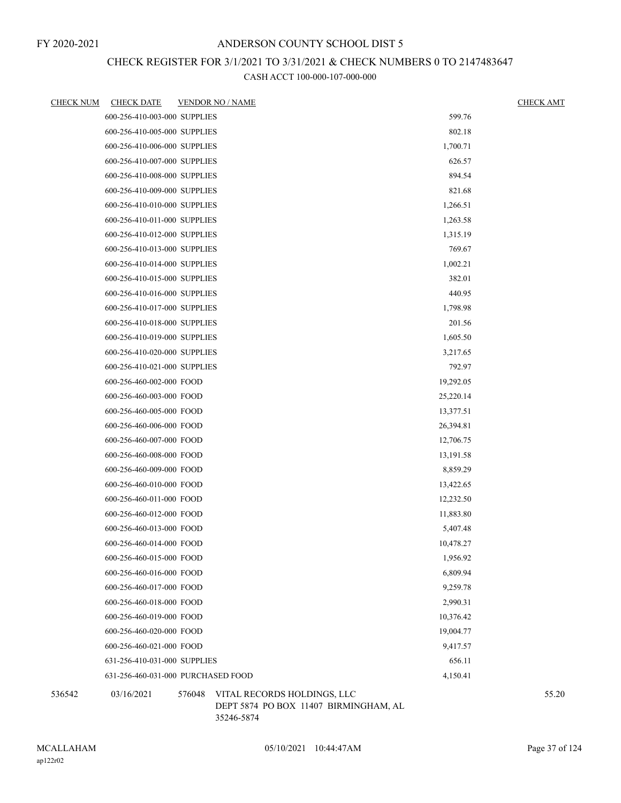### CHECK REGISTER FOR 3/1/2021 TO 3/31/2021 & CHECK NUMBERS 0 TO 2147483647

CASH ACCT 100-000-107-000-000

| <u>CHECK NUM</u> | <b>CHECK DATE</b>            | <b>VENDOR NO / NAME</b>                        | <b>CHECK AMT</b> |
|------------------|------------------------------|------------------------------------------------|------------------|
|                  | 600-256-410-003-000 SUPPLIES | 599.76                                         |                  |
|                  | 600-256-410-005-000 SUPPLIES | 802.18                                         |                  |
|                  | 600-256-410-006-000 SUPPLIES | 1,700.71                                       |                  |
|                  | 600-256-410-007-000 SUPPLIES | 626.57                                         |                  |
|                  | 600-256-410-008-000 SUPPLIES | 894.54                                         |                  |
|                  | 600-256-410-009-000 SUPPLIES | 821.68                                         |                  |
|                  | 600-256-410-010-000 SUPPLIES | 1,266.51                                       |                  |
|                  | 600-256-410-011-000 SUPPLIES | 1,263.58                                       |                  |
|                  | 600-256-410-012-000 SUPPLIES | 1,315.19                                       |                  |
|                  | 600-256-410-013-000 SUPPLIES | 769.67                                         |                  |
|                  | 600-256-410-014-000 SUPPLIES | 1,002.21                                       |                  |
|                  | 600-256-410-015-000 SUPPLIES | 382.01                                         |                  |
|                  | 600-256-410-016-000 SUPPLIES | 440.95                                         |                  |
|                  | 600-256-410-017-000 SUPPLIES | 1,798.98                                       |                  |
|                  | 600-256-410-018-000 SUPPLIES | 201.56                                         |                  |
|                  | 600-256-410-019-000 SUPPLIES | 1,605.50                                       |                  |
|                  | 600-256-410-020-000 SUPPLIES | 3,217.65                                       |                  |
|                  | 600-256-410-021-000 SUPPLIES | 792.97                                         |                  |
|                  | 600-256-460-002-000 FOOD     | 19,292.05                                      |                  |
|                  | 600-256-460-003-000 FOOD     | 25,220.14                                      |                  |
|                  | 600-256-460-005-000 FOOD     | 13,377.51                                      |                  |
|                  | 600-256-460-006-000 FOOD     | 26,394.81                                      |                  |
|                  | 600-256-460-007-000 FOOD     | 12,706.75                                      |                  |
|                  | 600-256-460-008-000 FOOD     | 13,191.58                                      |                  |
|                  | 600-256-460-009-000 FOOD     | 8,859.29                                       |                  |
|                  | 600-256-460-010-000 FOOD     | 13,422.65                                      |                  |
|                  | 600-256-460-011-000 FOOD     | 12,232.50                                      |                  |
|                  | 600-256-460-012-000 FOOD     | 11,883.80                                      |                  |
|                  | 600-256-460-013-000 FOOD     | 5,407.48                                       |                  |
|                  | 600-256-460-014-000 FOOD     | 10,478.27                                      |                  |
|                  | 600-256-460-015-000 FOOD     | 1,956.92                                       |                  |
|                  | 600-256-460-016-000 FOOD     | 6,809.94                                       |                  |
|                  | 600-256-460-017-000 FOOD     | 9,259.78                                       |                  |
|                  | 600-256-460-018-000 FOOD     | 2,990.31                                       |                  |
|                  | 600-256-460-019-000 FOOD     | 10,376.42                                      |                  |
|                  | 600-256-460-020-000 FOOD     | 19,004.77                                      |                  |
|                  | 600-256-460-021-000 FOOD     | 9,417.57                                       |                  |
|                  | 631-256-410-031-000 SUPPLIES | 656.11                                         |                  |
|                  |                              | 631-256-460-031-000 PURCHASED FOOD<br>4,150.41 |                  |
| 536542           | 03/16/2021                   | 576048 VITAL RECORDS HOLDINGS, LLC             | 55.20            |

DEPT 5874 PO BOX 11407 BIRMINGHAM, AL 35246-5874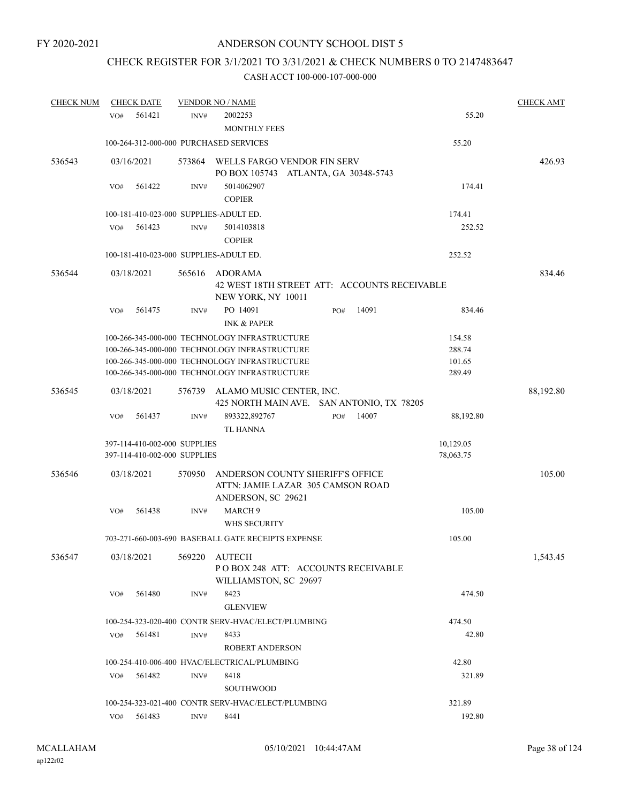# CHECK REGISTER FOR 3/1/2021 TO 3/31/2021 & CHECK NUMBERS 0 TO 2147483647

| <b>CHECK NUM</b> |     | <b>CHECK DATE</b>            |        | <b>VENDOR NO / NAME</b>                                                                     |     |       |           |           | <b>CHECK AMT</b> |
|------------------|-----|------------------------------|--------|---------------------------------------------------------------------------------------------|-----|-------|-----------|-----------|------------------|
|                  | VO# | 561421                       | INV#   | 2002253                                                                                     |     |       |           | 55.20     |                  |
|                  |     |                              |        | <b>MONTHLY FEES</b>                                                                         |     |       |           |           |                  |
|                  |     |                              |        | 100-264-312-000-000 PURCHASED SERVICES                                                      |     |       |           | 55.20     |                  |
| 536543           |     | 03/16/2021                   | 573864 | WELLS FARGO VENDOR FIN SERV<br>PO BOX 105743 ATLANTA, GA 30348-5743                         |     |       |           |           | 426.93           |
|                  | VO# | 561422                       | INV#   | 5014062907<br><b>COPIER</b>                                                                 |     |       |           | 174.41    |                  |
|                  |     |                              |        | 100-181-410-023-000 SUPPLIES-ADULT ED.                                                      |     |       |           | 174.41    |                  |
|                  | VO# | 561423                       | INV#   | 5014103818<br><b>COPIER</b>                                                                 |     |       |           | 252.52    |                  |
|                  |     |                              |        | 100-181-410-023-000 SUPPLIES-ADULT ED.                                                      |     |       |           | 252.52    |                  |
|                  |     |                              |        |                                                                                             |     |       |           |           |                  |
| 536544           |     | 03/18/2021                   | 565616 | ADORAMA<br>42 WEST 18TH STREET ATT: ACCOUNTS RECEIVABLE<br>NEW YORK, NY 10011               |     |       |           |           | 834.46           |
|                  | VO# | 561475                       | INV#   | PO 14091<br><b>INK &amp; PAPER</b>                                                          | PO# | 14091 |           | 834.46    |                  |
|                  |     |                              |        | 100-266-345-000-000 TECHNOLOGY INFRASTRUCTURE                                               |     |       |           | 154.58    |                  |
|                  |     |                              |        | 100-266-345-000-000 TECHNOLOGY INFRASTRUCTURE                                               |     |       |           | 288.74    |                  |
|                  |     |                              |        | 100-266-345-000-000 TECHNOLOGY INFRASTRUCTURE                                               |     |       |           | 101.65    |                  |
|                  |     |                              |        | 100-266-345-000-000 TECHNOLOGY INFRASTRUCTURE                                               |     |       |           | 289.49    |                  |
| 536545           |     | 03/18/2021                   | 576739 | ALAMO MUSIC CENTER, INC.<br>425 NORTH MAIN AVE. SAN ANTONIO, TX 78205                       |     |       |           |           | 88,192.80        |
|                  | VO# | 561437                       | INV#   | 893322,892767<br><b>TL HANNA</b>                                                            | PO# | 14007 |           | 88,192.80 |                  |
|                  |     | 397-114-410-002-000 SUPPLIES |        |                                                                                             |     |       | 10,129.05 |           |                  |
|                  |     | 397-114-410-002-000 SUPPLIES |        |                                                                                             |     |       | 78,063.75 |           |                  |
| 536546           |     | 03/18/2021                   | 570950 | ANDERSON COUNTY SHERIFF'S OFFICE<br>ATTN: JAMIE LAZAR 305 CAMSON ROAD<br>ANDERSON, SC 29621 |     |       |           |           | 105.00           |
|                  | VO# | 561438                       | INV#   | MARCH <sub>9</sub><br>WHS SECURITY                                                          |     |       |           | 105.00    |                  |
|                  |     |                              |        | 703-271-660-003-690 BASEBALL GATE RECEIPTS EXPENSE                                          |     |       |           | 105.00    |                  |
|                  |     |                              |        |                                                                                             |     |       |           |           |                  |
| 536547           |     | 03/18/2021                   | 569220 | AUTECH<br>POBOX 248 ATT: ACCOUNTS RECEIVABLE<br>WILLIAMSTON, SC 29697                       |     |       |           |           | 1,543.45         |
|                  | VO# | 561480                       | INV#   | 8423                                                                                        |     |       |           | 474.50    |                  |
|                  |     |                              |        | <b>GLENVIEW</b>                                                                             |     |       |           |           |                  |
|                  |     |                              |        | 100-254-323-020-400 CONTR SERV-HVAC/ELECT/PLUMBING                                          |     |       |           | 474.50    |                  |
|                  | VO# | 561481                       | INV#   | 8433                                                                                        |     |       |           | 42.80     |                  |
|                  |     |                              |        | <b>ROBERT ANDERSON</b>                                                                      |     |       |           |           |                  |
|                  |     |                              |        | 100-254-410-006-400 HVAC/ELECTRICAL/PLUMBING                                                |     |       |           | 42.80     |                  |
|                  | VO# | 561482                       | INV#   | 8418                                                                                        |     |       |           | 321.89    |                  |
|                  |     |                              |        | <b>SOUTHWOOD</b>                                                                            |     |       |           |           |                  |
|                  |     |                              |        | 100-254-323-021-400 CONTR SERV-HVAC/ELECT/PLUMBING                                          |     |       |           | 321.89    |                  |
|                  | VO# | 561483                       | INV#   | 8441                                                                                        |     |       |           | 192.80    |                  |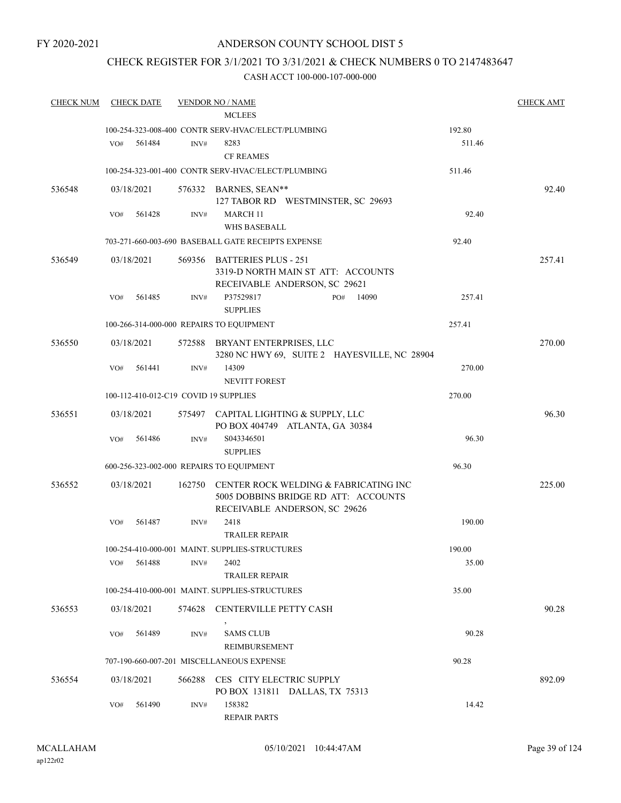### ANDERSON COUNTY SCHOOL DIST 5

### CHECK REGISTER FOR 3/1/2021 TO 3/31/2021 & CHECK NUMBERS 0 TO 2147483647

| <b>CHECK NUM</b> | <b>CHECK DATE</b>                        |        | <b>VENDOR NO / NAME</b>                                                                                        |        | <b>CHECK AMT</b> |
|------------------|------------------------------------------|--------|----------------------------------------------------------------------------------------------------------------|--------|------------------|
|                  |                                          |        | <b>MCLEES</b>                                                                                                  |        |                  |
|                  |                                          |        | 100-254-323-008-400 CONTR SERV-HVAC/ELECT/PLUMBING                                                             | 192.80 |                  |
|                  | 561484<br>VO#                            | INV#   | 8283                                                                                                           | 511.46 |                  |
|                  |                                          |        | <b>CF REAMES</b>                                                                                               |        |                  |
|                  |                                          |        | 100-254-323-001-400 CONTR SERV-HVAC/ELECT/PLUMBING                                                             | 511.46 |                  |
| 536548           | 03/18/2021                               |        | 576332 BARNES, SEAN**<br>127 TABOR RD WESTMINSTER, SC 29693                                                    |        | 92.40            |
|                  | 561428<br>VO#                            | INV#   | <b>MARCH 11</b>                                                                                                | 92.40  |                  |
|                  |                                          |        | WHS BASEBALL                                                                                                   |        |                  |
|                  |                                          |        | 703-271-660-003-690 BASEBALL GATE RECEIPTS EXPENSE                                                             | 92.40  |                  |
| 536549           | 03/18/2021                               |        | 569356 BATTERIES PLUS - 251<br>3319-D NORTH MAIN ST ATT: ACCOUNTS<br>RECEIVABLE ANDERSON, SC 29621             |        | 257.41           |
|                  | 561485<br>VO#                            | INV#   | P37529817<br>14090<br>PO#<br><b>SUPPLIES</b>                                                                   | 257.41 |                  |
|                  | 100-266-314-000-000 REPAIRS TO EQUIPMENT |        |                                                                                                                | 257.41 |                  |
| 536550           | 03/18/2021                               |        | 572588 BRYANT ENTERPRISES, LLC<br>3280 NC HWY 69, SUITE 2 HAYESVILLE, NC 28904                                 |        | 270.00           |
|                  | 561441<br>VO#                            | INV#   | 14309<br><b>NEVITT FOREST</b>                                                                                  | 270.00 |                  |
|                  | 100-112-410-012-C19 COVID 19 SUPPLIES    |        |                                                                                                                | 270.00 |                  |
| 536551           | 03/18/2021                               |        | 575497 CAPITAL LIGHTING & SUPPLY, LLC<br>PO BOX 404749 ATLANTA, GA 30384                                       |        | 96.30            |
|                  | 561486<br>VO#                            | INV#   | S043346501<br><b>SUPPLIES</b>                                                                                  | 96.30  |                  |
|                  | 600-256-323-002-000 REPAIRS TO EQUIPMENT |        |                                                                                                                | 96.30  |                  |
| 536552           | 03/18/2021                               | 162750 | CENTER ROCK WELDING & FABRICATING INC<br>5005 DOBBINS BRIDGE RD ATT: ACCOUNTS<br>RECEIVABLE ANDERSON, SC 29626 |        | 225.00           |
|                  | VO#<br>561487                            | INV#   | 2418<br><b>TRAILER REPAIR</b>                                                                                  | 190.00 |                  |
|                  |                                          |        | 100-254-410-000-001 MAINT. SUPPLIES-STRUCTURES                                                                 | 190.00 |                  |
|                  | 561488<br>VO#                            | INV#   | 2402<br><b>TRAILER REPAIR</b>                                                                                  | 35.00  |                  |
|                  |                                          |        | 100-254-410-000-001 MAINT. SUPPLIES-STRUCTURES                                                                 | 35.00  |                  |
| 536553           | 03/18/2021                               |        | 574628 CENTERVILLE PETTY CASH                                                                                  |        | 90.28            |
|                  | 561489<br>VO#                            | INV#   | <b>SAMS CLUB</b><br><b>REIMBURSEMENT</b>                                                                       | 90.28  |                  |
|                  |                                          |        | 707-190-660-007-201 MISCELLANEOUS EXPENSE                                                                      | 90.28  |                  |
| 536554           | 03/18/2021                               |        | 566288 CES CITY ELECTRIC SUPPLY<br>PO BOX 131811 DALLAS, TX 75313                                              |        | 892.09           |
|                  | 561490<br>VO#                            | INV#   | 158382<br><b>REPAIR PARTS</b>                                                                                  | 14.42  |                  |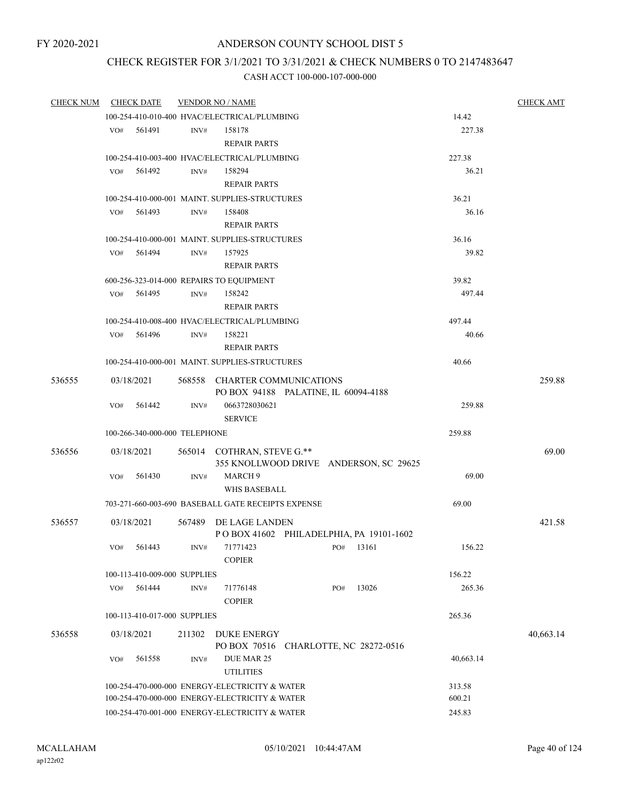### CHECK REGISTER FOR 3/1/2021 TO 3/31/2021 & CHECK NUMBERS 0 TO 2147483647

| <b>CHECK NUM</b> |     | <b>CHECK DATE</b>                              |        | <b>VENDOR NO / NAME</b>                                               |     |       |           | <b>CHECK AMT</b> |
|------------------|-----|------------------------------------------------|--------|-----------------------------------------------------------------------|-----|-------|-----------|------------------|
|                  |     |                                                |        | 100-254-410-010-400 HVAC/ELECTRICAL/PLUMBING                          |     |       | 14.42     |                  |
|                  | VO# | 561491                                         | INV#   | 158178                                                                |     |       | 227.38    |                  |
|                  |     |                                                |        | <b>REPAIR PARTS</b>                                                   |     |       |           |                  |
|                  |     |                                                |        | 100-254-410-003-400 HVAC/ELECTRICAL/PLUMBING                          |     |       | 227.38    |                  |
|                  | VO# | 561492                                         | INV#   | 158294                                                                |     |       | 36.21     |                  |
|                  |     |                                                |        | <b>REPAIR PARTS</b>                                                   |     |       |           |                  |
|                  |     |                                                |        | 100-254-410-000-001 MAINT. SUPPLIES-STRUCTURES                        |     |       | 36.21     |                  |
|                  | VO# | 561493                                         | INV#   | 158408                                                                |     |       | 36.16     |                  |
|                  |     |                                                |        | <b>REPAIR PARTS</b>                                                   |     |       |           |                  |
|                  |     |                                                |        | 100-254-410-000-001 MAINT. SUPPLIES-STRUCTURES                        |     |       | 36.16     |                  |
|                  | VO# | 561494                                         | INV#   | 157925                                                                |     |       | 39.82     |                  |
|                  |     |                                                |        | <b>REPAIR PARTS</b>                                                   |     |       |           |                  |
|                  |     |                                                |        | 600-256-323-014-000 REPAIRS TO EQUIPMENT                              |     |       | 39.82     |                  |
|                  | VO# | 561495                                         | INV#   | 158242<br><b>REPAIR PARTS</b>                                         |     |       | 497.44    |                  |
|                  |     |                                                |        | 100-254-410-008-400 HVAC/ELECTRICAL/PLUMBING                          |     |       | 497.44    |                  |
|                  | VO# | 561496                                         | INV#   | 158221                                                                |     |       | 40.66     |                  |
|                  |     |                                                |        | <b>REPAIR PARTS</b>                                                   |     |       |           |                  |
|                  |     |                                                |        | 100-254-410-000-001 MAINT, SUPPLIES-STRUCTURES                        |     |       | 40.66     |                  |
| 536555           |     | 03/18/2021                                     |        | 568558 CHARTER COMMUNICATIONS<br>PO BOX 94188 PALATINE, IL 60094-4188 |     |       |           | 259.88           |
|                  | VO# | 561442                                         | INV#   | 0663728030621<br><b>SERVICE</b>                                       |     |       | 259.88    |                  |
|                  |     | 100-266-340-000-000 TELEPHONE                  |        |                                                                       |     |       | 259.88    |                  |
| 536556           |     | 03/18/2021                                     |        | 565014 COTHRAN, STEVE G.**                                            |     |       |           | 69.00            |
|                  |     |                                                |        | 355 KNOLLWOOD DRIVE ANDERSON, SC 29625                                |     |       |           |                  |
|                  | VO# | 561430                                         | INV#   | MARCH <sub>9</sub><br>WHS BASEBALL                                    |     |       | 69.00     |                  |
|                  |     |                                                |        | 703-271-660-003-690 BASEBALL GATE RECEIPTS EXPENSE                    |     |       | 69.00     |                  |
| 536557           |     | 03/18/2021                                     |        | 567489 DE LAGE LANDEN                                                 |     |       |           | 421.58           |
|                  |     |                                                |        | POBOX 41602 PHILADELPHIA, PA 19101-1602                               |     |       |           |                  |
|                  | VO# | 561443                                         | INV#   | 71771423                                                              | PO# | 13161 | 156.22    |                  |
|                  |     |                                                |        | <b>COPIER</b>                                                         |     |       |           |                  |
|                  |     | 100-113-410-009-000 SUPPLIES                   |        |                                                                       |     | 13026 | 156.22    |                  |
|                  | VO# | 561444                                         | INV#   | 71776148<br><b>COPIER</b>                                             | PO# |       | 265.36    |                  |
|                  |     | 100-113-410-017-000 SUPPLIES                   |        |                                                                       |     |       | 265.36    |                  |
| 536558           |     | 03/18/2021                                     | 211302 | <b>DUKE ENERGY</b>                                                    |     |       |           | 40,663.14        |
|                  |     |                                                |        | PO BOX 70516 CHARLOTTE, NC 28272-0516                                 |     |       |           |                  |
|                  | VO# | 561558                                         | INV#   | DUE MAR 25<br><b>UTILITIES</b>                                        |     |       | 40,663.14 |                  |
|                  |     | 100-254-470-000-000 ENERGY-ELECTRICITY & WATER |        | 313.58                                                                |     |       |           |                  |
|                  |     | 100-254-470-000-000 ENERGY-ELECTRICITY & WATER |        | 600.21                                                                |     |       |           |                  |
|                  |     | 100-254-470-001-000 ENERGY-ELECTRICITY & WATER |        | 245.83                                                                |     |       |           |                  |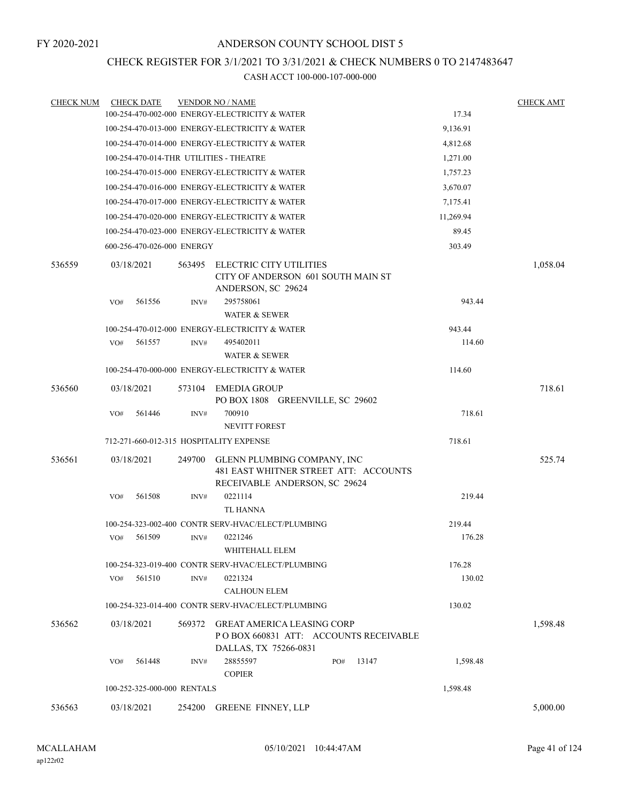### CHECK REGISTER FOR 3/1/2021 TO 3/31/2021 & CHECK NUMBERS 0 TO 2147483647

| <b>CHECK NUM</b> | <b>CHECK DATE</b>                       |        | <b>VENDOR NO / NAME</b>                                                                               |           | <b>CHECK AMT</b> |
|------------------|-----------------------------------------|--------|-------------------------------------------------------------------------------------------------------|-----------|------------------|
|                  |                                         |        | 100-254-470-002-000 ENERGY-ELECTRICITY & WATER                                                        | 17.34     |                  |
|                  |                                         |        | 100-254-470-013-000 ENERGY-ELECTRICITY & WATER                                                        | 9,136.91  |                  |
|                  |                                         |        | 100-254-470-014-000 ENERGY-ELECTRICITY & WATER                                                        | 4,812.68  |                  |
|                  | 100-254-470-014-THR UTILITIES - THEATRE |        |                                                                                                       | 1,271.00  |                  |
|                  |                                         |        | 100-254-470-015-000 ENERGY-ELECTRICITY & WATER                                                        | 1,757.23  |                  |
|                  |                                         |        | 100-254-470-016-000 ENERGY-ELECTRICITY & WATER                                                        | 3,670.07  |                  |
|                  |                                         |        | 100-254-470-017-000 ENERGY-ELECTRICITY & WATER                                                        | 7,175.41  |                  |
|                  |                                         |        | 100-254-470-020-000 ENERGY-ELECTRICITY & WATER                                                        | 11,269.94 |                  |
|                  |                                         |        | 100-254-470-023-000 ENERGY-ELECTRICITY & WATER                                                        | 89.45     |                  |
|                  | 600-256-470-026-000 ENERGY              |        |                                                                                                       | 303.49    |                  |
| 536559           | 03/18/2021                              | 563495 | ELECTRIC CITY UTILITIES<br>CITY OF ANDERSON 601 SOUTH MAIN ST<br>ANDERSON, SC 29624                   |           | 1,058.04         |
|                  | VO#<br>561556                           | INV#   | 295758061<br><b>WATER &amp; SEWER</b>                                                                 | 943.44    |                  |
|                  |                                         |        | 100-254-470-012-000 ENERGY-ELECTRICITY & WATER                                                        | 943.44    |                  |
|                  | 561557<br>VO#                           | INV#   | 495402011                                                                                             | 114.60    |                  |
|                  |                                         |        | WATER & SEWER                                                                                         |           |                  |
|                  |                                         |        | 100-254-470-000-000 ENERGY-ELECTRICITY & WATER                                                        | 114.60    |                  |
| 536560           | 03/18/2021                              |        | 573104 EMEDIA GROUP<br>PO BOX 1808 GREENVILLE, SC 29602                                               |           | 718.61           |
|                  | VO#<br>561446                           | INV#   | 700910<br><b>NEVITT FOREST</b>                                                                        | 718.61    |                  |
|                  | 712-271-660-012-315 HOSPITALITY EXPENSE |        |                                                                                                       | 718.61    |                  |
| 536561           | 03/18/2021                              | 249700 | GLENN PLUMBING COMPANY, INC<br>481 EAST WHITNER STREET ATT: ACCOUNTS<br>RECEIVABLE ANDERSON, SC 29624 |           | 525.74           |
|                  | 561508<br>VO#                           | INV#   | 0221114                                                                                               | 219.44    |                  |
|                  |                                         |        | <b>TL HANNA</b>                                                                                       |           |                  |
|                  |                                         |        | 100-254-323-002-400 CONTR SERV-HVAC/ELECT/PLUMBING                                                    | 219.44    |                  |
|                  | 561509<br>VO#                           | INV#   | 0221246                                                                                               | 176.28    |                  |
|                  |                                         |        | WHITEHALL ELEM                                                                                        |           |                  |
|                  |                                         |        | 100-254-323-019-400 CONTR SERV-HVAC/ELECT/PLUMBING                                                    | 176.28    |                  |
|                  | 561510<br>VO#                           | INV#   | 0221324<br><b>CALHOUN ELEM</b>                                                                        | 130.02    |                  |
|                  |                                         |        | 100-254-323-014-400 CONTR SERV-HVAC/ELECT/PLUMBING                                                    | 130.02    |                  |
| 536562           | 03/18/2021                              | 569372 | <b>GREAT AMERICA LEASING CORP</b><br>POBOX 660831 ATT: ACCOUNTS RECEIVABLE<br>DALLAS, TX 75266-0831   |           | 1,598.48         |
|                  | 561448<br>VO#                           | INV#   | 28855597<br>13147<br>PO#<br><b>COPIER</b>                                                             | 1,598.48  |                  |
|                  | 100-252-325-000-000 RENTALS             |        |                                                                                                       | 1,598.48  |                  |
| 536563           | 03/18/2021                              |        | 254200 GREENE FINNEY, LLP                                                                             |           | 5,000.00         |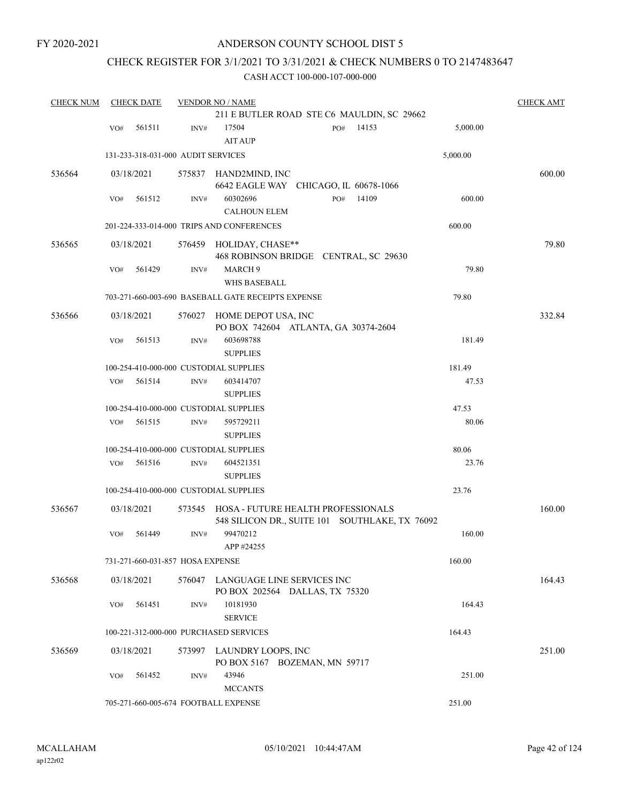### CHECK REGISTER FOR 3/1/2021 TO 3/31/2021 & CHECK NUMBERS 0 TO 2147483647

| <b>CHECK NUM</b> |     | <b>CHECK DATE</b>                  |        | <b>VENDOR NO / NAME</b>                                                              |     |       |          | <b>CHECK AMT</b> |
|------------------|-----|------------------------------------|--------|--------------------------------------------------------------------------------------|-----|-------|----------|------------------|
|                  |     |                                    |        | 211 E BUTLER ROAD STE C6 MAULDIN, SC 29662                                           |     |       |          |                  |
|                  | VO# | 561511                             | INV#   | 17504<br><b>AIT AUP</b>                                                              | PO# | 14153 | 5,000.00 |                  |
|                  |     | 131-233-318-031-000 AUDIT SERVICES |        |                                                                                      |     |       | 5,000.00 |                  |
| 536564           |     | 03/18/2021                         |        | 575837 HAND2MIND, INC<br>6642 EAGLE WAY CHICAGO, IL 60678-1066                       |     |       |          | 600.00           |
|                  | VO# | 561512                             | INV#   | 60302696<br><b>CALHOUN ELEM</b>                                                      | PO# | 14109 | 600.00   |                  |
|                  |     |                                    |        | 201-224-333-014-000 TRIPS AND CONFERENCES                                            |     |       | 600.00   |                  |
| 536565           |     | 03/18/2021                         |        | 576459 HOLIDAY, CHASE**<br>468 ROBINSON BRIDGE CENTRAL, SC 29630                     |     |       |          | 79.80            |
|                  | VO# | 561429                             | INV#   | MARCH 9<br>WHS BASEBALL                                                              |     |       | 79.80    |                  |
|                  |     |                                    |        | 703-271-660-003-690 BASEBALL GATE RECEIPTS EXPENSE                                   |     |       | 79.80    |                  |
| 536566           |     | 03/18/2021                         | 576027 | HOME DEPOT USA, INC<br>PO BOX 742604 ATLANTA, GA 30374-2604                          |     |       |          | 332.84           |
|                  | VO# | 561513                             | INV#   | 603698788<br><b>SUPPLIES</b>                                                         |     |       | 181.49   |                  |
|                  |     |                                    |        | 100-254-410-000-000 CUSTODIAL SUPPLIES                                               |     |       | 181.49   |                  |
|                  | VO# | 561514                             | INV#   | 603414707<br><b>SUPPLIES</b>                                                         |     |       | 47.53    |                  |
|                  |     |                                    |        | 100-254-410-000-000 CUSTODIAL SUPPLIES                                               |     |       | 47.53    |                  |
|                  | VO# | 561515                             | INV#   | 595729211                                                                            |     |       | 80.06    |                  |
|                  |     |                                    |        | <b>SUPPLIES</b>                                                                      |     |       |          |                  |
|                  |     |                                    |        | 100-254-410-000-000 CUSTODIAL SUPPLIES                                               |     |       | 80.06    |                  |
|                  | VO# | 561516                             | INV#   | 604521351<br><b>SUPPLIES</b>                                                         |     |       | 23.76    |                  |
|                  |     |                                    |        | 100-254-410-000-000 CUSTODIAL SUPPLIES                                               |     |       | 23.76    |                  |
| 536567           |     | 03/18/2021                         | 573545 | HOSA - FUTURE HEALTH PROFESSIONALS<br>548 SILICON DR., SUITE 101 SOUTHLAKE, TX 76092 |     |       |          | 160.00           |
|                  | VO# | 561449                             | INV#   | 99470212<br>APP #24255                                                               |     |       | 160.00   |                  |
|                  |     | 731-271-660-031-857 HOSA EXPENSE   |        |                                                                                      |     |       | 160.00   |                  |
| 536568           |     | 03/18/2021                         |        | 576047 LANGUAGE LINE SERVICES INC<br>PO BOX 202564 DALLAS, TX 75320                  |     |       |          | 164.43           |
|                  | VO# | 561451                             | INV#   | 10181930<br><b>SERVICE</b>                                                           |     |       | 164.43   |                  |
|                  |     |                                    |        | 100-221-312-000-000 PURCHASED SERVICES                                               |     |       | 164.43   |                  |
| 536569           |     | 03/18/2021                         |        | 573997 LAUNDRY LOOPS, INC<br>PO BOX 5167 BOZEMAN, MN 59717                           |     |       |          | 251.00           |
|                  | VO# | 561452                             | INV#   | 43946<br><b>MCCANTS</b>                                                              |     |       | 251.00   |                  |
|                  |     |                                    |        | 705-271-660-005-674 FOOTBALL EXPENSE                                                 |     |       | 251.00   |                  |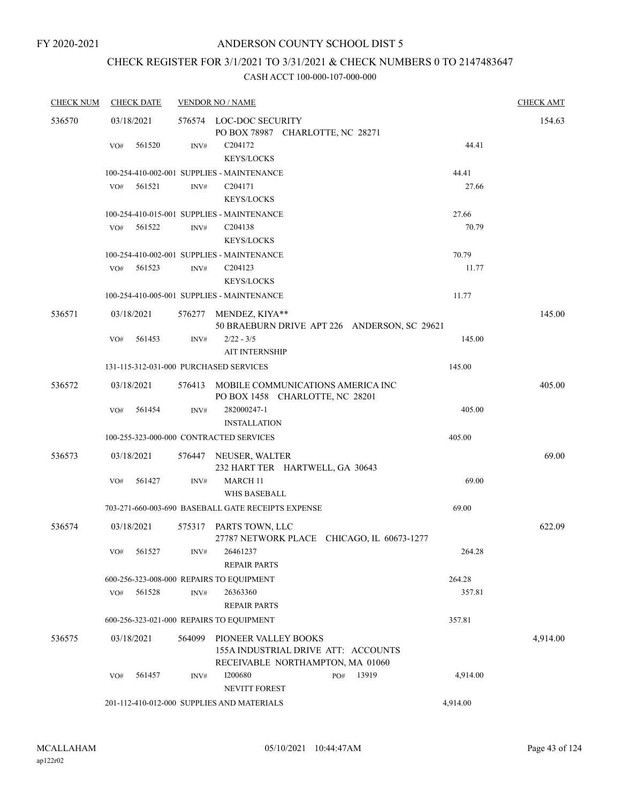# CHECK REGISTER FOR 3/1/2021 TO 3/31/2021 & CHECK NUMBERS 0 TO 2147483647

| <b>CHECK NUM</b> | <b>CHECK DATE</b>                      |        | <b>VENDOR NO / NAME</b>                                                     |              |          | <b>CHECK AMT</b> |
|------------------|----------------------------------------|--------|-----------------------------------------------------------------------------|--------------|----------|------------------|
| 536570           | 03/18/2021                             |        | 576574 LOC-DOC SECURITY                                                     |              |          | 154.63           |
|                  |                                        |        | PO BOX 78987 CHARLOTTE, NC 28271                                            |              |          |                  |
|                  | 561520<br>VO#                          | INV#   | C <sub>204172</sub>                                                         |              | 44.41    |                  |
|                  |                                        |        | <b>KEYS/LOCKS</b>                                                           |              |          |                  |
|                  |                                        |        | 100-254-410-002-001 SUPPLIES - MAINTENANCE                                  |              | 44.41    |                  |
|                  | 561521<br>VO#                          | INV#   | C <sub>204171</sub>                                                         |              | 27.66    |                  |
|                  |                                        |        | KEYS/LOCKS                                                                  |              |          |                  |
|                  |                                        |        | 100-254-410-015-001 SUPPLIES - MAINTENANCE                                  |              | 27.66    |                  |
|                  | VO#<br>561522                          | INV#   | C <sub>204138</sub>                                                         |              | 70.79    |                  |
|                  |                                        |        | <b>KEYS/LOCKS</b>                                                           |              |          |                  |
|                  |                                        |        | 100-254-410-002-001 SUPPLIES - MAINTENANCE                                  |              | 70.79    |                  |
|                  | 561523<br>VO#                          | INV#   | C <sub>204123</sub>                                                         |              | 11.77    |                  |
|                  |                                        |        | <b>KEYS/LOCKS</b>                                                           |              |          |                  |
|                  |                                        |        | 100-254-410-005-001 SUPPLIES - MAINTENANCE                                  |              | 11.77    |                  |
| 536571           | 03/18/2021                             |        | 576277 MENDEZ, KIYA**<br>50 BRAEBURN DRIVE APT 226 ANDERSON, SC 29621       |              |          | 145.00           |
|                  | VO#<br>561453                          | INV#   | $2/22 - 3/5$                                                                |              | 145.00   |                  |
|                  |                                        |        | <b>AIT INTERNSHIP</b>                                                       |              |          |                  |
|                  | 131-115-312-031-000 PURCHASED SERVICES |        |                                                                             |              | 145.00   |                  |
| 536572           | 03/18/2021                             |        | 576413 MOBILE COMMUNICATIONS AMERICA INC<br>PO BOX 1458 CHARLOTTE, NC 28201 |              |          | 405.00           |
|                  | 561454<br>VO#                          | INV#   | 282000247-1<br><b>INSTALLATION</b>                                          |              | 405.00   |                  |
|                  |                                        |        | 100-255-323-000-000 CONTRACTED SERVICES                                     |              | 405.00   |                  |
| 536573           | 03/18/2021                             |        |                                                                             |              |          | 69.00            |
|                  |                                        |        | 576447 NEUSER, WALTER<br>232 HART TER HARTWELL, GA 30643                    |              |          |                  |
|                  | VO#<br>561427                          | INV#   | <b>MARCH 11</b>                                                             |              | 69.00    |                  |
|                  |                                        |        | WHS BASEBALL                                                                |              |          |                  |
|                  |                                        |        | 703-271-660-003-690 BASEBALL GATE RECEIPTS EXPENSE                          |              | 69.00    |                  |
| 536574           | 03/18/2021                             |        |                                                                             |              |          | 622.09           |
|                  |                                        |        | 575317 PARTS TOWN, LLC<br>27787 NETWORK PLACE CHICAGO, IL 60673-1277        |              |          |                  |
|                  | VO# 561527                             |        | INV# 26461237                                                               |              | 264.28   |                  |
|                  |                                        |        | <b>REPAIR PARTS</b>                                                         |              |          |                  |
|                  |                                        |        | 600-256-323-008-000 REPAIRS TO EQUIPMENT                                    |              | 264.28   |                  |
|                  | 561528<br>VO#                          | INV#   | 26363360                                                                    |              | 357.81   |                  |
|                  |                                        |        | <b>REPAIR PARTS</b>                                                         |              |          |                  |
|                  |                                        |        | 600-256-323-021-000 REPAIRS TO EQUIPMENT                                    |              | 357.81   |                  |
| 536575           | 03/18/2021                             | 564099 | PIONEER VALLEY BOOKS<br>155A INDUSTRIAL DRIVE ATT: ACCOUNTS                 |              |          | 4,914.00         |
|                  |                                        |        | RECEIVABLE NORTHAMPTON, MA 01060                                            |              |          |                  |
|                  | 561457<br>VO#                          | INV#   | I200680<br>NEVITT FOREST                                                    | 13919<br>PO# | 4,914.00 |                  |
|                  |                                        |        | 201-112-410-012-000 SUPPLIES AND MATERIALS                                  |              | 4,914.00 |                  |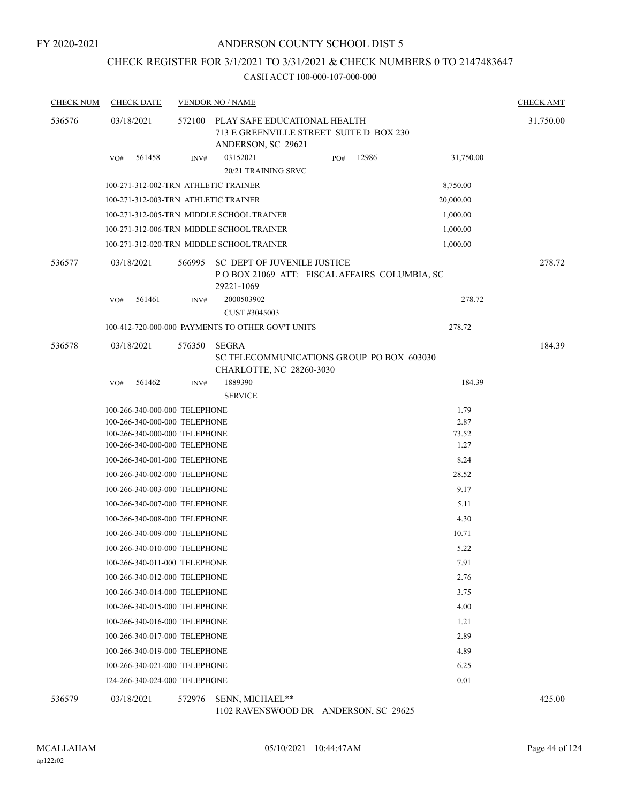#### ANDERSON COUNTY SCHOOL DIST 5

## CHECK REGISTER FOR 3/1/2021 TO 3/31/2021 & CHECK NUMBERS 0 TO 2147483647

#### CASH ACCT 100-000-107-000-000

| <b>CHECK NUM</b> | <b>CHECK DATE</b>                    |        | <b>VENDOR NO / NAME</b>                                                                       |     |       |           | <b>CHECK AMT</b> |
|------------------|--------------------------------------|--------|-----------------------------------------------------------------------------------------------|-----|-------|-----------|------------------|
| 536576           | 03/18/2021                           | 572100 | PLAY SAFE EDUCATIONAL HEALTH<br>713 E GREENVILLE STREET SUITE D BOX 230<br>ANDERSON, SC 29621 |     |       |           | 31,750.00        |
|                  | 561458<br>VO#                        | INV#   | 03152021<br>20/21 TRAINING SRVC                                                               | PO# | 12986 | 31,750.00 |                  |
|                  | 100-271-312-002-TRN ATHLETIC TRAINER |        |                                                                                               |     |       | 8,750.00  |                  |
|                  | 100-271-312-003-TRN ATHLETIC TRAINER |        |                                                                                               |     |       | 20,000.00 |                  |
|                  |                                      |        | 100-271-312-005-TRN MIDDLE SCHOOL TRAINER                                                     |     |       | 1,000.00  |                  |
|                  |                                      |        | 100-271-312-006-TRN MIDDLE SCHOOL TRAINER                                                     |     |       | 1,000.00  |                  |
|                  |                                      |        | 100-271-312-020-TRN MIDDLE SCHOOL TRAINER                                                     |     |       | 1,000.00  |                  |
| 536577           | 03/18/2021                           | 566995 | SC DEPT OF JUVENILE JUSTICE<br>POBOX 21069 ATT: FISCAL AFFAIRS COLUMBIA, SC<br>29221-1069     |     |       |           | 278.72           |
|                  | 561461<br>VO#                        | INV#   | 2000503902<br>CUST #3045003                                                                   |     |       | 278.72    |                  |
|                  |                                      |        | 100-412-720-000-000 PAYMENTS TO OTHER GOV'T UNITS                                             |     |       | 278.72    |                  |
| 536578           | 03/18/2021                           | 576350 | SEGRA<br>SC TELECOMMUNICATIONS GROUP PO BOX 603030<br>CHARLOTTE, NC 28260-3030                |     |       |           | 184.39           |
|                  | 561462<br>VO#                        | INV#   | 1889390<br><b>SERVICE</b>                                                                     |     |       | 184.39    |                  |
|                  | 100-266-340-000-000 TELEPHONE        |        |                                                                                               |     |       | 1.79      |                  |
|                  | 100-266-340-000-000 TELEPHONE        |        |                                                                                               |     |       | 2.87      |                  |
|                  | 100-266-340-000-000 TELEPHONE        |        |                                                                                               |     |       | 73.52     |                  |
|                  | 100-266-340-000-000 TELEPHONE        |        |                                                                                               |     |       | 1.27      |                  |
|                  | 100-266-340-001-000 TELEPHONE        |        |                                                                                               |     |       | 8.24      |                  |
|                  | 100-266-340-002-000 TELEPHONE        |        |                                                                                               |     |       | 28.52     |                  |
|                  | 100-266-340-003-000 TELEPHONE        |        |                                                                                               |     |       | 9.17      |                  |
|                  | 100-266-340-007-000 TELEPHONE        |        |                                                                                               |     |       | 5.11      |                  |
|                  | 100-266-340-008-000 TELEPHONE        |        |                                                                                               |     |       | 4.30      |                  |
|                  | 100-266-340-009-000 TELEPHONE        |        |                                                                                               |     |       | 10.71     |                  |
|                  | 100-266-340-010-000 TELEPHONE        |        |                                                                                               |     |       | 5.22      |                  |
|                  | 100-266-340-011-000 TELEPHONE        |        |                                                                                               |     |       | 7.91      |                  |
|                  | 100-266-340-012-000 TELEPHONE        |        |                                                                                               |     |       | 2.76      |                  |
|                  | 100-266-340-014-000 TELEPHONE        |        |                                                                                               |     |       | 3.75      |                  |
|                  | 100-266-340-015-000 TELEPHONE        |        |                                                                                               |     |       | 4.00      |                  |
|                  | 100-266-340-016-000 TELEPHONE        |        |                                                                                               |     |       | 1.21      |                  |
|                  | 100-266-340-017-000 TELEPHONE        |        |                                                                                               |     |       | 2.89      |                  |
|                  | 100-266-340-019-000 TELEPHONE        |        |                                                                                               |     |       | 4.89      |                  |
|                  | 100-266-340-021-000 TELEPHONE        |        |                                                                                               |     |       | 6.25      |                  |
|                  | 124-266-340-024-000 TELEPHONE        |        |                                                                                               |     |       | 0.01      |                  |
| 536579           | 03/18/2021                           |        | 572976 SENN, MICHAEL**                                                                        |     |       |           | 425.00           |

1102 RAVENSWOOD DR ANDERSON, SC 29625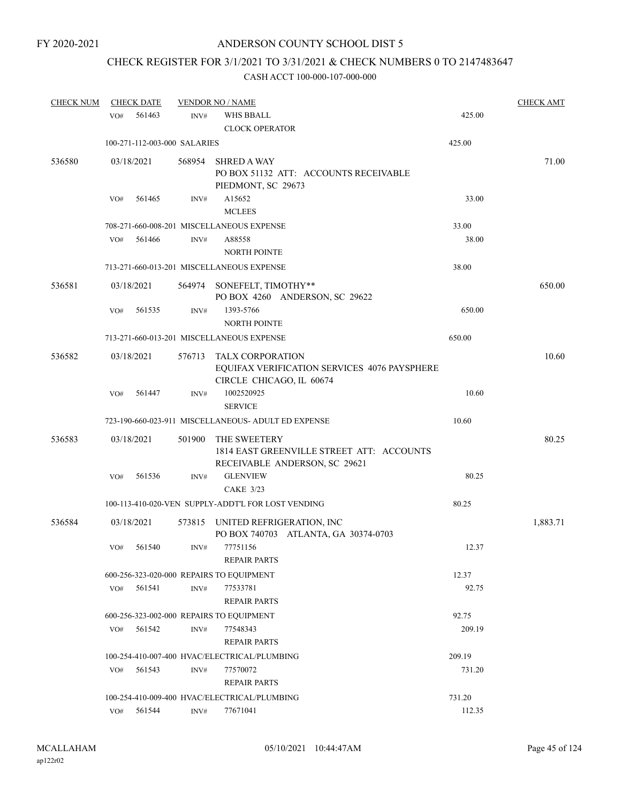# CHECK REGISTER FOR 3/1/2021 TO 3/31/2021 & CHECK NUMBERS 0 TO 2147483647

| <b>CHECK NUM</b> |     | <b>CHECK DATE</b> |                              | <b>VENDOR NO / NAME</b>                                                    |        | <b>CHECK AMT</b> |
|------------------|-----|-------------------|------------------------------|----------------------------------------------------------------------------|--------|------------------|
|                  | VO# | 561463            | INV#                         | <b>WHS BBALL</b>                                                           | 425.00 |                  |
|                  |     |                   |                              | <b>CLOCK OPERATOR</b>                                                      |        |                  |
|                  |     |                   | 100-271-112-003-000 SALARIES |                                                                            | 425.00 |                  |
| 536580           |     | 03/18/2021        | 568954                       | <b>SHRED A WAY</b>                                                         |        | 71.00            |
|                  |     |                   |                              | PO BOX 51132 ATT: ACCOUNTS RECEIVABLE                                      |        |                  |
|                  |     |                   |                              | PIEDMONT, SC 29673                                                         |        |                  |
|                  | VO# | 561465            | INV#                         | A15652                                                                     | 33.00  |                  |
|                  |     |                   |                              | <b>MCLEES</b>                                                              |        |                  |
|                  |     |                   |                              | 708-271-660-008-201 MISCELLANEOUS EXPENSE                                  | 33.00  |                  |
|                  | VO# | 561466            | INV#                         | A88558                                                                     | 38.00  |                  |
|                  |     |                   |                              | <b>NORTH POINTE</b>                                                        |        |                  |
|                  |     |                   |                              | 713-271-660-013-201 MISCELLANEOUS EXPENSE                                  | 38.00  |                  |
| 536581           |     | 03/18/2021        |                              |                                                                            |        | 650.00           |
|                  |     |                   |                              | 564974 SONEFELT, TIMOTHY**<br>PO BOX 4260 ANDERSON, SC 29622               |        |                  |
|                  | VO# | 561535            | INV#                         | 1393-5766                                                                  | 650.00 |                  |
|                  |     |                   |                              | <b>NORTH POINTE</b>                                                        |        |                  |
|                  |     |                   |                              | 713-271-660-013-201 MISCELLANEOUS EXPENSE                                  | 650.00 |                  |
|                  |     |                   |                              |                                                                            |        |                  |
| 536582           |     | 03/18/2021        | 576713                       | TALX CORPORATION                                                           |        | 10.60            |
|                  |     |                   |                              | EQUIFAX VERIFICATION SERVICES 4076 PAYSPHERE<br>CIRCLE CHICAGO, IL 60674   |        |                  |
|                  | VO# | 561447            | INV#                         | 1002520925                                                                 | 10.60  |                  |
|                  |     |                   |                              | <b>SERVICE</b>                                                             |        |                  |
|                  |     |                   |                              | 723-190-660-023-911 MISCELLANEOUS- ADULT ED EXPENSE                        | 10.60  |                  |
|                  |     |                   |                              |                                                                            |        |                  |
| 536583           |     | 03/18/2021        | 501900                       | THE SWEETERY                                                               |        | 80.25            |
|                  |     |                   |                              | 1814 EAST GREENVILLE STREET ATT: ACCOUNTS<br>RECEIVABLE ANDERSON, SC 29621 |        |                  |
|                  | VO# | 561536            | INV#                         | <b>GLENVIEW</b>                                                            | 80.25  |                  |
|                  |     |                   |                              | <b>CAKE 3/23</b>                                                           |        |                  |
|                  |     |                   |                              | 100-113-410-020-VEN SUPPLY-ADDT'L FOR LOST VENDING                         | 80.25  |                  |
|                  |     |                   |                              |                                                                            |        |                  |
| 536584           |     | 03/18/2021        |                              | 573815 UNITED REFRIGERATION, INC                                           |        | 1,883.71         |
|                  |     |                   |                              | PO BOX 740703 ATLANTA, GA 30374-0703                                       |        |                  |
|                  | VO# | 561540            | INV#                         | 77751156                                                                   | 12.37  |                  |
|                  |     |                   |                              | <b>REPAIR PARTS</b>                                                        |        |                  |
|                  |     |                   |                              | 600-256-323-020-000 REPAIRS TO EQUIPMENT                                   | 12.37  |                  |
|                  | VO# | 561541            | INV#                         | 77533781                                                                   | 92.75  |                  |
|                  |     |                   |                              | <b>REPAIR PARTS</b>                                                        |        |                  |
|                  |     |                   |                              | 600-256-323-002-000 REPAIRS TO EQUIPMENT                                   | 92.75  |                  |
|                  | VO# | 561542            | $\text{INV}\#$               | 77548343                                                                   | 209.19 |                  |
|                  |     |                   |                              | <b>REPAIR PARTS</b>                                                        |        |                  |
|                  |     |                   |                              | 100-254-410-007-400 HVAC/ELECTRICAL/PLUMBING                               | 209.19 |                  |
|                  | VO# | 561543            | INV#                         | 77570072                                                                   | 731.20 |                  |
|                  |     |                   |                              | <b>REPAIR PARTS</b>                                                        |        |                  |
|                  |     |                   |                              | 100-254-410-009-400 HVAC/ELECTRICAL/PLUMBING                               | 731.20 |                  |
|                  | VO# | 561544            | INV#                         | 77671041                                                                   | 112.35 |                  |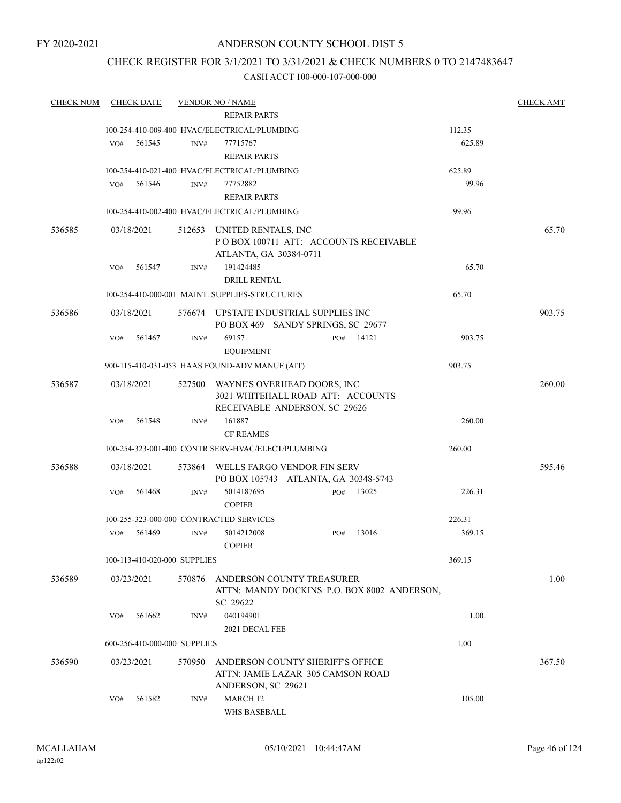### CHECK REGISTER FOR 3/1/2021 TO 3/31/2021 & CHECK NUMBERS 0 TO 2147483647

| <b>CHECK NUM</b> |     | <b>CHECK DATE</b> |                              | <b>VENDOR NO / NAME</b>                                               |     |       |                 | <b>CHECK AMT</b> |
|------------------|-----|-------------------|------------------------------|-----------------------------------------------------------------------|-----|-------|-----------------|------------------|
|                  |     |                   |                              | <b>REPAIR PARTS</b>                                                   |     |       |                 |                  |
|                  |     |                   |                              | 100-254-410-009-400 HVAC/ELECTRICAL/PLUMBING                          |     |       | 112.35          |                  |
|                  | VO# | 561545            | INV#                         | 77715767                                                              |     |       | 625.89          |                  |
|                  |     |                   |                              | <b>REPAIR PARTS</b>                                                   |     |       |                 |                  |
|                  |     | 561546            |                              | 100-254-410-021-400 HVAC/ELECTRICAL/PLUMBING                          |     |       | 625.89<br>99.96 |                  |
|                  | VO# |                   | INV#                         | 77752882<br><b>REPAIR PARTS</b>                                       |     |       |                 |                  |
|                  |     |                   |                              | 100-254-410-002-400 HVAC/ELECTRICAL/PLUMBING                          |     |       | 99.96           |                  |
|                  |     |                   |                              |                                                                       |     |       |                 |                  |
| 536585           |     | 03/18/2021        |                              | 512653 UNITED RENTALS, INC<br>PO BOX 100711 ATT: ACCOUNTS RECEIVABLE  |     |       |                 | 65.70            |
|                  |     |                   |                              | ATLANTA, GA 30384-0711                                                |     |       |                 |                  |
|                  | VO# | 561547            | INV#                         | 191424485                                                             |     |       | 65.70           |                  |
|                  |     |                   |                              | <b>DRILL RENTAL</b>                                                   |     |       |                 |                  |
|                  |     |                   |                              | 100-254-410-000-001 MAINT, SUPPLIES-STRUCTURES                        |     |       | 65.70           |                  |
| 536586           |     | 03/18/2021        |                              | 576674 UPSTATE INDUSTRIAL SUPPLIES INC                                |     |       |                 | 903.75           |
|                  |     |                   |                              | PO BOX 469 SANDY SPRINGS, SC 29677                                    |     |       |                 |                  |
|                  | VO# | 561467            | INV#                         | 69157                                                                 | PO# | 14121 | 903.75          |                  |
|                  |     |                   |                              | <b>EQUIPMENT</b>                                                      |     |       |                 |                  |
|                  |     |                   |                              | 900-115-410-031-053 HAAS FOUND-ADV MANUF (AIT)                        |     |       | 903.75          |                  |
| 536587           |     | 03/18/2021        | 527500                       | WAYNE'S OVERHEAD DOORS, INC                                           |     |       |                 | 260.00           |
|                  |     |                   |                              | 3021 WHITEHALL ROAD ATT: ACCOUNTS                                     |     |       |                 |                  |
|                  | VO# | 561548            | INV#                         | RECEIVABLE ANDERSON, SC 29626<br>161887                               |     |       | 260.00          |                  |
|                  |     |                   |                              | <b>CF REAMES</b>                                                      |     |       |                 |                  |
|                  |     |                   |                              | 100-254-323-001-400 CONTR SERV-HVAC/ELECT/PLUMBING                    |     |       | 260.00          |                  |
|                  |     |                   |                              |                                                                       |     |       |                 |                  |
| 536588           |     | 03/18/2021        | 573864                       | WELLS FARGO VENDOR FIN SERV<br>PO BOX 105743 ATLANTA, GA 30348-5743   |     |       |                 | 595.46           |
|                  | VO# | 561468            | INV#                         | 5014187695                                                            | PO# | 13025 | 226.31          |                  |
|                  |     |                   |                              | <b>COPIER</b>                                                         |     |       |                 |                  |
|                  |     |                   |                              | 100-255-323-000-000 CONTRACTED SERVICES                               |     |       | 226.31          |                  |
|                  | VO# | 561469            | INV#                         | 5014212008                                                            | PO# | 13016 | 369.15          |                  |
|                  |     |                   |                              | <b>COPIER</b>                                                         |     |       |                 |                  |
|                  |     |                   | 100-113-410-020-000 SUPPLIES |                                                                       |     |       | 369.15          |                  |
| 536589           |     | 03/23/2021        | 570876                       | ANDERSON COUNTY TREASURER                                             |     |       |                 | 1.00             |
|                  |     |                   |                              | ATTN: MANDY DOCKINS P.O. BOX 8002 ANDERSON,                           |     |       |                 |                  |
|                  |     | 561662            |                              | SC 29622<br>040194901                                                 |     |       | 1.00            |                  |
|                  | VO# |                   | INV#                         | 2021 DECAL FEE                                                        |     |       |                 |                  |
|                  |     |                   | 600-256-410-000-000 SUPPLIES |                                                                       |     |       | 1.00            |                  |
|                  |     |                   |                              |                                                                       |     |       |                 |                  |
| 536590           |     | 03/23/2021        | 570950                       | ANDERSON COUNTY SHERIFF'S OFFICE<br>ATTN: JAMIE LAZAR 305 CAMSON ROAD |     |       |                 | 367.50           |
|                  |     |                   |                              | ANDERSON, SC 29621                                                    |     |       |                 |                  |
|                  | VO# | 561582            | INV#                         | MARCH <sub>12</sub>                                                   |     |       | 105.00          |                  |
|                  |     |                   |                              | WHS BASEBALL                                                          |     |       |                 |                  |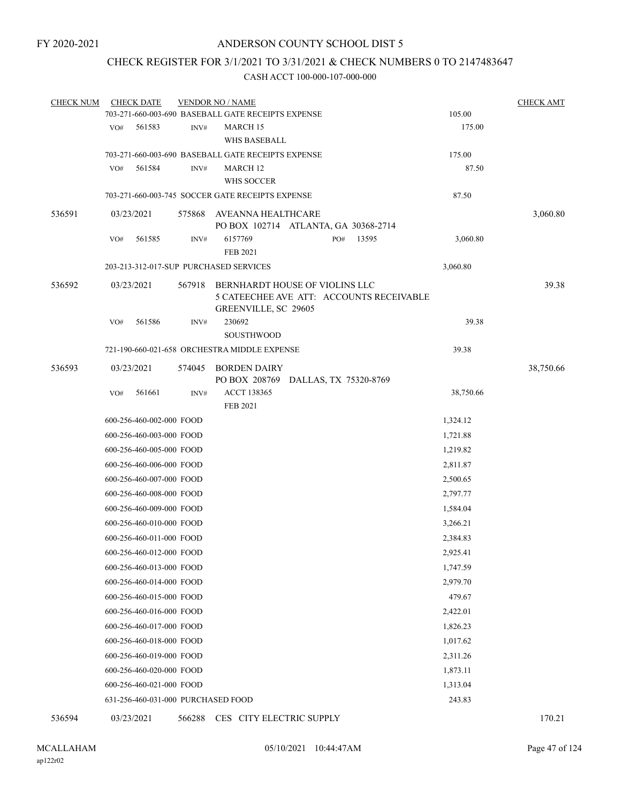## CHECK REGISTER FOR 3/1/2021 TO 3/31/2021 & CHECK NUMBERS 0 TO 2147483647

| <b>CHECK NUM</b> |     | <b>CHECK DATE</b>        |        | <b>VENDOR NO / NAME</b>                                                                            |                      | <b>CHECK AMT</b> |
|------------------|-----|--------------------------|--------|----------------------------------------------------------------------------------------------------|----------------------|------------------|
|                  |     |                          |        | 703-271-660-003-690 BASEBALL GATE RECEIPTS EXPENSE                                                 | 105.00               |                  |
|                  | VO# | 561583                   | INV#   | <b>MARCH 15</b>                                                                                    | 175.00               |                  |
|                  |     |                          |        | WHS BASEBALL                                                                                       |                      |                  |
|                  |     |                          |        | 703-271-660-003-690 BASEBALL GATE RECEIPTS EXPENSE                                                 | 175.00               |                  |
|                  | VO# | 561584                   | INV#   | <b>MARCH 12</b>                                                                                    | 87.50                |                  |
|                  |     |                          |        | WHS SOCCER<br>703-271-660-003-745 SOCCER GATE RECEIPTS EXPENSE                                     | 87.50                |                  |
|                  |     |                          |        |                                                                                                    |                      |                  |
| 536591           |     | 03/23/2021               |        | 575868 AVEANNA HEALTHCARE<br>PO BOX 102714 ATLANTA, GA 30368-2714                                  |                      | 3,060.80         |
|                  | VO# | 561585                   | INV#   | 6157769<br>PO#<br>13595                                                                            | 3,060.80             |                  |
|                  |     |                          |        | <b>FEB 2021</b>                                                                                    |                      |                  |
|                  |     |                          |        | 203-213-312-017-SUP PURCHASED SERVICES                                                             | 3,060.80             |                  |
| 536592           |     | 03/23/2021               | 567918 | BERNHARDT HOUSE OF VIOLINS LLC<br>5 CATEECHEE AVE ATT: ACCOUNTS RECEIVABLE<br>GREENVILLE, SC 29605 |                      | 39.38            |
|                  | VO# | 561586                   | INV#   | 230692                                                                                             | 39.38                |                  |
|                  |     |                          |        | <b>SOUSTHWOOD</b>                                                                                  |                      |                  |
|                  |     |                          |        | 721-190-660-021-658 ORCHESTRA MIDDLE EXPENSE                                                       | 39.38                |                  |
| 536593           |     | 03/23/2021               | 574045 | BORDEN DAIRY                                                                                       |                      | 38,750.66        |
|                  |     | 561661                   |        | PO BOX 208769 DALLAS, TX 75320-8769<br><b>ACCT 138365</b>                                          |                      |                  |
|                  | VO# |                          | INV#   | FEB 2021                                                                                           | 38,750.66            |                  |
|                  |     | 600-256-460-002-000 FOOD |        |                                                                                                    | 1,324.12             |                  |
|                  |     | 600-256-460-003-000 FOOD |        |                                                                                                    | 1,721.88             |                  |
|                  |     | 600-256-460-005-000 FOOD |        |                                                                                                    | 1,219.82             |                  |
|                  |     | 600-256-460-006-000 FOOD |        |                                                                                                    | 2,811.87             |                  |
|                  |     | 600-256-460-007-000 FOOD |        |                                                                                                    | 2,500.65             |                  |
|                  |     | 600-256-460-008-000 FOOD |        |                                                                                                    | 2,797.77             |                  |
|                  |     | 600-256-460-009-000 FOOD |        |                                                                                                    | 1,584.04             |                  |
|                  |     | 600-256-460-010-000 FOOD |        |                                                                                                    | 3,266.21             |                  |
|                  |     | 600-256-460-011-000 FOOD |        |                                                                                                    | 2,384.83             |                  |
|                  |     | 600-256-460-012-000 FOOD |        |                                                                                                    | 2,925.41             |                  |
|                  |     | 600-256-460-013-000 FOOD |        |                                                                                                    | 1,747.59             |                  |
|                  |     | 600-256-460-014-000 FOOD |        |                                                                                                    | 2,979.70             |                  |
|                  |     | 600-256-460-015-000 FOOD |        |                                                                                                    | 479.67               |                  |
|                  |     | 600-256-460-016-000 FOOD |        |                                                                                                    | 2,422.01             |                  |
|                  |     |                          |        |                                                                                                    |                      |                  |
|                  |     | 600-256-460-017-000 FOOD |        |                                                                                                    | 1,826.23<br>1,017.62 |                  |
|                  |     | 600-256-460-018-000 FOOD |        |                                                                                                    |                      |                  |
|                  |     | 600-256-460-019-000 FOOD |        |                                                                                                    | 2,311.26             |                  |
|                  |     | 600-256-460-020-000 FOOD |        |                                                                                                    | 1,873.11             |                  |
|                  |     | 600-256-460-021-000 FOOD |        |                                                                                                    | 1,313.04             |                  |
|                  |     |                          |        | 631-256-460-031-000 PURCHASED FOOD                                                                 | 243.83               |                  |
| 536594           |     | 03/23/2021               | 566288 | CES CITY ELECTRIC SUPPLY                                                                           |                      | 170.21           |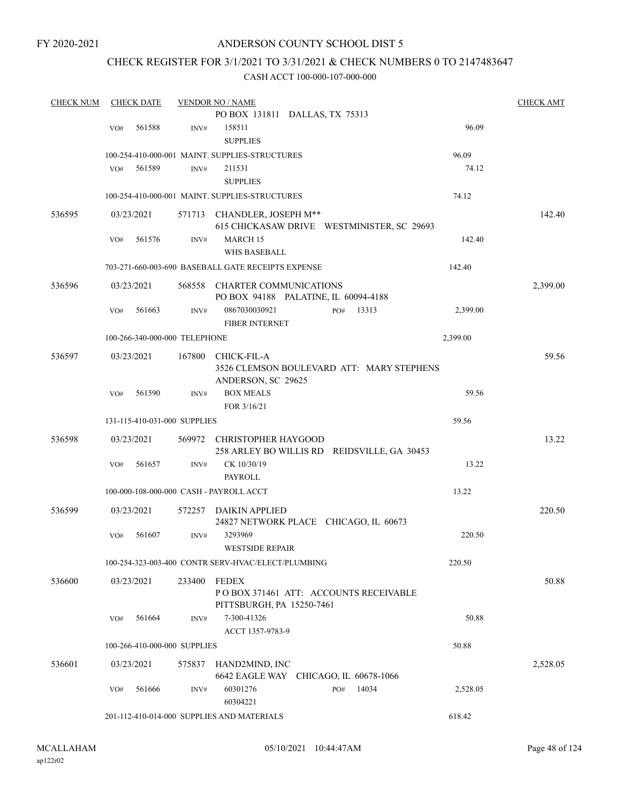### ANDERSON COUNTY SCHOOL DIST 5

### CHECK REGISTER FOR 3/1/2021 TO 3/31/2021 & CHECK NUMBERS 0 TO 2147483647

| <b>CHECK NUM</b> | <b>CHECK DATE</b>                       |        | <b>VENDOR NO / NAME</b>                            |                                             |          | <b>CHECK AMT</b> |
|------------------|-----------------------------------------|--------|----------------------------------------------------|---------------------------------------------|----------|------------------|
|                  |                                         |        |                                                    | PO BOX 131811 DALLAS, TX 75313              |          |                  |
|                  | 561588<br>VO#                           | INV#   | 158511                                             |                                             | 96.09    |                  |
|                  |                                         |        | <b>SUPPLIES</b>                                    |                                             |          |                  |
|                  |                                         |        | 100-254-410-000-001 MAINT. SUPPLIES-STRUCTURES     |                                             | 96.09    |                  |
|                  | 561589<br>VO#                           | INV#   | 211531                                             |                                             | 74.12    |                  |
|                  |                                         |        | <b>SUPPLIES</b>                                    |                                             |          |                  |
|                  |                                         |        | 100-254-410-000-001 MAINT. SUPPLIES-STRUCTURES     |                                             | 74.12    |                  |
| 536595           | 03/23/2021                              |        | 571713 CHANDLER, JOSEPH M**                        | 615 CHICKASAW DRIVE WESTMINISTER, SC 29693  |          | 142.40           |
|                  | VO#<br>561576                           | INV#   | <b>MARCH 15</b>                                    |                                             | 142.40   |                  |
|                  |                                         |        | WHS BASEBALL                                       |                                             |          |                  |
|                  |                                         |        | 703-271-660-003-690 BASEBALL GATE RECEIPTS EXPENSE |                                             | 142.40   |                  |
| 536596           | 03/23/2021                              | 568558 | <b>CHARTER COMMUNICATIONS</b>                      | PO BOX 94188 PALATINE, IL 60094-4188        |          | 2,399.00         |
|                  | 561663<br>VO#                           | INV#   | 0867030030921<br><b>FIBER INTERNET</b>             | 13313<br>PO#                                | 2,399.00 |                  |
|                  | 100-266-340-000-000 TELEPHONE           |        |                                                    |                                             | 2,399.00 |                  |
| 536597           | 03/23/2021                              | 167800 | CHICK-FIL-A<br>ANDERSON, SC 29625                  | 3526 CLEMSON BOULEVARD ATT: MARY STEPHENS   |          | 59.56            |
|                  | 561590<br>VO#                           | INV#   | <b>BOX MEALS</b>                                   |                                             | 59.56    |                  |
|                  |                                         |        | FOR 3/16/21                                        |                                             |          |                  |
|                  | 131-115-410-031-000 SUPPLIES            |        |                                                    |                                             | 59.56    |                  |
| 536598           | 03/23/2021                              |        | 569972 CHRISTOPHER HAYGOOD                         | 258 ARLEY BO WILLIS RD REIDSVILLE, GA 30453 |          | 13.22            |
|                  | 561657<br>VO#                           | INV#   | CK 10/30/19                                        |                                             | 13.22    |                  |
|                  |                                         |        | PAYROLL                                            |                                             |          |                  |
|                  | 100-000-108-000-000 CASH - PAYROLL ACCT |        |                                                    |                                             | 13.22    |                  |
| 536599           | 03/23/2021                              | 572257 | DAIKIN APPLIED                                     | 24827 NETWORK PLACE CHICAGO, IL 60673       |          | 220.50           |
|                  | 561607<br>VO#                           | INV#   | 3293969<br><b>WESTSIDE REPAIR</b>                  |                                             | 220.50   |                  |
|                  |                                         |        | 100-254-323-003-400 CONTR SERV-HVAC/ELECT/PLUMBING |                                             | 220.50   |                  |
| 536600           | 03/23/2021                              | 233400 | FEDEX<br>PITTSBURGH, PA 15250-7461                 | PO BOX 371461 ATT: ACCOUNTS RECEIVABLE      |          | 50.88            |
|                  | VO#<br>561664                           | INV#   | 7-300-41326<br>ACCT 1357-9783-9                    |                                             | 50.88    |                  |
|                  | 100-266-410-000-000 SUPPLIES            |        |                                                    |                                             | 50.88    |                  |
| 536601           | 03/23/2021                              |        | 575837 HAND2MIND, INC                              | 6642 EAGLE WAY CHICAGO, IL 60678-1066       |          | 2,528.05         |
|                  | 561666<br>VO#                           | INV#   | 60301276<br>60304221                               | 14034<br>PO#                                | 2,528.05 |                  |
|                  |                                         |        | 201-112-410-014-000 SUPPLIES AND MATERIALS         |                                             | 618.42   |                  |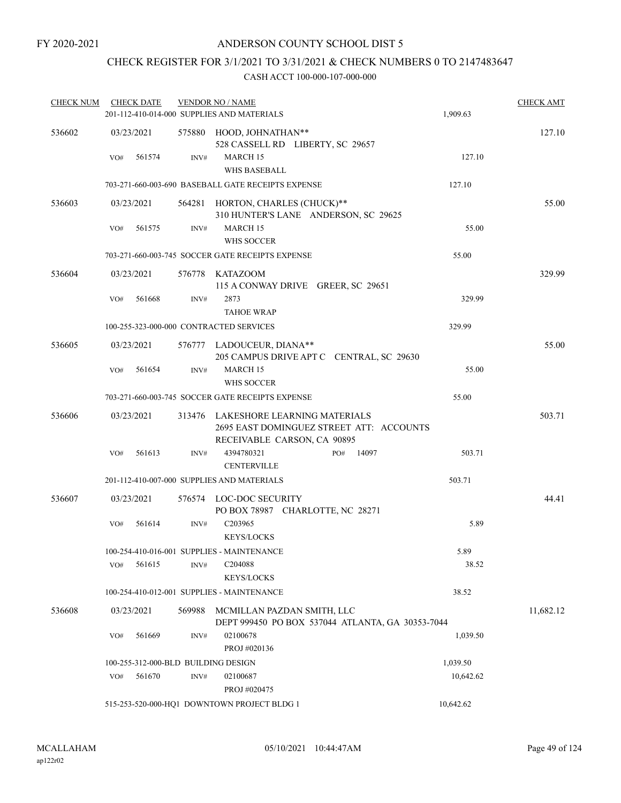## CHECK REGISTER FOR 3/1/2021 TO 3/31/2021 & CHECK NUMBERS 0 TO 2147483647

| <b>CHECK NUM</b> | <b>CHECK DATE</b>                   |        | <b>VENDOR NO / NAME</b>                                                                                 |           | <b>CHECK AMT</b> |
|------------------|-------------------------------------|--------|---------------------------------------------------------------------------------------------------------|-----------|------------------|
|                  |                                     |        | 201-112-410-014-000 SUPPLIES AND MATERIALS                                                              | 1,909.63  |                  |
| 536602           | 03/23/2021                          |        | 575880 HOOD, JOHNATHAN**<br>528 CASSELL RD LIBERTY, SC 29657                                            |           | 127.10           |
|                  | 561574<br>VO#                       | INV#   | <b>MARCH 15</b><br><b>WHS BASEBALL</b>                                                                  | 127.10    |                  |
|                  |                                     |        | 703-271-660-003-690 BASEBALL GATE RECEIPTS EXPENSE                                                      | 127.10    |                  |
| 536603           | 03/23/2021                          |        | 564281 HORTON, CHARLES (CHUCK)**<br>310 HUNTER'S LANE ANDERSON, SC 29625                                |           | 55.00            |
|                  | 561575<br>VO#                       | INV#   | MARCH 15<br>WHS SOCCER                                                                                  | 55.00     |                  |
|                  |                                     |        | 703-271-660-003-745 SOCCER GATE RECEIPTS EXPENSE                                                        | 55.00     |                  |
| 536604           | 03/23/2021                          | 576778 | <b>KATAZOOM</b><br>115 A CONWAY DRIVE GREER, SC 29651                                                   |           | 329.99           |
|                  | 561668<br>VO#                       | INV#   | 2873<br><b>TAHOE WRAP</b>                                                                               | 329.99    |                  |
|                  |                                     |        | 100-255-323-000-000 CONTRACTED SERVICES                                                                 | 329.99    |                  |
| 536605           | 03/23/2021                          |        | 576777 LADOUCEUR, DIANA**<br>205 CAMPUS DRIVE APT C CENTRAL, SC 29630                                   |           | 55.00            |
|                  | VO#<br>561654                       | INV#   | MARCH 15<br><b>WHS SOCCER</b>                                                                           | 55.00     |                  |
|                  |                                     |        | 703-271-660-003-745 SOCCER GATE RECEIPTS EXPENSE                                                        | 55.00     |                  |
| 536606           | 03/23/2021                          | 313476 | LAKESHORE LEARNING MATERIALS<br>2695 EAST DOMINGUEZ STREET ATT: ACCOUNTS<br>RECEIVABLE CARSON, CA 90895 |           | 503.71           |
|                  | 561613<br>VO#                       | INV#   | 4394780321<br>14097<br>PO#<br><b>CENTERVILLE</b>                                                        | 503.71    |                  |
|                  |                                     |        | 201-112-410-007-000 SUPPLIES AND MATERIALS                                                              | 503.71    |                  |
| 536607           | 03/23/2021                          |        | 576574 LOC-DOC SECURITY<br>PO BOX 78987 CHARLOTTE, NC 28271                                             |           | 44.41            |
|                  | 561614<br>VO#                       | INV#   | C203965<br><b>KEYS/LOCKS</b>                                                                            | 5.89      |                  |
|                  |                                     |        | 100-254-410-016-001 SUPPLIES - MAINTENANCE                                                              | 5.89      |                  |
|                  | 561615<br>VO#                       | INV#   | C <sub>204088</sub>                                                                                     | 38.52     |                  |
|                  |                                     |        | <b>KEYS/LOCKS</b>                                                                                       |           |                  |
|                  |                                     |        | 100-254-410-012-001 SUPPLIES - MAINTENANCE                                                              | 38.52     |                  |
| 536608           | 03/23/2021                          | 569988 | MCMILLAN PAZDAN SMITH, LLC<br>DEPT 999450 PO BOX 537044 ATLANTA, GA 30353-7044                          |           | 11,682.12        |
|                  | VO#<br>561669                       | INV#   | 02100678<br>PROJ #020136                                                                                | 1,039.50  |                  |
|                  | 100-255-312-000-BLD BUILDING DESIGN |        |                                                                                                         | 1,039.50  |                  |
|                  | 561670<br>VO#                       | INV#   | 02100687<br>PROJ #020475                                                                                | 10,642.62 |                  |
|                  |                                     |        | 515-253-520-000-HQ1 DOWNTOWN PROJECT BLDG 1                                                             | 10,642.62 |                  |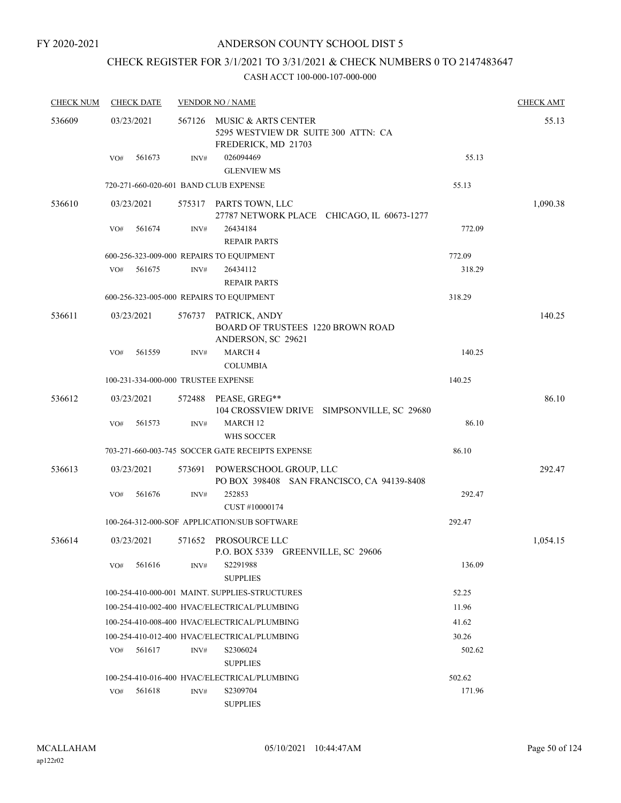# CHECK REGISTER FOR 3/1/2021 TO 3/31/2021 & CHECK NUMBERS 0 TO 2147483647

| <b>CHECK NUM</b> | <b>CHECK DATE</b>                     |        | <b>VENDOR NO / NAME</b>                                                                |        |          |  |  |  |
|------------------|---------------------------------------|--------|----------------------------------------------------------------------------------------|--------|----------|--|--|--|
| 536609           | 03/23/2021                            | 567126 | MUSIC & ARTS CENTER<br>5295 WESTVIEW DR SUITE 300 ATTN: CA<br>FREDERICK, MD 21703      |        | 55.13    |  |  |  |
|                  | 561673<br>VO#                         | INV#   | 026094469<br><b>GLENVIEW MS</b>                                                        | 55.13  |          |  |  |  |
|                  | 720-271-660-020-601 BAND CLUB EXPENSE |        |                                                                                        | 55.13  |          |  |  |  |
| 536610           | 03/23/2021                            |        | 575317 PARTS TOWN, LLC<br>27787 NETWORK PLACE CHICAGO, IL 60673-1277                   |        | 1,090.38 |  |  |  |
|                  | 561674<br>VO#                         | INV#   | 26434184<br><b>REPAIR PARTS</b>                                                        | 772.09 |          |  |  |  |
|                  |                                       |        | 600-256-323-009-000 REPAIRS TO EQUIPMENT                                               | 772.09 |          |  |  |  |
|                  | 561675<br>VO#                         | INV#   | 26434112<br><b>REPAIR PARTS</b>                                                        | 318.29 |          |  |  |  |
|                  |                                       |        | 600-256-323-005-000 REPAIRS TO EQUIPMENT                                               | 318.29 |          |  |  |  |
| 536611           | 03/23/2021                            |        | 576737 PATRICK, ANDY<br><b>BOARD OF TRUSTEES 1220 BROWN ROAD</b><br>ANDERSON, SC 29621 |        | 140.25   |  |  |  |
|                  | 561559<br>VO#                         | INV#   | MARCH <sub>4</sub><br><b>COLUMBIA</b>                                                  | 140.25 |          |  |  |  |
|                  | 100-231-334-000-000 TRUSTEE EXPENSE   |        |                                                                                        | 140.25 |          |  |  |  |
| 536612           | 03/23/2021                            | 572488 | PEASE, GREG**<br>104 CROSSVIEW DRIVE SIMPSONVILLE, SC 29680                            |        | 86.10    |  |  |  |
|                  | VO#<br>561573                         | INV#   | MARCH <sub>12</sub><br>WHS SOCCER                                                      | 86.10  |          |  |  |  |
|                  |                                       |        | 703-271-660-003-745 SOCCER GATE RECEIPTS EXPENSE                                       | 86.10  |          |  |  |  |
| 536613           | 03/23/2021                            | 573691 | POWERSCHOOL GROUP, LLC<br>PO BOX 398408 SAN FRANCISCO, CA 94139-8408                   |        | 292.47   |  |  |  |
|                  | 561676<br>VO#                         | INV#   | 252853<br>CUST #10000174                                                               | 292.47 |          |  |  |  |
|                  |                                       |        | 100-264-312-000-SOF APPLICATION/SUB SOFTWARE                                           | 292.47 |          |  |  |  |
| 536614           | 03/23/2021                            |        | 571652 PROSOURCE LLC<br>P.O. BOX 5339 GREENVILLE, SC 29606                             |        | 1,054.15 |  |  |  |
|                  | 561616<br>VO#                         | INV#   | S2291988<br><b>SUPPLIES</b>                                                            | 136.09 |          |  |  |  |
|                  |                                       |        | 100-254-410-000-001 MAINT. SUPPLIES-STRUCTURES                                         | 52.25  |          |  |  |  |
|                  |                                       |        | 100-254-410-002-400 HVAC/ELECTRICAL/PLUMBING                                           | 11.96  |          |  |  |  |
|                  |                                       |        | 100-254-410-008-400 HVAC/ELECTRICAL/PLUMBING                                           | 41.62  |          |  |  |  |
|                  |                                       |        | 100-254-410-012-400 HVAC/ELECTRICAL/PLUMBING                                           | 30.26  |          |  |  |  |
|                  | 561617<br>VO#                         | INV#   | S2306024<br><b>SUPPLIES</b>                                                            | 502.62 |          |  |  |  |
|                  |                                       |        | 100-254-410-016-400 HVAC/ELECTRICAL/PLUMBING                                           | 502.62 |          |  |  |  |
|                  | 561618<br>VO#                         | INV#   | S2309704<br><b>SUPPLIES</b>                                                            | 171.96 |          |  |  |  |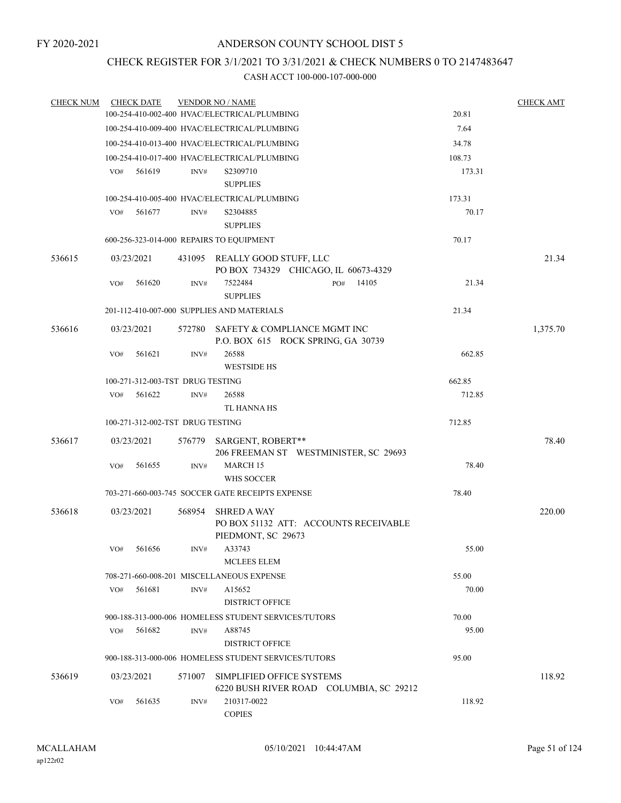### CHECK REGISTER FOR 3/1/2021 TO 3/31/2021 & CHECK NUMBERS 0 TO 2147483647

| <b>CHECK NUM</b> |     | <b>CHECK DATE</b>                            |        | <b>VENDOR NO / NAME</b>                                                           |     |       |        | <b>CHECK AMT</b> |
|------------------|-----|----------------------------------------------|--------|-----------------------------------------------------------------------------------|-----|-------|--------|------------------|
|                  |     |                                              |        | 100-254-410-002-400 HVAC/ELECTRICAL/PLUMBING                                      |     |       | 20.81  |                  |
|                  |     |                                              |        | 100-254-410-009-400 HVAC/ELECTRICAL/PLUMBING                                      |     |       | 7.64   |                  |
|                  |     |                                              |        | 100-254-410-013-400 HVAC/ELECTRICAL/PLUMBING                                      |     |       | 34.78  |                  |
|                  |     |                                              |        | 100-254-410-017-400 HVAC/ELECTRICAL/PLUMBING                                      |     |       | 108.73 |                  |
|                  | VO# | 561619                                       | INV#   | S2309710<br><b>SUPPLIES</b>                                                       |     |       | 173.31 |                  |
|                  |     | 100-254-410-005-400 HVAC/ELECTRICAL/PLUMBING |        | 173.31                                                                            |     |       |        |                  |
|                  | VO# | 561677                                       | INV#   | S2304885<br><b>SUPPLIES</b>                                                       |     |       | 70.17  |                  |
|                  |     |                                              |        | 600-256-323-014-000 REPAIRS TO EQUIPMENT                                          |     |       | 70.17  |                  |
| 536615           |     | 03/23/2021                                   |        | 431095 REALLY GOOD STUFF, LLC<br>PO BOX 734329 CHICAGO, IL 60673-4329             |     |       |        | 21.34            |
|                  | VO# | 561620                                       | INV#   | 7522484<br><b>SUPPLIES</b>                                                        | PO# | 14105 | 21.34  |                  |
|                  |     |                                              |        | 201-112-410-007-000 SUPPLIES AND MATERIALS                                        |     |       | 21.34  |                  |
| 536616           |     | 03/23/2021                                   | 572780 | SAFETY & COMPLIANCE MGMT INC<br>P.O. BOX 615 ROCK SPRING, GA 30739                |     |       |        | 1,375.70         |
|                  | VO# | 561621                                       | INV#   | 26588<br><b>WESTSIDE HS</b>                                                       |     |       | 662.85 |                  |
|                  |     | 100-271-312-003-TST DRUG TESTING             |        |                                                                                   |     |       | 662.85 |                  |
|                  | VO# | 561622                                       | INV#   | 26588                                                                             |     |       | 712.85 |                  |
|                  |     |                                              |        | TL HANNA HS                                                                       |     |       |        |                  |
|                  |     | 100-271-312-002-TST DRUG TESTING             |        |                                                                                   |     |       | 712.85 |                  |
| 536617           |     | 03/23/2021                                   | 576779 | SARGENT, ROBERT**<br>206 FREEMAN ST WESTMINISTER, SC 29693                        |     |       |        | 78.40            |
|                  | VO# | 561655                                       | INV#   | MARCH 15<br>WHS SOCCER                                                            |     |       | 78.40  |                  |
|                  |     |                                              |        | 703-271-660-003-745 SOCCER GATE RECEIPTS EXPENSE                                  |     |       | 78.40  |                  |
| 536618           |     | 03/23/2021                                   | 568954 | <b>SHRED A WAY</b><br>PO BOX 51132 ATT: ACCOUNTS RECEIVABLE<br>PIEDMONT, SC 29673 |     |       |        | 220.00           |
|                  |     | VO# 561656                                   |        | INV# A33743<br><b>MCLEES ELEM</b>                                                 |     |       | 55.00  |                  |
|                  |     |                                              |        | 708-271-660-008-201 MISCELLANEOUS EXPENSE                                         |     |       | 55.00  |                  |
|                  | VO# | 561681                                       | INV#   | A15652<br><b>DISTRICT OFFICE</b>                                                  |     |       | 70.00  |                  |
|                  |     |                                              |        | 900-188-313-000-006 HOMELESS STUDENT SERVICES/TUTORS                              |     |       | 70.00  |                  |
|                  | VO# | 561682                                       | INV#   | A88745<br><b>DISTRICT OFFICE</b>                                                  |     |       | 95.00  |                  |
|                  |     |                                              |        | 900-188-313-000-006 HOMELESS STUDENT SERVICES/TUTORS                              |     |       | 95.00  |                  |
| 536619           |     | 03/23/2021                                   |        | 571007 SIMPLIFIED OFFICE SYSTEMS<br>6220 BUSH RIVER ROAD COLUMBIA, SC 29212       |     |       |        | 118.92           |
|                  | VO# | 561635                                       | INV#   | 210317-0022<br><b>COPIES</b>                                                      |     |       | 118.92 |                  |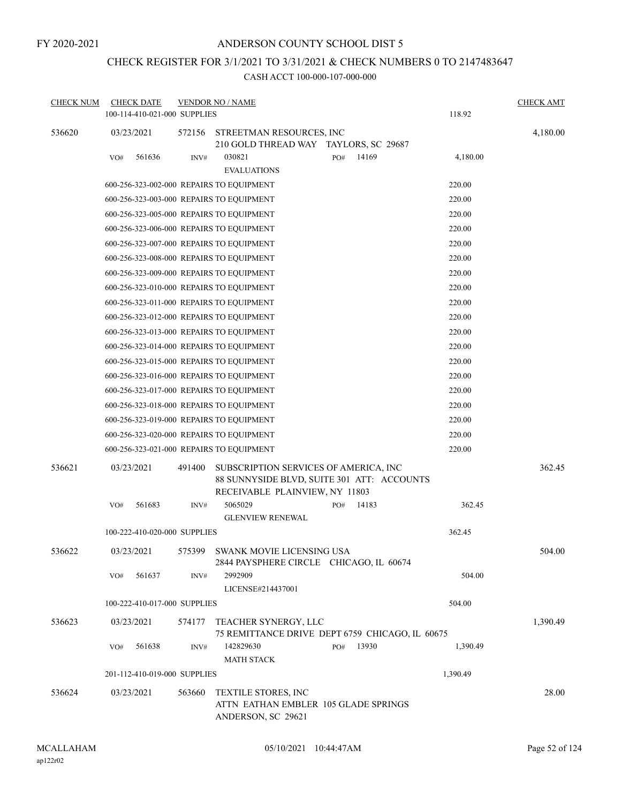# CHECK REGISTER FOR 3/1/2021 TO 3/31/2021 & CHECK NUMBERS 0 TO 2147483647

| <b>CHECK NUM</b> | <b>CHECK DATE</b>                        |        | <b>VENDOR NO / NAME</b>                                                                                               |     |       |          | <b>CHECK AMT</b> |
|------------------|------------------------------------------|--------|-----------------------------------------------------------------------------------------------------------------------|-----|-------|----------|------------------|
|                  | 100-114-410-021-000 SUPPLIES             |        |                                                                                                                       |     |       | 118.92   |                  |
| 536620           | 03/23/2021                               | 572156 | STREETMAN RESOURCES, INC<br>210 GOLD THREAD WAY TAYLORS, SC 29687                                                     |     |       |          | 4,180.00         |
|                  | 561636<br>VO#                            | INV#   | 030821<br><b>EVALUATIONS</b>                                                                                          | PO# | 14169 | 4,180.00 |                  |
|                  | 600-256-323-002-000 REPAIRS TO EQUIPMENT |        |                                                                                                                       |     |       | 220.00   |                  |
|                  | 600-256-323-003-000 REPAIRS TO EQUIPMENT |        |                                                                                                                       |     |       | 220.00   |                  |
|                  | 600-256-323-005-000 REPAIRS TO EQUIPMENT |        |                                                                                                                       |     |       | 220.00   |                  |
|                  | 600-256-323-006-000 REPAIRS TO EQUIPMENT |        |                                                                                                                       |     |       | 220.00   |                  |
|                  | 600-256-323-007-000 REPAIRS TO EQUIPMENT |        |                                                                                                                       |     |       | 220.00   |                  |
|                  | 600-256-323-008-000 REPAIRS TO EQUIPMENT |        |                                                                                                                       |     |       | 220.00   |                  |
|                  | 600-256-323-009-000 REPAIRS TO EQUIPMENT |        |                                                                                                                       |     |       | 220.00   |                  |
|                  | 600-256-323-010-000 REPAIRS TO EQUIPMENT |        |                                                                                                                       |     |       | 220.00   |                  |
|                  | 600-256-323-011-000 REPAIRS TO EOUIPMENT |        |                                                                                                                       |     |       | 220.00   |                  |
|                  | 600-256-323-012-000 REPAIRS TO EQUIPMENT |        |                                                                                                                       |     |       | 220.00   |                  |
|                  | 600-256-323-013-000 REPAIRS TO EQUIPMENT |        |                                                                                                                       |     |       | 220.00   |                  |
|                  | 600-256-323-014-000 REPAIRS TO EQUIPMENT |        |                                                                                                                       |     |       | 220.00   |                  |
|                  | 600-256-323-015-000 REPAIRS TO EQUIPMENT |        |                                                                                                                       |     |       | 220.00   |                  |
|                  | 600-256-323-016-000 REPAIRS TO EQUIPMENT |        |                                                                                                                       |     |       | 220.00   |                  |
|                  | 600-256-323-017-000 REPAIRS TO EQUIPMENT |        |                                                                                                                       |     |       | 220.00   |                  |
|                  | 600-256-323-018-000 REPAIRS TO EQUIPMENT |        |                                                                                                                       |     |       | 220.00   |                  |
|                  | 600-256-323-019-000 REPAIRS TO EQUIPMENT |        |                                                                                                                       |     |       | 220.00   |                  |
|                  | 600-256-323-020-000 REPAIRS TO EQUIPMENT |        |                                                                                                                       |     |       | 220.00   |                  |
|                  | 600-256-323-021-000 REPAIRS TO EQUIPMENT |        |                                                                                                                       |     |       | 220.00   |                  |
| 536621           | 03/23/2021                               | 491400 | SUBSCRIPTION SERVICES OF AMERICA, INC<br>88 SUNNYSIDE BLVD, SUITE 301 ATT: ACCOUNTS<br>RECEIVABLE PLAINVIEW, NY 11803 |     |       |          | 362.45           |
|                  | 561683<br>VO#                            | INV#   | 5065029<br><b>GLENVIEW RENEWAL</b>                                                                                    | PO# | 14183 | 362.45   |                  |
|                  | 100-222-410-020-000 SUPPLIES             |        |                                                                                                                       |     |       | 362.45   |                  |
| 536622           | 03/23/2021                               |        | 575399 SWANK MOVIE LICENSING USA<br>2844 PAYSPHERE CIRCLE CHICAGO, IL 60674                                           |     |       |          | 504.00           |
|                  | 561637<br>VO#                            | INV#   | 2992909<br>LICENSE#214437001                                                                                          |     |       | 504.00   |                  |
|                  | 100-222-410-017-000 SUPPLIES             |        |                                                                                                                       |     |       | 504.00   |                  |
| 536623           | 03/23/2021                               | 574177 | TEACHER SYNERGY, LLC<br>75 REMITTANCE DRIVE DEPT 6759 CHICAGO, IL 60675                                               |     |       |          | 1,390.49         |
|                  | 561638<br>VO#                            | INV#   | 142829630<br><b>MATH STACK</b>                                                                                        | PO# | 13930 | 1,390.49 |                  |
|                  | 201-112-410-019-000 SUPPLIES             |        |                                                                                                                       |     |       | 1,390.49 |                  |
| 536624           | 03/23/2021                               | 563660 | TEXTILE STORES, INC<br>ATTN EATHAN EMBLER 105 GLADE SPRINGS<br>ANDERSON, SC 29621                                     |     |       |          | 28.00            |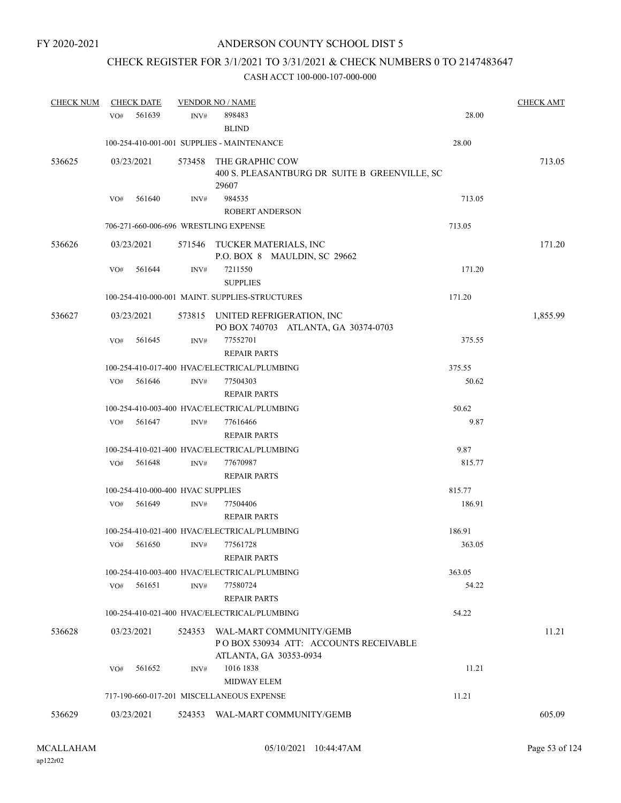# CHECK REGISTER FOR 3/1/2021 TO 3/31/2021 & CHECK NUMBERS 0 TO 2147483647

| <b>CHECK NUM</b> |     | <b>CHECK DATE</b>                 |        | <b>VENDOR NO / NAME</b>                        |        | <b>CHECK AMT</b> |
|------------------|-----|-----------------------------------|--------|------------------------------------------------|--------|------------------|
|                  | VO# | 561639                            | INV#   | 898483                                         | 28.00  |                  |
|                  |     |                                   |        | <b>BLIND</b>                                   |        |                  |
|                  |     |                                   |        | 100-254-410-001-001 SUPPLIES - MAINTENANCE     | 28.00  |                  |
| 536625           |     | 03/23/2021                        | 573458 | THE GRAPHIC COW                                |        | 713.05           |
|                  |     |                                   |        | 400 S. PLEASANTBURG DR SUITE B GREENVILLE, SC  |        |                  |
|                  |     |                                   |        | 29607                                          |        |                  |
|                  | VO# | 561640                            | INV#   | 984535                                         | 713.05 |                  |
|                  |     |                                   |        | <b>ROBERT ANDERSON</b>                         |        |                  |
|                  |     |                                   |        | 706-271-660-006-696 WRESTLING EXPENSE          | 713.05 |                  |
| 536626           |     | 03/23/2021                        | 571546 | TUCKER MATERIALS, INC                          |        | 171.20           |
|                  |     |                                   |        | P.O. BOX 8 MAULDIN, SC 29662                   |        |                  |
|                  | VO# | 561644                            | INV#   | 7211550                                        | 171.20 |                  |
|                  |     |                                   |        | <b>SUPPLIES</b>                                |        |                  |
|                  |     |                                   |        | 100-254-410-000-001 MAINT. SUPPLIES-STRUCTURES | 171.20 |                  |
| 536627           |     | 03/23/2021                        |        | 573815 UNITED REFRIGERATION, INC               |        | 1,855.99         |
|                  |     |                                   |        | PO BOX 740703 ATLANTA, GA 30374-0703           |        |                  |
|                  | VO# | 561645                            | INV#   | 77552701                                       | 375.55 |                  |
|                  |     |                                   |        | <b>REPAIR PARTS</b>                            |        |                  |
|                  |     |                                   |        | 100-254-410-017-400 HVAC/ELECTRICAL/PLUMBING   | 375.55 |                  |
|                  | VO# | 561646                            | INV#   | 77504303                                       | 50.62  |                  |
|                  |     |                                   |        | <b>REPAIR PARTS</b>                            |        |                  |
|                  |     |                                   |        | 100-254-410-003-400 HVAC/ELECTRICAL/PLUMBING   | 50.62  |                  |
|                  | VO# | 561647                            | INV#   | 77616466                                       | 9.87   |                  |
|                  |     |                                   |        | <b>REPAIR PARTS</b>                            |        |                  |
|                  |     |                                   |        | 100-254-410-021-400 HVAC/ELECTRICAL/PLUMBING   | 9.87   |                  |
|                  | VO# | 561648                            | INV#   | 77670987                                       | 815.77 |                  |
|                  |     |                                   |        | <b>REPAIR PARTS</b>                            |        |                  |
|                  |     | 100-254-410-000-400 HVAC SUPPLIES |        |                                                | 815.77 |                  |
|                  | VO# | 561649                            | INV#   | 77504406                                       | 186.91 |                  |
|                  |     |                                   |        | <b>REPAIR PARTS</b>                            |        |                  |
|                  |     |                                   |        | 100-254-410-021-400 HVAC/ELECTRICAL/PLUMBING   | 186.91 |                  |
|                  | VO# | 561650                            | INV#   | 77561728                                       | 363.05 |                  |
|                  |     |                                   |        | <b>REPAIR PARTS</b>                            |        |                  |
|                  |     |                                   |        | 100-254-410-003-400 HVAC/ELECTRICAL/PLUMBING   | 363.05 |                  |
|                  | VO# | 561651                            | INV#   | 77580724                                       | 54.22  |                  |
|                  |     |                                   |        | <b>REPAIR PARTS</b>                            |        |                  |
|                  |     |                                   |        | 100-254-410-021-400 HVAC/ELECTRICAL/PLUMBING   | 54.22  |                  |
| 536628           |     | 03/23/2021                        | 524353 | WAL-MART COMMUNITY/GEMB                        |        | 11.21            |
|                  |     |                                   |        | POBOX 530934 ATT: ACCOUNTS RECEIVABLE          |        |                  |
|                  |     |                                   |        | ATLANTA, GA 30353-0934                         |        |                  |
|                  | VO# | 561652                            | INV#   | 1016 1838                                      | 11.21  |                  |
|                  |     |                                   |        | MIDWAY ELEM                                    |        |                  |
|                  |     |                                   |        | 717-190-660-017-201 MISCELLANEOUS EXPENSE      | 11.21  |                  |
| 536629           |     | 03/23/2021                        |        | 524353 WAL-MART COMMUNITY/GEMB                 |        | 605.09           |
|                  |     |                                   |        |                                                |        |                  |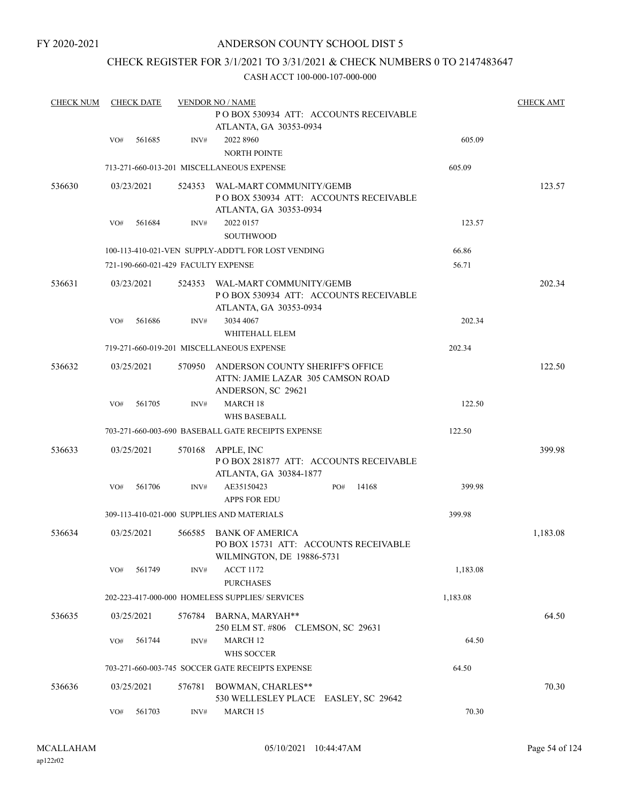### ANDERSON COUNTY SCHOOL DIST 5

### CHECK REGISTER FOR 3/1/2021 TO 3/31/2021 & CHECK NUMBERS 0 TO 2147483647

| <b>CHECK NUM</b> |     | <b>CHECK DATE</b> |        | <b>VENDOR NO / NAME</b>                                                                      |          |          |  |  |  |  |
|------------------|-----|-------------------|--------|----------------------------------------------------------------------------------------------|----------|----------|--|--|--|--|
|                  |     |                   |        |                                                                                              |          |          |  |  |  |  |
|                  | VO# | 561685            | INV#   | 2022 8960<br><b>NORTH POINTE</b>                                                             | 605.09   |          |  |  |  |  |
|                  |     |                   |        | 713-271-660-013-201 MISCELLANEOUS EXPENSE                                                    | 605.09   |          |  |  |  |  |
| 536630           |     | 03/23/2021        | 524353 | WAL-MART COMMUNITY/GEMB<br>POBOX 530934 ATT: ACCOUNTS RECEIVABLE<br>ATLANTA, GA 30353-0934   |          | 123.57   |  |  |  |  |
|                  | VO# | 561684            | INV#   | 2022 0157                                                                                    | 123.57   |          |  |  |  |  |
|                  |     |                   |        | <b>SOUTHWOOD</b>                                                                             |          |          |  |  |  |  |
|                  |     |                   |        | 100-113-410-021-VEN SUPPLY-ADDT'L FOR LOST VENDING                                           | 66.86    |          |  |  |  |  |
|                  |     |                   |        | 721-190-660-021-429 FACULTY EXPENSE                                                          | 56.71    |          |  |  |  |  |
| 536631           |     | 03/23/2021        | 524353 | WAL-MART COMMUNITY/GEMB<br>POBOX 530934 ATT: ACCOUNTS RECEIVABLE<br>ATLANTA, GA 30353-0934   |          | 202.34   |  |  |  |  |
|                  | VO# | 561686            | INV#   | 3034 4067<br>WHITEHALL ELEM                                                                  | 202.34   |          |  |  |  |  |
|                  |     |                   |        | 719-271-660-019-201 MISCELLANEOUS EXPENSE                                                    | 202.34   |          |  |  |  |  |
| 536632           |     | 03/25/2021        | 570950 | ANDERSON COUNTY SHERIFF'S OFFICE<br>ATTN: JAMIE LAZAR 305 CAMSON ROAD<br>ANDERSON, SC 29621  |          | 122.50   |  |  |  |  |
|                  | VO# | 561705            | INV#   | <b>MARCH 18</b><br><b>WHS BASEBALL</b>                                                       | 122.50   |          |  |  |  |  |
|                  |     |                   |        | 703-271-660-003-690 BASEBALL GATE RECEIPTS EXPENSE                                           | 122.50   |          |  |  |  |  |
|                  |     |                   |        |                                                                                              |          |          |  |  |  |  |
| 536633           |     | 03/25/2021        | 570168 | APPLE, INC<br>POBOX 281877 ATT: ACCOUNTS RECEIVABLE<br>ATLANTA, GA 30384-1877                |          | 399.98   |  |  |  |  |
|                  | VO# | 561706            | INV#   | AE35150423<br>14168<br>PO#<br><b>APPS FOR EDU</b>                                            | 399.98   |          |  |  |  |  |
|                  |     |                   |        | 309-113-410-021-000 SUPPLIES AND MATERIALS                                                   | 399.98   |          |  |  |  |  |
| 536634           |     | 03/25/2021        | 566585 | <b>BANK OF AMERICA</b><br>PO BOX 15731 ATT: ACCOUNTS RECEIVABLE<br>WILMINGTON, DE 19886-5731 |          | 1,183.08 |  |  |  |  |
|                  | VO# | 561749            | INV#   | <b>ACCT 1172</b><br><b>PURCHASES</b>                                                         | 1,183.08 |          |  |  |  |  |
|                  |     |                   |        | 202-223-417-000-000 HOMELESS SUPPLIES/ SERVICES                                              | 1,183.08 |          |  |  |  |  |
| 536635           |     | 03/25/2021        | 576784 | BARNA, MARYAH**<br>250 ELM ST. #806 CLEMSON, SC 29631                                        |          | 64.50    |  |  |  |  |
|                  | VO# | 561744            | INV#   | MARCH <sub>12</sub>                                                                          | 64.50    |          |  |  |  |  |
|                  |     |                   |        | WHS SOCCER                                                                                   |          |          |  |  |  |  |
|                  |     |                   |        | 703-271-660-003-745 SOCCER GATE RECEIPTS EXPENSE                                             | 64.50    |          |  |  |  |  |
| 536636           |     | 03/25/2021        | 576781 | BOWMAN, CHARLES**<br>530 WELLESLEY PLACE EASLEY, SC 29642                                    |          | 70.30    |  |  |  |  |
|                  | VO# | 561703            | INV#   | MARCH 15                                                                                     | 70.30    |          |  |  |  |  |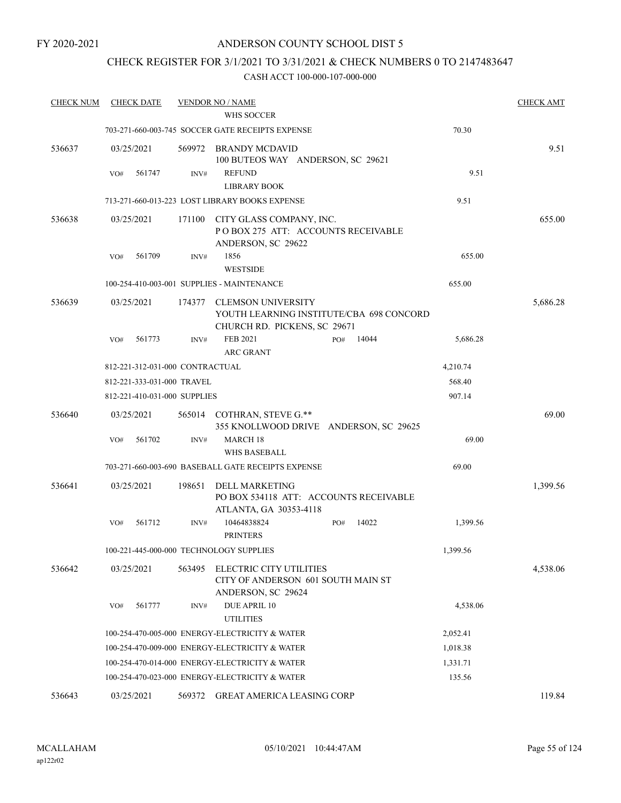### ANDERSON COUNTY SCHOOL DIST 5

## CHECK REGISTER FOR 3/1/2021 TO 3/31/2021 & CHECK NUMBERS 0 TO 2147483647

| <b>CHECK NUM</b> | <b>CHECK DATE</b>               |        | <b>VENDOR NO / NAME</b>                                                               |              |          | <b>CHECK AMT</b> |
|------------------|---------------------------------|--------|---------------------------------------------------------------------------------------|--------------|----------|------------------|
|                  |                                 |        | WHS SOCCER                                                                            |              |          |                  |
|                  |                                 |        | 703-271-660-003-745 SOCCER GATE RECEIPTS EXPENSE                                      |              | 70.30    |                  |
| 536637           | 03/25/2021                      | 569972 | BRANDY MCDAVID<br>100 BUTEOS WAY ANDERSON, SC 29621                                   |              |          | 9.51             |
|                  | VO#<br>561747                   | INV#   | <b>REFUND</b><br><b>LIBRARY BOOK</b>                                                  |              | 9.51     |                  |
|                  |                                 |        | 713-271-660-013-223 LOST LIBRARY BOOKS EXPENSE                                        |              | 9.51     |                  |
|                  |                                 |        |                                                                                       |              |          |                  |
| 536638           | 03/25/2021                      | 171100 | CITY GLASS COMPANY, INC.<br>PO BOX 275 ATT: ACCOUNTS RECEIVABLE<br>ANDERSON, SC 29622 |              |          | 655.00           |
|                  | 561709<br>VO#                   | INV#   | 1856<br><b>WESTSIDE</b>                                                               |              | 655.00   |                  |
|                  |                                 |        | 100-254-410-003-001 SUPPLIES - MAINTENANCE                                            |              | 655.00   |                  |
| 536639           | 03/25/2021                      | 174377 | <b>CLEMSON UNIVERSITY</b>                                                             |              |          | 5,686.28         |
|                  |                                 |        | YOUTH LEARNING INSTITUTE/CBA 698 CONCORD                                              |              |          |                  |
|                  |                                 |        | CHURCH RD. PICKENS, SC 29671                                                          |              |          |                  |
|                  | 561773<br>VO#                   | INV#   | FEB 2021<br><b>ARC GRANT</b>                                                          | 14044<br>PO# | 5,686.28 |                  |
|                  | 812-221-312-031-000 CONTRACTUAL |        |                                                                                       |              | 4,210.74 |                  |
|                  | 812-221-333-031-000 TRAVEL      |        |                                                                                       |              | 568.40   |                  |
|                  | 812-221-410-031-000 SUPPLIES    |        |                                                                                       |              | 907.14   |                  |
| 536640           | 03/25/2021                      |        | 565014 COTHRAN, STEVE G.**<br>355 KNOLLWOOD DRIVE ANDERSON, SC 29625                  |              |          | 69.00            |
|                  | 561702<br>VO#                   | INV#   | <b>MARCH 18</b>                                                                       |              | 69.00    |                  |
|                  |                                 |        | <b>WHS BASEBALL</b>                                                                   |              |          |                  |
|                  |                                 |        | 703-271-660-003-690 BASEBALL GATE RECEIPTS EXPENSE                                    |              | 69.00    |                  |
| 536641           | 03/25/2021                      | 198651 | DELL MARKETING<br>PO BOX 534118 ATT: ACCOUNTS RECEIVABLE                              |              |          | 1,399.56         |
|                  |                                 |        | ATLANTA, GA 30353-4118                                                                |              |          |                  |
|                  | VO#<br>561712                   | INV#   | 10464838824<br><b>PRINTERS</b>                                                        | 14022<br>PO# | 1,399.56 |                  |
|                  |                                 |        | 100-221-445-000-000 TECHNOLOGY SUPPLIES                                               |              | 1,399.56 |                  |
| 536642           | 03/25/2021                      | 563495 | ELECTRIC CITY UTILITIES<br>CITY OF ANDERSON 601 SOUTH MAIN ST<br>ANDERSON, SC 29624   |              |          | 4,538.06         |
|                  | 561777<br>VO#                   | INV#   | <b>DUE APRIL 10</b><br><b>UTILITIES</b>                                               |              | 4,538.06 |                  |
|                  |                                 |        | 100-254-470-005-000 ENERGY-ELECTRICITY & WATER                                        |              | 2,052.41 |                  |
|                  |                                 |        | 100-254-470-009-000 ENERGY-ELECTRICITY & WATER                                        |              | 1,018.38 |                  |
|                  |                                 |        | 100-254-470-014-000 ENERGY-ELECTRICITY & WATER                                        |              | 1,331.71 |                  |
|                  |                                 |        | 100-254-470-023-000 ENERGY-ELECTRICITY & WATER                                        |              | 135.56   |                  |
| 536643           | 03/25/2021                      | 569372 | <b>GREAT AMERICA LEASING CORP</b>                                                     |              |          | 119.84           |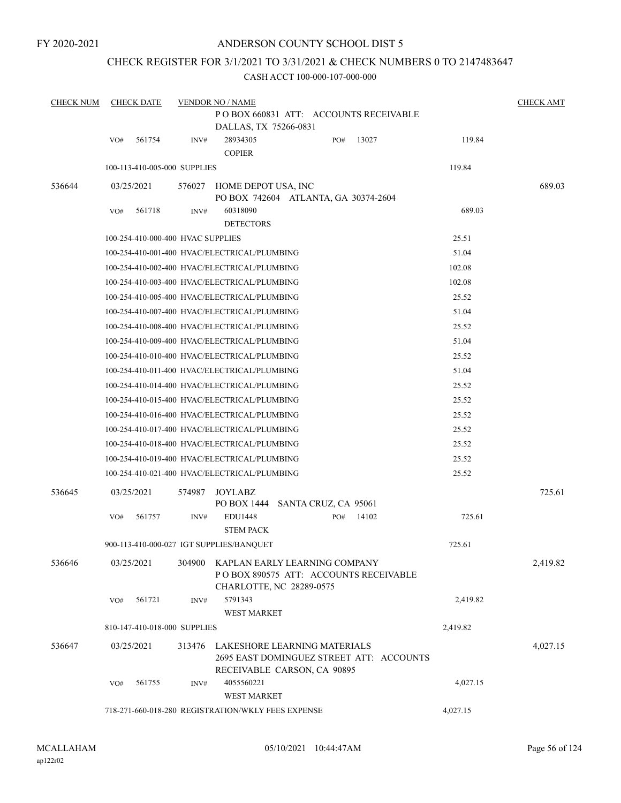### ANDERSON COUNTY SCHOOL DIST 5

### CHECK REGISTER FOR 3/1/2021 TO 3/31/2021 & CHECK NUMBERS 0 TO 2147483647

| <b>CHECK NUM</b> |     | <b>CHECK DATE</b>                 |        | <b>VENDOR NO / NAME</b>                                                                                 |     |       |          | <b>CHECK AMT</b> |
|------------------|-----|-----------------------------------|--------|---------------------------------------------------------------------------------------------------------|-----|-------|----------|------------------|
|                  |     |                                   |        | POBOX 660831 ATT: ACCOUNTS RECEIVABLE<br>DALLAS, TX 75266-0831                                          |     |       |          |                  |
|                  | VO# | 561754                            | INV#   | 28934305<br><b>COPIER</b>                                                                               | PO# | 13027 | 119.84   |                  |
|                  |     | 100-113-410-005-000 SUPPLIES      |        |                                                                                                         |     |       | 119.84   |                  |
| 536644           |     | 03/25/2021                        | 576027 | HOME DEPOT USA, INC<br>PO BOX 742604 ATLANTA, GA 30374-2604                                             |     |       |          | 689.03           |
|                  | VO# | 561718                            | INV#   | 60318090<br><b>DETECTORS</b>                                                                            |     |       | 689.03   |                  |
|                  |     | 100-254-410-000-400 HVAC SUPPLIES |        |                                                                                                         |     |       | 25.51    |                  |
|                  |     |                                   |        | 100-254-410-001-400 HVAC/ELECTRICAL/PLUMBING                                                            |     |       | 51.04    |                  |
|                  |     |                                   |        | 100-254-410-002-400 HVAC/ELECTRICAL/PLUMBING                                                            |     |       | 102.08   |                  |
|                  |     |                                   |        | 100-254-410-003-400 HVAC/ELECTRICAL/PLUMBING                                                            |     |       | 102.08   |                  |
|                  |     |                                   |        | 100-254-410-005-400 HVAC/ELECTRICAL/PLUMBING                                                            |     |       | 25.52    |                  |
|                  |     |                                   |        | 100-254-410-007-400 HVAC/ELECTRICAL/PLUMBING                                                            |     |       | 51.04    |                  |
|                  |     |                                   |        | 100-254-410-008-400 HVAC/ELECTRICAL/PLUMBING                                                            |     |       | 25.52    |                  |
|                  |     |                                   |        | 100-254-410-009-400 HVAC/ELECTRICAL/PLUMBING                                                            |     |       | 51.04    |                  |
|                  |     |                                   |        | 100-254-410-010-400 HVAC/ELECTRICAL/PLUMBING                                                            |     |       | 25.52    |                  |
|                  |     |                                   |        | 100-254-410-011-400 HVAC/ELECTRICAL/PLUMBING                                                            |     |       | 51.04    |                  |
|                  |     |                                   |        | 100-254-410-014-400 HVAC/ELECTRICAL/PLUMBING                                                            |     |       | 25.52    |                  |
|                  |     |                                   |        | 100-254-410-015-400 HVAC/ELECTRICAL/PLUMBING                                                            |     |       | 25.52    |                  |
|                  |     |                                   |        | 100-254-410-016-400 HVAC/ELECTRICAL/PLUMBING                                                            |     |       | 25.52    |                  |
|                  |     |                                   |        | 100-254-410-017-400 HVAC/ELECTRICAL/PLUMBING                                                            |     |       | 25.52    |                  |
|                  |     |                                   |        | 100-254-410-018-400 HVAC/ELECTRICAL/PLUMBING                                                            |     |       | 25.52    |                  |
|                  |     |                                   |        | 100-254-410-019-400 HVAC/ELECTRICAL/PLUMBING                                                            |     |       | 25.52    |                  |
|                  |     |                                   |        | 100-254-410-021-400 HVAC/ELECTRICAL/PLUMBING                                                            |     |       | 25.52    |                  |
| 536645           |     | 03/25/2021                        | 574987 | JOYLABZ<br>PO BOX 1444 SANTA CRUZ, CA 95061                                                             |     |       |          | 725.61           |
|                  | VO# | 561757                            | INV#   | EDU1448<br><b>STEM PACK</b>                                                                             | PO# | 14102 | 725.61   |                  |
|                  |     |                                   |        | 900-113-410-000-027 IGT SUPPLIES/BANQUET                                                                |     |       | 725.61   |                  |
| 536646           |     | 03/25/2021                        | 304900 | KAPLAN EARLY LEARNING COMPANY<br>POBOX 890575 ATT: ACCOUNTS RECEIVABLE<br>CHARLOTTE, NC 28289-0575      |     |       |          | 2,419.82         |
|                  | VO# | 561721                            | INV#   | 5791343<br><b>WEST MARKET</b>                                                                           |     |       | 2,419.82 |                  |
|                  |     | 810-147-410-018-000 SUPPLIES      |        |                                                                                                         |     |       | 2,419.82 |                  |
| 536647           |     | 03/25/2021                        | 313476 | LAKESHORE LEARNING MATERIALS<br>2695 EAST DOMINGUEZ STREET ATT: ACCOUNTS<br>RECEIVABLE CARSON, CA 90895 |     |       |          | 4,027.15         |
|                  | VO# | 561755                            | INV#   | 4055560221<br><b>WEST MARKET</b>                                                                        |     |       | 4,027.15 |                  |
|                  |     |                                   |        | 718-271-660-018-280 REGISTRATION/WKLY FEES EXPENSE                                                      |     |       | 4,027.15 |                  |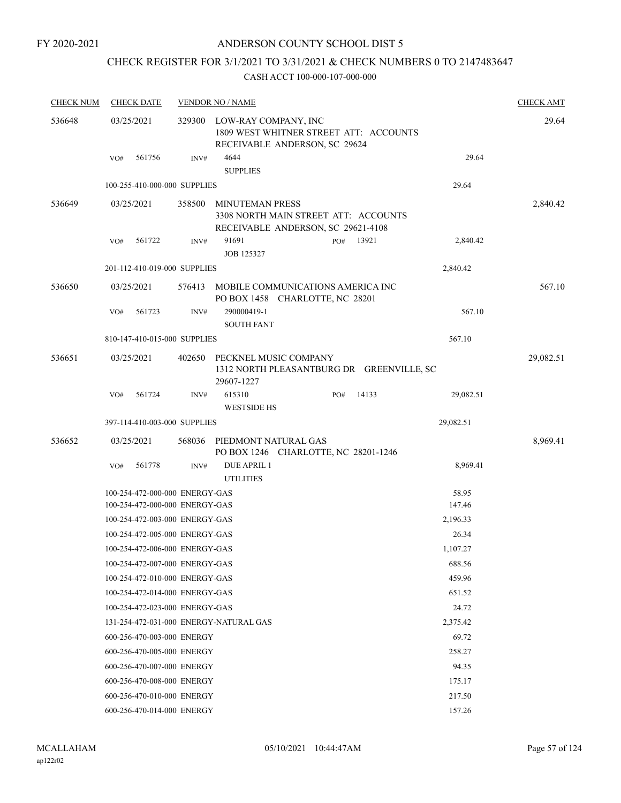### ANDERSON COUNTY SCHOOL DIST 5

# CHECK REGISTER FOR 3/1/2021 TO 3/31/2021 & CHECK NUMBERS 0 TO 2147483647

| <b>CHECK NUM</b> |     | <b>CHECK DATE</b>              |        | <b>VENDOR NO / NAME</b>                                                                         |     |       |           | <b>CHECK AMT</b> |
|------------------|-----|--------------------------------|--------|-------------------------------------------------------------------------------------------------|-----|-------|-----------|------------------|
| 536648           |     | 03/25/2021                     | 329300 | LOW-RAY COMPANY, INC<br>1809 WEST WHITNER STREET ATT: ACCOUNTS<br>RECEIVABLE ANDERSON, SC 29624 |     |       |           | 29.64            |
|                  | VO# | 561756                         | INV#   | 4644<br><b>SUPPLIES</b>                                                                         |     |       | 29.64     |                  |
|                  |     | 100-255-410-000-000 SUPPLIES   |        |                                                                                                 |     |       | 29.64     |                  |
| 536649           |     | 03/25/2021                     | 358500 | MINUTEMAN PRESS<br>3308 NORTH MAIN STREET ATT: ACCOUNTS<br>RECEIVABLE ANDERSON, SC 29621-4108   |     |       |           | 2,840.42         |
|                  | VO# | 561722                         | INV#   | 91691                                                                                           | PO# | 13921 | 2,840.42  |                  |
|                  |     |                                |        | JOB 125327                                                                                      |     |       |           |                  |
|                  |     | 201-112-410-019-000 SUPPLIES   |        |                                                                                                 |     |       | 2,840.42  |                  |
| 536650           |     | 03/25/2021                     | 576413 | MOBILE COMMUNICATIONS AMERICA INC<br>PO BOX 1458 CHARLOTTE, NC 28201                            |     |       |           | 567.10           |
|                  | VO# | 561723                         | INV#   | 290000419-1<br><b>SOUTH FANT</b>                                                                |     |       | 567.10    |                  |
|                  |     | 810-147-410-015-000 SUPPLIES   |        |                                                                                                 |     |       | 567.10    |                  |
| 536651           |     | 03/25/2021                     | 402650 | PECKNEL MUSIC COMPANY<br>1312 NORTH PLEASANTBURG DR GREENVILLE, SC<br>29607-1227                |     |       |           | 29,082.51        |
|                  | VO# | 561724                         | INV#   | 615310<br><b>WESTSIDE HS</b>                                                                    | PO# | 14133 | 29,082.51 |                  |
|                  |     | 397-114-410-003-000 SUPPLIES   |        |                                                                                                 |     |       | 29,082.51 |                  |
| 536652           |     | 03/25/2021                     | 568036 | PIEDMONT NATURAL GAS<br>PO BOX 1246 CHARLOTTE, NC 28201-1246                                    |     |       |           | 8,969.41         |
|                  | VO# | 561778                         | INV#   | <b>DUE APRIL 1</b><br><b>UTILITIES</b>                                                          |     |       | 8,969.41  |                  |
|                  |     | 100-254-472-000-000 ENERGY-GAS |        |                                                                                                 |     |       | 58.95     |                  |
|                  |     | 100-254-472-000-000 ENERGY-GAS |        |                                                                                                 |     |       | 147.46    |                  |
|                  |     | 100-254-472-003-000 ENERGY-GAS |        |                                                                                                 |     |       | 2,196.33  |                  |
|                  |     | 100-254-472-005-000 ENERGY-GAS |        |                                                                                                 |     |       | 26.34     |                  |
|                  |     | 100-254-472-006-000 ENERGY-GAS |        |                                                                                                 |     |       | 1,107.27  |                  |
|                  |     | 100-254-472-007-000 ENERGY-GAS |        |                                                                                                 |     |       | 688.56    |                  |
|                  |     | 100-254-472-010-000 ENERGY-GAS |        |                                                                                                 |     |       | 459.96    |                  |
|                  |     | 100-254-472-014-000 ENERGY-GAS |        |                                                                                                 |     |       | 651.52    |                  |
|                  |     | 100-254-472-023-000 ENERGY-GAS |        |                                                                                                 |     |       | 24.72     |                  |
|                  |     |                                |        | 131-254-472-031-000 ENERGY-NATURAL GAS                                                          |     |       | 2,375.42  |                  |
|                  |     | 600-256-470-003-000 ENERGY     |        |                                                                                                 |     |       | 69.72     |                  |
|                  |     | 600-256-470-005-000 ENERGY     |        |                                                                                                 |     |       | 258.27    |                  |
|                  |     | 600-256-470-007-000 ENERGY     |        |                                                                                                 |     |       | 94.35     |                  |
|                  |     | 600-256-470-008-000 ENERGY     |        |                                                                                                 |     |       | 175.17    |                  |
|                  |     | 600-256-470-010-000 ENERGY     |        |                                                                                                 |     |       | 217.50    |                  |
|                  |     | 600-256-470-014-000 ENERGY     |        |                                                                                                 |     |       | 157.26    |                  |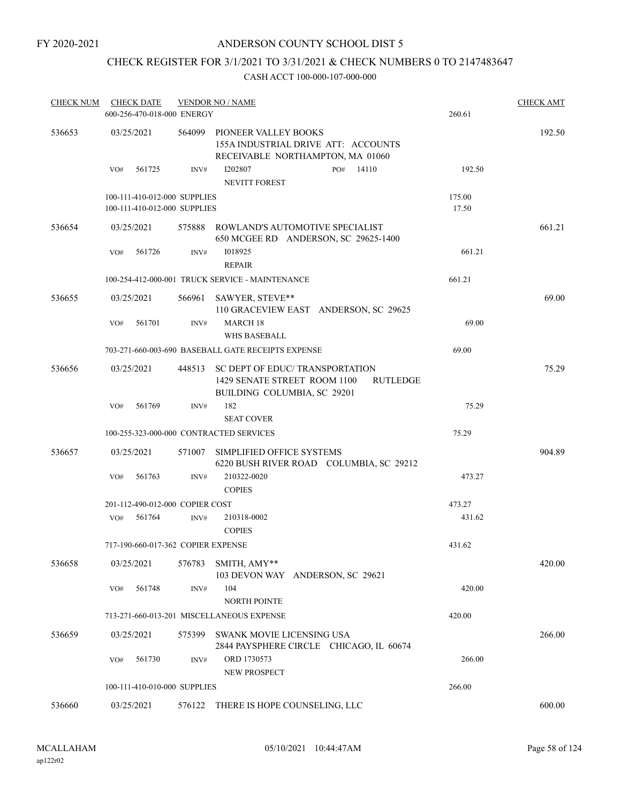### ANDERSON COUNTY SCHOOL DIST 5

# CHECK REGISTER FOR 3/1/2021 TO 3/31/2021 & CHECK NUMBERS 0 TO 2147483647

| <b>CHECK NUM</b> | <b>CHECK DATE</b><br>600-256-470-018-000 ENERGY |        | <b>VENDOR NO / NAME</b>                                                                                          | 260.61 | <b>CHECK AMT</b> |
|------------------|-------------------------------------------------|--------|------------------------------------------------------------------------------------------------------------------|--------|------------------|
| 536653           | 03/25/2021                                      | 564099 | PIONEER VALLEY BOOKS<br>155A INDUSTRIAL DRIVE ATT: ACCOUNTS<br>RECEIVABLE NORTHAMPTON, MA 01060                  |        | 192.50           |
|                  | VO#<br>561725                                   | INV#   | 14110<br>I202807<br>PO#<br><b>NEVITT FOREST</b>                                                                  | 192.50 |                  |
|                  | 100-111-410-012-000 SUPPLIES                    |        |                                                                                                                  | 175.00 |                  |
|                  | 100-111-410-012-000 SUPPLIES                    |        |                                                                                                                  | 17.50  |                  |
| 536654           | 03/25/2021                                      | 575888 | ROWLAND'S AUTOMOTIVE SPECIALIST<br>650 MCGEE RD ANDERSON, SC 29625-1400                                          |        | 661.21           |
|                  | VO#<br>561726                                   | INV#   | 1018925<br><b>REPAIR</b>                                                                                         | 661.21 |                  |
|                  |                                                 |        | 100-254-412-000-001 TRUCK SERVICE - MAINTENANCE                                                                  | 661.21 |                  |
| 536655           | 03/25/2021                                      | 566961 | SAWYER, STEVE**<br>110 GRACEVIEW EAST ANDERSON, SC 29625                                                         |        | 69.00            |
|                  | 561701<br>VO#                                   | INV#   | <b>MARCH 18</b><br>WHS BASEBALL                                                                                  | 69.00  |                  |
|                  |                                                 |        | 703-271-660-003-690 BASEBALL GATE RECEIPTS EXPENSE                                                               | 69.00  |                  |
| 536656           | 03/25/2021                                      | 448513 | SC DEPT OF EDUC/TRANSPORTATION<br>1429 SENATE STREET ROOM 1100<br><b>RUTLEDGE</b><br>BUILDING COLUMBIA, SC 29201 |        | 75.29            |
|                  | 561769<br>VO#                                   | INV#   | 182                                                                                                              | 75.29  |                  |
|                  |                                                 |        | <b>SEAT COVER</b>                                                                                                |        |                  |
|                  | 100-255-323-000-000 CONTRACTED SERVICES         |        |                                                                                                                  | 75.29  |                  |
| 536657           | 03/25/2021                                      | 571007 | SIMPLIFIED OFFICE SYSTEMS<br>6220 BUSH RIVER ROAD COLUMBIA, SC 29212                                             |        | 904.89           |
|                  | 561763<br>VO#                                   | INV#   | 210322-0020                                                                                                      | 473.27 |                  |
|                  |                                                 |        | <b>COPIES</b>                                                                                                    |        |                  |
|                  | 201-112-490-012-000 COPIER COST                 |        |                                                                                                                  | 473.27 |                  |
|                  | 561764<br>VO#                                   | INV#   | 210318-0002                                                                                                      | 431.62 |                  |
|                  |                                                 |        | <b>COPIES</b>                                                                                                    |        |                  |
|                  | 717-190-660-017-362 COPIER EXPENSE              |        |                                                                                                                  | 431.62 |                  |
| 536658           | 03/25/2021                                      | 576783 | SMITH, AMY**<br>103 DEVON WAY ANDERSON, SC 29621                                                                 |        | 420.00           |
|                  | 561748<br>VO#                                   | INV#   | 104<br><b>NORTH POINTE</b>                                                                                       | 420.00 |                  |
|                  |                                                 |        | 713-271-660-013-201 MISCELLANEOUS EXPENSE                                                                        | 420.00 |                  |
| 536659           | 03/25/2021                                      | 575399 | SWANK MOVIE LICENSING USA<br>2844 PAYSPHERE CIRCLE CHICAGO, IL 60674                                             |        | 266.00           |
|                  | 561730<br>VO#                                   | INV#   | ORD 1730573<br><b>NEW PROSPECT</b>                                                                               | 266.00 |                  |
|                  | 100-111-410-010-000 SUPPLIES                    |        |                                                                                                                  | 266.00 |                  |
| 536660           | 03/25/2021                                      |        | 576122 THERE IS HOPE COUNSELING, LLC                                                                             |        | 600.00           |
|                  |                                                 |        |                                                                                                                  |        |                  |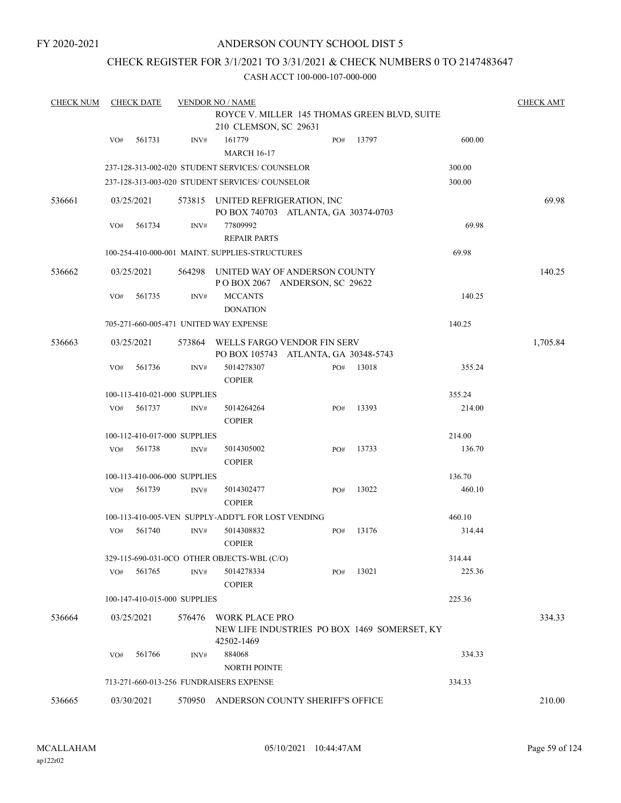### ANDERSON COUNTY SCHOOL DIST 5

### CHECK REGISTER FOR 3/1/2021 TO 3/31/2021 & CHECK NUMBERS 0 TO 2147483647

| <b>CHECK NUM</b> | <b>CHECK DATE</b><br><b>VENDOR NO / NAME</b> |                              |                |                                                                         |  |     |       |        |          |
|------------------|----------------------------------------------|------------------------------|----------------|-------------------------------------------------------------------------|--|-----|-------|--------|----------|
|                  |                                              |                              |                | ROYCE V. MILLER 145 THOMAS GREEN BLVD, SUITE                            |  |     |       |        |          |
|                  |                                              |                              |                | 210 CLEMSON, SC 29631                                                   |  |     |       |        |          |
|                  | VO#                                          | 561731                       | INV#           | 161779<br><b>MARCH 16-17</b>                                            |  | PO# | 13797 | 600.00 |          |
|                  |                                              |                              |                | 237-128-313-002-020 STUDENT SERVICES/ COUNSELOR                         |  |     |       | 300.00 |          |
|                  |                                              |                              |                | 237-128-313-003-020 STUDENT SERVICES/ COUNSELOR                         |  |     |       | 300.00 |          |
| 536661           |                                              | 03/25/2021                   |                | 573815 UNITED REFRIGERATION, INC                                        |  |     |       |        | 69.98    |
|                  | VO#                                          | 561734                       | INV#           | PO BOX 740703 ATLANTA, GA 30374-0703<br>77809992<br><b>REPAIR PARTS</b> |  |     |       | 69.98  |          |
|                  |                                              |                              |                | 100-254-410-000-001 MAINT. SUPPLIES-STRUCTURES                          |  |     |       | 69.98  |          |
| 536662           |                                              | 03/25/2021                   |                | 564298 UNITED WAY OF ANDERSON COUNTY                                    |  |     |       |        | 140.25   |
|                  | VO#                                          | 561735                       | INV#           | POBOX 2067 ANDERSON, SC 29622<br><b>MCCANTS</b><br><b>DONATION</b>      |  |     |       | 140.25 |          |
|                  |                                              |                              |                | 705-271-660-005-471 UNITED WAY EXPENSE                                  |  |     |       | 140.25 |          |
| 536663           |                                              | 03/25/2021                   | 573864         | WELLS FARGO VENDOR FIN SERV<br>PO BOX 105743 ATLANTA, GA 30348-5743     |  |     |       |        | 1,705.84 |
|                  | VO#                                          | 561736                       | INV#           | 5014278307<br><b>COPIER</b>                                             |  | PO# | 13018 | 355.24 |          |
|                  |                                              | 100-113-410-021-000 SUPPLIES |                |                                                                         |  |     |       | 355.24 |          |
|                  | VO#                                          | 561737                       | INV#           | 5014264264<br><b>COPIER</b>                                             |  | PO# | 13393 | 214.00 |          |
|                  |                                              | 100-112-410-017-000 SUPPLIES |                |                                                                         |  |     |       | 214.00 |          |
|                  | VO#                                          | 561738                       | INV#           | 5014305002<br><b>COPIER</b>                                             |  | PO# | 13733 | 136.70 |          |
|                  |                                              | 100-113-410-006-000 SUPPLIES |                |                                                                         |  |     |       | 136.70 |          |
|                  | VO#                                          | 561739                       | $\text{INV}\#$ | 5014302477<br><b>COPIER</b>                                             |  | PO# | 13022 | 460.10 |          |
|                  |                                              |                              |                | 100-113-410-005-VEN SUPPLY-ADDT'L FOR LOST VENDING                      |  |     |       | 460.10 |          |
|                  | VO#                                          | 561740                       | INV#           | 5014308832<br><b>COPIER</b>                                             |  | PO# | 13176 | 314.44 |          |
|                  |                                              |                              |                | 329-115-690-031-0CO OTHER OBJECTS-WBL (C/O)                             |  |     |       | 314.44 |          |
|                  | VO#                                          | 561765                       | INV#           | 5014278334<br><b>COPIER</b>                                             |  | PO# | 13021 | 225.36 |          |
|                  |                                              | 100-147-410-015-000 SUPPLIES |                |                                                                         |  |     |       | 225.36 |          |
| 536664           |                                              | 03/25/2021                   | 576476         | <b>WORK PLACE PRO</b>                                                   |  |     |       |        | 334.33   |
|                  |                                              |                              |                | NEW LIFE INDUSTRIES PO BOX 1469 SOMERSET, KY<br>42502-1469              |  |     |       |        |          |
|                  | VO#                                          | 561766                       | INV#           | 884068<br><b>NORTH POINTE</b>                                           |  |     |       | 334.33 |          |
|                  |                                              |                              |                | 713-271-660-013-256 FUNDRAISERS EXPENSE                                 |  |     |       | 334.33 |          |
| 536665           |                                              | 03/30/2021                   | 570950         | ANDERSON COUNTY SHERIFF'S OFFICE                                        |  |     |       |        | 210.00   |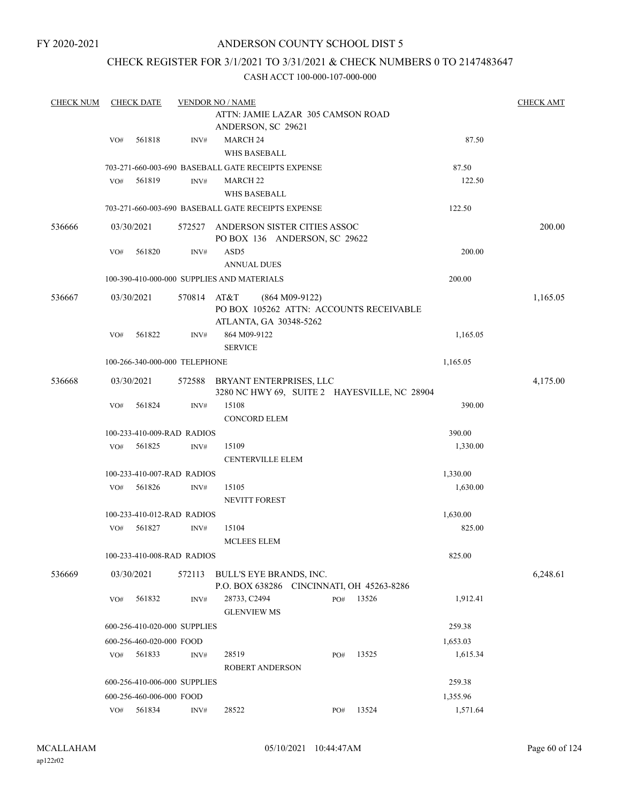### ANDERSON COUNTY SCHOOL DIST 5

## CHECK REGISTER FOR 3/1/2021 TO 3/31/2021 & CHECK NUMBERS 0 TO 2147483647

| <b>CHECK NUM</b> |                                                    | <b>CHECK DATE</b><br><b>VENDOR NO / NAME</b> |             |                                                                      |                         |          |  |                                              |          | <b>CHECK AMT</b> |
|------------------|----------------------------------------------------|----------------------------------------------|-------------|----------------------------------------------------------------------|-------------------------|----------|--|----------------------------------------------|----------|------------------|
|                  |                                                    |                                              |             | ATTN: JAMIE LAZAR 305 CAMSON ROAD                                    |                         |          |  |                                              |          |                  |
|                  |                                                    |                                              |             | ANDERSON, SC 29621                                                   |                         |          |  |                                              |          |                  |
|                  | VO#                                                | 561818                                       | INV#        | <b>MARCH 24</b>                                                      |                         |          |  |                                              | 87.50    |                  |
|                  |                                                    |                                              |             |                                                                      | <b>WHS BASEBALL</b>     |          |  |                                              |          |                  |
|                  |                                                    |                                              |             | 703-271-660-003-690 BASEBALL GATE RECEIPTS EXPENSE                   |                         |          |  |                                              | 87.50    |                  |
|                  | VO#                                                | 561819                                       | INV#        | <b>MARCH 22</b><br><b>WHS BASEBALL</b>                               |                         |          |  |                                              | 122.50   |                  |
|                  |                                                    |                                              |             |                                                                      |                         |          |  |                                              | 122.50   |                  |
|                  | 703-271-660-003-690 BASEBALL GATE RECEIPTS EXPENSE |                                              |             |                                                                      |                         |          |  |                                              |          |                  |
| 536666           |                                                    | 03/30/2021                                   |             | 572527 ANDERSON SISTER CITIES ASSOC<br>PO BOX 136 ANDERSON, SC 29622 |                         |          |  |                                              |          | 200.00           |
|                  | VO#                                                | 561820                                       | INV#        | ASD <sub>5</sub>                                                     |                         |          |  |                                              | 200.00   |                  |
|                  |                                                    |                                              |             | <b>ANNUAL DUES</b>                                                   |                         |          |  |                                              |          |                  |
|                  |                                                    |                                              |             | 100-390-410-000-000 SUPPLIES AND MATERIALS                           |                         |          |  |                                              | 200.00   |                  |
| 536667           |                                                    | 03/30/2021                                   | 570814 AT&T | ATLANTA, GA 30348-5262                                               | $(864 M09-9122)$        |          |  | PO BOX 105262 ATTN: ACCOUNTS RECEIVABLE      |          | 1,165.05         |
|                  | VO#                                                | 561822                                       | INV#        | 864 M09-9122<br><b>SERVICE</b>                                       |                         | 1,165.05 |  |                                              |          |                  |
|                  |                                                    | 100-266-340-000-000 TELEPHONE                |             |                                                                      |                         |          |  |                                              | 1,165.05 |                  |
| 536668           |                                                    | 03/30/2021                                   | 572588      | BRYANT ENTERPRISES, LLC                                              |                         |          |  | 3280 NC HWY 69, SUITE 2 HAYESVILLE, NC 28904 |          | 4,175.00         |
|                  | VO#                                                | 561824                                       | INV#        | 15108                                                                |                         |          |  |                                              | 390.00   |                  |
|                  |                                                    |                                              |             | <b>CONCORD ELEM</b>                                                  |                         |          |  |                                              |          |                  |
|                  |                                                    | 100-233-410-009-RAD RADIOS                   |             |                                                                      |                         |          |  |                                              | 390.00   |                  |
|                  | VO#                                                | 561825                                       | INV#        | 15109                                                                |                         |          |  |                                              | 1,330.00 |                  |
|                  |                                                    |                                              |             |                                                                      | <b>CENTERVILLE ELEM</b> |          |  |                                              |          |                  |
|                  |                                                    | 100-233-410-007-RAD RADIOS                   |             |                                                                      |                         |          |  |                                              | 1,330.00 |                  |
|                  | VO#                                                | 561826                                       | INV#        | 15105<br><b>NEVITT FOREST</b>                                        |                         |          |  |                                              | 1,630.00 |                  |
|                  |                                                    | 100-233-410-012-RAD RADIOS                   |             |                                                                      |                         |          |  |                                              | 1,630.00 |                  |
|                  | VO#                                                | 561827                                       | INV#        | 15104<br><b>MCLEES ELEM</b>                                          |                         |          |  |                                              | 825.00   |                  |
|                  |                                                    | 100-233-410-008-RAD RADIOS                   |             |                                                                      |                         |          |  |                                              | 825.00   |                  |
| 536669           |                                                    | 03/30/2021                                   | 572113      | BULL'S EYE BRANDS, INC.                                              |                         |          |  | P.O. BOX 638286 CINCINNATI, OH 45263-8286    |          | 6,248.61         |
|                  | VO#                                                | 561832                                       | INV#        | 28733, C2494<br><b>GLENVIEW MS</b>                                   |                         | PO#      |  | 13526                                        | 1,912.41 |                  |
|                  |                                                    | 600-256-410-020-000 SUPPLIES                 |             |                                                                      |                         |          |  |                                              | 259.38   |                  |
|                  |                                                    | 600-256-460-020-000 FOOD                     |             |                                                                      |                         |          |  |                                              | 1,653.03 |                  |
|                  | VO#                                                | 561833                                       | INV#        | 28519                                                                |                         | PO#      |  | 13525                                        | 1,615.34 |                  |
|                  |                                                    |                                              |             |                                                                      | <b>ROBERT ANDERSON</b>  |          |  |                                              |          |                  |
|                  |                                                    | 600-256-410-006-000 SUPPLIES                 |             |                                                                      |                         |          |  |                                              | 259.38   |                  |
|                  |                                                    | 600-256-460-006-000 FOOD                     |             |                                                                      |                         |          |  |                                              | 1,355.96 |                  |
|                  | VO#                                                | 561834                                       | INV#        | 28522                                                                |                         | PO#      |  | 13524                                        | 1,571.64 |                  |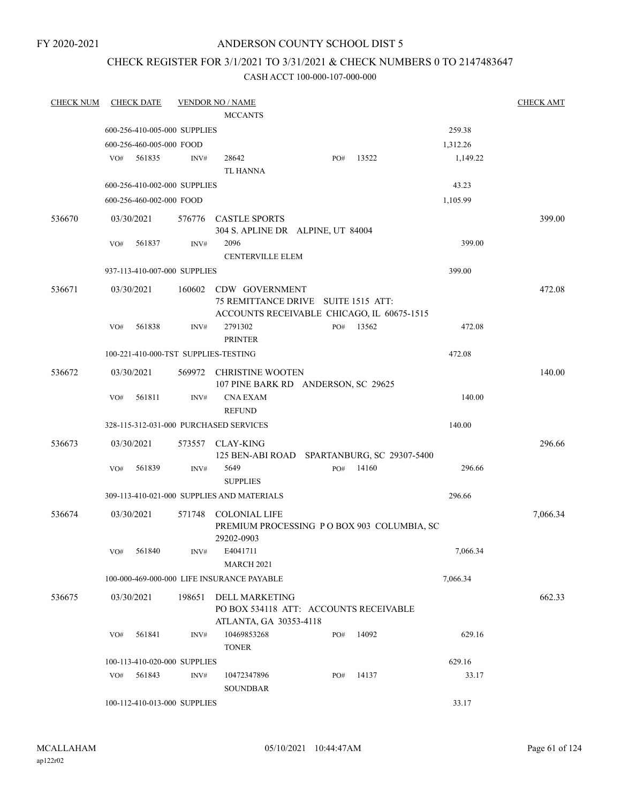### ANDERSON COUNTY SCHOOL DIST 5

## CHECK REGISTER FOR 3/1/2021 TO 3/31/2021 & CHECK NUMBERS 0 TO 2147483647

| <b>CHECK NUM</b> | <b>CHECK DATE</b>                    |        | <b>VENDOR NO / NAME</b>                                                   |     |       |          | <b>CHECK AMT</b> |
|------------------|--------------------------------------|--------|---------------------------------------------------------------------------|-----|-------|----------|------------------|
|                  |                                      |        | <b>MCCANTS</b>                                                            |     |       |          |                  |
|                  | 600-256-410-005-000 SUPPLIES         |        |                                                                           |     |       | 259.38   |                  |
|                  | 600-256-460-005-000 FOOD             |        |                                                                           |     |       | 1,312.26 |                  |
|                  | 561835<br>VO#                        | INV#   | 28642<br><b>TL HANNA</b>                                                  | PO# | 13522 | 1,149.22 |                  |
|                  | 600-256-410-002-000 SUPPLIES         |        |                                                                           |     |       | 43.23    |                  |
|                  | 600-256-460-002-000 FOOD             |        |                                                                           |     |       | 1,105.99 |                  |
| 536670           | 03/30/2021                           |        | 576776 CASTLE SPORTS<br>304 S. APLINE DR ALPINE, UT 84004                 |     |       |          | 399.00           |
|                  | VO#<br>561837                        | INV#   | 2096<br><b>CENTERVILLE ELEM</b>                                           |     |       | 399.00   |                  |
|                  | 937-113-410-007-000 SUPPLIES         |        |                                                                           |     |       | 399.00   |                  |
| 536671           | 03/30/2021                           | 160602 | CDW GOVERNMENT<br>75 REMITTANCE DRIVE SUITE 1515 ATT:                     |     |       |          | 472.08           |
|                  | 561838<br>VO#                        | INV#   | ACCOUNTS RECEIVABLE CHICAGO, IL 60675-1515<br>2791302<br><b>PRINTER</b>   | PO# | 13562 | 472.08   |                  |
|                  | 100-221-410-000-TST SUPPLIES-TESTING |        |                                                                           |     |       | 472.08   |                  |
| 536672           | 03/30/2021                           |        | 569972 CHRISTINE WOOTEN<br>107 PINE BARK RD ANDERSON, SC 29625            |     |       |          | 140.00           |
|                  | 561811<br>VO#                        | INV#   | <b>CNA EXAM</b><br><b>REFUND</b>                                          |     |       | 140.00   |                  |
|                  |                                      |        | 328-115-312-031-000 PURCHASED SERVICES                                    |     |       | 140.00   |                  |
| 536673           | 03/30/2021                           |        | 573557 CLAY-KING<br>125 BEN-ABI ROAD SPARTANBURG, SC 29307-5400           |     |       |          | 296.66           |
|                  | VO#<br>561839                        | INV#   | 5649<br><b>SUPPLIES</b>                                                   | PO# | 14160 | 296.66   |                  |
|                  |                                      |        | 309-113-410-021-000 SUPPLIES AND MATERIALS                                |     |       | 296.66   |                  |
| 536674           | 03/30/2021                           | 571748 | COLONIAL LIFE<br>PREMIUM PROCESSING PO BOX 903 COLUMBIA, SC<br>29202-0903 |     |       |          | 7,066.34         |
|                  | 561840<br>VO#                        | INV#   | E4041711<br><b>MARCH 2021</b>                                             |     |       | 7,066.34 |                  |
|                  |                                      |        | 100-000-469-000-000 LIFE INSURANCE PAYABLE                                |     |       | 7,066.34 |                  |
| 536675           | 03/30/2021                           | 198651 | DELL MARKETING<br>PO BOX 534118 ATT: ACCOUNTS RECEIVABLE                  |     |       |          | 662.33           |
|                  | 561841<br>VO#                        | INV#   | ATLANTA, GA 30353-4118<br>10469853268<br><b>TONER</b>                     | PO# | 14092 | 629.16   |                  |
|                  | 100-113-410-020-000 SUPPLIES         |        |                                                                           |     |       | 629.16   |                  |
|                  | 561843<br>VO#                        | INV#   | 10472347896<br><b>SOUNDBAR</b>                                            | PO# | 14137 | 33.17    |                  |
|                  | 100-112-410-013-000 SUPPLIES         |        |                                                                           |     |       | 33.17    |                  |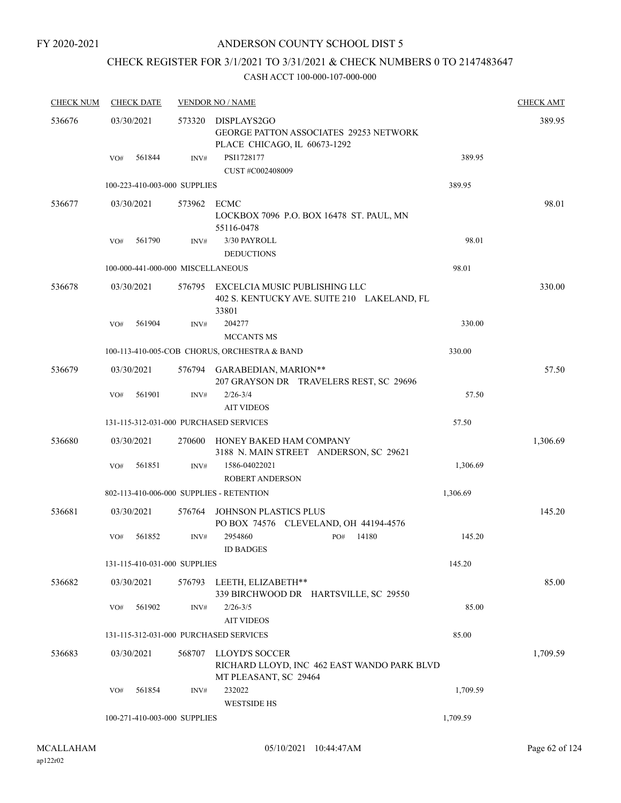### ANDERSON COUNTY SCHOOL DIST 5

# CHECK REGISTER FOR 3/1/2021 TO 3/31/2021 & CHECK NUMBERS 0 TO 2147483647

| <b>CHECK NUM</b> |            | <b>CHECK DATE</b>                 |        | <b>VENDOR NO / NAME</b>                                                                      |              |          | <b>CHECK AMT</b> |
|------------------|------------|-----------------------------------|--------|----------------------------------------------------------------------------------------------|--------------|----------|------------------|
| 536676           |            | 03/30/2021                        | 573320 | DISPLAYS2GO<br><b>GEORGE PATTON ASSOCIATES 29253 NETWORK</b><br>PLACE CHICAGO, IL 60673-1292 |              |          | 389.95           |
|                  | VO#        | 561844                            | INV#   | PSI1728177<br>CUST #C002408009                                                               |              | 389.95   |                  |
|                  |            | 100-223-410-003-000 SUPPLIES      |        |                                                                                              |              | 389.95   |                  |
| 536677           |            | 03/30/2021                        | 573962 | ECMC<br>LOCKBOX 7096 P.O. BOX 16478 ST. PAUL, MN<br>55116-0478                               |              |          | 98.01            |
|                  | VO#        | 561790                            | INV#   | 3/30 PAYROLL                                                                                 |              | 98.01    |                  |
|                  |            | 100-000-441-000-000 MISCELLANEOUS |        | <b>DEDUCTIONS</b>                                                                            |              | 98.01    |                  |
|                  |            |                                   |        |                                                                                              |              |          |                  |
| 536678           | 03/30/2021 |                                   |        | 576795 EXCELCIA MUSIC PUBLISHING LLC<br>402 S. KENTUCKY AVE. SUITE 210 LAKELAND, FL<br>33801 |              |          | 330.00           |
|                  | VO#        | 561904                            | INV#   | 204277<br><b>MCCANTS MS</b>                                                                  |              | 330.00   |                  |
|                  |            |                                   |        | 100-113-410-005-COB CHORUS, ORCHESTRA & BAND                                                 |              | 330.00   |                  |
| 536679           | 03/30/2021 |                                   |        | 576794 GARABEDIAN, MARION**<br>207 GRAYSON DR TRAVELERS REST, SC 29696                       |              |          | 57.50            |
|                  | VO#        | 561901                            | INV#   | $2/26 - 3/4$<br><b>AIT VIDEOS</b>                                                            |              | 57.50    |                  |
|                  |            |                                   |        | 131-115-312-031-000 PURCHASED SERVICES                                                       |              | 57.50    |                  |
| 536680           |            | 03/30/2021                        | 270600 | HONEY BAKED HAM COMPANY<br>3188 N. MAIN STREET ANDERSON, SC 29621                            |              |          | 1,306.69         |
|                  | VO#        | 561851                            | INV#   | 1586-04022021<br><b>ROBERT ANDERSON</b>                                                      |              | 1,306.69 |                  |
|                  |            |                                   |        | 802-113-410-006-000 SUPPLIES - RETENTION                                                     |              | 1,306.69 |                  |
| 536681           |            | 03/30/2021                        | 576764 | JOHNSON PLASTICS PLUS<br>PO BOX 74576 CLEVELAND, OH 44194-4576                               |              |          | 145.20           |
|                  | VO#        | 561852                            | INV#   | 2954860<br><b>ID BADGES</b>                                                                  | 14180<br>PO# | 145.20   |                  |
|                  |            | 131-115-410-031-000 SUPPLIES      |        |                                                                                              |              | 145.20   |                  |
| 536682           |            | 03/30/2021                        |        | 576793 LEETH, ELIZABETH**<br>339 BIRCHWOOD DR HARTSVILLE, SC 29550                           |              |          | 85.00            |
|                  | VO#        | 561902                            | INV#   | $2/26 - 3/5$<br><b>AIT VIDEOS</b>                                                            |              | 85.00    |                  |
|                  |            |                                   |        | 131-115-312-031-000 PURCHASED SERVICES                                                       |              | 85.00    |                  |
| 536683           |            | 03/30/2021                        | 568707 | LLOYD'S SOCCER<br>RICHARD LLOYD, INC 462 EAST WANDO PARK BLVD<br>MT PLEASANT, SC 29464       |              |          | 1,709.59         |
|                  | VO#        | 561854                            | INV#   | 232022<br><b>WESTSIDE HS</b>                                                                 |              | 1,709.59 |                  |
|                  |            | 100-271-410-003-000 SUPPLIES      |        |                                                                                              |              | 1,709.59 |                  |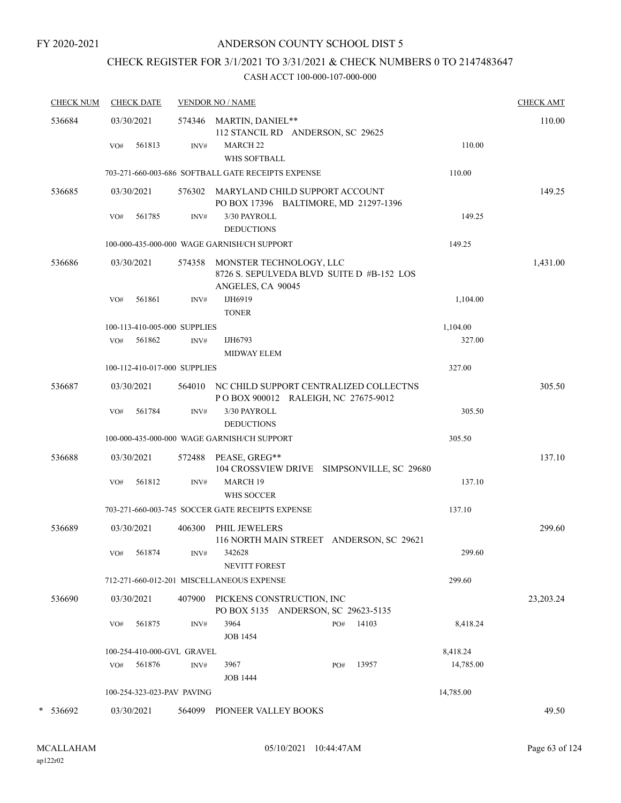# CHECK REGISTER FOR 3/1/2021 TO 3/31/2021 & CHECK NUMBERS 0 TO 2147483647

| <b>CHECK NUM</b> | <b>CHECK DATE</b>            |        | <b>VENDOR NO / NAME</b>                                                                          |           | <b>CHECK AMT</b> |
|------------------|------------------------------|--------|--------------------------------------------------------------------------------------------------|-----------|------------------|
| 536684           | 03/30/2021                   |        | 574346 MARTIN, DANIEL**<br>112 STANCIL RD ANDERSON, SC 29625                                     |           | 110.00           |
|                  | 561813<br>VO#                | INV#   | <b>MARCH 22</b><br>WHS SOFTBALL                                                                  | 110.00    |                  |
|                  |                              |        | 703-271-660-003-686 SOFTBALL GATE RECEIPTS EXPENSE                                               | 110.00    |                  |
| 536685           | 03/30/2021                   |        | 576302 MARYLAND CHILD SUPPORT ACCOUNT<br>PO BOX 17396 BALTIMORE, MD 21297-1396                   |           | 149.25           |
|                  | 561785<br>VO#                | INV#   | 3/30 PAYROLL<br><b>DEDUCTIONS</b>                                                                | 149.25    |                  |
|                  |                              |        | 100-000-435-000-000 WAGE GARNISH/CH SUPPORT                                                      | 149.25    |                  |
| 536686           | 03/30/2021                   |        | 574358 MONSTER TECHNOLOGY, LLC<br>8726 S. SEPULVEDA BLVD SUITE D #B-152 LOS<br>ANGELES, CA 90045 |           | 1,431.00         |
|                  | VO#<br>561861                | INV#   | IJH6919<br><b>TONER</b>                                                                          | 1,104.00  |                  |
|                  | 100-113-410-005-000 SUPPLIES |        |                                                                                                  | 1,104.00  |                  |
|                  | 561862<br>VO#                | INV#   | IJH6793<br>MIDWAY ELEM                                                                           | 327.00    |                  |
|                  | 100-112-410-017-000 SUPPLIES |        |                                                                                                  | 327.00    |                  |
| 536687           | 03/30/2021                   |        | 564010 NC CHILD SUPPORT CENTRALIZED COLLECTNS<br>POBOX 900012 RALEIGH, NC 27675-9012             |           | 305.50           |
|                  | 561784<br>VO#                | INV#   | 3/30 PAYROLL<br><b>DEDUCTIONS</b>                                                                | 305.50    |                  |
|                  |                              |        | 100-000-435-000-000 WAGE GARNISH/CH SUPPORT                                                      | 305.50    |                  |
| 536688           | 03/30/2021                   | 572488 | PEASE, GREG**<br>104 CROSSVIEW DRIVE SIMPSONVILLE, SC 29680                                      |           | 137.10           |
|                  | 561812<br>VO#                | INV#   | <b>MARCH 19</b><br>WHS SOCCER                                                                    | 137.10    |                  |
|                  |                              |        | 703-271-660-003-745 SOCCER GATE RECEIPTS EXPENSE                                                 | 137.10    |                  |
| 536689           | 03/30/2021                   | 406300 | PHIL JEWELERS<br>116 NORTH MAIN STREET ANDERSON, SC 29621                                        |           | 299.60           |
|                  | VO# 561874                   |        | INV# 342628<br>NEVITT FOREST                                                                     | 299.60    |                  |
|                  |                              |        | 712-271-660-012-201 MISCELLANEOUS EXPENSE                                                        | 299.60    |                  |
| 536690           | 03/30/2021                   | 407900 | PICKENS CONSTRUCTION, INC<br>PO BOX 5135 ANDERSON, SC 29623-5135                                 |           | 23,203.24        |
|                  | 561875<br>VO#                | INV#   | 3964<br>14103<br>PO#<br><b>JOB 1454</b>                                                          | 8,418.24  |                  |
|                  | 100-254-410-000-GVL GRAVEL   |        |                                                                                                  | 8,418.24  |                  |
|                  | 561876<br>VO#                | INV#   | 13957<br>3967<br>PO#<br><b>JOB 1444</b>                                                          | 14,785.00 |                  |
|                  | 100-254-323-023-PAV PAVING   |        |                                                                                                  | 14,785.00 |                  |
| * 536692         | 03/30/2021                   | 564099 | PIONEER VALLEY BOOKS                                                                             |           | 49.50            |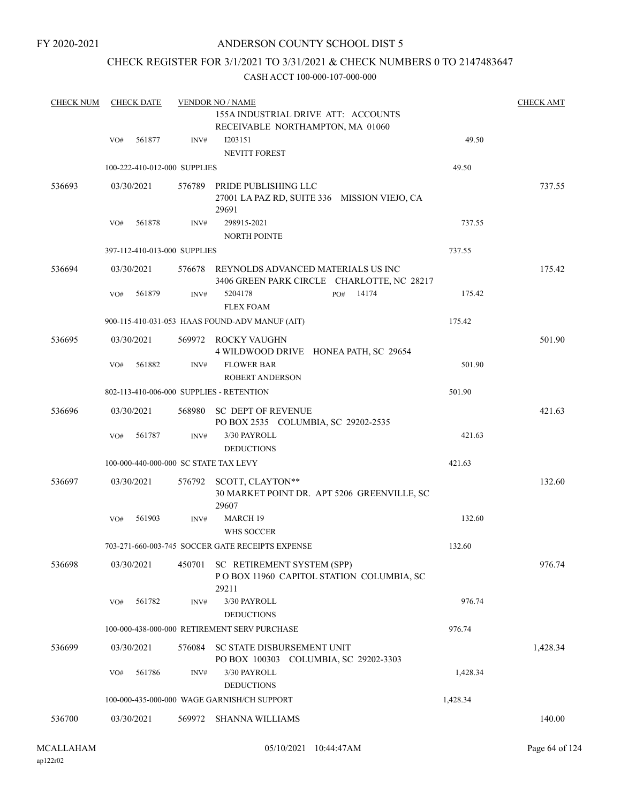### ANDERSON COUNTY SCHOOL DIST 5

### CHECK REGISTER FOR 3/1/2021 TO 3/31/2021 & CHECK NUMBERS 0 TO 2147483647

| <b>CHECK NUM</b> |     | <b>CHECK DATE</b>            |        | <b>VENDOR NO / NAME</b>                                                                 |          | <b>CHECK AMT</b> |
|------------------|-----|------------------------------|--------|-----------------------------------------------------------------------------------------|----------|------------------|
|                  |     |                              |        | 155A INDUSTRIAL DRIVE ATT: ACCOUNTS<br>RECEIVABLE NORTHAMPTON, MA 01060                 |          |                  |
|                  | VO# | 561877                       | INV#   | I203151                                                                                 | 49.50    |                  |
|                  |     |                              |        | <b>NEVITT FOREST</b>                                                                    |          |                  |
|                  |     | 100-222-410-012-000 SUPPLIES |        |                                                                                         | 49.50    |                  |
| 536693           |     | 03/30/2021                   |        | 576789 PRIDE PUBLISHING LLC<br>27001 LA PAZ RD, SUITE 336 MISSION VIEJO, CA<br>29691    |          | 737.55           |
|                  | VO# | 561878                       | INV#   | 298915-2021<br>NORTH POINTE                                                             | 737.55   |                  |
|                  |     | 397-112-410-013-000 SUPPLIES |        |                                                                                         | 737.55   |                  |
| 536694           |     | 03/30/2021                   |        | 576678 REYNOLDS ADVANCED MATERIALS US INC<br>3406 GREEN PARK CIRCLE CHARLOTTE, NC 28217 |          | 175.42           |
|                  | VO# | 561879                       | INV#   | 5204178<br>14174<br>PO#<br><b>FLEX FOAM</b>                                             | 175.42   |                  |
|                  |     |                              |        | 900-115-410-031-053 HAAS FOUND-ADV MANUF (AIT)                                          | 175.42   |                  |
| 536695           |     | 03/30/2021                   |        | 569972 ROCKY VAUGHN<br>4 WILDWOOD DRIVE HONEA PATH, SC 29654                            |          | 501.90           |
|                  | VO# | 561882                       | INV#   | <b>FLOWER BAR</b><br><b>ROBERT ANDERSON</b>                                             | 501.90   |                  |
|                  |     |                              |        | 802-113-410-006-000 SUPPLIES - RETENTION                                                | 501.90   |                  |
| 536696           |     | 03/30/2021                   |        | 568980 SC DEPT OF REVENUE<br>PO BOX 2535 COLUMBIA, SC 29202-2535                        |          | 421.63           |
|                  | VO# | 561787                       | INV#   | 3/30 PAYROLL<br><b>DEDUCTIONS</b>                                                       | 421.63   |                  |
|                  |     |                              |        | 100-000-440-000-000 SC STATE TAX LEVY                                                   | 421.63   |                  |
| 536697           |     | 03/30/2021                   | 576792 | SCOTT, CLAYTON**<br>30 MARKET POINT DR. APT 5206 GREENVILLE, SC<br>29607                |          | 132.60           |
|                  | VO# | 561903                       | INV#   | <b>MARCH 19</b><br>WHS SOCCER                                                           | 132.60   |                  |
|                  |     |                              |        | 703-271-660-003-745 SOCCER GATE RECEIPTS EXPENSE                                        | 132.60   |                  |
| 536698           |     | 03/30/2021                   | 450701 | SC RETIREMENT SYSTEM (SPP)<br>POBOX 11960 CAPITOL STATION COLUMBIA, SC<br>29211         |          | 976.74           |
|                  | VO# | 561782                       | INV#   | 3/30 PAYROLL<br><b>DEDUCTIONS</b>                                                       | 976.74   |                  |
|                  |     |                              |        | 100-000-438-000-000 RETIREMENT SERV PURCHASE                                            | 976.74   |                  |
| 536699           |     | 03/30/2021                   | 576084 | SC STATE DISBURSEMENT UNIT<br>PO BOX 100303 COLUMBIA, SC 29202-3303                     |          | 1,428.34         |
|                  | VO# | 561786                       | INV#   | 3/30 PAYROLL                                                                            | 1,428.34 |                  |
|                  |     |                              |        | <b>DEDUCTIONS</b>                                                                       |          |                  |
|                  |     |                              |        | 100-000-435-000-000 WAGE GARNISH/CH SUPPORT                                             | 1,428.34 |                  |
| 536700           |     | 03/30/2021                   | 569972 | <b>SHANNA WILLIAMS</b>                                                                  |          | 140.00           |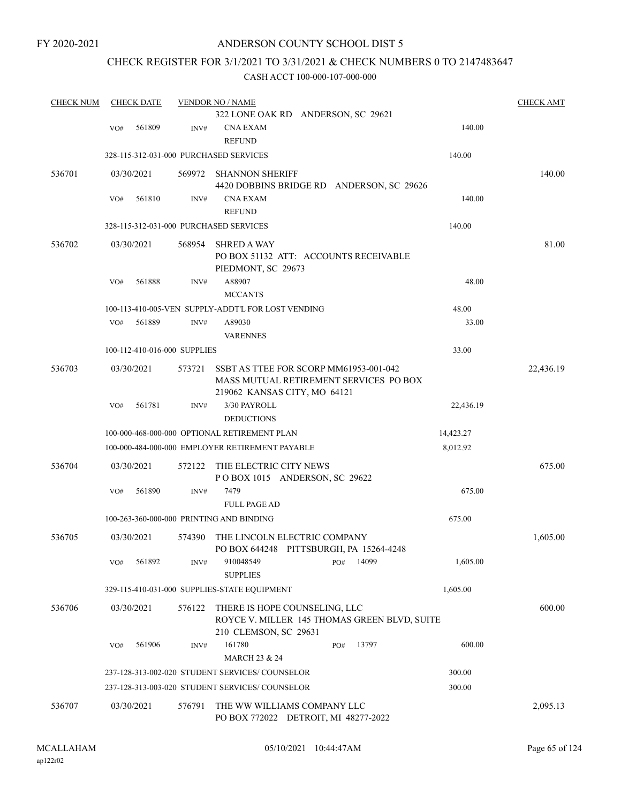### CHECK REGISTER FOR 3/1/2021 TO 3/31/2021 & CHECK NUMBERS 0 TO 2147483647

| <b>CHECK NUM</b> |     | <b>CHECK DATE</b> |                              | <b>VENDOR NO / NAME</b>                                                                                          |       |           | <b>CHECK AMT</b> |
|------------------|-----|-------------------|------------------------------|------------------------------------------------------------------------------------------------------------------|-------|-----------|------------------|
|                  |     |                   |                              | 322 LONE OAK RD ANDERSON, SC 29621                                                                               |       |           |                  |
|                  | VO# | 561809            | INV#                         | CNA EXAM<br><b>REFUND</b>                                                                                        |       | 140.00    |                  |
|                  |     |                   |                              | 328-115-312-031-000 PURCHASED SERVICES                                                                           |       | 140.00    |                  |
| 536701           |     | 03/30/2021        | 569972                       | <b>SHANNON SHERIFF</b><br>4420 DOBBINS BRIDGE RD ANDERSON, SC 29626                                              |       |           | 140.00           |
|                  | VO# | 561810            | INV#                         | <b>CNA EXAM</b><br><b>REFUND</b>                                                                                 |       | 140.00    |                  |
|                  |     |                   |                              | 328-115-312-031-000 PURCHASED SERVICES                                                                           |       | 140.00    |                  |
| 536702           |     | 03/30/2021        | 568954                       | <b>SHRED A WAY</b><br>PO BOX 51132 ATT: ACCOUNTS RECEIVABLE<br>PIEDMONT, SC 29673                                |       |           | 81.00            |
|                  | VO# | 561888            | INV#                         | A88907<br><b>MCCANTS</b>                                                                                         |       | 48.00     |                  |
|                  |     |                   |                              | 100-113-410-005-VEN SUPPLY-ADDT'L FOR LOST VENDING                                                               |       | 48.00     |                  |
|                  | VO# | 561889            | INV#                         | A89030                                                                                                           |       | 33.00     |                  |
|                  |     |                   |                              | <b>VARENNES</b>                                                                                                  |       |           |                  |
|                  |     |                   | 100-112-410-016-000 SUPPLIES |                                                                                                                  |       | 33.00     |                  |
| 536703           |     | 03/30/2021        | 573721                       | SSBT AS TTEE FOR SCORP MM61953-001-042<br>MASS MUTUAL RETIREMENT SERVICES PO BOX<br>219062 KANSAS CITY, MO 64121 |       |           | 22,436.19        |
|                  | VO# | 561781            | INV#                         | 3/30 PAYROLL<br><b>DEDUCTIONS</b>                                                                                |       | 22,436.19 |                  |
|                  |     |                   |                              | 100-000-468-000-000 OPTIONAL RETIREMENT PLAN                                                                     |       | 14,423.27 |                  |
|                  |     |                   |                              | 100-000-484-000-000 EMPLOYER RETIREMENT PAYABLE                                                                  |       | 8,012.92  |                  |
| 536704           |     | 03/30/2021        | 572122                       | THE ELECTRIC CITY NEWS<br>POBOX 1015 ANDERSON, SC 29622                                                          |       |           | 675.00           |
|                  | VO# | 561890            | INV#                         | 7479                                                                                                             |       | 675.00    |                  |
|                  |     |                   |                              | <b>FULL PAGE AD</b>                                                                                              |       |           |                  |
|                  |     |                   |                              | 100-263-360-000-000 PRINTING AND BINDING                                                                         |       | 675.00    |                  |
| 536705           |     | 03/30/2021        | 574390                       | THE LINCOLN ELECTRIC COMPANY<br>PO BOX 644248 PITTSBURGH, PA 15264-4248                                          |       |           | 1,605.00         |
|                  | VO# | 561892            | INV#                         | 910048549<br>PO#<br><b>SUPPLIES</b>                                                                              | 14099 | 1,605.00  |                  |
|                  |     |                   |                              | 329-115-410-031-000 SUPPLIES-STATE EQUIPMENT                                                                     |       | 1,605.00  |                  |
| 536706           |     | 03/30/2021        | 576122                       | THERE IS HOPE COUNSELING, LLC<br>ROYCE V. MILLER 145 THOMAS GREEN BLVD, SUITE<br>210 CLEMSON, SC 29631           |       |           | 600.00           |
|                  | VO# | 561906            | INV#                         | 161780<br>PO#<br><b>MARCH 23 &amp; 24</b>                                                                        | 13797 | 600.00    |                  |
|                  |     |                   |                              | 237-128-313-002-020 STUDENT SERVICES/ COUNSELOR                                                                  |       | 300.00    |                  |
|                  |     |                   |                              | 237-128-313-003-020 STUDENT SERVICES/COUNSELOR                                                                   |       | 300.00    |                  |
| 536707           |     | 03/30/2021        | 576791                       | THE WW WILLIAMS COMPANY LLC<br>PO BOX 772022 DETROIT, MI 48277-2022                                              |       |           | 2,095.13         |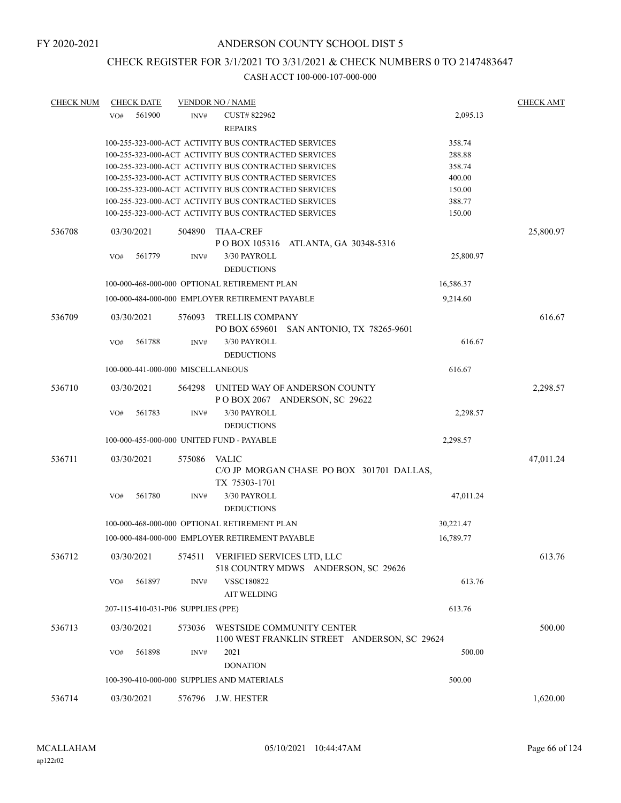# CHECK REGISTER FOR 3/1/2021 TO 3/31/2021 & CHECK NUMBERS 0 TO 2147483647

| <b>CHECK NUM</b> | <b>CHECK DATE</b>                  |        | <b>VENDOR NO / NAME</b>                                    |           | <b>CHECK AMT</b> |
|------------------|------------------------------------|--------|------------------------------------------------------------|-----------|------------------|
|                  | 561900<br>VO#                      | INV#   | CUST#822962                                                | 2,095.13  |                  |
|                  |                                    |        | <b>REPAIRS</b>                                             |           |                  |
|                  |                                    |        | 100-255-323-000-ACT ACTIVITY BUS CONTRACTED SERVICES       | 358.74    |                  |
|                  |                                    |        | 100-255-323-000-ACT ACTIVITY BUS CONTRACTED SERVICES       | 288.88    |                  |
|                  |                                    |        | 100-255-323-000-ACT ACTIVITY BUS CONTRACTED SERVICES       | 358.74    |                  |
|                  |                                    |        | 100-255-323-000-ACT ACTIVITY BUS CONTRACTED SERVICES       | 400.00    |                  |
|                  |                                    |        | 100-255-323-000-ACT ACTIVITY BUS CONTRACTED SERVICES       | 150.00    |                  |
|                  |                                    |        | 100-255-323-000-ACT ACTIVITY BUS CONTRACTED SERVICES       | 388.77    |                  |
|                  |                                    |        | 100-255-323-000-ACT ACTIVITY BUS CONTRACTED SERVICES       | 150.00    |                  |
| 536708           | 03/30/2021                         | 504890 | <b>TIAA-CREF</b>                                           |           | 25,800.97        |
|                  |                                    |        | P O BOX 105316 ATLANTA, GA 30348-5316                      |           |                  |
|                  | 561779<br>VO#                      | INV#   | 3/30 PAYROLL<br><b>DEDUCTIONS</b>                          | 25,800.97 |                  |
|                  |                                    |        | 100-000-468-000-000 OPTIONAL RETIREMENT PLAN               | 16,586.37 |                  |
|                  |                                    |        | 100-000-484-000-000 EMPLOYER RETIREMENT PAYABLE            | 9,214.60  |                  |
| 536709           | 03/30/2021                         | 576093 | <b>TRELLIS COMPANY</b>                                     |           | 616.67           |
|                  |                                    |        | PO BOX 659601 SAN ANTONIO, TX 78265-9601                   |           |                  |
|                  | 561788<br>VO#                      | INV#   | 3/30 PAYROLL                                               | 616.67    |                  |
|                  |                                    |        | <b>DEDUCTIONS</b>                                          |           |                  |
|                  | 100-000-441-000-000 MISCELLANEOUS  |        |                                                            | 616.67    |                  |
| 536710           | 03/30/2021                         | 564298 | UNITED WAY OF ANDERSON COUNTY                              |           | 2,298.57         |
|                  |                                    |        | POBOX 2067 ANDERSON, SC 29622                              |           |                  |
|                  | VO#<br>561783                      | INV#   | 3/30 PAYROLL                                               | 2,298.57  |                  |
|                  |                                    |        | <b>DEDUCTIONS</b>                                          |           |                  |
|                  |                                    |        |                                                            |           |                  |
|                  |                                    |        | 100-000-455-000-000 UNITED FUND - PAYABLE                  | 2,298.57  |                  |
| 536711           | 03/30/2021                         | 575086 | <b>VALIC</b>                                               |           | 47,011.24        |
|                  |                                    |        | C/O JP MORGAN CHASE PO BOX 301701 DALLAS,<br>TX 75303-1701 |           |                  |
|                  | 561780<br>VO#                      | INV#   | 3/30 PAYROLL                                               | 47,011.24 |                  |
|                  |                                    |        | <b>DEDUCTIONS</b>                                          |           |                  |
|                  |                                    |        | 100-000-468-000-000 OPTIONAL RETIREMENT PLAN               | 30,221.47 |                  |
|                  |                                    |        |                                                            |           |                  |
|                  |                                    |        | 100-000-484-000-000 EMPLOYER RETIREMENT PAYABLE            | 16,789.77 |                  |
| 536712           | 03/30/2021                         |        | 574511 VERIFIED SERVICES LTD, LLC                          |           | 613.76           |
|                  |                                    |        | 518 COUNTRY MDWS ANDERSON, SC 29626                        |           |                  |
|                  | 561897<br>VO#                      | INV#   | VSSC180822                                                 | 613.76    |                  |
|                  |                                    |        | <b>AIT WELDING</b>                                         |           |                  |
|                  | 207-115-410-031-P06 SUPPLIES (PPE) |        |                                                            | 613.76    |                  |
| 536713           | 03/30/2021                         | 573036 | WESTSIDE COMMUNITY CENTER                                  |           | 500.00           |
|                  |                                    |        | 1100 WEST FRANKLIN STREET ANDERSON, SC 29624               |           |                  |
|                  | VO#<br>561898                      | INV#   | 2021                                                       | 500.00    |                  |
|                  |                                    |        | <b>DONATION</b>                                            |           |                  |
|                  |                                    |        |                                                            |           |                  |
|                  |                                    |        | 100-390-410-000-000 SUPPLIES AND MATERIALS                 | 500.00    |                  |
| 536714           | 03/30/2021                         |        | 576796 J.W. HESTER                                         |           | 1,620.00         |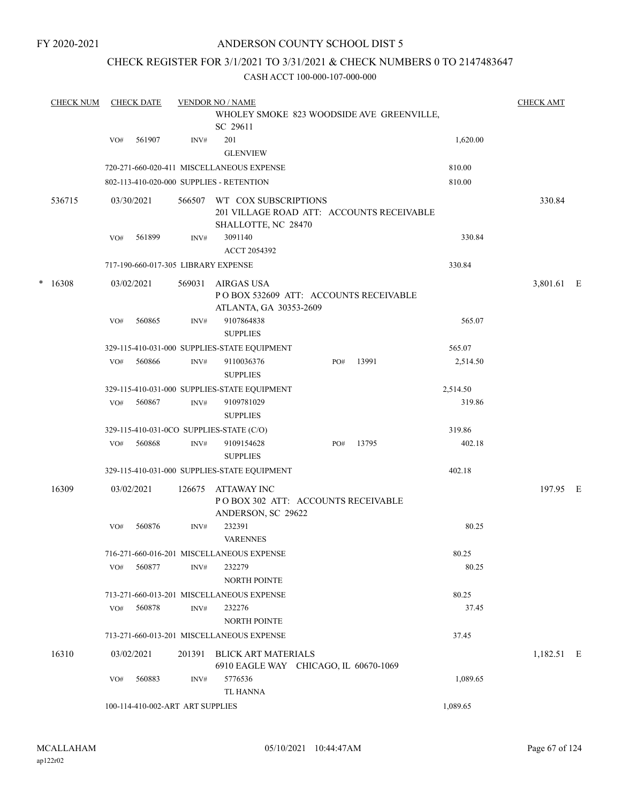### ANDERSON COUNTY SCHOOL DIST 5

### CHECK REGISTER FOR 3/1/2021 TO 3/31/2021 & CHECK NUMBERS 0 TO 2147483647

|   | <b>CHECK NUM</b> |     | <b>CHECK DATE</b> |                                  | <b>VENDOR NO / NAME</b>                                                                  |     |       |          | <b>CHECK AMT</b> |  |
|---|------------------|-----|-------------------|----------------------------------|------------------------------------------------------------------------------------------|-----|-------|----------|------------------|--|
|   |                  |     |                   |                                  | WHOLEY SMOKE 823 WOODSIDE AVE GREENVILLE,<br>SC 29611                                    |     |       |          |                  |  |
|   |                  | VO# | 561907            | INV#                             | 201<br><b>GLENVIEW</b>                                                                   |     |       | 1,620.00 |                  |  |
|   |                  |     |                   |                                  | 720-271-660-020-411 MISCELLANEOUS EXPENSE                                                |     |       | 810.00   |                  |  |
|   |                  |     |                   |                                  | 802-113-410-020-000 SUPPLIES - RETENTION                                                 |     |       | 810.00   |                  |  |
|   | 536715           |     | 03/30/2021        | 566507                           | WT COX SUBSCRIPTIONS<br>201 VILLAGE ROAD ATT: ACCOUNTS RECEIVABLE<br>SHALLOTTE, NC 28470 |     |       |          | 330.84           |  |
|   |                  | VO# | 561899            | INV#                             | 3091140                                                                                  |     |       | 330.84   |                  |  |
|   |                  |     |                   |                                  | ACCT 2054392                                                                             |     |       |          |                  |  |
|   |                  |     |                   |                                  | 717-190-660-017-305 LIBRARY EXPENSE                                                      |     |       | 330.84   |                  |  |
| * | 16308            |     | 03/02/2021        | 569031                           | AIRGAS USA<br>POBOX 532609 ATT: ACCOUNTS RECEIVABLE<br>ATLANTA, GA 30353-2609            |     |       |          | 3,801.61 E       |  |
|   |                  | VO# | 560865            | INV#                             | 9107864838<br><b>SUPPLIES</b>                                                            |     |       | 565.07   |                  |  |
|   |                  |     |                   |                                  | 329-115-410-031-000 SUPPLIES-STATE EQUIPMENT                                             |     |       | 565.07   |                  |  |
|   |                  | VO# | 560866            | INV#                             | 9110036376<br><b>SUPPLIES</b>                                                            | PO# | 13991 | 2,514.50 |                  |  |
|   |                  |     |                   |                                  | 329-115-410-031-000 SUPPLIES-STATE EQUIPMENT                                             |     |       | 2,514.50 |                  |  |
|   |                  | VO# | 560867            | INV#                             | 9109781029<br><b>SUPPLIES</b>                                                            |     |       | 319.86   |                  |  |
|   |                  |     |                   |                                  | 329-115-410-031-0CO SUPPLIES-STATE (C/O)                                                 |     |       | 319.86   |                  |  |
|   |                  | VO# | 560868            | INV#                             | 9109154628<br><b>SUPPLIES</b>                                                            | PO# | 13795 | 402.18   |                  |  |
|   |                  |     |                   |                                  | 329-115-410-031-000 SUPPLIES-STATE EQUIPMENT                                             |     |       | 402.18   |                  |  |
|   | 16309            |     | 03/02/2021        | 126675                           | ATTAWAY INC<br>PO BOX 302 ATT: ACCOUNTS RECEIVABLE<br>ANDERSON, SC 29622                 |     |       |          | 197.95 E         |  |
|   |                  | VO# | 560876            | INV#                             | 232391<br><b>VARENNES</b>                                                                |     |       | 80.25    |                  |  |
|   |                  |     |                   |                                  | 716-271-660-016-201 MISCELLANEOUS EXPENSE                                                |     |       | 80.25    |                  |  |
|   |                  | VO# | 560877            | INV#                             | 232279<br>NORTH POINTE                                                                   |     |       | 80.25    |                  |  |
|   |                  |     |                   |                                  | 713-271-660-013-201 MISCELLANEOUS EXPENSE                                                |     |       | 80.25    |                  |  |
|   |                  | VO# | 560878            | INV#                             | 232276<br><b>NORTH POINTE</b>                                                            |     |       | 37.45    |                  |  |
|   |                  |     |                   |                                  | 713-271-660-013-201 MISCELLANEOUS EXPENSE                                                |     |       | 37.45    |                  |  |
|   | 16310            |     | 03/02/2021        | 201391                           | BLICK ART MATERIALS<br>6910 EAGLE WAY CHICAGO, IL 60670-1069                             |     |       |          | 1,182.51 E       |  |
|   |                  | VO# | 560883            | INV#                             | 5776536<br>TL HANNA                                                                      |     |       | 1,089.65 |                  |  |
|   |                  |     |                   | 100-114-410-002-ART ART SUPPLIES |                                                                                          |     |       | 1,089.65 |                  |  |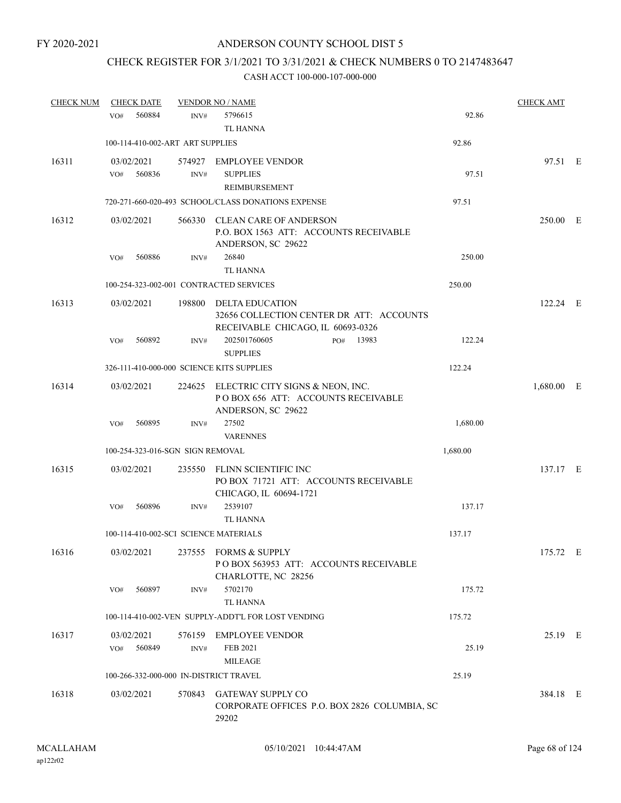## CHECK REGISTER FOR 3/1/2021 TO 3/31/2021 & CHECK NUMBERS 0 TO 2147483647

| <b>CHECK NUM</b> | <b>CHECK DATE</b>                         |        | <b>VENDOR NO / NAME</b>                                                                                 |          | <b>CHECK AMT</b> |  |
|------------------|-------------------------------------------|--------|---------------------------------------------------------------------------------------------------------|----------|------------------|--|
|                  | 560884<br>VO#                             | INV#   | 5796615                                                                                                 | 92.86    |                  |  |
|                  |                                           |        | <b>TL HANNA</b>                                                                                         |          |                  |  |
|                  | 100-114-410-002-ART ART SUPPLIES          |        |                                                                                                         | 92.86    |                  |  |
| 16311            | 03/02/2021                                |        | 574927 EMPLOYEE VENDOR                                                                                  |          | 97.51 E          |  |
|                  | 560836<br>VO#                             | INV#   | <b>SUPPLIES</b>                                                                                         | 97.51    |                  |  |
|                  |                                           |        | REIMBURSEMENT                                                                                           |          |                  |  |
|                  |                                           |        | 720-271-660-020-493 SCHOOL/CLASS DONATIONS EXPENSE                                                      | 97.51    |                  |  |
|                  |                                           |        |                                                                                                         |          |                  |  |
| 16312            | 03/02/2021                                |        | 566330 CLEAN CARE OF ANDERSON<br>P.O. BOX 1563 ATT: ACCOUNTS RECEIVABLE<br>ANDERSON, SC 29622           |          | 250.00 E         |  |
|                  | 560886<br>VO#                             | INV#   | 26840                                                                                                   | 250.00   |                  |  |
|                  |                                           |        | <b>TL HANNA</b>                                                                                         |          |                  |  |
|                  | 100-254-323-002-001 CONTRACTED SERVICES   |        |                                                                                                         | 250.00   |                  |  |
|                  |                                           |        |                                                                                                         |          |                  |  |
| 16313            | 03/02/2021                                | 198800 | <b>DELTA EDUCATION</b><br>32656 COLLECTION CENTER DR ATT: ACCOUNTS<br>RECEIVABLE CHICAGO, IL 60693-0326 |          | 122.24 E         |  |
|                  | 560892<br>VO#                             | INV#   | 202501760605<br>PO# 13983<br><b>SUPPLIES</b>                                                            | 122.24   |                  |  |
|                  | 326-111-410-000-000 SCIENCE KITS SUPPLIES |        |                                                                                                         | 122.24   |                  |  |
| 16314            | 03/02/2021                                |        | 224625 ELECTRIC CITY SIGNS & NEON, INC.<br>POBOX 656 ATT: ACCOUNTS RECEIVABLE<br>ANDERSON, SC 29622     |          | $1,680.00$ E     |  |
|                  | VO#<br>560895                             | INV#   | 27502<br><b>VARENNES</b>                                                                                | 1,680.00 |                  |  |
|                  | 100-254-323-016-SGN SIGN REMOVAL          |        |                                                                                                         | 1,680.00 |                  |  |
|                  |                                           |        |                                                                                                         |          |                  |  |
| 16315            | 03/02/2021                                |        | 235550 FLINN SCIENTIFIC INC<br>PO BOX 71721 ATT: ACCOUNTS RECEIVABLE<br>CHICAGO, IL 60694-1721          |          | 137.17 E         |  |
|                  | 560896<br>VO#                             | INV#   | 2539107                                                                                                 | 137.17   |                  |  |
|                  |                                           |        | <b>TL HANNA</b>                                                                                         |          |                  |  |
|                  | 100-114-410-002-SCI SCIENCE MATERIALS     |        |                                                                                                         | 137.17   |                  |  |
| 16316            | 03/02/2021                                |        | 237555 FORMS & SUPPLY<br>PO BOX 563953 ATT: ACCOUNTS RECEIVABLE<br>CHARLOTTE, NC 28256                  |          | 175.72 E         |  |
|                  | 560897<br>VO#                             | INV#   | 5702170<br><b>TL HANNA</b>                                                                              | 175.72   |                  |  |
|                  |                                           |        | 100-114-410-002-VEN SUPPLY-ADDT'L FOR LOST VENDING                                                      | 175.72   |                  |  |
| 16317            | 03/02/2021                                | 576159 | <b>EMPLOYEE VENDOR</b>                                                                                  |          | 25.19 E          |  |
|                  | 560849<br>VO#                             | INV#   | FEB 2021<br><b>MILEAGE</b>                                                                              | 25.19    |                  |  |
|                  | 100-266-332-000-000 IN-DISTRICT TRAVEL    |        |                                                                                                         | 25.19    |                  |  |
| 16318            | 03/02/2021                                |        | 570843 GATEWAY SUPPLY CO<br>CORPORATE OFFICES P.O. BOX 2826 COLUMBIA, SC<br>29202                       |          | 384.18 E         |  |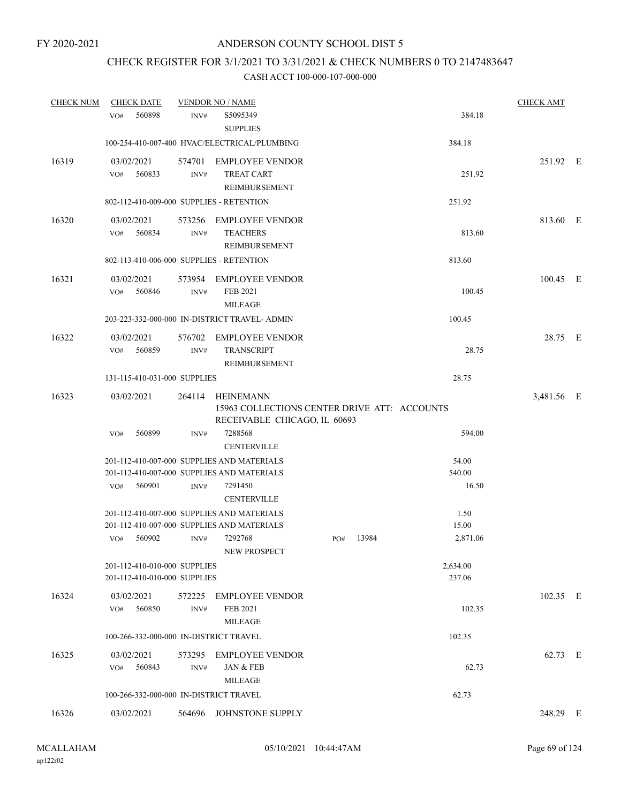## CHECK REGISTER FOR 3/1/2021 TO 3/31/2021 & CHECK NUMBERS 0 TO 2147483647

| <b>CHECK NUM</b> | <b>CHECK DATE</b>                                            |                | <b>VENDOR NO / NAME</b>                                                                          |     |       |                    | <b>CHECK AMT</b> |  |
|------------------|--------------------------------------------------------------|----------------|--------------------------------------------------------------------------------------------------|-----|-------|--------------------|------------------|--|
|                  | 560898<br>VO#                                                | INV#           | S5095349<br><b>SUPPLIES</b>                                                                      |     |       | 384.18             |                  |  |
|                  |                                                              |                | 100-254-410-007-400 HVAC/ELECTRICAL/PLUMBING                                                     |     |       | 384.18             |                  |  |
| 16319            | 03/02/2021<br>560833<br>VO#                                  | 574701<br>INV# | <b>EMPLOYEE VENDOR</b><br><b>TREAT CART</b><br>REIMBURSEMENT                                     |     |       | 251.92             | 251.92 E         |  |
|                  | 802-112-410-009-000 SUPPLIES - RETENTION                     |                |                                                                                                  |     |       | 251.92             |                  |  |
| 16320            | 03/02/2021<br>560834<br>VO#                                  | 573256<br>INV# | <b>EMPLOYEE VENDOR</b><br><b>TEACHERS</b><br>REIMBURSEMENT                                       |     |       | 813.60             | 813.60 E         |  |
|                  | 802-113-410-006-000 SUPPLIES - RETENTION                     |                |                                                                                                  |     |       | 813.60             |                  |  |
| 16321            | 03/02/2021<br>560846<br>VO#                                  | INV#           | 573954 EMPLOYEE VENDOR<br>FEB 2021<br><b>MILEAGE</b>                                             |     |       | 100.45             | 100.45 E         |  |
|                  |                                                              |                | 203-223-332-000-000 IN-DISTRICT TRAVEL- ADMIN                                                    |     |       | 100.45             |                  |  |
| 16322            | 03/02/2021<br>560859<br>VO#                                  | 576702<br>INV# | <b>EMPLOYEE VENDOR</b><br><b>TRANSCRIPT</b><br>REIMBURSEMENT                                     |     |       | 28.75              | 28.75 E          |  |
|                  | 131-115-410-031-000 SUPPLIES                                 |                |                                                                                                  |     |       | 28.75              |                  |  |
| 16323            | 03/02/2021                                                   |                | 264114 HEINEMANN<br>15963 COLLECTIONS CENTER DRIVE ATT: ACCOUNTS<br>RECEIVABLE CHICAGO, IL 60693 |     |       |                    | 3,481.56 E       |  |
|                  | 560899<br>VO#                                                | INV#           | 7288568<br><b>CENTERVILLE</b>                                                                    |     |       | 594.00             |                  |  |
|                  |                                                              |                | 201-112-410-007-000 SUPPLIES AND MATERIALS                                                       |     |       | 54.00              |                  |  |
|                  |                                                              |                | 201-112-410-007-000 SUPPLIES AND MATERIALS                                                       |     |       | 540.00             |                  |  |
|                  | 560901<br>VO#                                                | INV#           | 7291450<br><b>CENTERVILLE</b>                                                                    |     |       | 16.50              |                  |  |
|                  |                                                              |                | 201-112-410-007-000 SUPPLIES AND MATERIALS                                                       |     |       | 1.50               |                  |  |
|                  |                                                              |                | 201-112-410-007-000 SUPPLIES AND MATERIALS                                                       |     |       | 15.00              |                  |  |
|                  | 560902<br>VO#                                                | INV#           | 7292768<br>NEW PROSPECT                                                                          | PO# | 13984 | 2,871.06           |                  |  |
|                  | 201-112-410-010-000 SUPPLIES<br>201-112-410-010-000 SUPPLIES |                |                                                                                                  |     |       | 2,634.00<br>237.06 |                  |  |
| 16324            | 03/02/2021<br>560850<br>VO#                                  | INV#           | 572225 EMPLOYEE VENDOR<br>FEB 2021<br><b>MILEAGE</b>                                             |     |       | 102.35             | 102.35 E         |  |
|                  | 100-266-332-000-000 IN-DISTRICT TRAVEL                       |                |                                                                                                  |     |       | 102.35             |                  |  |
| 16325            | 03/02/2021<br>560843<br>VO#                                  | INV#           | 573295 EMPLOYEE VENDOR<br>JAN & FEB<br><b>MILEAGE</b>                                            |     |       | 62.73              | 62.73 E          |  |
|                  | 100-266-332-000-000 IN-DISTRICT TRAVEL                       |                |                                                                                                  |     |       | 62.73              |                  |  |
| 16326            | 03/02/2021                                                   |                | 564696 JOHNSTONE SUPPLY                                                                          |     |       |                    | 248.29 E         |  |
|                  |                                                              |                |                                                                                                  |     |       |                    |                  |  |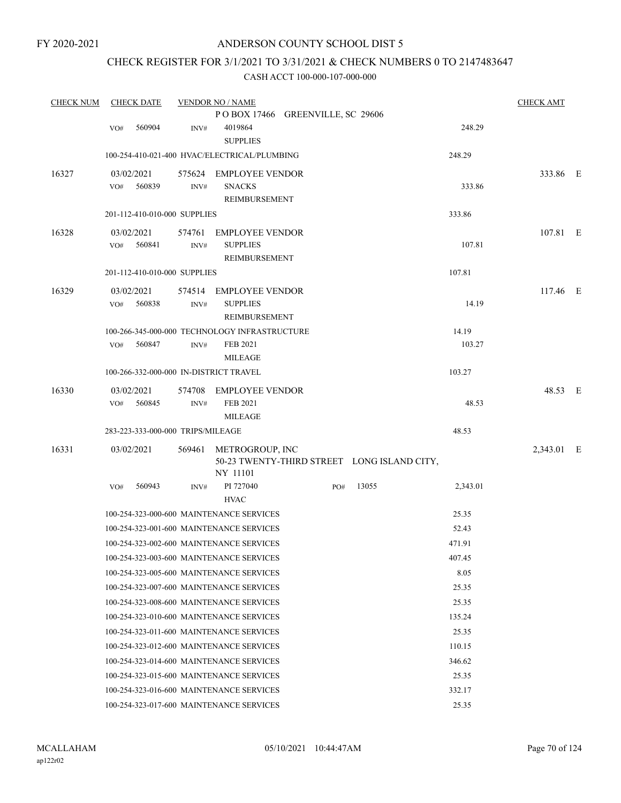## CHECK REGISTER FOR 3/1/2021 TO 3/31/2021 & CHECK NUMBERS 0 TO 2147483647

| <b>CHECK NUM</b> | <b>CHECK DATE</b>                      |                | <b>VENDOR NO / NAME</b>                                         |     |                                             |          | <b>CHECK AMT</b> |  |
|------------------|----------------------------------------|----------------|-----------------------------------------------------------------|-----|---------------------------------------------|----------|------------------|--|
|                  |                                        |                | POBOX 17466 GREENVILLE, SC 29606                                |     |                                             |          |                  |  |
|                  | 560904<br>VO#                          | INV#           | 4019864<br><b>SUPPLIES</b>                                      |     |                                             | 248.29   |                  |  |
|                  |                                        |                | 100-254-410-021-400 HVAC/ELECTRICAL/PLUMBING                    |     |                                             | 248.29   |                  |  |
| 16327            | 03/02/2021<br>560839<br>VO#            | 575624<br>INV# | <b>EMPLOYEE VENDOR</b><br><b>SNACKS</b><br><b>REIMBURSEMENT</b> |     |                                             | 333.86   | 333.86 E         |  |
|                  | 201-112-410-010-000 SUPPLIES           |                |                                                                 |     |                                             | 333.86   |                  |  |
| 16328            | 03/02/2021<br>560841<br>VO#            | 574761<br>INV# | <b>EMPLOYEE VENDOR</b><br><b>SUPPLIES</b><br>REIMBURSEMENT      |     |                                             | 107.81   | 107.81 E         |  |
|                  | 201-112-410-010-000 SUPPLIES           |                |                                                                 |     |                                             | 107.81   |                  |  |
| 16329            | 03/02/2021<br>560838<br>VO#            | 574514<br>INV# | <b>EMPLOYEE VENDOR</b><br><b>SUPPLIES</b><br>REIMBURSEMENT      |     |                                             | 14.19    | 117.46 E         |  |
|                  |                                        |                | 100-266-345-000-000 TECHNOLOGY INFRASTRUCTURE                   |     |                                             | 14.19    |                  |  |
|                  | 560847<br>VO#                          | INV#           | FEB 2021<br><b>MILEAGE</b>                                      |     |                                             | 103.27   |                  |  |
|                  | 100-266-332-000-000 IN-DISTRICT TRAVEL |                |                                                                 |     |                                             | 103.27   |                  |  |
| 16330            | 03/02/2021<br>560845<br>VO#            | 574708<br>INV# | <b>EMPLOYEE VENDOR</b><br>FEB 2021<br><b>MILEAGE</b>            |     |                                             | 48.53    | 48.53 E          |  |
|                  | 283-223-333-000-000 TRIPS/MILEAGE      |                |                                                                 |     |                                             | 48.53    |                  |  |
| 16331            | 03/02/2021                             |                | 569461 METROGROUP, INC<br>NY 11101                              |     | 50-23 TWENTY-THIRD STREET LONG ISLAND CITY, |          | 2,343.01 E       |  |
|                  | VO#<br>560943                          | INV#           | PI 727040<br><b>HVAC</b>                                        | PO# | 13055                                       | 2,343.01 |                  |  |
|                  |                                        |                | 100-254-323-000-600 MAINTENANCE SERVICES                        |     |                                             | 25.35    |                  |  |
|                  |                                        |                | 100-254-323-001-600 MAINTENANCE SERVICES                        |     |                                             | 52.43    |                  |  |
|                  |                                        |                | 100-254-323-002-600 MAINTENANCE SERVICES                        |     |                                             | 471.91   |                  |  |
|                  |                                        |                | 100-254-323-003-600 MAINTENANCE SERVICES                        |     |                                             | 407.45   |                  |  |
|                  |                                        |                | 100-254-323-005-600 MAINTENANCE SERVICES                        |     |                                             | 8.05     |                  |  |
|                  |                                        |                | 100-254-323-007-600 MAINTENANCE SERVICES                        |     |                                             | 25.35    |                  |  |
|                  |                                        |                | 100-254-323-008-600 MAINTENANCE SERVICES                        |     |                                             | 25.35    |                  |  |
|                  |                                        |                | 100-254-323-010-600 MAINTENANCE SERVICES                        |     |                                             | 135.24   |                  |  |
|                  |                                        |                | 100-254-323-011-600 MAINTENANCE SERVICES                        |     |                                             | 25.35    |                  |  |
|                  |                                        |                | 100-254-323-012-600 MAINTENANCE SERVICES                        |     |                                             | 110.15   |                  |  |
|                  |                                        |                | 100-254-323-014-600 MAINTENANCE SERVICES                        |     |                                             | 346.62   |                  |  |
|                  |                                        |                | 100-254-323-015-600 MAINTENANCE SERVICES                        |     |                                             | 25.35    |                  |  |
|                  |                                        |                | 100-254-323-016-600 MAINTENANCE SERVICES                        |     |                                             | 332.17   |                  |  |
|                  |                                        |                | 100-254-323-017-600 MAINTENANCE SERVICES                        |     |                                             | 25.35    |                  |  |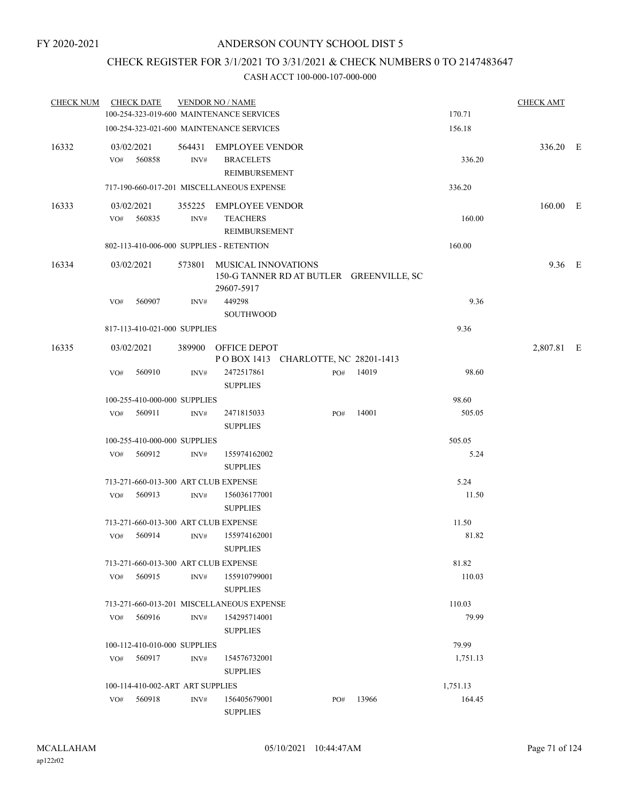### CHECK REGISTER FOR 3/1/2021 TO 3/31/2021 & CHECK NUMBERS 0 TO 2147483647

| <b>CHECK NUM</b> |                   | <b>CHECK DATE</b>                |      | <b>VENDOR NO / NAME</b>                                     |     |                                          |          | <b>CHECK AMT</b> |  |
|------------------|-------------------|----------------------------------|------|-------------------------------------------------------------|-----|------------------------------------------|----------|------------------|--|
|                  |                   |                                  |      | 100-254-323-019-600 MAINTENANCE SERVICES                    |     |                                          | 170.71   |                  |  |
|                  |                   |                                  |      | 100-254-323-021-600 MAINTENANCE SERVICES                    |     |                                          | 156.18   |                  |  |
| 16332            | 03/02/2021<br>VO# | 560858                           | INV# | 564431 EMPLOYEE VENDOR<br><b>BRACELETS</b><br>REIMBURSEMENT |     |                                          | 336.20   | 336.20 E         |  |
|                  |                   |                                  |      | 717-190-660-017-201 MISCELLANEOUS EXPENSE                   |     |                                          | 336.20   |                  |  |
| 16333            | 03/02/2021<br>VO# | 560835                           | INV# | 355225 EMPLOYEE VENDOR<br><b>TEACHERS</b><br>REIMBURSEMENT  |     |                                          | 160.00   | 160.00 E         |  |
|                  |                   |                                  |      | 802-113-410-006-000 SUPPLIES - RETENTION                    |     |                                          | 160.00   |                  |  |
| 16334            | 03/02/2021        |                                  |      | 573801 MUSICAL INNOVATIONS<br>29607-5917                    |     | 150-G TANNER RD AT BUTLER GREENVILLE, SC |          | $9.36$ E         |  |
|                  | VO#               | 560907                           | INV# | 449298<br><b>SOUTHWOOD</b>                                  |     |                                          | 9.36     |                  |  |
|                  |                   | 817-113-410-021-000 SUPPLIES     |      |                                                             |     |                                          | 9.36     |                  |  |
| 16335            | 03/02/2021        |                                  |      | 389900 OFFICE DEPOT<br>POBOX 1413 CHARLOTTE, NC 28201-1413  |     |                                          |          | 2,807.81 E       |  |
|                  | VO#               | 560910                           | INV# | 2472517861<br><b>SUPPLIES</b>                               | PO# | 14019                                    | 98.60    |                  |  |
|                  |                   | 100-255-410-000-000 SUPPLIES     |      |                                                             |     |                                          | 98.60    |                  |  |
|                  | VO#               | 560911                           | INV# | 2471815033<br><b>SUPPLIES</b>                               | PO# | 14001                                    | 505.05   |                  |  |
|                  |                   | 100-255-410-000-000 SUPPLIES     |      |                                                             |     |                                          | 505.05   |                  |  |
|                  | VO#               | 560912                           | INV# | 155974162002<br><b>SUPPLIES</b>                             |     |                                          | 5.24     |                  |  |
|                  |                   |                                  |      | 713-271-660-013-300 ART CLUB EXPENSE                        |     |                                          | 5.24     |                  |  |
|                  | VO#               | 560913                           | INV# | 156036177001<br><b>SUPPLIES</b>                             |     |                                          | 11.50    |                  |  |
|                  |                   |                                  |      | 713-271-660-013-300 ART CLUB EXPENSE                        |     |                                          | 11.50    |                  |  |
|                  | VO#               | 560914                           | INV# | 155974162001<br><b>SUPPLIES</b>                             |     |                                          | 81.82    |                  |  |
|                  |                   |                                  |      | 713-271-660-013-300 ART CLUB EXPENSE                        |     |                                          | 81.82    |                  |  |
|                  | VO#               | 560915                           | INV# | 155910799001<br><b>SUPPLIES</b>                             |     |                                          | 110.03   |                  |  |
|                  |                   |                                  |      | 713-271-660-013-201 MISCELLANEOUS EXPENSE                   |     |                                          | 110.03   |                  |  |
|                  | VO#               | 560916                           | INV# | 154295714001<br><b>SUPPLIES</b>                             |     |                                          | 79.99    |                  |  |
|                  |                   | 100-112-410-010-000 SUPPLIES     |      |                                                             |     |                                          | 79.99    |                  |  |
|                  | VO#               | 560917                           | INV# | 154576732001<br><b>SUPPLIES</b>                             |     |                                          | 1,751.13 |                  |  |
|                  |                   | 100-114-410-002-ART ART SUPPLIES |      |                                                             |     |                                          | 1,751.13 |                  |  |
|                  | VO#               | 560918                           | INV# | 156405679001<br><b>SUPPLIES</b>                             | PO# | 13966                                    | 164.45   |                  |  |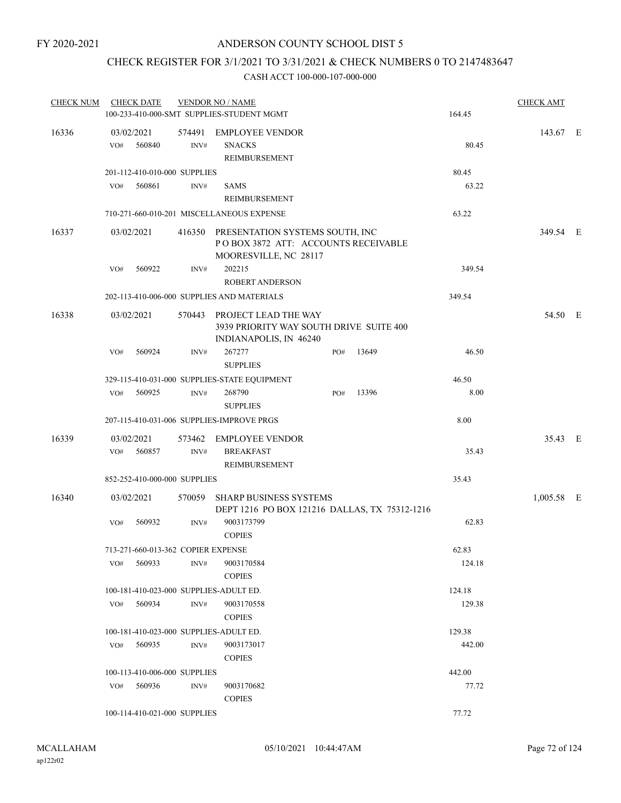## CHECK REGISTER FOR 3/1/2021 TO 3/31/2021 & CHECK NUMBERS 0 TO 2147483647

| <b>CHECK NUM</b> | <b>CHECK DATE</b>                      |        | <b>VENDOR NO / NAME</b>                                           |     |       |        | <b>CHECK AMT</b> |  |
|------------------|----------------------------------------|--------|-------------------------------------------------------------------|-----|-------|--------|------------------|--|
|                  |                                        |        | 100-233-410-000-SMT SUPPLIES-STUDENT MGMT                         |     |       | 164.45 |                  |  |
| 16336            | 03/02/2021                             |        | 574491 EMPLOYEE VENDOR                                            |     |       |        | 143.67 E         |  |
|                  | 560840<br>VO#                          | INV#   | <b>SNACKS</b>                                                     |     |       | 80.45  |                  |  |
|                  |                                        |        | <b>REIMBURSEMENT</b>                                              |     |       |        |                  |  |
|                  | 201-112-410-010-000 SUPPLIES           |        |                                                                   |     |       | 80.45  |                  |  |
|                  | 560861<br>VO#                          | INV#   | <b>SAMS</b>                                                       |     |       | 63.22  |                  |  |
|                  |                                        |        | REIMBURSEMENT                                                     |     |       |        |                  |  |
|                  |                                        |        | 710-271-660-010-201 MISCELLANEOUS EXPENSE                         |     |       | 63.22  |                  |  |
| 16337            | 03/02/2021                             |        | 416350 PRESENTATION SYSTEMS SOUTH, INC                            |     |       |        | 349.54 E         |  |
|                  |                                        |        | POBOX 3872 ATT: ACCOUNTS RECEIVABLE<br>MOORESVILLE, NC 28117      |     |       |        |                  |  |
|                  | VO#<br>560922                          | INV#   | 202215                                                            |     |       | 349.54 |                  |  |
|                  |                                        |        | <b>ROBERT ANDERSON</b>                                            |     |       |        |                  |  |
|                  |                                        |        | 202-113-410-006-000 SUPPLIES AND MATERIALS                        |     |       | 349.54 |                  |  |
| 16338            | 03/02/2021                             |        | 570443 PROJECT LEAD THE WAY                                       |     |       |        | 54.50 E          |  |
|                  |                                        |        | 3939 PRIORITY WAY SOUTH DRIVE SUITE 400<br>INDIANAPOLIS, IN 46240 |     |       |        |                  |  |
|                  | VO#<br>560924                          | INV#   | 267277                                                            | PO# | 13649 | 46.50  |                  |  |
|                  |                                        |        | <b>SUPPLIES</b>                                                   |     |       |        |                  |  |
|                  |                                        |        | 329-115-410-031-000 SUPPLIES-STATE EQUIPMENT                      |     |       | 46.50  |                  |  |
|                  | 560925<br>VO#                          | INV#   | 268790<br><b>SUPPLIES</b>                                         | PO# | 13396 | 8.00   |                  |  |
|                  |                                        |        | 207-115-410-031-006 SUPPLIES-IMPROVE PRGS                         |     |       | 8.00   |                  |  |
| 16339            | 03/02/2021                             | 573462 | <b>EMPLOYEE VENDOR</b>                                            |     |       |        | 35.43 E          |  |
|                  | 560857<br>VO#                          | INV#   | <b>BREAKFAST</b>                                                  |     |       | 35.43  |                  |  |
|                  |                                        |        | REIMBURSEMENT                                                     |     |       |        |                  |  |
|                  | 852-252-410-000-000 SUPPLIES           |        |                                                                   |     |       | 35.43  |                  |  |
| 16340            | 03/02/2021                             | 570059 | <b>SHARP BUSINESS SYSTEMS</b>                                     |     |       |        | 1,005.58 E       |  |
|                  |                                        |        | DEPT 1216 PO BOX 121216 DALLAS, TX 75312-1216                     |     |       |        |                  |  |
|                  | 560932<br>VO#                          | INV#   | 9003173799                                                        |     |       | 62.83  |                  |  |
|                  |                                        |        | <b>COPIES</b>                                                     |     |       |        |                  |  |
|                  | 713-271-660-013-362 COPIER EXPENSE     |        |                                                                   |     |       | 62.83  |                  |  |
|                  | VO# 560933                             | INV#   | 9003170584<br><b>COPIES</b>                                       |     |       | 124.18 |                  |  |
|                  | 100-181-410-023-000 SUPPLIES-ADULT ED. |        |                                                                   |     |       | 124.18 |                  |  |
|                  | 560934<br>VO#                          | INV#   | 9003170558<br><b>COPIES</b>                                       |     |       | 129.38 |                  |  |
|                  | 100-181-410-023-000 SUPPLIES-ADULT ED. |        |                                                                   |     |       | 129.38 |                  |  |
|                  | 560935<br>VO#                          | INV#   | 9003173017                                                        |     |       | 442.00 |                  |  |
|                  |                                        |        | <b>COPIES</b>                                                     |     |       |        |                  |  |
|                  | 100-113-410-006-000 SUPPLIES           |        |                                                                   |     |       | 442.00 |                  |  |
|                  | 560936<br>VO#                          | INV#   | 9003170682<br><b>COPIES</b>                                       |     |       | 77.72  |                  |  |
|                  | 100-114-410-021-000 SUPPLIES           |        |                                                                   |     |       | 77.72  |                  |  |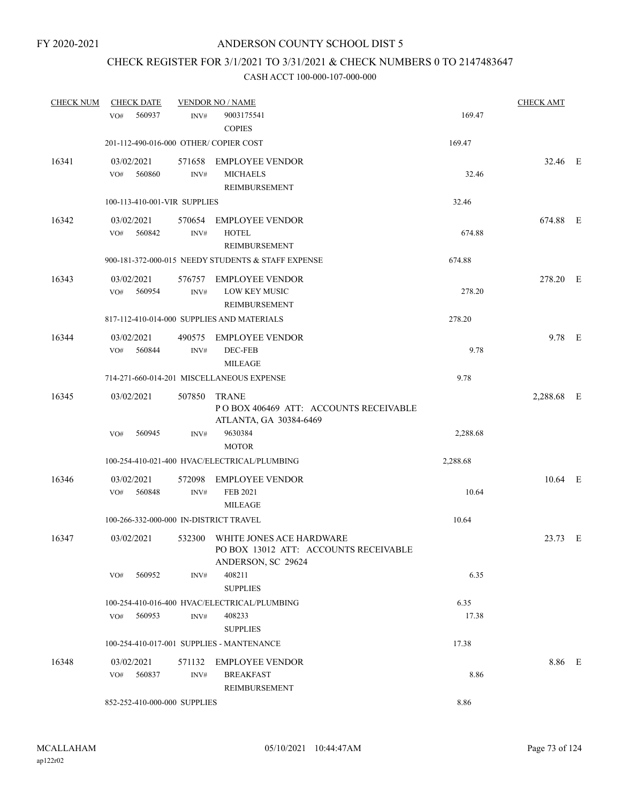# CHECK REGISTER FOR 3/1/2021 TO 3/31/2021 & CHECK NUMBERS 0 TO 2147483647

| <b>CHECK NUM</b> | <b>CHECK DATE</b>                      |                | <b>VENDOR NO / NAME</b>                                                                 |          | <b>CHECK AMT</b> |  |
|------------------|----------------------------------------|----------------|-----------------------------------------------------------------------------------------|----------|------------------|--|
|                  | 560937<br>VO#                          | INV#           | 9003175541<br><b>COPIES</b>                                                             | 169.47   |                  |  |
|                  | 201-112-490-016-000 OTHER/ COPIER COST |                |                                                                                         | 169.47   |                  |  |
| 16341            | 03/02/2021<br>560860<br>VO#            | 571658<br>INV# | <b>EMPLOYEE VENDOR</b><br><b>MICHAELS</b><br>REIMBURSEMENT                              | 32.46    | 32.46 E          |  |
|                  | 100-113-410-001-VIR SUPPLIES           |                |                                                                                         | 32.46    |                  |  |
| 16342            | 03/02/2021<br>560842<br>VO#            | INV#           | 570654 EMPLOYEE VENDOR<br><b>HOTEL</b><br>REIMBURSEMENT                                 | 674.88   | 674.88 E         |  |
|                  |                                        |                | 900-181-372-000-015 NEEDY STUDENTS & STAFF EXPENSE                                      | 674.88   |                  |  |
| 16343            | 03/02/2021<br>560954<br>VO#            | 576757<br>INV# | <b>EMPLOYEE VENDOR</b><br>LOW KEY MUSIC<br>REIMBURSEMENT                                | 278.20   | 278.20 E         |  |
|                  |                                        |                | 817-112-410-014-000 SUPPLIES AND MATERIALS                                              | 278.20   |                  |  |
| 16344            | 03/02/2021<br>VO#<br>560844            | 490575<br>INV# | <b>EMPLOYEE VENDOR</b><br>DEC-FEB<br><b>MILEAGE</b>                                     | 9.78     | $9.78$ E         |  |
|                  |                                        |                | 714-271-660-014-201 MISCELLANEOUS EXPENSE                                               | 9.78     |                  |  |
| 16345            | 03/02/2021                             | 507850         | <b>TRANE</b><br>POBOX 406469 ATT: ACCOUNTS RECEIVABLE<br>ATLANTA, GA 30384-6469         |          | 2,288.68 E       |  |
|                  | 560945<br>VO#                          | INV#           | 9630384<br><b>MOTOR</b>                                                                 | 2,288.68 |                  |  |
|                  |                                        |                | 100-254-410-021-400 HVAC/ELECTRICAL/PLUMBING                                            | 2,288.68 |                  |  |
| 16346            | 03/02/2021<br>560848<br>VO#            | 572098<br>INV# | <b>EMPLOYEE VENDOR</b><br>FEB 2021<br><b>MILEAGE</b>                                    | 10.64    | $10.64$ E        |  |
|                  | 100-266-332-000-000 IN-DISTRICT TRAVEL |                |                                                                                         | 10.64    |                  |  |
| 16347            | 03/02/2021                             | 532300         | WHITE JONES ACE HARDWARE<br>PO BOX 13012 ATT: ACCOUNTS RECEIVABLE<br>ANDERSON, SC 29624 |          | 23.73 E          |  |
|                  | 560952<br>VO#                          | INV#           | 408211<br><b>SUPPLIES</b>                                                               | 6.35     |                  |  |
|                  |                                        |                | 100-254-410-016-400 HVAC/ELECTRICAL/PLUMBING                                            | 6.35     |                  |  |
|                  | 560953<br>VO#                          | INV#           | 408233<br><b>SUPPLIES</b>                                                               | 17.38    |                  |  |
|                  |                                        |                | 100-254-410-017-001 SUPPLIES - MANTENANCE                                               | 17.38    |                  |  |
| 16348            | 03/02/2021                             |                | 571132 EMPLOYEE VENDOR                                                                  |          | 8.86 E           |  |
|                  | 560837<br>VO#                          | INV#           | <b>BREAKFAST</b><br>REIMBURSEMENT                                                       | 8.86     |                  |  |
|                  | 852-252-410-000-000 SUPPLIES           |                |                                                                                         | 8.86     |                  |  |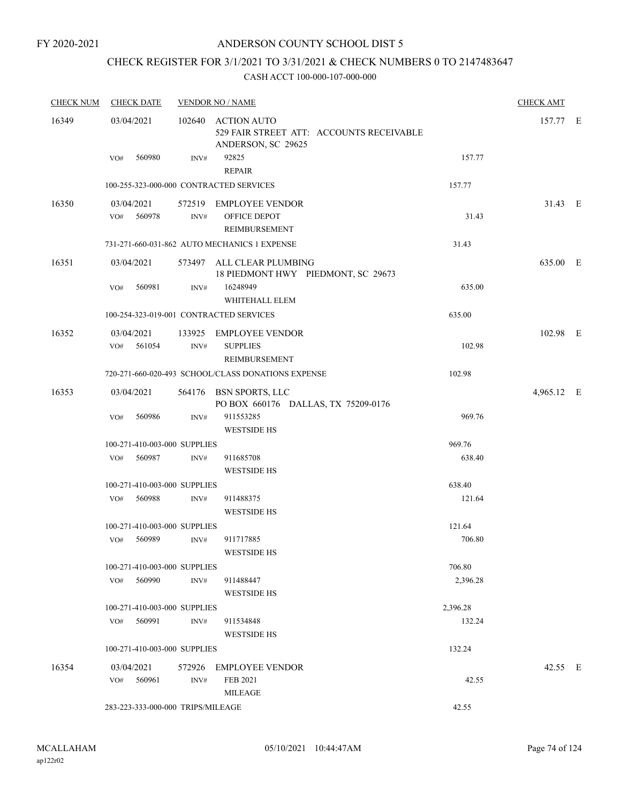# CHECK REGISTER FOR 3/1/2021 TO 3/31/2021 & CHECK NUMBERS 0 TO 2147483647

| <b>CHECK NUM</b> | <b>CHECK DATE</b>                 |                | <b>VENDOR NO / NAME</b>                                                                       |          | <b>CHECK AMT</b> |  |
|------------------|-----------------------------------|----------------|-----------------------------------------------------------------------------------------------|----------|------------------|--|
| 16349            | 03/04/2021<br>560980<br>VO#       | INV#           | 102640 ACTION AUTO<br>529 FAIR STREET ATT: ACCOUNTS RECEIVABLE<br>ANDERSON, SC 29625<br>92825 | 157.77   | 157.77 E         |  |
|                  |                                   |                | <b>REPAIR</b>                                                                                 |          |                  |  |
|                  |                                   |                | 100-255-323-000-000 CONTRACTED SERVICES                                                       | 157.77   |                  |  |
| 16350            | 03/04/2021                        |                | 572519 EMPLOYEE VENDOR                                                                        |          | 31.43 E          |  |
|                  | VO# 560978                        | INV#           | OFFICE DEPOT<br><b>REIMBURSEMENT</b>                                                          | 31.43    |                  |  |
|                  |                                   |                | 731-271-660-031-862 AUTO MECHANICS 1 EXPENSE                                                  | 31.43    |                  |  |
| 16351            | 03/04/2021                        |                | 573497 ALL CLEAR PLUMBING<br>18 PIEDMONT HWY PIEDMONT, SC 29673                               |          | 635.00 E         |  |
|                  | VO#<br>560981                     | INV#           | 16248949<br>WHITEHALL ELEM                                                                    | 635.00   |                  |  |
|                  |                                   |                | 100-254-323-019-001 CONTRACTED SERVICES                                                       | 635.00   |                  |  |
| 16352            | 03/04/2021<br>VO# 561054          | INV#           | 133925 EMPLOYEE VENDOR<br><b>SUPPLIES</b><br>REIMBURSEMENT                                    | 102.98   | 102.98 E         |  |
|                  |                                   |                | 720-271-660-020-493 SCHOOL/CLASS DONATIONS EXPENSE                                            | 102.98   |                  |  |
| 16353            | 03/04/2021                        |                | 564176 BSN SPORTS, LLC<br>PO BOX 660176 DALLAS, TX 75209-0176                                 |          | 4,965.12 E       |  |
|                  | 560986<br>VO#                     | $\text{INV}\#$ | 911553285<br><b>WESTSIDE HS</b>                                                               | 969.76   |                  |  |
|                  | 100-271-410-003-000 SUPPLIES      |                |                                                                                               | 969.76   |                  |  |
|                  | 560987<br>VO#                     | INV#           | 911685708<br><b>WESTSIDE HS</b>                                                               | 638.40   |                  |  |
|                  | 100-271-410-003-000 SUPPLIES      |                |                                                                                               | 638.40   |                  |  |
|                  | 560988<br>VO#                     | INV#           | 911488375<br><b>WESTSIDE HS</b>                                                               | 121.64   |                  |  |
|                  | 100-271-410-003-000 SUPPLIES      |                |                                                                                               | 121.64   |                  |  |
|                  | 560989<br>VO#                     | INV#           | 911717885<br><b>WESTSIDE HS</b>                                                               | 706.80   |                  |  |
|                  | 100-271-410-003-000 SUPPLIES      |                |                                                                                               | 706.80   |                  |  |
|                  | 560990<br>VO#                     | INV#           | 911488447<br><b>WESTSIDE HS</b>                                                               | 2,396.28 |                  |  |
|                  | 100-271-410-003-000 SUPPLIES      |                |                                                                                               | 2,396.28 |                  |  |
|                  | VO# 560991                        | INV#           | 911534848<br><b>WESTSIDE HS</b>                                                               | 132.24   |                  |  |
|                  | 100-271-410-003-000 SUPPLIES      |                |                                                                                               | 132.24   |                  |  |
| 16354            | 03/04/2021                        | 572926         | EMPLOYEE VENDOR                                                                               |          | 42.55 E          |  |
|                  | VO# 560961                        | INV#           | FEB 2021<br><b>MILEAGE</b>                                                                    | 42.55    |                  |  |
|                  | 283-223-333-000-000 TRIPS/MILEAGE |                |                                                                                               | 42.55    |                  |  |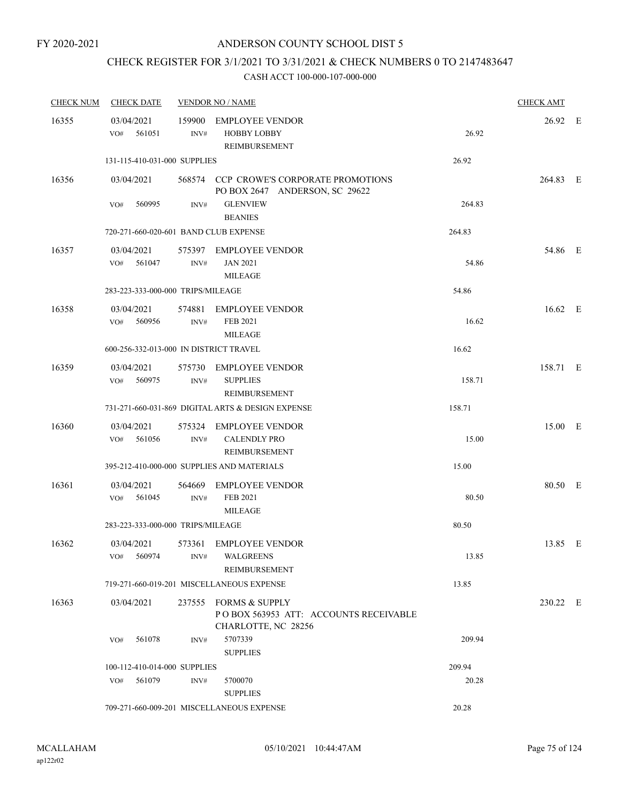# CHECK REGISTER FOR 3/1/2021 TO 3/31/2021 & CHECK NUMBERS 0 TO 2147483647

| <b>CHECK NUM</b> | <b>CHECK DATE</b>                      |                | <b>VENDOR NO / NAME</b>                                                                      |        | <b>CHECK AMT</b> |  |
|------------------|----------------------------------------|----------------|----------------------------------------------------------------------------------------------|--------|------------------|--|
| 16355            | 03/04/2021<br>561051<br>VO#            | INV#           | 159900 EMPLOYEE VENDOR<br><b>HOBBY LOBBY</b><br>REIMBURSEMENT                                | 26.92  | 26.92 E          |  |
|                  | 131-115-410-031-000 SUPPLIES           |                |                                                                                              | 26.92  |                  |  |
| 16356            | 03/04/2021<br>560995<br>VO#            | INV#           | 568574 CCP CROWE'S CORPORATE PROMOTIONS<br>PO BOX 2647 ANDERSON, SC 29622<br><b>GLENVIEW</b> | 264.83 | 264.83 E         |  |
|                  |                                        |                | <b>BEANIES</b>                                                                               |        |                  |  |
|                  | 720-271-660-020-601 BAND CLUB EXPENSE  |                |                                                                                              | 264.83 |                  |  |
| 16357            | 03/04/2021<br>561047<br>VO#            | INV#           | 575397 EMPLOYEE VENDOR<br><b>JAN 2021</b><br><b>MILEAGE</b>                                  | 54.86  | 54.86 E          |  |
|                  | 283-223-333-000-000 TRIPS/MILEAGE      |                |                                                                                              | 54.86  |                  |  |
| 16358            | 03/04/2021<br>560956<br>VO#            | 574881<br>INV# | <b>EMPLOYEE VENDOR</b><br>FEB 2021<br><b>MILEAGE</b>                                         | 16.62  | 16.62 E          |  |
|                  | 600-256-332-013-000 IN DISTRICT TRAVEL |                |                                                                                              | 16.62  |                  |  |
| 16359            | 03/04/2021<br>VO#<br>560975            | INV#           | 575730 EMPLOYEE VENDOR<br><b>SUPPLIES</b><br>REIMBURSEMENT                                   | 158.71 | 158.71 E         |  |
|                  |                                        |                | 731-271-660-031-869 DIGITAL ARTS & DESIGN EXPENSE                                            | 158.71 |                  |  |
| 16360            | 03/04/2021<br>561056<br>VO#            | 575324<br>INV# | EMPLOYEE VENDOR<br><b>CALENDLY PRO</b><br>REIMBURSEMENT                                      | 15.00  | 15.00 E          |  |
|                  |                                        |                | 395-212-410-000-000 SUPPLIES AND MATERIALS                                                   | 15.00  |                  |  |
| 16361            | 03/04/2021<br>561045<br>VO#            | 564669<br>INV# | <b>EMPLOYEE VENDOR</b><br>FEB 2021<br><b>MILEAGE</b>                                         | 80.50  | 80.50 E          |  |
|                  | 283-223-333-000-000 TRIPS/MILEAGE      |                |                                                                                              | 80.50  |                  |  |
| 16362            | 03/04/2021<br>560974<br>VO#            | INV#           | 573361 EMPLOYEE VENDOR<br>WALGREENS<br><b>REIMBURSEMENT</b>                                  | 13.85  | 13.85 E          |  |
|                  |                                        |                | 719-271-660-019-201 MISCELLANEOUS EXPENSE                                                    | 13.85  |                  |  |
| 16363            | 03/04/2021                             |                | 237555 FORMS & SUPPLY<br>PO BOX 563953 ATT: ACCOUNTS RECEIVABLE<br>CHARLOTTE, NC 28256       |        | 230.22 E         |  |
|                  | 561078<br>VO#                          | INV#           | 5707339<br><b>SUPPLIES</b>                                                                   | 209.94 |                  |  |
|                  | 100-112-410-014-000 SUPPLIES           |                |                                                                                              | 209.94 |                  |  |
|                  | 561079<br>VO#                          | INV#           | 5700070<br><b>SUPPLIES</b>                                                                   | 20.28  |                  |  |
|                  |                                        |                | 709-271-660-009-201 MISCELLANEOUS EXPENSE                                                    | 20.28  |                  |  |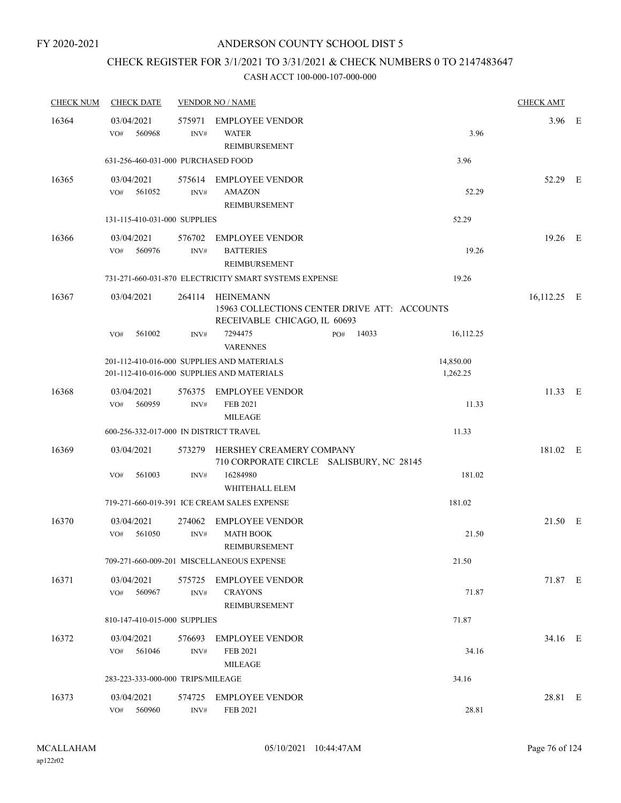# CHECK REGISTER FOR 3/1/2021 TO 3/31/2021 & CHECK NUMBERS 0 TO 2147483647

| <b>CHECK NUM</b> | <b>CHECK DATE</b>                      |                | <b>VENDOR NO / NAME</b>                                                                          |     |       |                       | <b>CHECK AMT</b> |  |
|------------------|----------------------------------------|----------------|--------------------------------------------------------------------------------------------------|-----|-------|-----------------------|------------------|--|
| 16364            | 03/04/2021<br>560968<br>VO#            | 575971<br>INV# | <b>EMPLOYEE VENDOR</b><br><b>WATER</b><br>REIMBURSEMENT                                          |     |       | 3.96                  | $3.96$ E         |  |
|                  | 631-256-460-031-000 PURCHASED FOOD     |                |                                                                                                  |     |       | 3.96                  |                  |  |
| 16365            | 03/04/2021<br>VO#<br>561052            | $\text{INV}\#$ | 575614 EMPLOYEE VENDOR<br><b>AMAZON</b><br>REIMBURSEMENT                                         |     |       | 52.29                 | 52.29 E          |  |
|                  | 131-115-410-031-000 SUPPLIES           |                |                                                                                                  |     |       | 52.29                 |                  |  |
| 16366            | 03/04/2021<br>VO#<br>560976            | 576702<br>INV# | <b>EMPLOYEE VENDOR</b><br><b>BATTERIES</b><br><b>REIMBURSEMENT</b>                               |     |       | 19.26                 | 19.26 E          |  |
|                  |                                        |                | 731-271-660-031-870 ELECTRICITY SMART SYSTEMS EXPENSE                                            |     |       | 19.26                 |                  |  |
| 16367            | 03/04/2021                             |                | 264114 HEINEMANN<br>15963 COLLECTIONS CENTER DRIVE ATT: ACCOUNTS<br>RECEIVABLE CHICAGO, IL 60693 |     |       |                       | 16,112.25 E      |  |
|                  | 561002<br>VO#                          | INV#           | 7294475<br><b>VARENNES</b>                                                                       | PO# | 14033 | 16,112.25             |                  |  |
|                  |                                        |                | 201-112-410-016-000 SUPPLIES AND MATERIALS<br>201-112-410-016-000 SUPPLIES AND MATERIALS         |     |       | 14,850.00<br>1,262.25 |                  |  |
| 16368            | 03/04/2021<br>560959<br>VO#            | INV#           | 576375 EMPLOYEE VENDOR<br>FEB 2021<br><b>MILEAGE</b>                                             |     |       | 11.33                 | $11.33$ E        |  |
|                  | 600-256-332-017-000 IN DISTRICT TRAVEL |                |                                                                                                  |     |       | 11.33                 |                  |  |
| 16369            | 03/04/2021                             | 573279         | HERSHEY CREAMERY COMPANY<br>710 CORPORATE CIRCLE SALISBURY, NC 28145                             |     |       |                       | 181.02 E         |  |
|                  | 561003<br>VO#                          | INV#           | 16284980<br>WHITEHALL ELEM                                                                       |     |       | 181.02                |                  |  |
|                  |                                        |                | 719-271-660-019-391 ICE CREAM SALES EXPENSE                                                      |     |       | 181.02                |                  |  |
| 16370            | 03/04/2021<br>VO#<br>561050            | 274062<br>INV# | <b>EMPLOYEE VENDOR</b><br><b>MATH BOOK</b><br><b>REIMBURSEMENT</b>                               |     |       | 21.50                 | 21.50 E          |  |
|                  |                                        |                | 709-271-660-009-201 MISCELLANEOUS EXPENSE                                                        |     |       | 21.50                 |                  |  |
| 16371            | 03/04/2021<br>560967<br>VO#            | 575725<br>INV# | <b>EMPLOYEE VENDOR</b><br><b>CRAYONS</b><br>REIMBURSEMENT                                        |     |       | 71.87                 | 71.87 E          |  |
|                  | 810-147-410-015-000 SUPPLIES           |                |                                                                                                  |     |       | 71.87                 |                  |  |
| 16372            | 03/04/2021<br>VO#<br>561046            | 576693<br>INV# | <b>EMPLOYEE VENDOR</b><br><b>FEB 2021</b><br><b>MILEAGE</b>                                      |     |       | 34.16                 | 34.16 E          |  |
|                  | 283-223-333-000-000 TRIPS/MILEAGE      |                |                                                                                                  |     |       | 34.16                 |                  |  |
| 16373            | 03/04/2021<br>VO# 560960               | 574725<br>INV# | <b>EMPLOYEE VENDOR</b><br><b>FEB 2021</b>                                                        |     |       | 28.81                 | 28.81 E          |  |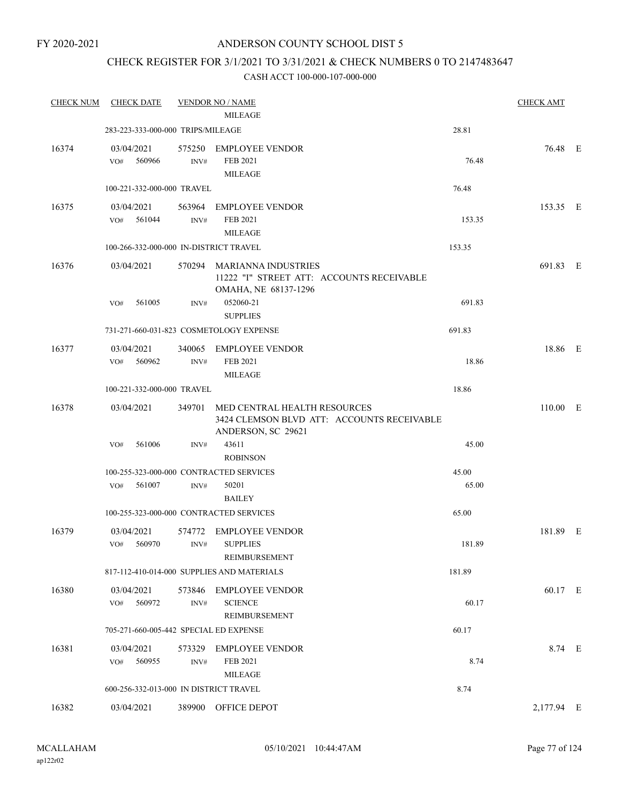FY 2020-2021

# ANDERSON COUNTY SCHOOL DIST 5

# CHECK REGISTER FOR 3/1/2021 TO 3/31/2021 & CHECK NUMBERS 0 TO 2147483647

| <b>CHECK NUM</b> | <b>CHECK DATE</b>                       |                | <b>VENDOR NO / NAME</b>                                                                                 |        | <b>CHECK AMT</b> |  |
|------------------|-----------------------------------------|----------------|---------------------------------------------------------------------------------------------------------|--------|------------------|--|
|                  |                                         |                | <b>MILEAGE</b>                                                                                          |        |                  |  |
|                  | 283-223-333-000-000 TRIPS/MILEAGE       |                |                                                                                                         | 28.81  |                  |  |
| 16374            | 03/04/2021<br>560966<br>VO#             | INV#           | 575250 EMPLOYEE VENDOR<br>FEB 2021<br><b>MILEAGE</b>                                                    | 76.48  | 76.48 E          |  |
|                  | 100-221-332-000-000 TRAVEL              |                |                                                                                                         | 76.48  |                  |  |
| 16375            | 03/04/2021<br>561044<br>VO#             | INV#           | 563964 EMPLOYEE VENDOR<br>FEB 2021<br><b>MILEAGE</b>                                                    | 153.35 | 153.35 E         |  |
|                  | 100-266-332-000-000 IN-DISTRICT TRAVEL  |                |                                                                                                         | 153.35 |                  |  |
| 16376            | 03/04/2021                              |                | 570294 MARIANNA INDUSTRIES<br>11222 "I" STREET ATT: ACCOUNTS RECEIVABLE<br>OMAHA, NE 68137-1296         |        | 691.83 E         |  |
|                  | 561005<br>VO#                           | INV#           | 052060-21<br><b>SUPPLIES</b>                                                                            | 691.83 |                  |  |
|                  |                                         |                | 731-271-660-031-823 COSMETOLOGY EXPENSE                                                                 | 691.83 |                  |  |
| 16377            | 03/04/2021<br>560962<br>VO#             | INV#           | 340065 EMPLOYEE VENDOR<br>FEB 2021                                                                      | 18.86  | 18.86 E          |  |
|                  | 100-221-332-000-000 TRAVEL              |                | <b>MILEAGE</b>                                                                                          | 18.86  |                  |  |
| 16378            | 03/04/2021                              |                |                                                                                                         |        | $110.00$ E       |  |
|                  |                                         |                | 349701 MED CENTRAL HEALTH RESOURCES<br>3424 CLEMSON BLVD ATT: ACCOUNTS RECEIVABLE<br>ANDERSON, SC 29621 |        |                  |  |
|                  | 561006<br>VO#                           | INV#           | 43611<br><b>ROBINSON</b>                                                                                | 45.00  |                  |  |
|                  | 100-255-323-000-000 CONTRACTED SERVICES |                |                                                                                                         | 45.00  |                  |  |
|                  | 561007<br>VO#                           | INV#           | 50201<br><b>BAILEY</b>                                                                                  | 65.00  |                  |  |
|                  | 100-255-323-000-000 CONTRACTED SERVICES |                |                                                                                                         | 65.00  |                  |  |
| 16379            | 03/04/2021<br>$VO#$ 560970              | 574772<br>INV# | <b>EMPLOYEE VENDOR</b><br><b>SUPPLIES</b><br>REIMBURSEMENT                                              | 181.89 | 181.89 E         |  |
|                  |                                         |                | 817-112-410-014-000 SUPPLIES AND MATERIALS                                                              | 181.89 |                  |  |
| 16380            | 03/04/2021                              | 573846         | <b>EMPLOYEE VENDOR</b>                                                                                  |        | 60.17 E          |  |
|                  | 560972<br>VO#                           | INV#           | <b>SCIENCE</b><br>REIMBURSEMENT                                                                         | 60.17  |                  |  |
|                  | 705-271-660-005-442 SPECIAL ED EXPENSE  |                |                                                                                                         | 60.17  |                  |  |
| 16381            | 03/04/2021<br>560955<br>VO#             | 573329<br>INV# | <b>EMPLOYEE VENDOR</b><br><b>FEB 2021</b><br><b>MILEAGE</b>                                             | 8.74   | 8.74 E           |  |
|                  | 600-256-332-013-000 IN DISTRICT TRAVEL  |                |                                                                                                         | 8.74   |                  |  |
| 16382            | 03/04/2021                              | 389900         | OFFICE DEPOT                                                                                            |        | 2,177.94 E       |  |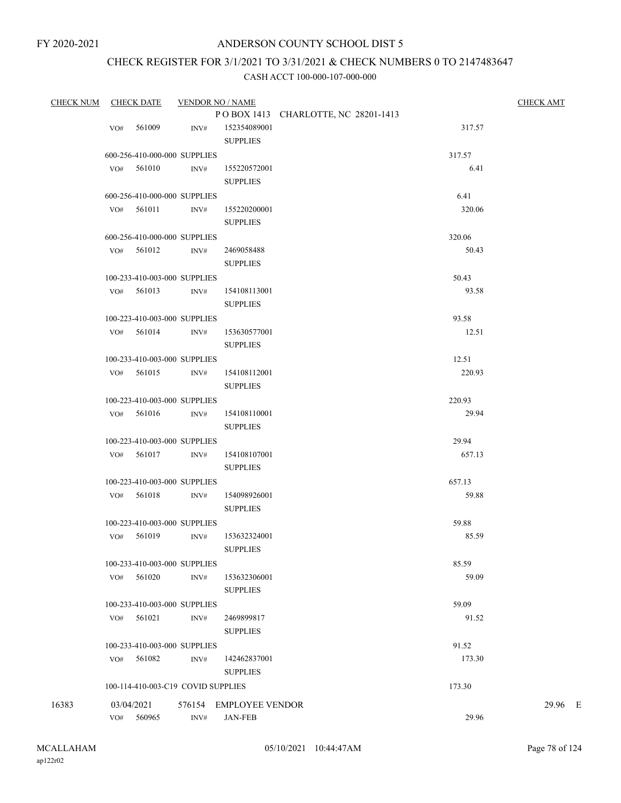# CHECK REGISTER FOR 3/1/2021 TO 3/31/2021 & CHECK NUMBERS 0 TO 2147483647

| <b>CHECK NUM</b> |     | <b>CHECK DATE</b>                  | <b>VENDOR NO / NAME</b> |                        |                                     |        | <b>CHECK AMT</b> |
|------------------|-----|------------------------------------|-------------------------|------------------------|-------------------------------------|--------|------------------|
|                  |     |                                    |                         |                        | POBOX 1413 CHARLOTTE, NC 28201-1413 |        |                  |
|                  | VO# | 561009                             | INV#                    | 152354089001           |                                     | 317.57 |                  |
|                  |     |                                    |                         | <b>SUPPLIES</b>        |                                     |        |                  |
|                  |     | 600-256-410-000-000 SUPPLIES       |                         |                        |                                     | 317.57 |                  |
|                  |     | VO# 561010                         | INV#                    | 155220572001           |                                     | 6.41   |                  |
|                  |     |                                    |                         | <b>SUPPLIES</b>        |                                     |        |                  |
|                  |     | 600-256-410-000-000 SUPPLIES       |                         |                        |                                     | 6.41   |                  |
|                  |     | $VO#$ 561011                       | INV#                    | 155220200001           |                                     | 320.06 |                  |
|                  |     |                                    |                         | <b>SUPPLIES</b>        |                                     |        |                  |
|                  |     | 600-256-410-000-000 SUPPLIES       |                         |                        |                                     | 320.06 |                  |
|                  |     | VO# 561012                         | INV#                    | 2469058488             |                                     | 50.43  |                  |
|                  |     |                                    |                         | <b>SUPPLIES</b>        |                                     |        |                  |
|                  |     | 100-233-410-003-000 SUPPLIES       |                         |                        |                                     | 50.43  |                  |
|                  |     | VO# 561013                         | INV#                    | 154108113001           |                                     | 93.58  |                  |
|                  |     |                                    |                         | <b>SUPPLIES</b>        |                                     |        |                  |
|                  |     | 100-223-410-003-000 SUPPLIES       |                         |                        |                                     | 93.58  |                  |
|                  |     | $VO#$ 561014                       | INV#                    | 153630577001           |                                     | 12.51  |                  |
|                  |     |                                    |                         | <b>SUPPLIES</b>        |                                     |        |                  |
|                  |     | 100-233-410-003-000 SUPPLIES       |                         |                        |                                     | 12.51  |                  |
|                  |     | VO# 561015                         | INV#                    | 154108112001           |                                     | 220.93 |                  |
|                  |     |                                    |                         | <b>SUPPLIES</b>        |                                     |        |                  |
|                  |     | 100-223-410-003-000 SUPPLIES       |                         |                        |                                     | 220.93 |                  |
|                  |     | $VO#$ 561016                       | INV#                    | 154108110001           |                                     | 29.94  |                  |
|                  |     |                                    |                         | <b>SUPPLIES</b>        |                                     |        |                  |
|                  |     | 100-223-410-003-000 SUPPLIES       |                         |                        |                                     | 29.94  |                  |
|                  |     | VO# 561017                         | INV#                    | 154108107001           |                                     | 657.13 |                  |
|                  |     |                                    |                         | <b>SUPPLIES</b>        |                                     |        |                  |
|                  |     | 100-223-410-003-000 SUPPLIES       |                         |                        |                                     | 657.13 |                  |
|                  |     | $VO#$ 561018                       | INV#                    | 154098926001           |                                     | 59.88  |                  |
|                  |     |                                    |                         | <b>SUPPLIES</b>        |                                     |        |                  |
|                  |     | 100-223-410-003-000 SUPPLIES       |                         |                        |                                     | 59.88  |                  |
|                  | VO# | 561019                             | INV#                    | 153632324001           |                                     | 85.59  |                  |
|                  |     |                                    |                         | <b>SUPPLIES</b>        |                                     |        |                  |
|                  |     | 100-233-410-003-000 SUPPLIES       |                         |                        |                                     | 85.59  |                  |
|                  | VO# | 561020                             | INV#                    | 153632306001           |                                     | 59.09  |                  |
|                  |     |                                    |                         | <b>SUPPLIES</b>        |                                     |        |                  |
|                  |     | 100-233-410-003-000 SUPPLIES       |                         |                        |                                     | 59.09  |                  |
|                  | VO# | 561021                             | INV#                    | 2469899817             |                                     | 91.52  |                  |
|                  |     |                                    |                         | <b>SUPPLIES</b>        |                                     |        |                  |
|                  |     | 100-233-410-003-000 SUPPLIES       |                         |                        |                                     | 91.52  |                  |
|                  |     | VO# 561082                         | INV#                    | 142462837001           |                                     | 173.30 |                  |
|                  |     |                                    |                         | <b>SUPPLIES</b>        |                                     |        |                  |
|                  |     | 100-114-410-003-C19 COVID SUPPLIES |                         |                        |                                     | 173.30 |                  |
| 16383            |     | 03/04/2021                         |                         | 576154 EMPLOYEE VENDOR |                                     |        | 29.96 E          |
|                  | VO# | 560965                             | INV#                    | <b>JAN-FEB</b>         |                                     | 29.96  |                  |
|                  |     |                                    |                         |                        |                                     |        |                  |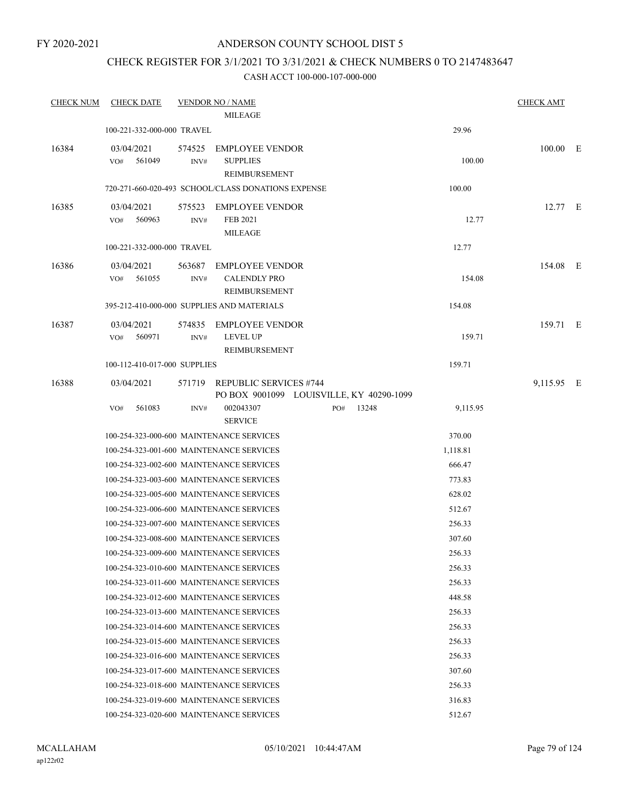# CHECK REGISTER FOR 3/1/2021 TO 3/31/2021 & CHECK NUMBERS 0 TO 2147483647

| <b>CHECK NUM</b> | <b>CHECK DATE</b>                        |                | <b>VENDOR NO / NAME</b>                                                   |     |       |          | <b>CHECK AMT</b> |  |
|------------------|------------------------------------------|----------------|---------------------------------------------------------------------------|-----|-------|----------|------------------|--|
|                  |                                          |                | <b>MILEAGE</b>                                                            |     |       |          |                  |  |
|                  | 100-221-332-000-000 TRAVEL               |                |                                                                           |     |       | 29.96    |                  |  |
| 16384            | 03/04/2021<br>561049<br>VO#              | 574525<br>INV# | <b>EMPLOYEE VENDOR</b><br><b>SUPPLIES</b><br>REIMBURSEMENT                |     |       | 100.00   | $100.00$ E       |  |
|                  |                                          |                | 720-271-660-020-493 SCHOOL/CLASS DONATIONS EXPENSE                        |     |       | 100.00   |                  |  |
| 16385            | 03/04/2021<br>560963<br>VO#              | 575523<br>INV# | <b>EMPLOYEE VENDOR</b><br>FEB 2021<br><b>MILEAGE</b>                      |     |       | 12.77    | 12.77 E          |  |
|                  | 100-221-332-000-000 TRAVEL               |                |                                                                           |     |       | 12.77    |                  |  |
| 16386            | 03/04/2021<br>VO#<br>561055              | 563687<br>INV# | <b>EMPLOYEE VENDOR</b><br><b>CALENDLY PRO</b><br>REIMBURSEMENT            |     |       | 154.08   | 154.08 E         |  |
|                  |                                          |                | 395-212-410-000-000 SUPPLIES AND MATERIALS                                |     |       | 154.08   |                  |  |
| 16387            | 03/04/2021<br>560971<br>VO#              | 574835<br>INV# | <b>EMPLOYEE VENDOR</b><br><b>LEVEL UP</b><br>REIMBURSEMENT                |     |       | 159.71   | 159.71 E         |  |
|                  | 100-112-410-017-000 SUPPLIES             |                |                                                                           |     |       | 159.71   |                  |  |
| 16388            | 03/04/2021                               | 571719         | <b>REPUBLIC SERVICES #744</b><br>PO BOX 9001099 LOUISVILLE, KY 40290-1099 |     |       |          | 9,115.95 E       |  |
|                  | 561083<br>VO#                            | INV#           | 002043307<br><b>SERVICE</b>                                               | PO# | 13248 | 9,115.95 |                  |  |
|                  |                                          |                | 100-254-323-000-600 MAINTENANCE SERVICES                                  |     |       | 370.00   |                  |  |
|                  |                                          |                | 100-254-323-001-600 MAINTENANCE SERVICES                                  |     |       | 1,118.81 |                  |  |
|                  |                                          |                | 100-254-323-002-600 MAINTENANCE SERVICES                                  |     |       | 666.47   |                  |  |
|                  |                                          |                | 100-254-323-003-600 MAINTENANCE SERVICES                                  |     |       | 773.83   |                  |  |
|                  |                                          |                | 100-254-323-005-600 MAINTENANCE SERVICES                                  |     |       | 628.02   |                  |  |
|                  |                                          |                | 100-254-323-006-600 MAINTENANCE SERVICES                                  |     |       | 512.67   |                  |  |
|                  |                                          |                | 100-254-323-007-600 MAINTENANCE SERVICES                                  |     |       | 256.33   |                  |  |
|                  |                                          |                | 100-254-323-008-600 MAINTENANCE SERVICES                                  |     |       | 307.60   |                  |  |
|                  |                                          |                | 100-254-323-009-600 MAINTENANCE SERVICES                                  |     |       | 256.33   |                  |  |
|                  |                                          |                | 100-254-323-010-600 MAINTENANCE SERVICES                                  |     |       | 256.33   |                  |  |
|                  |                                          |                | 100-254-323-011-600 MAINTENANCE SERVICES                                  |     |       | 256.33   |                  |  |
|                  | 100-254-323-012-600 MAINTENANCE SERVICES |                |                                                                           |     |       | 448.58   |                  |  |
|                  | 100-254-323-013-600 MAINTENANCE SERVICES |                |                                                                           |     |       | 256.33   |                  |  |
|                  | 100-254-323-014-600 MAINTENANCE SERVICES |                |                                                                           |     |       | 256.33   |                  |  |
|                  | 100-254-323-015-600 MAINTENANCE SERVICES |                |                                                                           |     |       | 256.33   |                  |  |
|                  |                                          |                | 100-254-323-016-600 MAINTENANCE SERVICES                                  |     |       | 256.33   |                  |  |
|                  | 100-254-323-017-600 MAINTENANCE SERVICES |                |                                                                           |     |       | 307.60   |                  |  |
|                  | 100-254-323-018-600 MAINTENANCE SERVICES |                |                                                                           |     |       | 256.33   |                  |  |
|                  | 100-254-323-019-600 MAINTENANCE SERVICES |                |                                                                           |     |       | 316.83   |                  |  |
|                  | 100-254-323-020-600 MAINTENANCE SERVICES |                |                                                                           |     |       | 512.67   |                  |  |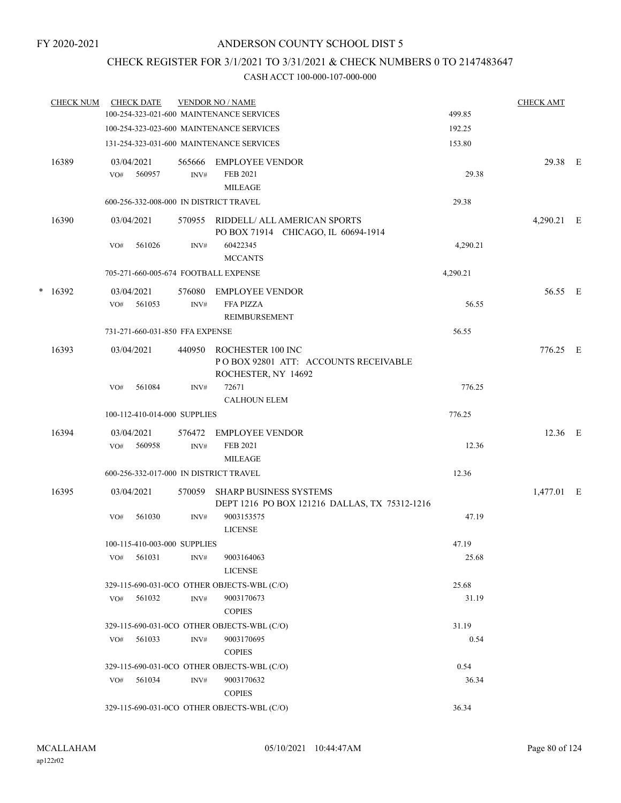# CHECK REGISTER FOR 3/1/2021 TO 3/31/2021 & CHECK NUMBERS 0 TO 2147483647

|   | <b>CHECK NUM</b> |     | <b>CHECK DATE</b>    |                                 | <b>VENDOR NO / NAME</b>                                                          |          | <b>CHECK AMT</b> |  |
|---|------------------|-----|----------------------|---------------------------------|----------------------------------------------------------------------------------|----------|------------------|--|
|   |                  |     |                      |                                 | 100-254-323-021-600 MAINTENANCE SERVICES                                         | 499.85   |                  |  |
|   |                  |     |                      |                                 | 100-254-323-023-600 MAINTENANCE SERVICES                                         | 192.25   |                  |  |
|   |                  |     |                      |                                 | 131-254-323-031-600 MAINTENANCE SERVICES                                         | 153.80   |                  |  |
|   | 16389            | VO# | 03/04/2021<br>560957 | 565666<br>INV#                  | <b>EMPLOYEE VENDOR</b><br>FEB 2021                                               | 29.38    | 29.38 E          |  |
|   |                  |     |                      |                                 | <b>MILEAGE</b>                                                                   |          |                  |  |
|   |                  |     |                      |                                 | 600-256-332-008-000 IN DISTRICT TRAVEL                                           | 29.38    |                  |  |
|   | 16390            |     | 03/04/2021           |                                 | 570955 RIDDELL/ ALL AMERICAN SPORTS<br>PO BOX 71914 CHICAGO, IL 60694-1914       |          | 4,290.21 E       |  |
|   |                  | VO# | 561026               | INV#                            | 60422345<br><b>MCCANTS</b>                                                       | 4,290.21 |                  |  |
|   |                  |     |                      |                                 | 705-271-660-005-674 FOOTBALL EXPENSE                                             | 4,290.21 |                  |  |
| * | 16392            |     | 03/04/2021           | 576080                          | <b>EMPLOYEE VENDOR</b>                                                           |          | 56.55 E          |  |
|   |                  | VO# | 561053               | INV#                            | <b>FFA PIZZA</b><br>REIMBURSEMENT                                                | 56.55    |                  |  |
|   |                  |     |                      | 731-271-660-031-850 FFA EXPENSE |                                                                                  | 56.55    |                  |  |
|   | 16393            |     | 03/04/2021           | 440950                          | ROCHESTER 100 INC<br>POBOX 92801 ATT: ACCOUNTS RECEIVABLE<br>ROCHESTER, NY 14692 |          | 776.25 E         |  |
|   |                  | VO# | 561084               | INV#                            | 72671<br><b>CALHOUN ELEM</b>                                                     | 776.25   |                  |  |
|   |                  |     |                      | 100-112-410-014-000 SUPPLIES    |                                                                                  | 776.25   |                  |  |
|   | 16394            |     | 03/04/2021           | 576472                          | <b>EMPLOYEE VENDOR</b>                                                           |          | $12.36$ E        |  |
|   |                  | VO# | 560958               | $\text{INV}\#$                  | <b>FEB 2021</b>                                                                  | 12.36    |                  |  |
|   |                  |     |                      |                                 | <b>MILEAGE</b>                                                                   |          |                  |  |
|   |                  |     |                      |                                 | 600-256-332-017-000 IN DISTRICT TRAVEL                                           | 12.36    |                  |  |
|   | 16395            |     | 03/04/2021           | 570059                          | <b>SHARP BUSINESS SYSTEMS</b>                                                    |          | 1,477.01 E       |  |
|   |                  | VO# | 561030               | INV#                            | DEPT 1216 PO BOX 121216 DALLAS, TX 75312-1216<br>9003153575<br><b>LICENSE</b>    | 47.19    |                  |  |
|   |                  |     |                      | 100-115-410-003-000 SUPPLIES    |                                                                                  | 47.19    |                  |  |
|   |                  | VO# | 561031               | INV#                            | 9003164063<br><b>LICENSE</b>                                                     | 25.68    |                  |  |
|   |                  |     |                      |                                 | 329-115-690-031-0CO OTHER OBJECTS-WBL (C/O)                                      | 25.68    |                  |  |
|   |                  | VO# | 561032               | $\mathrm{INV}\#$                | 9003170673<br><b>COPIES</b>                                                      | 31.19    |                  |  |
|   |                  |     |                      |                                 | 329-115-690-031-0CO OTHER OBJECTS-WBL (C/O)                                      | 31.19    |                  |  |
|   |                  | VO# | 561033               | INV#                            | 9003170695<br><b>COPIES</b>                                                      | 0.54     |                  |  |
|   |                  |     |                      |                                 | 329-115-690-031-0CO OTHER OBJECTS-WBL (C/O)                                      | 0.54     |                  |  |
|   |                  | VO# | 561034               | INV#                            | 9003170632<br><b>COPIES</b>                                                      | 36.34    |                  |  |
|   |                  |     |                      |                                 | 329-115-690-031-0CO OTHER OBJECTS-WBL (C/O)                                      | 36.34    |                  |  |
|   |                  |     |                      |                                 |                                                                                  |          |                  |  |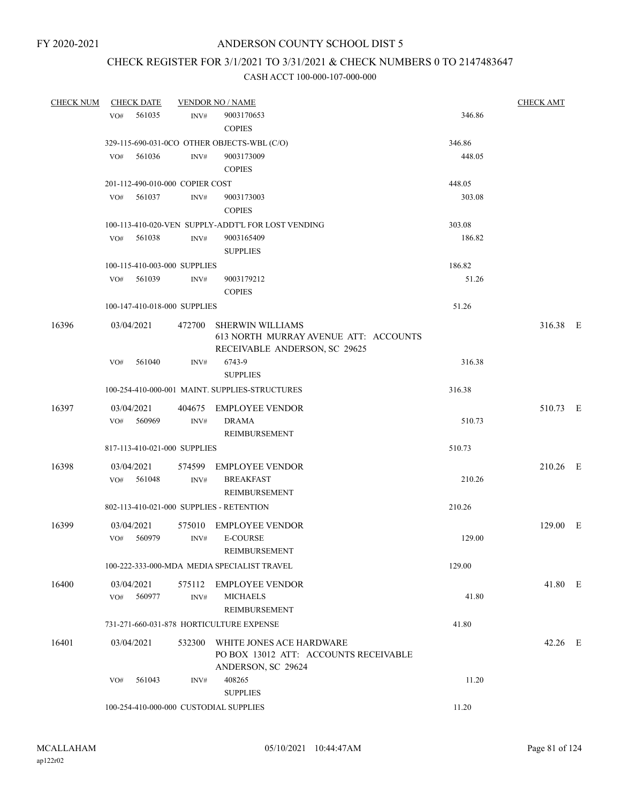# CHECK REGISTER FOR 3/1/2021 TO 3/31/2021 & CHECK NUMBERS 0 TO 2147483647

| <b>CHECK NUM</b> | <b>CHECK DATE</b>                        |        | <b>VENDOR NO / NAME</b>                                                                           |        | <b>CHECK AMT</b> |  |
|------------------|------------------------------------------|--------|---------------------------------------------------------------------------------------------------|--------|------------------|--|
|                  | 561035<br>VO#                            | INV#   | 9003170653<br><b>COPIES</b>                                                                       | 346.86 |                  |  |
|                  |                                          |        | 329-115-690-031-0CO OTHER OBJECTS-WBL (C/O)                                                       | 346.86 |                  |  |
|                  | VO#<br>561036                            | INV#   | 9003173009<br><b>COPIES</b>                                                                       | 448.05 |                  |  |
|                  | 201-112-490-010-000 COPIER COST          |        |                                                                                                   | 448.05 |                  |  |
|                  | 561037<br>VO#                            | INV#   | 9003173003<br><b>COPIES</b>                                                                       | 303.08 |                  |  |
|                  |                                          |        | 100-113-410-020-VEN SUPPLY-ADDT'L FOR LOST VENDING                                                | 303.08 |                  |  |
|                  | 561038<br>VO#                            | INV#   | 9003165409<br><b>SUPPLIES</b>                                                                     | 186.82 |                  |  |
|                  | 100-115-410-003-000 SUPPLIES             |        |                                                                                                   | 186.82 |                  |  |
|                  | VO# 561039                               | INV#   | 9003179212<br><b>COPIES</b>                                                                       | 51.26  |                  |  |
|                  | 100-147-410-018-000 SUPPLIES             |        |                                                                                                   | 51.26  |                  |  |
| 16396            | 03/04/2021                               | 472700 | <b>SHERWIN WILLIAMS</b><br>613 NORTH MURRAY AVENUE ATT: ACCOUNTS<br>RECEIVABLE ANDERSON, SC 29625 |        | 316.38 E         |  |
|                  | 561040<br>VO#                            | INV#   | 6743-9<br><b>SUPPLIES</b>                                                                         | 316.38 |                  |  |
|                  |                                          |        | 100-254-410-000-001 MAINT, SUPPLIES-STRUCTURES                                                    | 316.38 |                  |  |
| 16397            | 03/04/2021                               |        | 404675 EMPLOYEE VENDOR                                                                            |        | 510.73 E         |  |
|                  | 560969<br>VO#                            | INV#   | <b>DRAMA</b><br>REIMBURSEMENT                                                                     | 510.73 |                  |  |
|                  | 817-113-410-021-000 SUPPLIES             |        |                                                                                                   | 510.73 |                  |  |
| 16398            | 03/04/2021<br>VO# 561048                 | INV#   | 574599 EMPLOYEE VENDOR<br><b>BREAKFAST</b><br>REIMBURSEMENT                                       | 210.26 | 210.26 E         |  |
|                  | 802-113-410-021-000 SUPPLIES - RETENTION |        |                                                                                                   | 210.26 |                  |  |
| 16399            | 03/04/2021<br>560979<br>VO#              | INV#   | 575010 EMPLOYEE VENDOR<br><b>E-COURSE</b><br>REIMBURSEMENT                                        | 129.00 | 129.00 E         |  |
|                  |                                          |        | 100-222-333-000-MDA MEDIA SPECIALIST TRAVEL                                                       | 129.00 |                  |  |
| 16400            | 03/04/2021<br>560977<br>VO#              | INV#   | 575112 EMPLOYEE VENDOR<br><b>MICHAELS</b><br>REIMBURSEMENT                                        | 41.80  | 41.80 E          |  |
|                  |                                          |        | 731-271-660-031-878 HORTICULTURE EXPENSE                                                          | 41.80  |                  |  |
| 16401            | 03/04/2021                               | 532300 | WHITE JONES ACE HARDWARE<br>PO BOX 13012 ATT: ACCOUNTS RECEIVABLE<br>ANDERSON, SC 29624           |        | 42.26 E          |  |
|                  | 561043<br>VO#                            | INV#   | 408265<br><b>SUPPLIES</b>                                                                         | 11.20  |                  |  |
|                  | 100-254-410-000-000 CUSTODIAL SUPPLIES   |        |                                                                                                   | 11.20  |                  |  |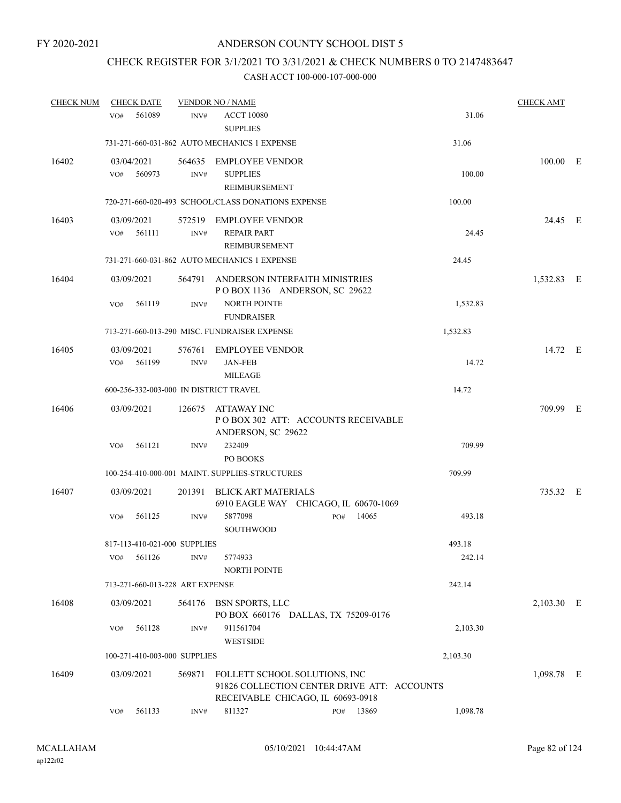# CHECK REGISTER FOR 3/1/2021 TO 3/31/2021 & CHECK NUMBERS 0 TO 2147483647

| <b>CHECK NUM</b> | <b>CHECK DATE</b>                      |                | <b>VENDOR NO / NAME</b>                                                                                           |     |       |          | <b>CHECK AMT</b> |  |
|------------------|----------------------------------------|----------------|-------------------------------------------------------------------------------------------------------------------|-----|-------|----------|------------------|--|
|                  | 561089<br>VO#                          | INV#           | <b>ACCT 10080</b><br><b>SUPPLIES</b>                                                                              |     |       | 31.06    |                  |  |
|                  |                                        |                | 731-271-660-031-862 AUTO MECHANICS 1 EXPENSE                                                                      |     |       | 31.06    |                  |  |
| 16402            | 03/04/2021<br>560973<br>VO#            | 564635<br>INV# | <b>EMPLOYEE VENDOR</b><br><b>SUPPLIES</b><br>REIMBURSEMENT                                                        |     |       | 100.00   | $100.00$ E       |  |
|                  |                                        |                | 720-271-660-020-493 SCHOOL/CLASS DONATIONS EXPENSE                                                                |     |       | 100.00   |                  |  |
| 16403            | 03/09/2021<br>561111<br>VO#            | 572519<br>INV# | <b>EMPLOYEE VENDOR</b><br><b>REPAIR PART</b><br>REIMBURSEMENT                                                     |     |       | 24.45    | 24.45 E          |  |
|                  |                                        |                | 731-271-660-031-862 AUTO MECHANICS 1 EXPENSE                                                                      |     |       | 24.45    |                  |  |
| 16404            | 03/09/2021                             | 564791         | ANDERSON INTERFAITH MINISTRIES<br>POBOX 1136 ANDERSON, SC 29622                                                   |     |       |          | 1,532.83 E       |  |
|                  | 561119<br>VO#                          | INV#           | <b>NORTH POINTE</b><br><b>FUNDRAISER</b>                                                                          |     |       | 1,532.83 |                  |  |
|                  |                                        |                | 713-271-660-013-290 MISC. FUNDRAISER EXPENSE                                                                      |     |       | 1,532.83 |                  |  |
| 16405            | 03/09/2021<br>561199<br>VO#            | 576761<br>INV# | <b>EMPLOYEE VENDOR</b><br><b>JAN-FEB</b><br><b>MILEAGE</b>                                                        |     |       | 14.72    | 14.72 E          |  |
|                  | 600-256-332-003-000 IN DISTRICT TRAVEL |                |                                                                                                                   |     |       | 14.72    |                  |  |
| 16406            | 03/09/2021                             | 126675         | ATTAWAY INC<br>PO BOX 302 ATT: ACCOUNTS RECEIVABLE<br>ANDERSON, SC 29622                                          |     |       |          | 709.99 E         |  |
|                  | 561121<br>VO#                          | INV#           | 232409<br>PO BOOKS                                                                                                |     |       | 709.99   |                  |  |
|                  |                                        |                | 100-254-410-000-001 MAINT. SUPPLIES-STRUCTURES                                                                    |     |       | 709.99   |                  |  |
| 16407            | 03/09/2021                             | 201391         | <b>BLICK ART MATERIALS</b><br>6910 EAGLE WAY CHICAGO, IL 60670-1069                                               |     |       |          | 735.32 E         |  |
|                  | 561125<br>VO#                          | INV#           | 5877098<br>SOUTHWOOD                                                                                              | PO# | 14065 | 493.18   |                  |  |
|                  | 817-113-410-021-000 SUPPLIES           |                |                                                                                                                   |     |       | 493.18   |                  |  |
|                  | 561126<br>VO#                          | INV#           | 5774933<br><b>NORTH POINTE</b>                                                                                    |     |       | 242.14   |                  |  |
|                  | 713-271-660-013-228 ART EXPENSE        |                |                                                                                                                   |     |       | 242.14   |                  |  |
| 16408            | 03/09/2021                             | 564176         | <b>BSN SPORTS, LLC</b><br>PO BOX 660176 DALLAS, TX 75209-0176                                                     |     |       |          | 2,103.30 E       |  |
|                  | 561128<br>VO#                          | INV#           | 911561704<br><b>WESTSIDE</b>                                                                                      |     |       | 2,103.30 |                  |  |
|                  | 100-271-410-003-000 SUPPLIES           |                |                                                                                                                   |     |       | 2,103.30 |                  |  |
| 16409            | 03/09/2021                             | 569871         | FOLLETT SCHOOL SOLUTIONS, INC<br>91826 COLLECTION CENTER DRIVE ATT: ACCOUNTS<br>RECEIVABLE CHICAGO, IL 60693-0918 |     |       |          | 1,098.78 E       |  |
|                  | 561133<br>VO#                          | INV#           | 811327                                                                                                            | PO# | 13869 | 1,098.78 |                  |  |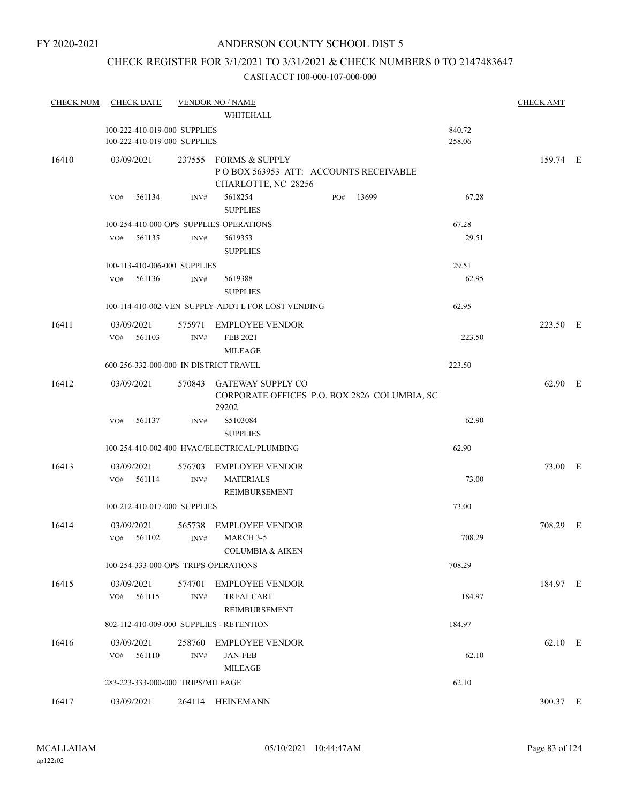#### FY 2020-2021

# ANDERSON COUNTY SCHOOL DIST 5

# CHECK REGISTER FOR 3/1/2021 TO 3/31/2021 & CHECK NUMBERS 0 TO 2147483647

| <b>CHECK NUM</b> | <b>CHECK DATE</b>                                            |                  | <b>VENDOR NO / NAME</b>                                                               |     |       |                  | <b>CHECK AMT</b> |  |
|------------------|--------------------------------------------------------------|------------------|---------------------------------------------------------------------------------------|-----|-------|------------------|------------------|--|
|                  |                                                              |                  | WHITEHALL                                                                             |     |       |                  |                  |  |
|                  | 100-222-410-019-000 SUPPLIES<br>100-222-410-019-000 SUPPLIES |                  |                                                                                       |     |       | 840.72<br>258.06 |                  |  |
| 16410            | 03/09/2021                                                   |                  | 237555 FORMS & SUPPLY<br>POBOX 563953 ATT: ACCOUNTS RECEIVABLE<br>CHARLOTTE, NC 28256 |     |       |                  | 159.74 E         |  |
|                  | 561134<br>VO#                                                | INV#             | 5618254<br><b>SUPPLIES</b>                                                            | PO# | 13699 | 67.28            |                  |  |
|                  | 100-254-410-000-OPS SUPPLIES-OPERATIONS                      |                  |                                                                                       |     |       | 67.28            |                  |  |
|                  | 561135<br>VO#                                                | INV#             | 5619353<br><b>SUPPLIES</b>                                                            |     |       | 29.51            |                  |  |
|                  | 100-113-410-006-000 SUPPLIES                                 |                  |                                                                                       |     |       | 29.51            |                  |  |
|                  | 561136<br>VO#                                                | INV#             | 5619388<br><b>SUPPLIES</b>                                                            |     |       | 62.95            |                  |  |
|                  |                                                              |                  | 100-114-410-002-VEN SUPPLY-ADDT'L FOR LOST VENDING                                    |     |       | 62.95            |                  |  |
| 16411            | 03/09/2021<br>VO# 561103                                     | INV#             | 575971 EMPLOYEE VENDOR<br>FEB 2021                                                    |     |       | 223.50           | 223.50 E         |  |
|                  |                                                              |                  | <b>MILEAGE</b>                                                                        |     |       |                  |                  |  |
|                  | 600-256-332-000-000 IN DISTRICT TRAVEL                       |                  |                                                                                       |     |       | 223.50           |                  |  |
| 16412            | 03/09/2021                                                   |                  | 570843 GATEWAY SUPPLY CO<br>CORPORATE OFFICES P.O. BOX 2826 COLUMBIA, SC<br>29202     |     |       |                  | 62.90 E          |  |
|                  | 561137<br>VO#                                                | INV#             | S5103084<br><b>SUPPLIES</b>                                                           |     |       | 62.90            |                  |  |
|                  |                                                              |                  | 100-254-410-002-400 HVAC/ELECTRICAL/PLUMBING                                          |     |       | 62.90            |                  |  |
| 16413            | 03/09/2021                                                   |                  | 576703 EMPLOYEE VENDOR                                                                |     |       |                  | 73.00 E          |  |
|                  | 561114<br>VO#                                                | INV#             | <b>MATERIALS</b><br>REIMBURSEMENT                                                     |     |       | 73.00            |                  |  |
|                  | 100-212-410-017-000 SUPPLIES                                 |                  |                                                                                       |     |       | 73.00            |                  |  |
| 16414            | 03/09/2021                                                   |                  | 565738 EMPLOYEE VENDOR                                                                |     |       |                  | 708.29 E         |  |
|                  | 561102<br>VO#                                                | INV#             | MARCH 3-5<br><b>COLUMBIA &amp; AIKEN</b>                                              |     |       | 708.29           |                  |  |
|                  | 100-254-333-000-OPS TRIPS-OPERATIONS                         |                  |                                                                                       |     |       | 708.29           |                  |  |
| 16415            | 03/09/2021                                                   |                  | 574701 EMPLOYEE VENDOR                                                                |     |       |                  | 184.97 E         |  |
|                  | 561115<br>VO#                                                | $\mathrm{INV}\#$ | TREAT CART<br>REIMBURSEMENT                                                           |     |       | 184.97           |                  |  |
|                  | 802-112-410-009-000 SUPPLIES - RETENTION                     |                  |                                                                                       |     |       | 184.97           |                  |  |
| 16416            | 03/09/2021                                                   |                  | 258760 EMPLOYEE VENDOR                                                                |     |       |                  | 62.10 E          |  |
|                  | 561110<br>VO#                                                | INV#             | <b>JAN-FEB</b><br><b>MILEAGE</b>                                                      |     |       | 62.10            |                  |  |
|                  | 283-223-333-000-000 TRIPS/MILEAGE                            |                  |                                                                                       |     |       | 62.10            |                  |  |
| 16417            | 03/09/2021                                                   |                  | 264114 HEINEMANN                                                                      |     |       |                  | 300.37 E         |  |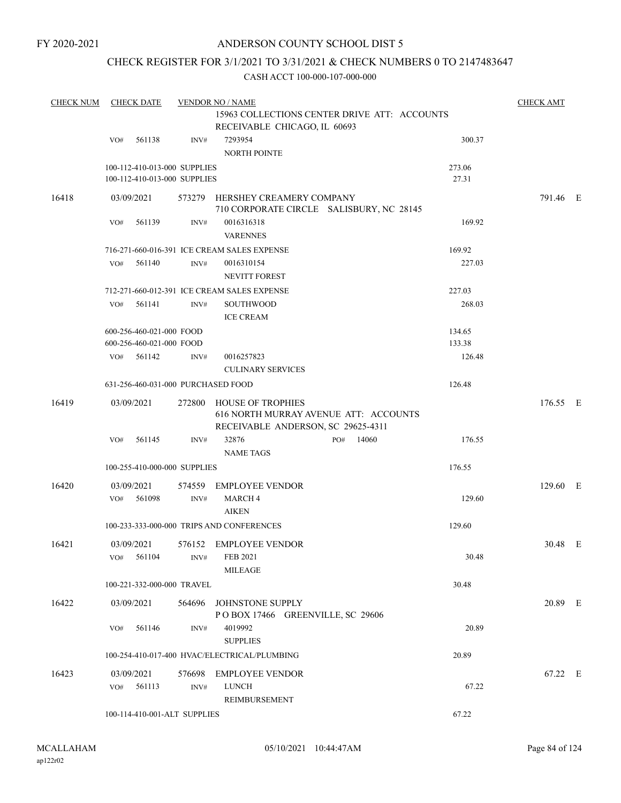# CHECK REGISTER FOR 3/1/2021 TO 3/31/2021 & CHECK NUMBERS 0 TO 2147483647

| <b>CHECK NUM</b> | <b>CHECK DATE</b>                                            |        |        | <b>VENDOR NO / NAME</b>                                                                                 |     |       |                 | <b>CHECK AMT</b> |  |
|------------------|--------------------------------------------------------------|--------|--------|---------------------------------------------------------------------------------------------------------|-----|-------|-----------------|------------------|--|
|                  |                                                              |        |        |                                                                                                         |     |       |                 |                  |  |
|                  | VO#                                                          | 561138 | INV#   | RECEIVABLE CHICAGO, IL 60693<br>7293954<br>NORTH POINTE                                                 |     |       | 300.37          |                  |  |
|                  | 100-112-410-013-000 SUPPLIES<br>100-112-410-013-000 SUPPLIES |        |        |                                                                                                         |     |       | 273.06<br>27.31 |                  |  |
| 16418            | 03/09/2021                                                   |        |        | 573279 HERSHEY CREAMERY COMPANY<br>710 CORPORATE CIRCLE SALISBURY, NC 28145                             |     |       |                 | 791.46 E         |  |
|                  | VO#                                                          | 561139 | INV#   | 0016316318<br><b>VARENNES</b>                                                                           |     |       | 169.92          |                  |  |
|                  |                                                              |        |        | 716-271-660-016-391 ICE CREAM SALES EXPENSE                                                             |     |       | 169.92          |                  |  |
|                  | VO#                                                          | 561140 | INV#   | 0016310154<br><b>NEVITT FOREST</b>                                                                      |     |       | 227.03          |                  |  |
|                  |                                                              |        |        | 712-271-660-012-391 ICE CREAM SALES EXPENSE                                                             |     |       | 227.03          |                  |  |
|                  | VO#                                                          | 561141 | INV#   | <b>SOUTHWOOD</b><br><b>ICE CREAM</b>                                                                    |     |       | 268.03          |                  |  |
|                  | 600-256-460-021-000 FOOD                                     |        |        |                                                                                                         |     |       | 134.65          |                  |  |
|                  | 600-256-460-021-000 FOOD                                     |        |        |                                                                                                         |     |       | 133.38          |                  |  |
|                  | VO# 561142                                                   |        | INV#   | 0016257823                                                                                              |     |       | 126.48          |                  |  |
|                  |                                                              |        |        | <b>CULINARY SERVICES</b>                                                                                |     |       |                 |                  |  |
|                  |                                                              |        |        | 631-256-460-031-000 PURCHASED FOOD                                                                      |     |       | 126.48          |                  |  |
| 16419            | 03/09/2021                                                   |        |        | 272800 HOUSE OF TROPHIES<br>616 NORTH MURRAY AVENUE ATT: ACCOUNTS<br>RECEIVABLE ANDERSON, SC 29625-4311 |     |       |                 | 176.55 E         |  |
|                  | VO#                                                          | 561145 | INV#   | 32876<br><b>NAME TAGS</b>                                                                               | PO# | 14060 | 176.55          |                  |  |
|                  | 100-255-410-000-000 SUPPLIES                                 |        |        |                                                                                                         |     |       | 176.55          |                  |  |
| 16420            | 03/09/2021                                                   |        |        | 574559 EMPLOYEE VENDOR                                                                                  |     |       |                 | 129.60 E         |  |
|                  | VO#                                                          | 561098 | INV#   | <b>MARCH4</b><br><b>AIKEN</b>                                                                           |     |       | 129.60          |                  |  |
|                  |                                                              |        |        | 100-233-333-000-000 TRIPS AND CONFERENCES                                                               |     |       | 129.60          |                  |  |
| 16421            | 03/09/2021                                                   |        |        | 576152 EMPLOYEE VENDOR                                                                                  |     |       |                 | 30.48 E          |  |
|                  | VO#                                                          | 561104 | INV#   | FEB 2021<br><b>MILEAGE</b>                                                                              |     |       | 30.48           |                  |  |
|                  | 100-221-332-000-000 TRAVEL                                   |        |        |                                                                                                         |     |       | 30.48           |                  |  |
| 16422            | 03/09/2021                                                   |        | 564696 | JOHNSTONE SUPPLY<br>POBOX 17466 GREENVILLE, SC 29606                                                    |     |       |                 | 20.89 E          |  |
|                  | VO#                                                          | 561146 | INV#   | 4019992<br><b>SUPPLIES</b>                                                                              |     |       | 20.89           |                  |  |
|                  |                                                              |        |        | 100-254-410-017-400 HVAC/ELECTRICAL/PLUMBING                                                            |     |       | 20.89           |                  |  |
| 16423            | 03/09/2021                                                   |        | 576698 | <b>EMPLOYEE VENDOR</b>                                                                                  |     |       |                 | 67.22 E          |  |
|                  | VO#                                                          | 561113 | INV#   | <b>LUNCH</b><br>REIMBURSEMENT                                                                           |     |       | 67.22           |                  |  |
|                  | 100-114-410-001-ALT SUPPLIES                                 |        |        |                                                                                                         |     |       | 67.22           |                  |  |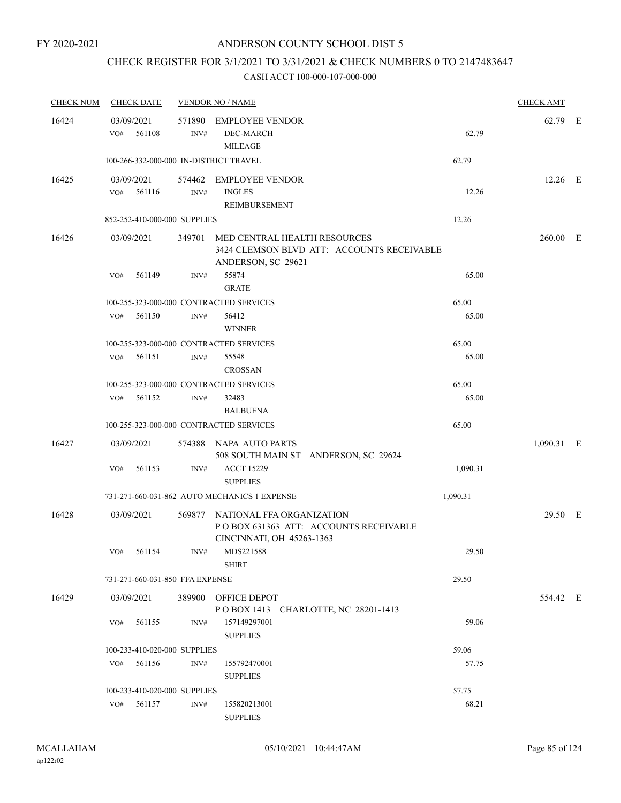# CHECK REGISTER FOR 3/1/2021 TO 3/31/2021 & CHECK NUMBERS 0 TO 2147483647

| <b>CHECK NUM</b> | <b>CHECK DATE</b>                       |      | <b>VENDOR NO / NAME</b>                                                                                 |          | <b>CHECK AMT</b> |  |
|------------------|-----------------------------------------|------|---------------------------------------------------------------------------------------------------------|----------|------------------|--|
| 16424            | 03/09/2021<br>561108<br>VO#             | INV# | 571890 EMPLOYEE VENDOR<br>DEC-MARCH<br><b>MILEAGE</b>                                                   | 62.79    | 62.79 E          |  |
|                  | 100-266-332-000-000 IN-DISTRICT TRAVEL  |      |                                                                                                         | 62.79    |                  |  |
| 16425            | 03/09/2021<br>VO# 561116                | INV# | 574462 EMPLOYEE VENDOR<br><b>INGLES</b><br>REIMBURSEMENT                                                | 12.26    | 12.26 E          |  |
|                  | 852-252-410-000-000 SUPPLIES            |      |                                                                                                         | 12.26    |                  |  |
| 16426            | 03/09/2021                              |      | 349701 MED CENTRAL HEALTH RESOURCES<br>3424 CLEMSON BLVD ATT: ACCOUNTS RECEIVABLE<br>ANDERSON, SC 29621 |          | $260.00$ E       |  |
|                  | VO#<br>561149                           | INV# | 55874<br><b>GRATE</b>                                                                                   | 65.00    |                  |  |
|                  | 100-255-323-000-000 CONTRACTED SERVICES |      |                                                                                                         | 65.00    |                  |  |
|                  | 561150<br>VO#                           | INV# | 56412<br><b>WINNER</b>                                                                                  | 65.00    |                  |  |
|                  | 100-255-323-000-000 CONTRACTED SERVICES |      |                                                                                                         | 65.00    |                  |  |
|                  | VO# 561151                              | INV# | 55548<br><b>CROSSAN</b>                                                                                 | 65.00    |                  |  |
|                  | 100-255-323-000-000 CONTRACTED SERVICES |      |                                                                                                         | 65.00    |                  |  |
|                  | 561152<br>VO#                           | INV# | 32483<br><b>BALBUENA</b>                                                                                | 65.00    |                  |  |
|                  | 100-255-323-000-000 CONTRACTED SERVICES |      |                                                                                                         | 65.00    |                  |  |
| 16427            | 03/09/2021                              |      | 574388 NAPA AUTO PARTS<br>508 SOUTH MAIN ST ANDERSON, SC 29624                                          |          | 1,090.31 E       |  |
|                  | 561153<br>VO#                           | INV# | <b>ACCT 15229</b><br><b>SUPPLIES</b>                                                                    | 1,090.31 |                  |  |
|                  |                                         |      | 731-271-660-031-862 AUTO MECHANICS 1 EXPENSE                                                            | 1,090.31 |                  |  |
| 16428            | 03/09/2021                              |      | 569877 NATIONAL FFA ORGANIZATION<br>POBOX 631363 ATT: ACCOUNTS RECEIVABLE<br>CINCINNATI, OH 45263-1363  |          | 29.50 E          |  |
|                  | VO# 561154                              |      | INV# MDS221588<br><b>SHIRT</b>                                                                          | 29.50    |                  |  |
|                  | 731-271-660-031-850 FFA EXPENSE         |      |                                                                                                         | 29.50    |                  |  |
| 16429            | 03/09/2021                              |      | 389900 OFFICE DEPOT<br>POBOX 1413 CHARLOTTE, NC 28201-1413                                              |          | 554.42 E         |  |
|                  | VO# 561155                              | INV# | 157149297001<br><b>SUPPLIES</b>                                                                         | 59.06    |                  |  |
|                  | 100-233-410-020-000 SUPPLIES            |      |                                                                                                         | 59.06    |                  |  |
|                  | VO# 561156                              | INV# | 155792470001<br><b>SUPPLIES</b>                                                                         | 57.75    |                  |  |
|                  | 100-233-410-020-000 SUPPLIES            |      |                                                                                                         | 57.75    |                  |  |
|                  | VO# 561157                              | INV# | 155820213001<br><b>SUPPLIES</b>                                                                         | 68.21    |                  |  |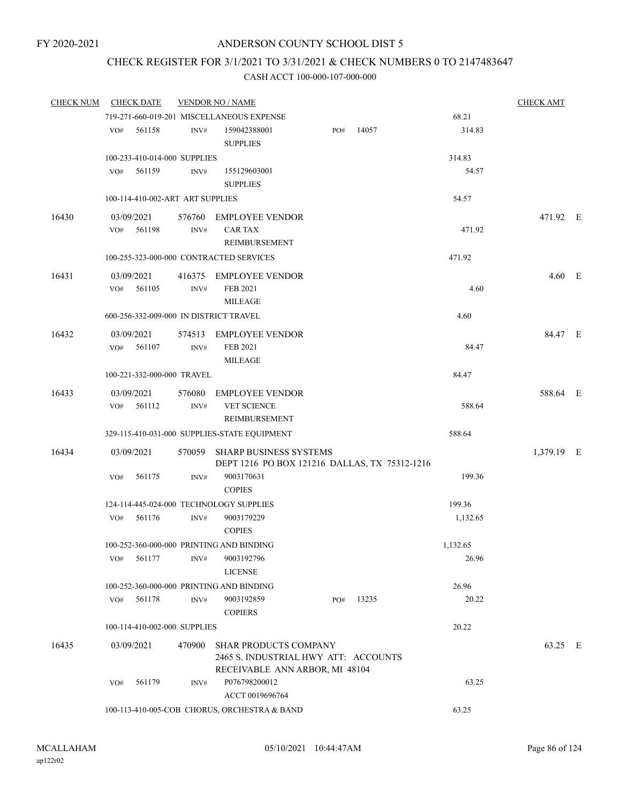# CHECK REGISTER FOR 3/1/2021 TO 3/31/2021 & CHECK NUMBERS 0 TO 2147483647

| <b>CHECK NUM</b> | <b>CHECK DATE</b>                      |        | <b>VENDOR NO / NAME</b>                       |     |       |          | <b>CHECK AMT</b> |  |
|------------------|----------------------------------------|--------|-----------------------------------------------|-----|-------|----------|------------------|--|
|                  |                                        |        | 719-271-660-019-201 MISCELLANEOUS EXPENSE     |     |       | 68.21    |                  |  |
|                  | VO#<br>561158                          | INV#   | 159042388001                                  | PO# | 14057 | 314.83   |                  |  |
|                  |                                        |        | <b>SUPPLIES</b>                               |     |       |          |                  |  |
|                  | 100-233-410-014-000 SUPPLIES           |        |                                               |     |       | 314.83   |                  |  |
|                  | 561159<br>VO#                          | INV#   | 155129603001                                  |     |       | 54.57    |                  |  |
|                  |                                        |        | <b>SUPPLIES</b>                               |     |       |          |                  |  |
|                  | 100-114-410-002-ART ART SUPPLIES       |        |                                               |     |       | 54.57    |                  |  |
| 16430            | 03/09/2021                             |        | 576760 EMPLOYEE VENDOR                        |     |       |          | 471.92 E         |  |
|                  | VO#<br>561198                          | INV#   | CAR TAX                                       |     |       | 471.92   |                  |  |
|                  |                                        |        | REIMBURSEMENT                                 |     |       |          |                  |  |
|                  |                                        |        | 100-255-323-000-000 CONTRACTED SERVICES       |     |       | 471.92   |                  |  |
| 16431            | 03/09/2021                             |        | 416375 EMPLOYEE VENDOR                        |     |       |          | $4.60$ E         |  |
|                  | VO# 561105                             | INV#   | FEB 2021                                      |     |       | 4.60     |                  |  |
|                  |                                        |        | <b>MILEAGE</b>                                |     |       |          |                  |  |
|                  | 600-256-332-009-000 IN DISTRICT TRAVEL |        |                                               |     |       | 4.60     |                  |  |
| 16432            | 03/09/2021                             |        | 574513 EMPLOYEE VENDOR                        |     |       |          | 84.47 E          |  |
|                  | VO#<br>561107                          | INV#   | FEB 2021                                      |     |       | 84.47    |                  |  |
|                  |                                        |        | <b>MILEAGE</b>                                |     |       |          |                  |  |
|                  | 100-221-332-000-000 TRAVEL             |        |                                               |     |       | 84.47    |                  |  |
| 16433            | 03/09/2021                             | 576080 | <b>EMPLOYEE VENDOR</b>                        |     |       |          | 588.64 E         |  |
|                  | VO#<br>561112                          | INV#   | <b>VET SCIENCE</b>                            |     |       | 588.64   |                  |  |
|                  |                                        |        | REIMBURSEMENT                                 |     |       |          |                  |  |
|                  |                                        |        | 329-115-410-031-000 SUPPLIES-STATE EQUIPMENT  |     |       | 588.64   |                  |  |
| 16434            | 03/09/2021                             | 570059 | <b>SHARP BUSINESS SYSTEMS</b>                 |     |       |          | 1,379.19 E       |  |
|                  |                                        |        | DEPT 1216 PO BOX 121216 DALLAS, TX 75312-1216 |     |       |          |                  |  |
|                  | 561175<br>VO#                          | INV#   | 9003170631                                    |     |       | 199.36   |                  |  |
|                  |                                        |        | <b>COPIES</b>                                 |     |       |          |                  |  |
|                  |                                        |        | 124-114-445-024-000 TECHNOLOGY SUPPLIES       |     |       | 199.36   |                  |  |
|                  | VO#<br>561176                          | INV#   | 9003179229                                    |     |       | 1,132.65 |                  |  |
|                  |                                        |        | <b>COPIES</b>                                 |     |       |          |                  |  |
|                  |                                        |        | 100-252-360-000-000 PRINTING AND BINDING      |     |       | 1,132.65 |                  |  |
|                  | 561177<br>VO#                          | INV#   | 9003192796                                    |     |       | 26.96    |                  |  |
|                  |                                        |        | <b>LICENSE</b>                                |     |       |          |                  |  |
|                  |                                        |        | 100-252-360-000-000 PRINTING AND BINDING      |     |       | 26.96    |                  |  |
|                  | 561178<br>VO#                          | INV#   | 9003192859<br><b>COPIERS</b>                  | PO# | 13235 | 20.22    |                  |  |
|                  | 100-114-410-002-000 SUPPLIES           |        |                                               |     |       | 20.22    |                  |  |
| 16435            | 03/09/2021                             | 470900 | <b>SHAR PRODUCTS COMPANY</b>                  |     |       |          | 63.25 E          |  |
|                  |                                        |        | 2465 S. INDUSTRIAL HWY ATT: ACCOUNTS          |     |       |          |                  |  |
|                  |                                        |        | RECEIVABLE ANN ARBOR, MI 48104                |     |       |          |                  |  |
|                  | 561179<br>VO#                          | INV#   | P076798200012                                 |     |       | 63.25    |                  |  |
|                  |                                        |        | ACCT 0019696764                               |     |       |          |                  |  |
|                  |                                        |        | 100-113-410-005-COB CHORUS, ORCHESTRA & BAND  |     |       | 63.25    |                  |  |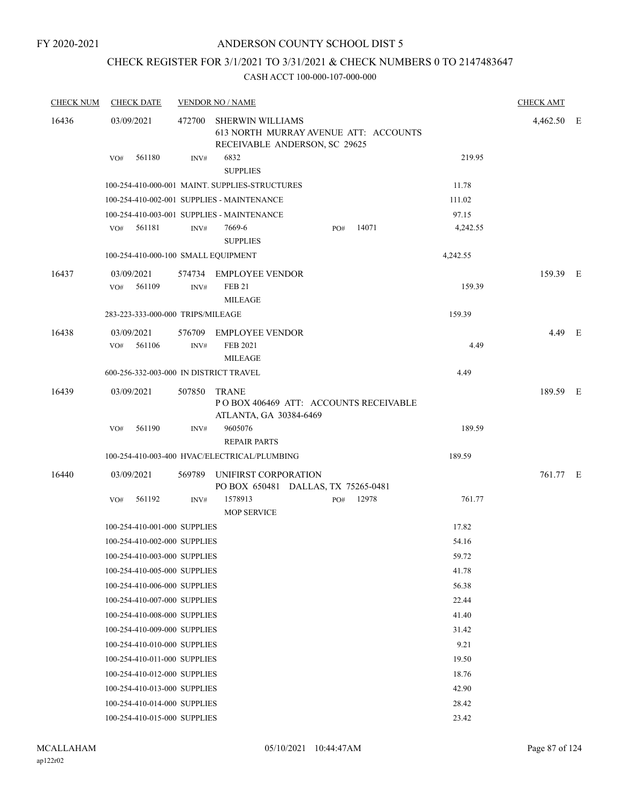FY 2020-2021

# ANDERSON COUNTY SCHOOL DIST 5

# CHECK REGISTER FOR 3/1/2021 TO 3/31/2021 & CHECK NUMBERS 0 TO 2147483647

| <b>CHECK NUM</b> | <b>CHECK DATE</b>                      |                            | <b>VENDOR NO / NAME</b>                                                                           |     |       |          | <b>CHECK AMT</b> |  |
|------------------|----------------------------------------|----------------------------|---------------------------------------------------------------------------------------------------|-----|-------|----------|------------------|--|
| 16436            | 03/09/2021                             | 472700                     | <b>SHERWIN WILLIAMS</b><br>613 NORTH MURRAY AVENUE ATT: ACCOUNTS<br>RECEIVABLE ANDERSON, SC 29625 |     |       |          | 4,462.50 E       |  |
|                  | 561180<br>VO#                          | INV#                       | 6832<br><b>SUPPLIES</b>                                                                           |     |       | 219.95   |                  |  |
|                  |                                        |                            | 100-254-410-000-001 MAINT. SUPPLIES-STRUCTURES                                                    |     |       | 11.78    |                  |  |
|                  |                                        |                            | 100-254-410-002-001 SUPPLIES - MAINTENANCE                                                        |     |       | 111.02   |                  |  |
|                  |                                        |                            | 100-254-410-003-001 SUPPLIES - MAINTENANCE                                                        |     |       | 97.15    |                  |  |
|                  | 561181<br>VO#                          | INV#                       | 7669-6<br><b>SUPPLIES</b>                                                                         | PO# | 14071 | 4,242.55 |                  |  |
|                  | 100-254-410-000-100 SMALL EQUIPMENT    |                            |                                                                                                   |     |       | 4,242.55 |                  |  |
| 16437            | 03/09/2021<br>561109<br>VO#            | INV#                       | 574734 EMPLOYEE VENDOR<br><b>FEB 21</b><br><b>MILEAGE</b>                                         |     |       | 159.39   | 159.39 E         |  |
|                  | 283-223-333-000-000 TRIPS/MILEAGE      |                            |                                                                                                   |     |       | 159.39   |                  |  |
| 16438            | 03/09/2021<br>561106<br>VO#            | 576709<br>$\mathrm{INV}\#$ | <b>EMPLOYEE VENDOR</b><br><b>FEB 2021</b><br><b>MILEAGE</b>                                       |     |       | 4.49     | 4.49 E           |  |
|                  | 600-256-332-003-000 IN DISTRICT TRAVEL |                            |                                                                                                   |     |       | 4.49     |                  |  |
| 16439            | 03/09/2021                             | 507850                     | TRANE<br>POBOX 406469 ATT: ACCOUNTS RECEIVABLE<br>ATLANTA, GA 30384-6469                          |     |       |          | 189.59 E         |  |
|                  | 561190<br>VO#                          | INV#                       | 9605076<br><b>REPAIR PARTS</b>                                                                    |     |       | 189.59   |                  |  |
|                  |                                        |                            | 100-254-410-003-400 HVAC/ELECTRICAL/PLUMBING                                                      |     |       | 189.59   |                  |  |
| 16440            | 03/09/2021                             | 569789                     | UNIFIRST CORPORATION<br>PO BOX 650481 DALLAS, TX 75265-0481                                       |     |       |          | 761.77 E         |  |
|                  | 561192<br>VO#                          | INV#                       | 1578913<br><b>MOP SERVICE</b>                                                                     | PO# | 12978 | 761.77   |                  |  |
|                  | 100-254-410-001-000 SUPPLIES           |                            |                                                                                                   |     |       | 17.82    |                  |  |
|                  | 100-254-410-002-000 SUPPLIES           |                            |                                                                                                   |     |       | 54.16    |                  |  |
|                  | 100-254-410-003-000 SUPPLIES           |                            |                                                                                                   |     |       | 59.72    |                  |  |
|                  | 100-254-410-005-000 SUPPLIES           |                            |                                                                                                   |     |       | 41.78    |                  |  |
|                  | 100-254-410-006-000 SUPPLIES           |                            |                                                                                                   |     |       | 56.38    |                  |  |
|                  | 100-254-410-007-000 SUPPLIES           |                            |                                                                                                   |     |       | 22.44    |                  |  |
|                  | 100-254-410-008-000 SUPPLIES           |                            |                                                                                                   |     |       | 41.40    |                  |  |
|                  | 100-254-410-009-000 SUPPLIES           |                            |                                                                                                   |     |       | 31.42    |                  |  |
|                  | 100-254-410-010-000 SUPPLIES           |                            |                                                                                                   |     |       | 9.21     |                  |  |
|                  | 100-254-410-011-000 SUPPLIES           |                            |                                                                                                   |     |       | 19.50    |                  |  |
|                  | 100-254-410-012-000 SUPPLIES           |                            |                                                                                                   |     |       | 18.76    |                  |  |
|                  | 100-254-410-013-000 SUPPLIES           |                            |                                                                                                   |     |       | 42.90    |                  |  |
|                  | 100-254-410-014-000 SUPPLIES           |                            |                                                                                                   |     |       | 28.42    |                  |  |
|                  | 100-254-410-015-000 SUPPLIES           |                            |                                                                                                   |     |       | 23.42    |                  |  |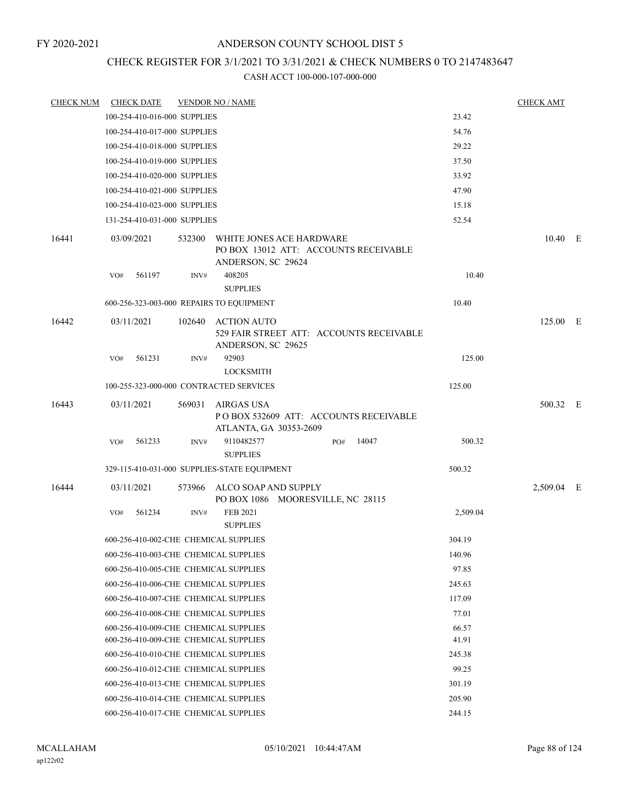#### FY 2020-2021

# ANDERSON COUNTY SCHOOL DIST 5

# CHECK REGISTER FOR 3/1/2021 TO 3/31/2021 & CHECK NUMBERS 0 TO 2147483647

| <b>CHECK NUM</b> | <b>CHECK DATE</b>                        |        | <b>VENDOR NO / NAME</b>                                                                 |          | <b>CHECK AMT</b> |  |
|------------------|------------------------------------------|--------|-----------------------------------------------------------------------------------------|----------|------------------|--|
|                  | 100-254-410-016-000 SUPPLIES             |        |                                                                                         | 23.42    |                  |  |
|                  | 100-254-410-017-000 SUPPLIES             |        |                                                                                         | 54.76    |                  |  |
|                  | 100-254-410-018-000 SUPPLIES             |        |                                                                                         | 29.22    |                  |  |
|                  | 100-254-410-019-000 SUPPLIES             |        |                                                                                         | 37.50    |                  |  |
|                  | 100-254-410-020-000 SUPPLIES             |        |                                                                                         | 33.92    |                  |  |
|                  | 100-254-410-021-000 SUPPLIES             |        |                                                                                         | 47.90    |                  |  |
|                  | 100-254-410-023-000 SUPPLIES             |        |                                                                                         | 15.18    |                  |  |
|                  | 131-254-410-031-000 SUPPLIES             |        |                                                                                         | 52.54    |                  |  |
| 16441            | 03/09/2021                               | 532300 | WHITE JONES ACE HARDWARE<br>PO BOX 13012 ATT: ACCOUNTS RECEIVABLE<br>ANDERSON, SC 29624 |          | 10.40 E          |  |
|                  | 561197<br>VO#                            | INV#   | 408205<br><b>SUPPLIES</b>                                                               | 10.40    |                  |  |
|                  | 600-256-323-003-000 REPAIRS TO EQUIPMENT |        |                                                                                         | 10.40    |                  |  |
|                  |                                          |        |                                                                                         |          |                  |  |
| 16442            | 03/11/2021                               |        | 102640 ACTION AUTO<br>529 FAIR STREET ATT: ACCOUNTS RECEIVABLE<br>ANDERSON, SC 29625    |          | 125.00 E         |  |
|                  | VO#<br>561231                            | INV#   | 92903<br><b>LOCKSMITH</b>                                                               | 125.00   |                  |  |
|                  | 100-255-323-000-000 CONTRACTED SERVICES  |        |                                                                                         | 125.00   |                  |  |
| 16443            | 03/11/2021                               |        | 569031 AIRGAS USA<br>POBOX 532609 ATT: ACCOUNTS RECEIVABLE<br>ATLANTA, GA 30353-2609    |          | 500.32 E         |  |
|                  | 561233<br>VO#                            | INV#   | 9110482577<br>14047<br>PO#<br><b>SUPPLIES</b>                                           | 500.32   |                  |  |
|                  |                                          |        | 329-115-410-031-000 SUPPLIES-STATE EQUIPMENT                                            | 500.32   |                  |  |
| 16444            | 03/11/2021                               |        | 573966 ALCO SOAP AND SUPPLY<br>PO BOX 1086 MOORESVILLE, NC 28115                        |          | 2,509.04 E       |  |
|                  | VO#<br>561234                            | INV#   | <b>FEB 2021</b><br><b>SUPPLIES</b>                                                      | 2,509.04 |                  |  |
|                  | 600-256-410-002-CHE CHEMICAL SUPPLIES    |        |                                                                                         | 304.19   |                  |  |
|                  | 600-256-410-003-CHE CHEMICAL SUPPLIES    |        |                                                                                         | 140.96   |                  |  |
|                  | 600-256-410-005-CHE CHEMICAL SUPPLIES    |        |                                                                                         | 97.85    |                  |  |
|                  | 600-256-410-006-CHE CHEMICAL SUPPLIES    |        |                                                                                         | 245.63   |                  |  |
|                  | 600-256-410-007-CHE CHEMICAL SUPPLIES    |        |                                                                                         | 117.09   |                  |  |
|                  | 600-256-410-008-CHE CHEMICAL SUPPLIES    |        |                                                                                         | 77.01    |                  |  |
|                  | 600-256-410-009-CHE CHEMICAL SUPPLIES    |        |                                                                                         | 66.57    |                  |  |
|                  | 600-256-410-009-CHE CHEMICAL SUPPLIES    |        |                                                                                         | 41.91    |                  |  |
|                  | 600-256-410-010-CHE CHEMICAL SUPPLIES    |        |                                                                                         | 245.38   |                  |  |
|                  | 600-256-410-012-CHE CHEMICAL SUPPLIES    |        |                                                                                         | 99.25    |                  |  |
|                  | 600-256-410-013-CHE CHEMICAL SUPPLIES    |        |                                                                                         | 301.19   |                  |  |
|                  | 600-256-410-014-CHE CHEMICAL SUPPLIES    |        |                                                                                         | 205.90   |                  |  |
|                  | 600-256-410-017-CHE CHEMICAL SUPPLIES    |        |                                                                                         | 244.15   |                  |  |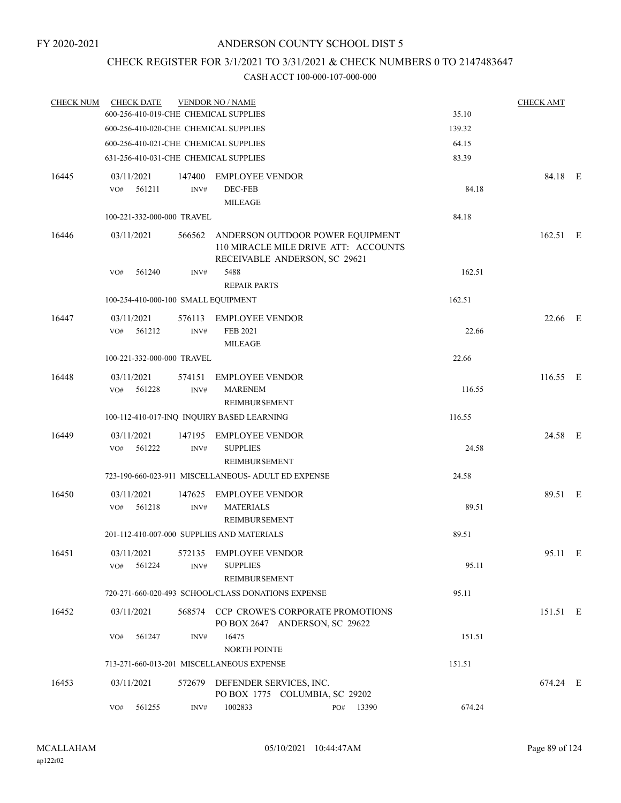# CHECK REGISTER FOR 3/1/2021 TO 3/31/2021 & CHECK NUMBERS 0 TO 2147483647

| <b>CHECK NUM</b> | <b>CHECK DATE</b>                     |                | <b>VENDOR NO / NAME</b>                                                                                   |           |        | <b>CHECK AMT</b> |  |
|------------------|---------------------------------------|----------------|-----------------------------------------------------------------------------------------------------------|-----------|--------|------------------|--|
|                  | 600-256-410-019-CHE CHEMICAL SUPPLIES |                |                                                                                                           |           | 35.10  |                  |  |
|                  | 600-256-410-020-CHE CHEMICAL SUPPLIES |                |                                                                                                           |           | 139.32 |                  |  |
|                  | 600-256-410-021-CHE CHEMICAL SUPPLIES |                |                                                                                                           |           | 64.15  |                  |  |
|                  | 631-256-410-031-CHE CHEMICAL SUPPLIES |                |                                                                                                           |           | 83.39  |                  |  |
| 16445            | 03/11/2021<br>VO#<br>561211           | 147400<br>INV# | EMPLOYEE VENDOR<br>DEC-FEB                                                                                |           | 84.18  | 84.18 E          |  |
|                  |                                       |                | <b>MILEAGE</b>                                                                                            |           |        |                  |  |
|                  | 100-221-332-000-000 TRAVEL            |                |                                                                                                           |           | 84.18  |                  |  |
| 16446            | 03/11/2021                            | 566562         | ANDERSON OUTDOOR POWER EQUIPMENT<br>110 MIRACLE MILE DRIVE ATT: ACCOUNTS<br>RECEIVABLE ANDERSON, SC 29621 |           |        | 162.51 E         |  |
|                  | 561240<br>VO#                         | INV#           | 5488<br><b>REPAIR PARTS</b>                                                                               |           | 162.51 |                  |  |
|                  | 100-254-410-000-100 SMALL EQUIPMENT   |                |                                                                                                           |           | 162.51 |                  |  |
| 16447            | 03/11/2021                            | 576113         | <b>EMPLOYEE VENDOR</b>                                                                                    |           |        | 22.66 E          |  |
|                  | 561212<br>VO#                         | INV#           | FEB 2021<br><b>MILEAGE</b>                                                                                |           | 22.66  |                  |  |
|                  | 100-221-332-000-000 TRAVEL            |                |                                                                                                           |           | 22.66  |                  |  |
| 16448            | 03/11/2021                            | 574151         | <b>EMPLOYEE VENDOR</b>                                                                                    |           |        | 116.55 E         |  |
|                  | VO#<br>561228                         | INV#           | <b>MARENEM</b><br>REIMBURSEMENT                                                                           |           | 116.55 |                  |  |
|                  |                                       |                | 100-112-410-017-INQ INQUIRY BASED LEARNING                                                                |           | 116.55 |                  |  |
| 16449            | 03/11/2021                            | 147195         | <b>EMPLOYEE VENDOR</b>                                                                                    |           |        | 24.58 E          |  |
|                  | 561222<br>VO#                         | INV#           | <b>SUPPLIES</b><br>REIMBURSEMENT                                                                          |           | 24.58  |                  |  |
|                  |                                       |                | 723-190-660-023-911 MISCELLANEOUS- ADULT ED EXPENSE                                                       |           | 24.58  |                  |  |
| 16450            | 03/11/2021                            | 147625         | <b>EMPLOYEE VENDOR</b>                                                                                    |           |        | 89.51 E          |  |
|                  | 561218<br>VO#                         | INV#           | <b>MATERIALS</b><br>REIMBURSEMENT                                                                         |           | 89.51  |                  |  |
|                  |                                       |                | 201-112-410-007-000 SUPPLIES AND MATERIALS                                                                |           | 89.51  |                  |  |
| 16451            | 03/11/2021                            |                | 572135 EMPLOYEE VENDOR                                                                                    |           |        | 95.11 E          |  |
|                  | 561224<br>VO#                         | INV#           | <b>SUPPLIES</b><br>REIMBURSEMENT                                                                          |           | 95.11  |                  |  |
|                  |                                       |                | 720-271-660-020-493 SCHOOL/CLASS DONATIONS EXPENSE                                                        |           | 95.11  |                  |  |
| 16452            | 03/11/2021                            |                | 568574 CCP CROWE'S CORPORATE PROMOTIONS<br>PO BOX 2647 ANDERSON, SC 29622                                 |           |        | 151.51 E         |  |
|                  | 561247<br>VO#                         | INV#           | 16475<br><b>NORTH POINTE</b>                                                                              |           | 151.51 |                  |  |
|                  |                                       |                | 713-271-660-013-201 MISCELLANEOUS EXPENSE                                                                 |           | 151.51 |                  |  |
|                  |                                       |                |                                                                                                           |           |        |                  |  |
| 16453            | 03/11/2021                            |                | 572679 DEFENDER SERVICES, INC.<br>PO BOX 1775 COLUMBIA, SC 29202                                          |           |        | 674.24 E         |  |
|                  | VO#<br>561255                         | INV#           | 1002833                                                                                                   | PO# 13390 | 674.24 |                  |  |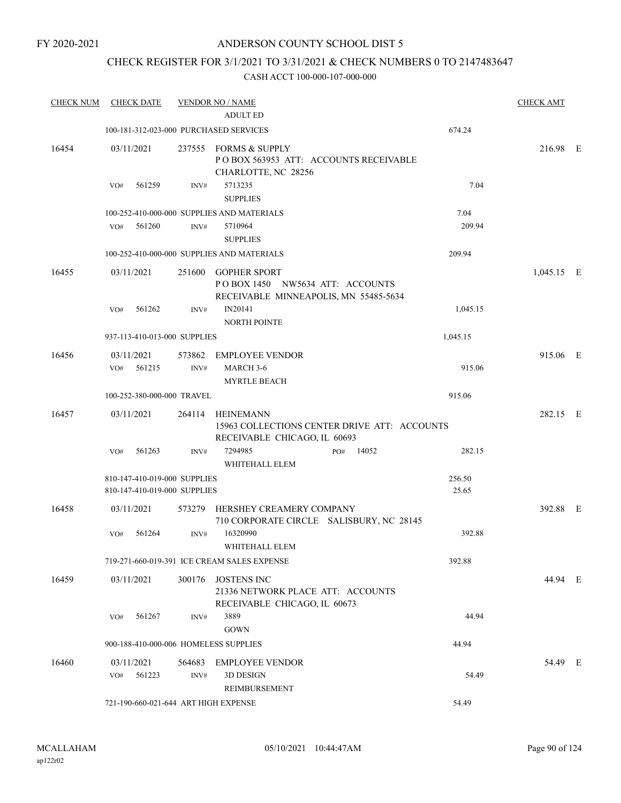# CHECK REGISTER FOR 3/1/2021 TO 3/31/2021 & CHECK NUMBERS 0 TO 2147483647

| <b>CHECK NUM</b> | <b>CHECK DATE</b> |        |                                                              | <b>VENDOR NO / NAME</b><br><b>ADULT ED</b>                                                       |              |                 | <b>CHECK AMT</b> |  |
|------------------|-------------------|--------|--------------------------------------------------------------|--------------------------------------------------------------------------------------------------|--------------|-----------------|------------------|--|
|                  |                   |        |                                                              | 100-181-312-023-000 PURCHASED SERVICES                                                           |              | 674.24          |                  |  |
| 16454            | 03/11/2021<br>VO# | 561259 | INV#                                                         | 237555 FORMS & SUPPLY<br>POBOX 563953 ATT: ACCOUNTS RECEIVABLE<br>CHARLOTTE, NC 28256<br>5713235 |              | 7.04            | 216.98 E         |  |
|                  |                   |        |                                                              | <b>SUPPLIES</b>                                                                                  |              |                 |                  |  |
|                  |                   |        |                                                              | 100-252-410-000-000 SUPPLIES AND MATERIALS                                                       |              | 7.04            |                  |  |
|                  | VO#               | 561260 | INV#                                                         | 5710964<br><b>SUPPLIES</b>                                                                       |              | 209.94          |                  |  |
|                  |                   |        |                                                              | 100-252-410-000-000 SUPPLIES AND MATERIALS                                                       |              | 209.94          |                  |  |
| 16455            | 03/11/2021        |        | 251600                                                       | <b>GOPHER SPORT</b><br>POBOX 1450 NW5634 ATT: ACCOUNTS<br>RECEIVABLE MINNEAPOLIS, MN 55485-5634  |              |                 | $1,045.15$ E     |  |
|                  | VO#               | 561262 | INV#                                                         | IN20141<br><b>NORTH POINTE</b>                                                                   |              | 1,045.15        |                  |  |
|                  |                   |        | 937-113-410-013-000 SUPPLIES                                 |                                                                                                  |              | 1,045.15        |                  |  |
| 16456            | 03/11/2021        |        | 573862                                                       | <b>EMPLOYEE VENDOR</b>                                                                           |              |                 | 915.06 E         |  |
|                  | VO#               | 561215 | INV#                                                         | MARCH 3-6<br><b>MYRTLE BEACH</b>                                                                 |              | 915.06          |                  |  |
|                  |                   |        | 100-252-380-000-000 TRAVEL                                   |                                                                                                  |              | 915.06          |                  |  |
| 16457            | 03/11/2021        |        | 264114                                                       | <b>HEINEMANN</b><br>15963 COLLECTIONS CENTER DRIVE ATT: ACCOUNTS<br>RECEIVABLE CHICAGO, IL 60693 |              |                 | 282.15 E         |  |
|                  | VO#               | 561263 | INV#                                                         | 7294985<br>WHITEHALL ELEM                                                                        | 14052<br>PO# | 282.15          |                  |  |
|                  |                   |        | 810-147-410-019-000 SUPPLIES<br>810-147-410-019-000 SUPPLIES |                                                                                                  |              | 256.50<br>25.65 |                  |  |
| 16458            | 03/11/2021        |        | 573279                                                       | HERSHEY CREAMERY COMPANY<br>710 CORPORATE CIRCLE SALISBURY, NC 28145                             |              |                 | 392.88 E         |  |
|                  | VO#               | 561264 | INV#                                                         | 16320990<br>WHITEHALL ELEM                                                                       |              | 392.88          |                  |  |
|                  |                   |        |                                                              | 719-271-660-019-391 ICE CREAM SALES EXPENSE                                                      |              | 392.88          |                  |  |
| 16459            | 03/11/2021        |        | 300176                                                       | <b>JOSTENS INC</b><br>21336 NETWORK PLACE ATT: ACCOUNTS<br>RECEIVABLE CHICAGO, IL 60673          |              |                 | 44.94 E          |  |
|                  | VO#               | 561267 | INV#                                                         | 3889<br><b>GOWN</b>                                                                              |              | 44.94           |                  |  |
|                  |                   |        |                                                              | 900-188-410-000-006 HOMELESS SUPPLIES                                                            |              | 44.94           |                  |  |
| 16460            | 03/11/2021<br>VO# | 561223 | 564683<br>INV#                                               | <b>EMPLOYEE VENDOR</b><br>3D DESIGN                                                              |              | 54.49           | 54.49 E          |  |
|                  |                   |        |                                                              | REIMBURSEMENT                                                                                    |              |                 |                  |  |
|                  |                   |        |                                                              | 721-190-660-021-644 ART HIGH EXPENSE                                                             |              | 54.49           |                  |  |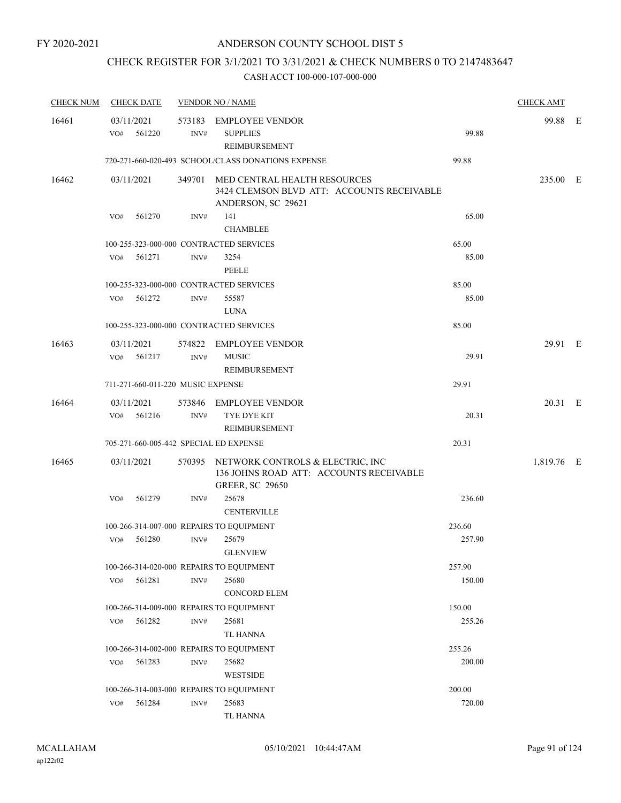# CHECK REGISTER FOR 3/1/2021 TO 3/31/2021 & CHECK NUMBERS 0 TO 2147483647

| <b>CHECK NUM</b> |                   | <b>CHECK DATE</b>                 |                | <b>VENDOR NO / NAME</b>                                                                                      |        | <b>CHECK AMT</b> |  |
|------------------|-------------------|-----------------------------------|----------------|--------------------------------------------------------------------------------------------------------------|--------|------------------|--|
| 16461            | 03/11/2021<br>VO# | 561220                            | INV#           | 573183 EMPLOYEE VENDOR<br><b>SUPPLIES</b><br>REIMBURSEMENT                                                   | 99.88  | 99.88 E          |  |
|                  |                   |                                   |                | 720-271-660-020-493 SCHOOL/CLASS DONATIONS EXPENSE                                                           | 99.88  |                  |  |
| 16462            | 03/11/2021        |                                   |                | 349701 MED CENTRAL HEALTH RESOURCES<br>3424 CLEMSON BLVD ATT: ACCOUNTS RECEIVABLE<br>ANDERSON, SC 29621      |        | 235.00 E         |  |
|                  | VO#               | 561270                            | INV#           | 141<br><b>CHAMBLEE</b>                                                                                       | 65.00  |                  |  |
|                  |                   |                                   |                | 100-255-323-000-000 CONTRACTED SERVICES                                                                      | 65.00  |                  |  |
|                  | VO#               | 561271                            | INV#           | 3254<br><b>PEELE</b>                                                                                         | 85.00  |                  |  |
|                  |                   |                                   |                | 100-255-323-000-000 CONTRACTED SERVICES                                                                      | 85.00  |                  |  |
|                  |                   | VO# 561272                        | INV#           | 55587<br><b>LUNA</b>                                                                                         | 85.00  |                  |  |
|                  |                   |                                   |                | 100-255-323-000-000 CONTRACTED SERVICES                                                                      | 85.00  |                  |  |
| 16463            | 03/11/2021<br>VO# | 561217                            | INV#           | 574822 EMPLOYEE VENDOR<br><b>MUSIC</b><br>REIMBURSEMENT                                                      | 29.91  | 29.91 E          |  |
|                  |                   | 711-271-660-011-220 MUSIC EXPENSE |                |                                                                                                              | 29.91  |                  |  |
| 16464            | 03/11/2021        |                                   |                | 573846 EMPLOYEE VENDOR                                                                                       |        | 20.31 E          |  |
|                  | VO#               | 561216                            | INV#           | TYE DYE KIT<br>REIMBURSEMENT                                                                                 | 20.31  |                  |  |
|                  |                   |                                   |                | 705-271-660-005-442 SPECIAL ED EXPENSE                                                                       | 20.31  |                  |  |
| 16465            | 03/11/2021        |                                   |                | 570395 NETWORK CONTROLS & ELECTRIC, INC<br>136 JOHNS ROAD ATT: ACCOUNTS RECEIVABLE<br><b>GREER, SC 29650</b> |        | 1,819.76 E       |  |
|                  | VO#               | 561279                            | INV#           | 25678<br><b>CENTERVILLE</b>                                                                                  | 236.60 |                  |  |
|                  |                   |                                   |                | 100-266-314-007-000 REPAIRS TO EQUIPMENT                                                                     | 236.60 |                  |  |
|                  | VO#               | 561280                            | INV#           | 25679<br>GLENVIEW                                                                                            | 257.90 |                  |  |
|                  |                   |                                   |                | 100-266-314-020-000 REPAIRS TO EQUIPMENT                                                                     | 257.90 |                  |  |
|                  | VO#               | 561281                            | INV#           | 25680<br><b>CONCORD ELEM</b>                                                                                 | 150.00 |                  |  |
|                  |                   |                                   |                | 100-266-314-009-000 REPAIRS TO EQUIPMENT                                                                     | 150.00 |                  |  |
|                  |                   | VO# 561282                        | INV#           | 25681<br>TL HANNA                                                                                            | 255.26 |                  |  |
|                  |                   |                                   |                | 100-266-314-002-000 REPAIRS TO EQUIPMENT                                                                     | 255.26 |                  |  |
|                  | VO#               | 561283                            | $\text{INV}\#$ | 25682<br>WESTSIDE                                                                                            | 200.00 |                  |  |
|                  |                   |                                   |                | 100-266-314-003-000 REPAIRS TO EQUIPMENT                                                                     | 200.00 |                  |  |
|                  | VO#               | 561284                            | INV#           | 25683<br>TL HANNA                                                                                            | 720.00 |                  |  |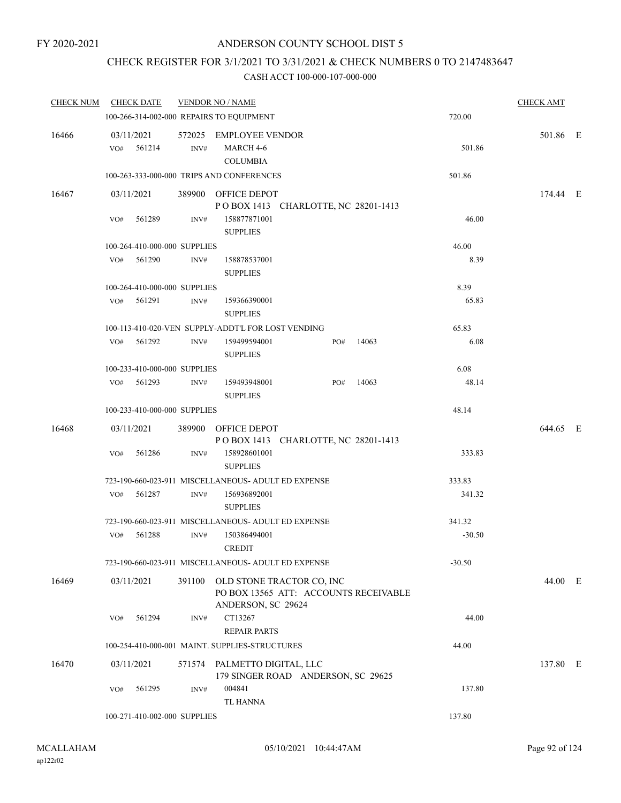# CHECK REGISTER FOR 3/1/2021 TO 3/31/2021 & CHECK NUMBERS 0 TO 2147483647

| <b>CHECK NUM</b> | <b>CHECK DATE</b>            |                | <b>VENDOR NO / NAME</b>                                      |                                                                           |       |          | <b>CHECK AMT</b> |  |
|------------------|------------------------------|----------------|--------------------------------------------------------------|---------------------------------------------------------------------------|-------|----------|------------------|--|
|                  |                              |                | 100-266-314-002-000 REPAIRS TO EQUIPMENT                     |                                                                           |       | 720.00   |                  |  |
| 16466            | 03/11/2021<br>$VO#$ 561214   | INV#           | 572025 EMPLOYEE VENDOR<br>MARCH 4-6                          |                                                                           |       | 501.86   | 501.86 E         |  |
|                  |                              |                | <b>COLUMBIA</b><br>100-263-333-000-000 TRIPS AND CONFERENCES |                                                                           |       | 501.86   |                  |  |
| 16467            | 03/11/2021                   |                | 389900 OFFICE DEPOT                                          |                                                                           |       |          | 174.44 E         |  |
|                  | 561289<br>VO#                | INV#           | 158877871001<br><b>SUPPLIES</b>                              | POBOX 1413 CHARLOTTE, NC 28201-1413                                       |       | 46.00    |                  |  |
|                  | 100-264-410-000-000 SUPPLIES |                |                                                              |                                                                           |       | 46.00    |                  |  |
|                  | VO# 561290                   | INV#           | 158878537001<br><b>SUPPLIES</b>                              |                                                                           |       | 8.39     |                  |  |
|                  | 100-264-410-000-000 SUPPLIES |                |                                                              |                                                                           |       | 8.39     |                  |  |
|                  | 561291<br>VO#                | $\text{INV}\#$ | 159366390001<br><b>SUPPLIES</b>                              |                                                                           |       | 65.83    |                  |  |
|                  |                              |                | 100-113-410-020-VEN SUPPLY-ADDT'L FOR LOST VENDING           |                                                                           |       | 65.83    |                  |  |
|                  | 561292<br>VO#                | INV#           | 159499594001<br><b>SUPPLIES</b>                              | PO#                                                                       | 14063 | 6.08     |                  |  |
|                  | 100-233-410-000-000 SUPPLIES |                |                                                              |                                                                           |       | 6.08     |                  |  |
|                  | VO# 561293                   | INV#           | 159493948001<br><b>SUPPLIES</b>                              | PO#                                                                       | 14063 | 48.14    |                  |  |
|                  | 100-233-410-000-000 SUPPLIES |                |                                                              |                                                                           |       | 48.14    |                  |  |
| 16468            | 03/11/2021                   |                | 389900 OFFICE DEPOT                                          | POBOX 1413 CHARLOTTE, NC 28201-1413                                       |       |          | 644.65 E         |  |
|                  | 561286<br>VO#                | INV#           | 158928601001<br><b>SUPPLIES</b>                              |                                                                           |       | 333.83   |                  |  |
|                  |                              |                | 723-190-660-023-911 MISCELLANEOUS- ADULT ED EXPENSE          |                                                                           |       | 333.83   |                  |  |
|                  | 561287<br>VO#                | INV#           | 156936892001<br><b>SUPPLIES</b>                              |                                                                           |       | 341.32   |                  |  |
|                  |                              |                | 723-190-660-023-911 MISCELLANEOUS- ADULT ED EXPENSE          |                                                                           |       | 341.32   |                  |  |
|                  | 561288<br>VO#                | INV#           | 150386494001<br><b>CREDIT</b>                                |                                                                           |       | $-30.50$ |                  |  |
|                  |                              |                | 723-190-660-023-911 MISCELLANEOUS- ADULT ED EXPENSE          |                                                                           |       | $-30.50$ |                  |  |
| 16469            | 03/11/2021                   |                | ANDERSON, SC 29624                                           | 391100 OLD STONE TRACTOR CO, INC<br>PO BOX 13565 ATT: ACCOUNTS RECEIVABLE |       |          | 44.00 E          |  |
|                  | VO#<br>561294                | INV#           | CT13267<br><b>REPAIR PARTS</b>                               |                                                                           |       | 44.00    |                  |  |
|                  |                              |                | 100-254-410-000-001 MAINT. SUPPLIES-STRUCTURES               |                                                                           |       | 44.00    |                  |  |
| 16470            | 03/11/2021                   |                | 571574 PALMETTO DIGITAL, LLC                                 | 179 SINGER ROAD ANDERSON, SC 29625                                        |       |          | 137.80 E         |  |
|                  | 561295<br>VO#                | INV#           | 004841<br><b>TL HANNA</b>                                    |                                                                           |       | 137.80   |                  |  |
|                  | 100-271-410-002-000 SUPPLIES |                |                                                              |                                                                           |       | 137.80   |                  |  |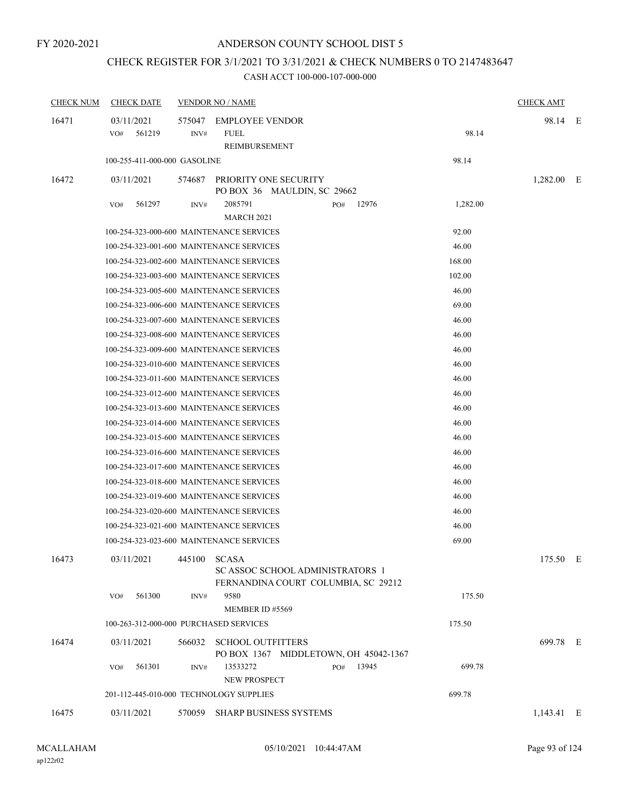# CHECK REGISTER FOR 3/1/2021 TO 3/31/2021 & CHECK NUMBERS 0 TO 2147483647

| <b>CHECK NUM</b> | <b>CHECK DATE</b>                        |                | <b>VENDOR NO / NAME</b>                                                 |                   | <b>CHECK AMT</b> |  |
|------------------|------------------------------------------|----------------|-------------------------------------------------------------------------|-------------------|------------------|--|
| 16471            | 03/11/2021<br>561219<br>VO#              | 575047<br>INV# | <b>EMPLOYEE VENDOR</b><br><b>FUEL</b><br>REIMBURSEMENT                  | 98.14             | 98.14 E          |  |
|                  | 100-255-411-000-000 GASOLINE             |                |                                                                         | 98.14             |                  |  |
| 16472            | 03/11/2021                               | 574687         | PRIORITY ONE SECURITY<br>PO BOX 36 MAULDIN, SC 29662                    |                   | $1,282.00$ E     |  |
|                  | 561297<br>VO#                            | INV#           | 2085791<br>PO#<br><b>MARCH 2021</b>                                     | 12976<br>1,282.00 |                  |  |
|                  | 100-254-323-000-600 MAINTENANCE SERVICES |                |                                                                         | 92.00             |                  |  |
|                  | 100-254-323-001-600 MAINTENANCE SERVICES |                |                                                                         | 46.00             |                  |  |
|                  | 100-254-323-002-600 MAINTENANCE SERVICES |                |                                                                         | 168.00            |                  |  |
|                  | 100-254-323-003-600 MAINTENANCE SERVICES |                |                                                                         | 102.00            |                  |  |
|                  | 100-254-323-005-600 MAINTENANCE SERVICES |                |                                                                         | 46.00             |                  |  |
|                  | 100-254-323-006-600 MAINTENANCE SERVICES |                |                                                                         | 69.00             |                  |  |
|                  | 100-254-323-007-600 MAINTENANCE SERVICES |                |                                                                         | 46.00             |                  |  |
|                  | 100-254-323-008-600 MAINTENANCE SERVICES |                |                                                                         | 46.00             |                  |  |
|                  | 100-254-323-009-600 MAINTENANCE SERVICES |                |                                                                         | 46.00             |                  |  |
|                  | 100-254-323-010-600 MAINTENANCE SERVICES |                |                                                                         | 46.00             |                  |  |
|                  | 100-254-323-011-600 MAINTENANCE SERVICES |                |                                                                         | 46.00             |                  |  |
|                  | 100-254-323-012-600 MAINTENANCE SERVICES |                |                                                                         | 46.00             |                  |  |
|                  | 100-254-323-013-600 MAINTENANCE SERVICES |                |                                                                         | 46.00             |                  |  |
|                  | 100-254-323-014-600 MAINTENANCE SERVICES |                |                                                                         | 46.00             |                  |  |
|                  | 100-254-323-015-600 MAINTENANCE SERVICES |                |                                                                         | 46.00             |                  |  |
|                  | 100-254-323-016-600 MAINTENANCE SERVICES |                |                                                                         | 46.00             |                  |  |
|                  | 100-254-323-017-600 MAINTENANCE SERVICES |                |                                                                         | 46.00             |                  |  |
|                  | 100-254-323-018-600 MAINTENANCE SERVICES |                |                                                                         | 46.00             |                  |  |
|                  | 100-254-323-019-600 MAINTENANCE SERVICES |                |                                                                         | 46.00             |                  |  |
|                  | 100-254-323-020-600 MAINTENANCE SERVICES |                |                                                                         | 46.00             |                  |  |
|                  | 100-254-323-021-600 MAINTENANCE SERVICES |                |                                                                         | 46.00             |                  |  |
|                  | 100-254-323-023-600 MAINTENANCE SERVICES |                |                                                                         | 69.00             |                  |  |
| 16473            | 03/11/2021                               | 445100 SCASA   | SC ASSOC SCHOOL ADMINISTRATORS 1<br>FERNANDINA COURT COLUMBIA, SC 29212 |                   | 175.50 E         |  |
|                  | 561300<br>VO#                            | INV#           | 9580<br>MEMBER ID #5569                                                 | 175.50            |                  |  |
|                  | 100-263-312-000-000 PURCHASED SERVICES   |                |                                                                         | 175.50            |                  |  |
| 16474            | 03/11/2021                               |                | 566032 SCHOOL OUTFITTERS<br>PO BOX 1367 MIDDLETOWN, OH 45042-1367       |                   | 699.78 E         |  |
|                  | 561301<br>VO#                            | INV#           | 13533272<br>PO#<br>NEW PROSPECT                                         | 13945<br>699.78   |                  |  |
|                  | 201-112-445-010-000 TECHNOLOGY SUPPLIES  |                |                                                                         | 699.78            |                  |  |
| 16475            | 03/11/2021                               |                | 570059 SHARP BUSINESS SYSTEMS                                           |                   | $1,143.41$ E     |  |
|                  |                                          |                |                                                                         |                   |                  |  |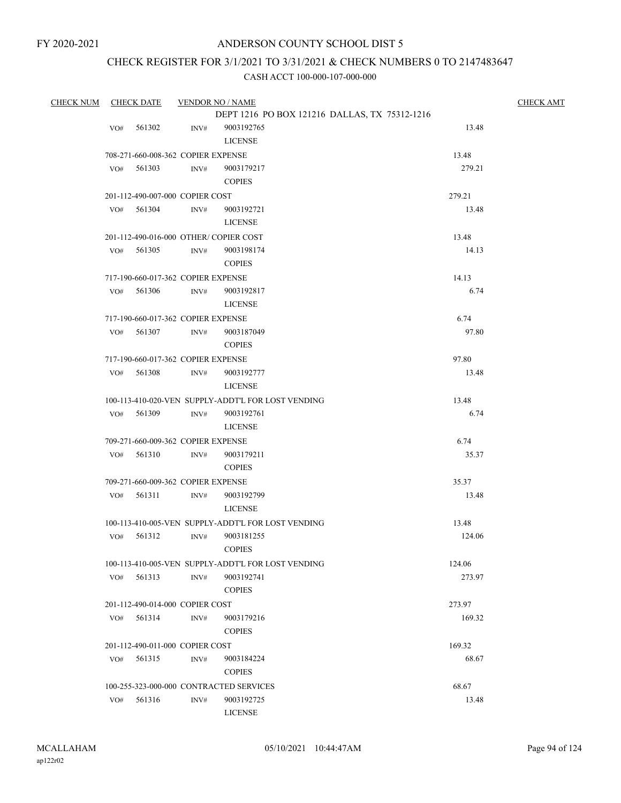# CHECK REGISTER FOR 3/1/2021 TO 3/31/2021 & CHECK NUMBERS 0 TO 2147483647

| <b>CHECK NUM</b> | <b>CHECK DATE</b> |              | <b>VENDOR NO / NAME</b>            | <b>CHECK AMT</b>                                   |        |  |
|------------------|-------------------|--------------|------------------------------------|----------------------------------------------------|--------|--|
|                  |                   |              |                                    | DEPT 1216 PO BOX 121216 DALLAS, TX 75312-1216      |        |  |
|                  | VO#               | 561302       | INV#                               | 9003192765                                         | 13.48  |  |
|                  |                   |              |                                    | <b>LICENSE</b>                                     |        |  |
|                  |                   |              | 708-271-660-008-362 COPIER EXPENSE |                                                    | 13.48  |  |
|                  | VO#               | 561303       | INV#                               | 9003179217                                         | 279.21 |  |
|                  |                   |              |                                    | <b>COPIES</b>                                      |        |  |
|                  |                   |              | 201-112-490-007-000 COPIER COST    |                                                    | 279.21 |  |
|                  |                   | $VO#$ 561304 | INV#                               | 9003192721                                         | 13.48  |  |
|                  |                   |              |                                    | <b>LICENSE</b>                                     |        |  |
|                  |                   |              |                                    | 201-112-490-016-000 OTHER/COPIER COST              | 13.48  |  |
|                  | VO#               | 561305       | INV#                               | 9003198174                                         | 14.13  |  |
|                  |                   |              |                                    | <b>COPIES</b>                                      |        |  |
|                  |                   |              | 717-190-660-017-362 COPIER EXPENSE |                                                    | 14.13  |  |
|                  | VO#               | 561306       | INV#                               | 9003192817                                         | 6.74   |  |
|                  |                   |              |                                    | <b>LICENSE</b>                                     |        |  |
|                  |                   |              | 717-190-660-017-362 COPIER EXPENSE |                                                    | 6.74   |  |
|                  |                   | VO# 561307   | INV#                               | 9003187049                                         | 97.80  |  |
|                  |                   |              |                                    | <b>COPIES</b>                                      |        |  |
|                  |                   |              | 717-190-660-017-362 COPIER EXPENSE |                                                    | 97.80  |  |
|                  | VO#               | 561308       | INV#                               | 9003192777                                         | 13.48  |  |
|                  |                   |              |                                    | <b>LICENSE</b>                                     |        |  |
|                  |                   |              |                                    | 100-113-410-020-VEN SUPPLY-ADDT'L FOR LOST VENDING | 13.48  |  |
|                  | VO#               | 561309       | INV#                               | 9003192761                                         | 6.74   |  |
|                  |                   |              |                                    | <b>LICENSE</b>                                     |        |  |
|                  |                   |              | 709-271-660-009-362 COPIER EXPENSE |                                                    | 6.74   |  |
|                  | VO#               | 561310       | INV#                               | 9003179211                                         | 35.37  |  |
|                  |                   |              |                                    | <b>COPIES</b>                                      |        |  |
|                  |                   |              | 709-271-660-009-362 COPIER EXPENSE |                                                    | 35.37  |  |
|                  | VO#               | 561311       | INV#                               | 9003192799                                         | 13.48  |  |
|                  |                   |              |                                    | <b>LICENSE</b>                                     |        |  |
|                  |                   |              |                                    | 100-113-410-005-VEN SUPPLY-ADDT'L FOR LOST VENDING | 13.48  |  |
|                  | VO#               | 561312       | INV#                               | 9003181255                                         | 124.06 |  |
|                  |                   |              |                                    | <b>COPIES</b>                                      |        |  |
|                  |                   |              |                                    | 100-113-410-005-VEN SUPPLY-ADDT'L FOR LOST VENDING | 124.06 |  |
|                  | VO#               | 561313       | INV#                               | 9003192741                                         | 273.97 |  |
|                  |                   |              |                                    | <b>COPIES</b>                                      |        |  |
|                  |                   |              | 201-112-490-014-000 COPIER COST    |                                                    | 273.97 |  |
|                  |                   | VO# 561314   | INV#                               | 9003179216                                         | 169.32 |  |
|                  |                   |              |                                    | <b>COPIES</b>                                      |        |  |
|                  |                   |              | 201-112-490-011-000 COPIER COST    |                                                    | 169.32 |  |
|                  | VO#               | 561315       | INV#                               | 9003184224                                         | 68.67  |  |
|                  |                   |              |                                    | <b>COPIES</b>                                      |        |  |
|                  |                   |              |                                    | 100-255-323-000-000 CONTRACTED SERVICES            | 68.67  |  |
|                  | VO#               | 561316       | INV#                               | 9003192725                                         | 13.48  |  |
|                  |                   |              |                                    | <b>LICENSE</b>                                     |        |  |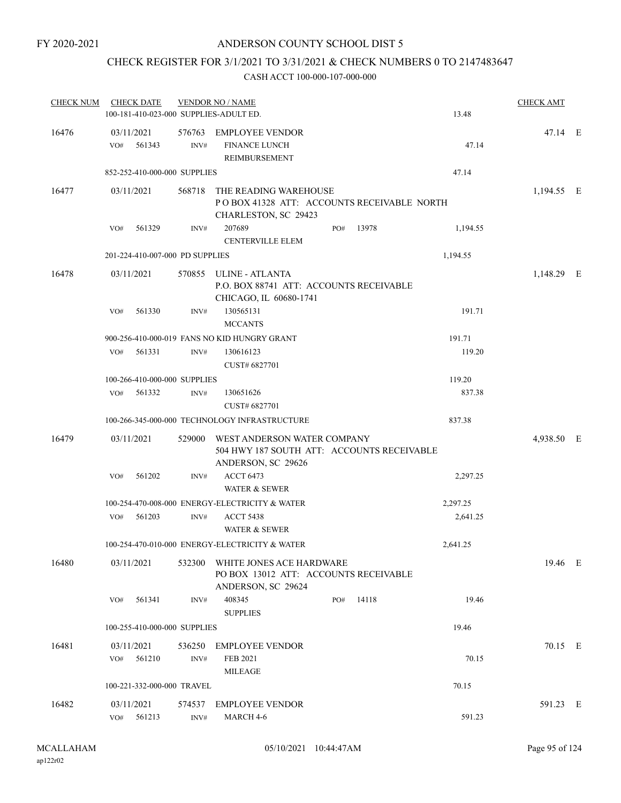# CHECK REGISTER FOR 3/1/2021 TO 3/31/2021 & CHECK NUMBERS 0 TO 2147483647

| <b>CHECK NUM</b> | <b>CHECK DATE</b><br>100-181-410-023-000 SUPPLIES-ADULT ED. |                | <b>VENDOR NO / NAME</b>                                                                                |     |       | 13.48    | <b>CHECK AMT</b> |  |
|------------------|-------------------------------------------------------------|----------------|--------------------------------------------------------------------------------------------------------|-----|-------|----------|------------------|--|
| 16476            | 03/11/2021<br>561343<br>VO#                                 | INV#           | 576763 EMPLOYEE VENDOR<br><b>FINANCE LUNCH</b><br>REIMBURSEMENT                                        |     |       | 47.14    | 47.14 E          |  |
|                  | 852-252-410-000-000 SUPPLIES                                |                |                                                                                                        |     |       | 47.14    |                  |  |
| 16477            | 03/11/2021                                                  | 568718         | THE READING WAREHOUSE<br>POBOX 41328 ATT: ACCOUNTS RECEIVABLE NORTH<br>CHARLESTON, SC 29423            |     |       |          | 1,194.55 E       |  |
|                  | 561329<br>VO#                                               | INV#           | 207689<br><b>CENTERVILLE ELEM</b>                                                                      | PO# | 13978 | 1,194.55 |                  |  |
|                  | 201-224-410-007-000 PD SUPPLIES                             |                |                                                                                                        |     |       | 1,194.55 |                  |  |
| 16478            | 03/11/2021                                                  |                | 570855 ULINE - ATLANTA<br>P.O. BOX 88741 ATT: ACCOUNTS RECEIVABLE<br>CHICAGO, IL 60680-1741            |     |       |          | 1,148.29 E       |  |
|                  | 561330<br>VO#                                               | INV#           | 130565131<br><b>MCCANTS</b>                                                                            |     |       | 191.71   |                  |  |
|                  |                                                             |                | 900-256-410-000-019 FANS NO KID HUNGRY GRANT                                                           |     |       | 191.71   |                  |  |
|                  | 561331<br>VO#                                               | INV#           | 130616123<br>CUST# 6827701                                                                             |     |       | 119.20   |                  |  |
|                  | 100-266-410-000-000 SUPPLIES                                |                |                                                                                                        |     |       | 119.20   |                  |  |
|                  | 561332<br>VO#                                               | INV#           | 130651626<br>CUST# 6827701                                                                             |     |       | 837.38   |                  |  |
|                  |                                                             |                | 100-266-345-000-000 TECHNOLOGY INFRASTRUCTURE                                                          |     |       | 837.38   |                  |  |
| 16479            | 03/11/2021                                                  |                | 529000 WEST ANDERSON WATER COMPANY<br>504 HWY 187 SOUTH ATT: ACCOUNTS RECEIVABLE<br>ANDERSON, SC 29626 |     |       |          | 4,938.50 E       |  |
|                  | VO#<br>561202                                               | INV#           | <b>ACCT 6473</b><br>WATER & SEWER                                                                      |     |       | 2,297.25 |                  |  |
|                  |                                                             |                | 100-254-470-008-000 ENERGY-ELECTRICITY & WATER                                                         |     |       | 2,297.25 |                  |  |
|                  | 561203<br>VO#                                               | INV#           | <b>ACCT 5438</b><br><b>WATER &amp; SEWER</b>                                                           |     |       | 2,641.25 |                  |  |
|                  |                                                             |                | 100-254-470-010-000 ENERGY-ELECTRICITY & WATER                                                         |     |       | 2,641.25 |                  |  |
| 16480            | 03/11/2021                                                  |                | 532300 WHITE JONES ACE HARDWARE<br>PO BOX 13012 ATT: ACCOUNTS RECEIVABLE<br>ANDERSON, SC 29624         |     |       |          | 19.46 E          |  |
|                  | 561341<br>VO#                                               | INV#           | 408345<br><b>SUPPLIES</b>                                                                              | PO# | 14118 | 19.46    |                  |  |
|                  | 100-255-410-000-000 SUPPLIES                                |                |                                                                                                        |     |       | 19.46    |                  |  |
| 16481            | 03/11/2021<br>561210<br>VO#                                 | 536250<br>INV# | <b>EMPLOYEE VENDOR</b><br><b>FEB 2021</b><br><b>MILEAGE</b>                                            |     |       | 70.15    | 70.15 E          |  |
|                  | 100-221-332-000-000 TRAVEL                                  |                |                                                                                                        |     |       | 70.15    |                  |  |
| 16482            | 03/11/2021<br>561213<br>VO#                                 | 574537<br>INV# | <b>EMPLOYEE VENDOR</b><br>MARCH 4-6                                                                    |     |       | 591.23   | 591.23 E         |  |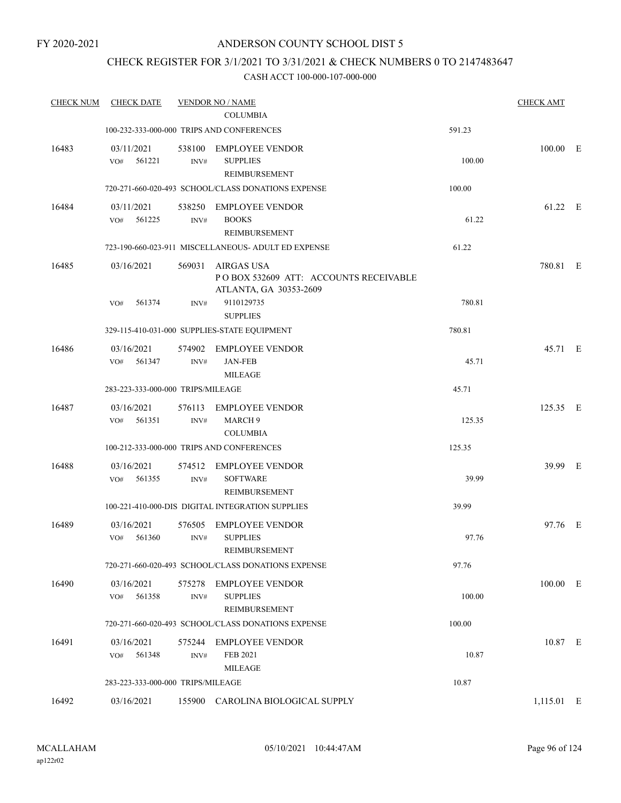# CHECK REGISTER FOR 3/1/2021 TO 3/31/2021 & CHECK NUMBERS 0 TO 2147483647

| <b>CHECK NUM</b> | <b>CHECK DATE</b>                 |                | <b>VENDOR NO / NAME</b><br><b>COLUMBIA</b>                                    |        | <b>CHECK AMT</b> |  |
|------------------|-----------------------------------|----------------|-------------------------------------------------------------------------------|--------|------------------|--|
|                  |                                   |                | 100-232-333-000-000 TRIPS AND CONFERENCES                                     | 591.23 |                  |  |
| 16483            | 03/11/2021<br>VO#<br>561221       | 538100<br>INV# | <b>EMPLOYEE VENDOR</b><br><b>SUPPLIES</b><br>REIMBURSEMENT                    | 100.00 | $100.00$ E       |  |
|                  |                                   |                | 720-271-660-020-493 SCHOOL/CLASS DONATIONS EXPENSE                            | 100.00 |                  |  |
| 16484            | 03/11/2021<br>561225<br>VO#       | 538250<br>INV# | EMPLOYEE VENDOR<br><b>BOOKS</b><br>REIMBURSEMENT                              | 61.22  | 61.22 E          |  |
|                  |                                   |                | 723-190-660-023-911 MISCELLANEOUS- ADULT ED EXPENSE                           | 61.22  |                  |  |
| 16485            | 03/16/2021                        | 569031         | AIRGAS USA<br>POBOX 532609 ATT: ACCOUNTS RECEIVABLE<br>ATLANTA, GA 30353-2609 |        | 780.81 E         |  |
|                  | VO#<br>561374                     | INV#           | 9110129735<br><b>SUPPLIES</b>                                                 | 780.81 |                  |  |
|                  |                                   |                | 329-115-410-031-000 SUPPLIES-STATE EQUIPMENT                                  | 780.81 |                  |  |
| 16486            | 03/16/2021                        | 574902         | <b>EMPLOYEE VENDOR</b>                                                        |        | 45.71 E          |  |
|                  | VO#<br>561347                     | INV#           | <b>JAN-FEB</b><br><b>MILEAGE</b>                                              | 45.71  |                  |  |
|                  | 283-223-333-000-000 TRIPS/MILEAGE |                |                                                                               | 45.71  |                  |  |
| 16487            | 03/16/2021<br>VO#<br>561351       | 576113<br>INV# | <b>EMPLOYEE VENDOR</b><br><b>MARCH 9</b><br><b>COLUMBIA</b>                   | 125.35 | 125.35 E         |  |
|                  |                                   |                | 100-212-333-000-000 TRIPS AND CONFERENCES                                     | 125.35 |                  |  |
| 16488            | 03/16/2021<br>561355<br>VO#       | INV#           | 574512 EMPLOYEE VENDOR<br><b>SOFTWARE</b><br>REIMBURSEMENT                    | 39.99  | 39.99 E          |  |
|                  |                                   |                | 100-221-410-000-DIS DIGITAL INTEGRATION SUPPLIES                              | 39.99  |                  |  |
| 16489            | 03/16/2021<br>561360<br>VO#       | 576505<br>INV# | <b>EMPLOYEE VENDOR</b><br><b>SUPPLIES</b><br>REIMBURSEMENT                    | 97.76  | 97.76 E          |  |
|                  |                                   |                | 720-271-660-020-493 SCHOOL/CLASS DONATIONS EXPENSE                            | 97.76  |                  |  |
| 16490            | 03/16/2021<br>561358<br>VO#       | INV#           | 575278 EMPLOYEE VENDOR<br><b>SUPPLIES</b><br>REIMBURSEMENT                    | 100.00 | 100.00 E         |  |
|                  |                                   |                | 720-271-660-020-493 SCHOOL/CLASS DONATIONS EXPENSE                            | 100.00 |                  |  |
| 16491            | 03/16/2021<br>561348<br>VO#       | 575244<br>INV# | <b>EMPLOYEE VENDOR</b><br>FEB 2021<br><b>MILEAGE</b>                          | 10.87  | 10.87 E          |  |
|                  | 283-223-333-000-000 TRIPS/MILEAGE |                |                                                                               | 10.87  |                  |  |
| 16492            | 03/16/2021                        |                | 155900 CAROLINA BIOLOGICAL SUPPLY                                             |        | 1,115.01 E       |  |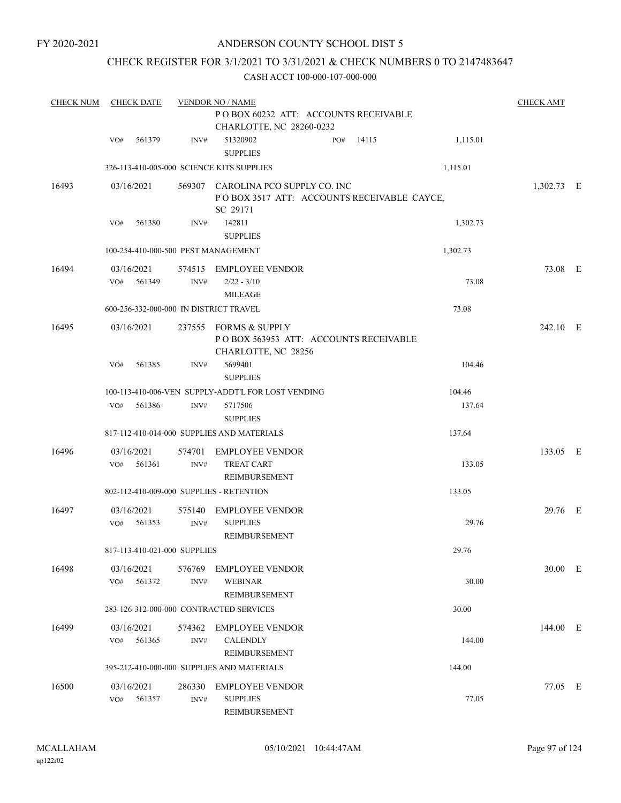FY 2020-2021

# ANDERSON COUNTY SCHOOL DIST 5

# CHECK REGISTER FOR 3/1/2021 TO 3/31/2021 & CHECK NUMBERS 0 TO 2147483647

| <b>CHECK NUM</b> | <b>CHECK DATE</b>                        |                | <b>VENDOR NO / NAME</b>                                                                      |     |       |          | <b>CHECK AMT</b> |  |
|------------------|------------------------------------------|----------------|----------------------------------------------------------------------------------------------|-----|-------|----------|------------------|--|
|                  |                                          |                |                                                                                              |     |       |          |                  |  |
|                  | 561379<br>VO#                            | INV#           | CHARLOTTE, NC 28260-0232<br>51320902<br><b>SUPPLIES</b>                                      | PO# | 14115 | 1,115.01 |                  |  |
|                  |                                          |                | 326-113-410-005-000 SCIENCE KITS SUPPLIES                                                    |     |       | 1,115.01 |                  |  |
| 16493            | 03/16/2021                               |                | 569307 CAROLINA PCO SUPPLY CO. INC<br>POBOX 3517 ATT: ACCOUNTS RECEIVABLE CAYCE,<br>SC 29171 |     |       |          | 1,302.73 E       |  |
|                  | 561380<br>VO#                            | INV#           | 142811<br><b>SUPPLIES</b>                                                                    |     |       | 1,302.73 |                  |  |
|                  | 100-254-410-000-500 PEST MANAGEMENT      |                |                                                                                              |     |       | 1,302.73 |                  |  |
| 16494            | 03/16/2021<br>561349<br>VO#              | INV#           | 574515 EMPLOYEE VENDOR<br>$2/22 - 3/10$<br><b>MILEAGE</b>                                    |     |       | 73.08    | 73.08 E          |  |
|                  | 600-256-332-000-000 IN DISTRICT TRAVEL   |                |                                                                                              |     |       | 73.08    |                  |  |
| 16495            | 03/16/2021                               |                | 237555 FORMS & SUPPLY<br>PO BOX 563953 ATT: ACCOUNTS RECEIVABLE<br>CHARLOTTE, NC 28256       |     |       |          | 242.10 E         |  |
|                  | 561385<br>VO#                            | INV#           | 5699401<br><b>SUPPLIES</b>                                                                   |     |       | 104.46   |                  |  |
|                  |                                          |                | 100-113-410-006-VEN SUPPLY-ADDT'L FOR LOST VENDING                                           |     |       | 104.46   |                  |  |
|                  | 561386<br>VO#                            | INV#           | 5717506<br><b>SUPPLIES</b>                                                                   |     |       | 137.64   |                  |  |
|                  |                                          |                | 817-112-410-014-000 SUPPLIES AND MATERIALS                                                   |     |       | 137.64   |                  |  |
| 16496            | 03/16/2021<br>561361<br>VO#              | 574701<br>INV# | EMPLOYEE VENDOR<br><b>TREAT CART</b><br>REIMBURSEMENT                                        |     |       | 133.05   | 133.05 E         |  |
|                  | 802-112-410-009-000 SUPPLIES - RETENTION |                |                                                                                              |     |       | 133.05   |                  |  |
| 16497            | 03/16/2021<br>561353<br>VO#              | 575140<br>INV# | <b>EMPLOYEE VENDOR</b><br><b>SUPPLIES</b><br>REIMBURSEMENT                                   |     |       | 29.76    | 29.76 E          |  |
|                  | 817-113-410-021-000 SUPPLIES             |                |                                                                                              |     |       | 29.76    |                  |  |
| 16498            | 03/16/2021<br>VO#<br>561372              | 576769<br>INV# | <b>EMPLOYEE VENDOR</b><br><b>WEBINAR</b><br>REIMBURSEMENT                                    |     |       | 30.00    | 30.00 E          |  |
|                  |                                          |                | 283-126-312-000-000 CONTRACTED SERVICES                                                      |     |       | 30.00    |                  |  |
| 16499            | 03/16/2021<br>561365<br>VO#              | 574362<br>INV# | EMPLOYEE VENDOR<br><b>CALENDLY</b><br>REIMBURSEMENT                                          |     |       | 144.00   | 144.00 E         |  |
|                  |                                          |                | 395-212-410-000-000 SUPPLIES AND MATERIALS                                                   |     |       | 144.00   |                  |  |
| 16500            | 03/16/2021<br>561357<br>VO#              | 286330<br>INV# | <b>EMPLOYEE VENDOR</b><br><b>SUPPLIES</b><br>REIMBURSEMENT                                   |     |       | 77.05    | 77.05 E          |  |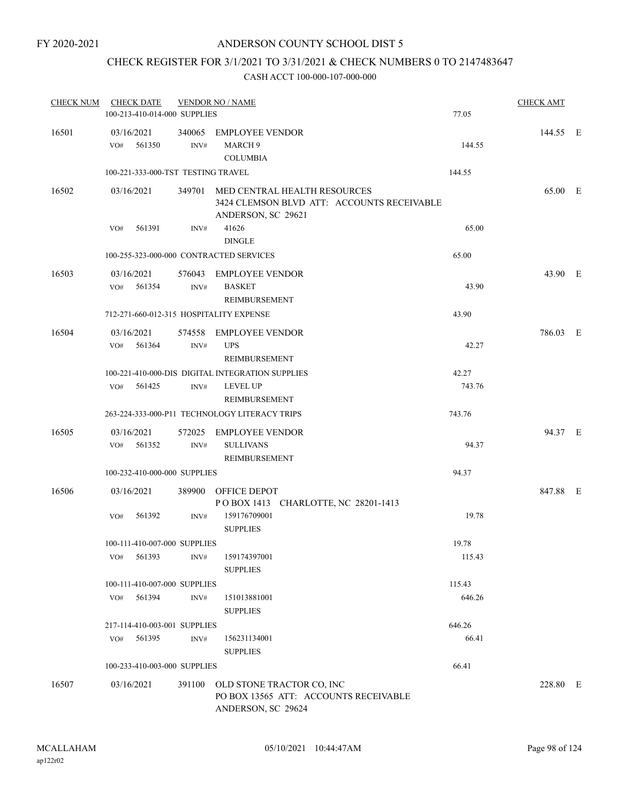# CHECK REGISTER FOR 3/1/2021 TO 3/31/2021 & CHECK NUMBERS 0 TO 2147483647

| <b>CHECK NUM</b> | <b>CHECK DATE</b><br>100-213-410-014-000 SUPPLIES |        | <b>VENDOR NO / NAME</b>                                                                                 | 77.05  | <b>CHECK AMT</b> |  |
|------------------|---------------------------------------------------|--------|---------------------------------------------------------------------------------------------------------|--------|------------------|--|
| 16501            | 03/16/2021<br>VO#<br>561350                       | INV#   | 340065 EMPLOYEE VENDOR<br>MARCH <sub>9</sub><br><b>COLUMBIA</b>                                         | 144.55 | 144.55 E         |  |
|                  | 100-221-333-000-TST TESTING TRAVEL                |        |                                                                                                         | 144.55 |                  |  |
| 16502            | 03/16/2021                                        |        | 349701 MED CENTRAL HEALTH RESOURCES<br>3424 CLEMSON BLVD ATT: ACCOUNTS RECEIVABLE<br>ANDERSON, SC 29621 |        | 65.00 E          |  |
|                  | 561391<br>VO#                                     | INV#   | 41626<br><b>DINGLE</b>                                                                                  | 65.00  |                  |  |
|                  | 100-255-323-000-000 CONTRACTED SERVICES           |        |                                                                                                         | 65.00  |                  |  |
| 16503            | 03/16/2021<br>VO# 561354                          | INV#   | 576043 EMPLOYEE VENDOR<br><b>BASKET</b><br>REIMBURSEMENT                                                | 43.90  | 43.90 E          |  |
|                  | 712-271-660-012-315 HOSPITALITY EXPENSE           |        |                                                                                                         | 43.90  |                  |  |
| 16504            | 03/16/2021<br>561364<br>VO#                       | INV#   | 574558 EMPLOYEE VENDOR<br><b>UPS</b>                                                                    | 42.27  | 786.03 E         |  |
|                  |                                                   |        | REIMBURSEMENT<br>100-221-410-000-DIS DIGITAL INTEGRATION SUPPLIES                                       | 42.27  |                  |  |
|                  | VO# 561425                                        | INV#   | <b>LEVEL UP</b><br>REIMBURSEMENT                                                                        | 743.76 |                  |  |
|                  |                                                   |        | 263-224-333-000-P11 TECHNOLOGY LITERACY TRIPS                                                           | 743.76 |                  |  |
| 16505            | 03/16/2021<br>VO# 561352                          | INV#   | 572025 EMPLOYEE VENDOR<br><b>SULLIVANS</b><br>REIMBURSEMENT                                             | 94.37  | 94.37 E          |  |
|                  | 100-232-410-000-000 SUPPLIES                      |        |                                                                                                         | 94.37  |                  |  |
| 16506            | 03/16/2021                                        |        | 389900 OFFICE DEPOT<br>POBOX 1413 CHARLOTTE, NC 28201-1413                                              |        | 847.88 E         |  |
|                  | 561392<br>VO#                                     | INV#   | 159176709001<br><b>SUPPLIES</b>                                                                         | 19.78  |                  |  |
|                  | 100-111-410-007-000 SUPPLIES                      |        |                                                                                                         | 19.78  |                  |  |
|                  | 561393<br>VO#                                     | INV#   | 159174397001<br><b>SUPPLIES</b>                                                                         | 115.43 |                  |  |
|                  | 100-111-410-007-000 SUPPLIES                      |        |                                                                                                         | 115.43 |                  |  |
|                  | 561394<br>VO#                                     | INV#   | 151013881001<br><b>SUPPLIES</b>                                                                         | 646.26 |                  |  |
|                  | 217-114-410-003-001 SUPPLIES                      |        |                                                                                                         | 646.26 |                  |  |
|                  | 561395<br>VO#                                     | INV#   | 156231134001<br><b>SUPPLIES</b>                                                                         | 66.41  |                  |  |
|                  | 100-233-410-003-000 SUPPLIES                      |        |                                                                                                         | 66.41  |                  |  |
| 16507            | 03/16/2021                                        | 391100 | OLD STONE TRACTOR CO, INC<br>PO BOX 13565 ATT: ACCOUNTS RECEIVABLE<br>ANDERSON, SC 29624                |        | 228.80 E         |  |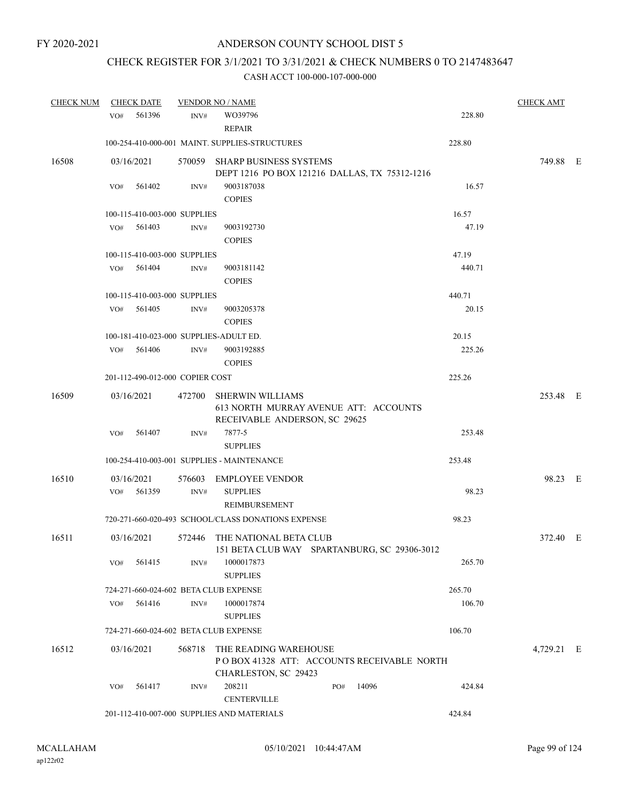# CHECK REGISTER FOR 3/1/2021 TO 3/31/2021 & CHECK NUMBERS 0 TO 2147483647

| <b>CHECK NUM</b> | <b>CHECK DATE</b>                      |        | <b>VENDOR NO / NAME</b>                                                                           |     |       |        | <b>CHECK AMT</b> |  |
|------------------|----------------------------------------|--------|---------------------------------------------------------------------------------------------------|-----|-------|--------|------------------|--|
|                  | 561396<br>VO#                          | INV#   | WO39796<br><b>REPAIR</b>                                                                          |     |       | 228.80 |                  |  |
|                  |                                        |        | 100-254-410-000-001 MAINT. SUPPLIES-STRUCTURES                                                    |     |       | 228.80 |                  |  |
| 16508            | 03/16/2021                             |        | 570059 SHARP BUSINESS SYSTEMS<br>DEPT 1216 PO BOX 121216 DALLAS, TX 75312-1216                    |     |       |        | 749.88 E         |  |
|                  | 561402<br>VO#                          | INV#   | 9003187038<br><b>COPIES</b>                                                                       |     |       | 16.57  |                  |  |
|                  | 100-115-410-003-000 SUPPLIES           |        |                                                                                                   |     |       | 16.57  |                  |  |
|                  | VO#<br>561403                          | INV#   | 9003192730<br><b>COPIES</b>                                                                       |     |       | 47.19  |                  |  |
|                  | 100-115-410-003-000 SUPPLIES           |        |                                                                                                   |     |       | 47.19  |                  |  |
|                  | 561404<br>VO#                          | INV#   | 9003181142<br><b>COPIES</b>                                                                       |     |       | 440.71 |                  |  |
|                  | 100-115-410-003-000 SUPPLIES           |        |                                                                                                   |     |       | 440.71 |                  |  |
|                  | VO#<br>561405                          | INV#   | 9003205378<br><b>COPIES</b>                                                                       |     |       | 20.15  |                  |  |
|                  | 100-181-410-023-000 SUPPLIES-ADULT ED. |        |                                                                                                   |     |       | 20.15  |                  |  |
|                  | 561406<br>VO#                          | INV#   | 9003192885<br><b>COPIES</b>                                                                       |     |       | 225.26 |                  |  |
|                  | 201-112-490-012-000 COPIER COST        |        |                                                                                                   |     |       | 225.26 |                  |  |
| 16509            | 03/16/2021                             |        | 472700 SHERWIN WILLIAMS<br>613 NORTH MURRAY AVENUE ATT: ACCOUNTS<br>RECEIVABLE ANDERSON, SC 29625 |     |       |        | 253.48 E         |  |
|                  | 561407<br>VO#                          | INV#   | 7877-5<br><b>SUPPLIES</b>                                                                         |     |       | 253.48 |                  |  |
|                  |                                        |        | 100-254-410-003-001 SUPPLIES - MAINTENANCE                                                        |     |       | 253.48 |                  |  |
| 16510            | 03/16/2021                             |        | 576603 EMPLOYEE VENDOR                                                                            |     |       |        | 98.23 E          |  |
|                  | 561359<br>VO#                          | INV#   | <b>SUPPLIES</b><br>REIMBURSEMENT                                                                  |     |       | 98.23  |                  |  |
|                  |                                        |        | 720-271-660-020-493 SCHOOL/CLASS DONATIONS EXPENSE                                                |     |       | 98.23  |                  |  |
| 16511            | 03/16/2021                             |        | 572446 THE NATIONAL BETA CLUB<br>151 BETA CLUB WAY SPARTANBURG, SC 29306-3012                     |     |       |        | 372.40 E         |  |
|                  | VO#<br>561415                          | INV#   | 1000017873<br><b>SUPPLIES</b>                                                                     |     |       | 265.70 |                  |  |
|                  | 724-271-660-024-602 BETA CLUB EXPENSE  |        |                                                                                                   |     |       | 265.70 |                  |  |
|                  | 561416<br>VO#                          | INV#   | 1000017874<br><b>SUPPLIES</b>                                                                     |     |       | 106.70 |                  |  |
|                  | 724-271-660-024-602 BETA CLUB EXPENSE  |        |                                                                                                   |     |       | 106.70 |                  |  |
| 16512            | 03/16/2021                             | 568718 | THE READING WAREHOUSE<br>POBOX 41328 ATT: ACCOUNTS RECEIVABLE NORTH<br>CHARLESTON, SC 29423       |     |       |        | 4,729.21 E       |  |
|                  | 561417<br>VO#                          | INV#   | 208211<br><b>CENTERVILLE</b>                                                                      | PO# | 14096 | 424.84 |                  |  |
|                  |                                        |        | 201-112-410-007-000 SUPPLIES AND MATERIALS                                                        |     |       | 424.84 |                  |  |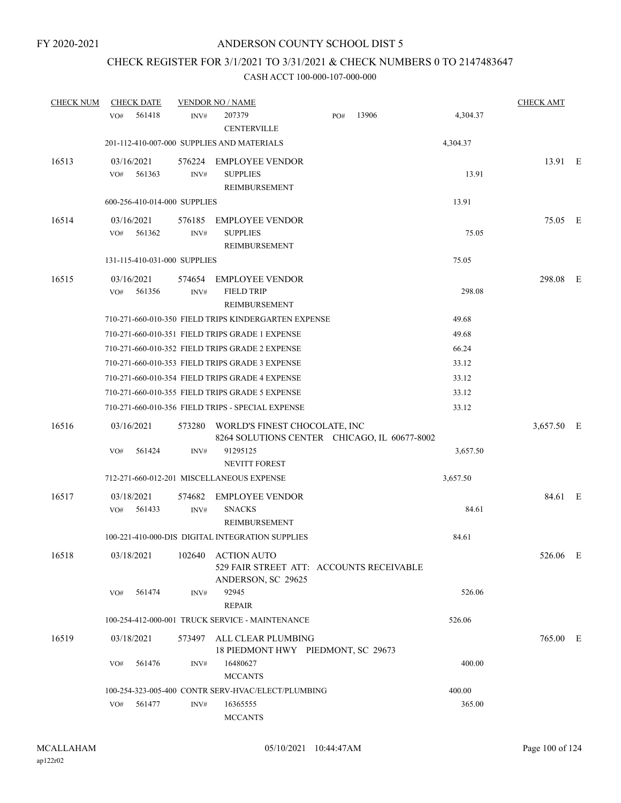# CHECK REGISTER FOR 3/1/2021 TO 3/31/2021 & CHECK NUMBERS 0 TO 2147483647

| <b>CHECK NUM</b> | <b>CHECK DATE</b>            |                | <b>VENDOR NO / NAME</b>                                                              |     |       |          | <b>CHECK AMT</b> |   |
|------------------|------------------------------|----------------|--------------------------------------------------------------------------------------|-----|-------|----------|------------------|---|
|                  | 561418<br>VO <sub>#</sub>    | INV#           | 207379<br><b>CENTERVILLE</b>                                                         | PO# | 13906 | 4,304.37 |                  |   |
|                  |                              |                | 201-112-410-007-000 SUPPLIES AND MATERIALS                                           |     |       | 4,304.37 |                  |   |
| 16513            | 03/16/2021<br>561363<br>VO#  | 576224<br>INV# | <b>EMPLOYEE VENDOR</b><br><b>SUPPLIES</b><br>REIMBURSEMENT                           |     |       | 13.91    | 13.91 E          |   |
|                  | 600-256-410-014-000 SUPPLIES |                |                                                                                      |     |       | 13.91    |                  |   |
| 16514            | 03/16/2021<br>561362<br>VO#  | 576185<br>INV# | <b>EMPLOYEE VENDOR</b><br><b>SUPPLIES</b><br>REIMBURSEMENT                           |     |       | 75.05    | 75.05 E          |   |
|                  | 131-115-410-031-000 SUPPLIES |                |                                                                                      |     |       | 75.05    |                  |   |
| 16515            | 03/16/2021<br>561356<br>VO#  | 574654<br>INV# | <b>EMPLOYEE VENDOR</b><br><b>FIELD TRIP</b><br>REIMBURSEMENT                         |     |       | 298.08   | 298.08           | Ε |
|                  |                              |                | 710-271-660-010-350 FIELD TRIPS KINDERGARTEN EXPENSE                                 |     |       | 49.68    |                  |   |
|                  |                              |                | 710-271-660-010-351 FIELD TRIPS GRADE 1 EXPENSE                                      |     |       | 49.68    |                  |   |
|                  |                              |                | 710-271-660-010-352 FIELD TRIPS GRADE 2 EXPENSE                                      |     |       | 66.24    |                  |   |
|                  |                              |                | 710-271-660-010-353 FIELD TRIPS GRADE 3 EXPENSE                                      |     |       | 33.12    |                  |   |
|                  |                              |                | 710-271-660-010-354 FIELD TRIPS GRADE 4 EXPENSE                                      |     |       | 33.12    |                  |   |
|                  |                              |                | 710-271-660-010-355 FIELD TRIPS GRADE 5 EXPENSE                                      |     |       | 33.12    |                  |   |
|                  |                              |                | 710-271-660-010-356 FIELD TRIPS - SPECIAL EXPENSE                                    |     |       | 33.12    |                  |   |
| 16516            | 03/16/2021                   | 573280         | WORLD'S FINEST CHOCOLATE, INC<br>8264 SOLUTIONS CENTER CHICAGO, IL 60677-8002        |     |       |          | 3,657.50 E       |   |
|                  | VO#<br>561424                | INV#           | 91295125<br>NEVITT FOREST                                                            |     |       | 3,657.50 |                  |   |
|                  |                              |                | 712-271-660-012-201 MISCELLANEOUS EXPENSE                                            |     |       | 3,657.50 |                  |   |
| 16517            | 03/18/2021<br>561433<br>VO#  | 574682<br>INV# | <b>EMPLOYEE VENDOR</b><br><b>SNACKS</b><br>REIMBURSEMENT                             |     |       | 84.61    | 84.61 E          |   |
|                  |                              |                | 100-221-410-000-DIS DIGITAL INTEGRATION SUPPLIES                                     |     |       | 84.61    |                  |   |
| 16518            | 03/18/2021                   | 102640         | <b>ACTION AUTO</b><br>529 FAIR STREET ATT: ACCOUNTS RECEIVABLE<br>ANDERSON, SC 29625 |     |       |          | 526.06 E         |   |
|                  | 561474<br>VO#                | INV#           | 92945<br><b>REPAIR</b>                                                               |     |       | 526.06   |                  |   |
|                  |                              |                | 100-254-412-000-001 TRUCK SERVICE - MAINTENANCE                                      |     |       | 526.06   |                  |   |
| 16519            | 03/18/2021                   | 573497         | ALL CLEAR PLUMBING<br>18 PIEDMONT HWY PIEDMONT, SC 29673                             |     |       |          | 765.00 E         |   |
|                  | 561476<br>VO#                | INV#           | 16480627<br><b>MCCANTS</b>                                                           |     |       | 400.00   |                  |   |
|                  |                              |                | 100-254-323-005-400 CONTR SERV-HVAC/ELECT/PLUMBING                                   |     |       | 400.00   |                  |   |
|                  | 561477<br>VO#                | INV#           | 16365555<br><b>MCCANTS</b>                                                           |     |       | 365.00   |                  |   |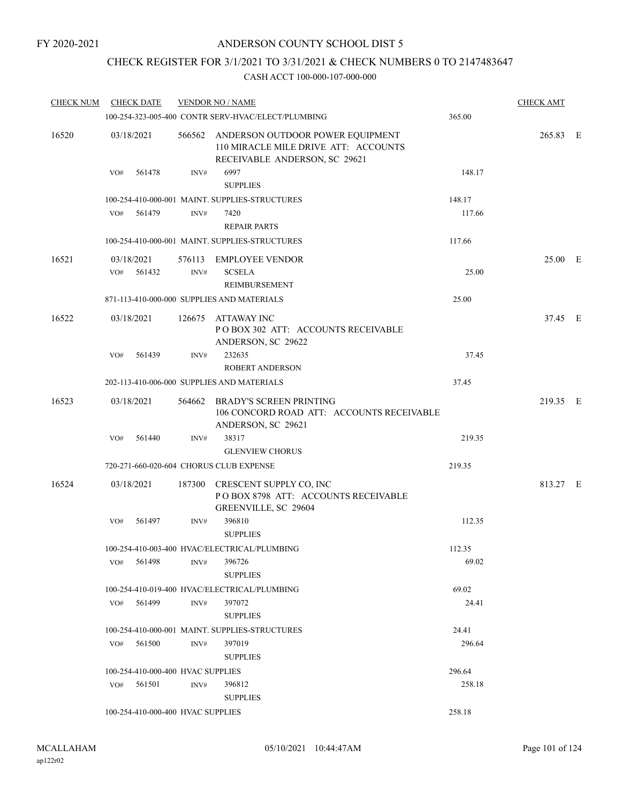# CHECK REGISTER FOR 3/1/2021 TO 3/31/2021 & CHECK NUMBERS 0 TO 2147483647

| <b>CHECK NUM</b> | <b>CHECK DATE</b>           |                                   | <b>VENDOR NO / NAME</b>                                                                                          |                 | <b>CHECK AMT</b> |  |
|------------------|-----------------------------|-----------------------------------|------------------------------------------------------------------------------------------------------------------|-----------------|------------------|--|
|                  |                             |                                   | 100-254-323-005-400 CONTR SERV-HVAC/ELECT/PLUMBING                                                               | 365.00          |                  |  |
| 16520            | 03/18/2021                  |                                   | 566562 ANDERSON OUTDOOR POWER EQUIPMENT<br>110 MIRACLE MILE DRIVE ATT: ACCOUNTS<br>RECEIVABLE ANDERSON, SC 29621 |                 | 265.83 E         |  |
|                  | VO#<br>561478               | INV#                              | 6997<br><b>SUPPLIES</b>                                                                                          | 148.17          |                  |  |
|                  |                             |                                   | 100-254-410-000-001 MAINT. SUPPLIES-STRUCTURES                                                                   | 148.17          |                  |  |
|                  | 561479<br>VO#               | INV#                              | 7420<br><b>REPAIR PARTS</b>                                                                                      | 117.66          |                  |  |
|                  |                             |                                   | 100-254-410-000-001 MAINT. SUPPLIES-STRUCTURES                                                                   | 117.66          |                  |  |
| 16521            | 03/18/2021<br>561432<br>VO# | INV#                              | 576113 EMPLOYEE VENDOR<br><b>SCSELA</b><br>REIMBURSEMENT                                                         | 25.00           | 25.00 E          |  |
|                  |                             |                                   | 871-113-410-000-000 SUPPLIES AND MATERIALS                                                                       | 25.00           |                  |  |
| 16522            | 03/18/2021                  |                                   | 126675 ATTAWAY INC<br>POBOX 302 ATT: ACCOUNTS RECEIVABLE<br>ANDERSON, SC 29622                                   |                 | 37.45 E          |  |
|                  | 561439<br>VO#               | INV#                              | 232635<br><b>ROBERT ANDERSON</b>                                                                                 | 37.45           |                  |  |
|                  |                             |                                   | 202-113-410-006-000 SUPPLIES AND MATERIALS                                                                       | 37.45           |                  |  |
| 16523            | 03/18/2021                  |                                   | 564662 BRADY'S SCREEN PRINTING<br>106 CONCORD ROAD ATT: ACCOUNTS RECEIVABLE<br>ANDERSON, SC 29621                |                 | 219.35 E         |  |
|                  | 561440<br>VO#               | INV#                              | 38317<br><b>GLENVIEW CHORUS</b>                                                                                  | 219.35          |                  |  |
|                  |                             |                                   | 720-271-660-020-604 CHORUS CLUB EXPENSE                                                                          | 219.35          |                  |  |
| 16524            | 03/18/2021                  |                                   | 187300 CRESCENT SUPPLY CO, INC<br>POBOX 8798 ATT: ACCOUNTS RECEIVABLE<br>GREENVILLE, SC 29604                    |                 | 813.27 E         |  |
|                  | VO#<br>561497               | INV#                              | 396810<br><b>SUPPLIES</b>                                                                                        | 112.35          |                  |  |
|                  | 561498<br>VO#               | INV#                              | 100-254-410-003-400 HVAC/ELECTRICAL/PLUMBING<br>396726                                                           | 112.35<br>69.02 |                  |  |
|                  |                             |                                   | <b>SUPPLIES</b>                                                                                                  |                 |                  |  |
|                  |                             |                                   | 100-254-410-019-400 HVAC/ELECTRICAL/PLUMBING                                                                     | 69.02           |                  |  |
|                  | 561499<br>VO#               | INV#                              | 397072<br><b>SUPPLIES</b>                                                                                        | 24.41           |                  |  |
|                  |                             |                                   | 100-254-410-000-001 MAINT. SUPPLIES-STRUCTURES                                                                   | 24.41           |                  |  |
|                  | $VO#$ 561500                | INV#                              | 397019<br><b>SUPPLIES</b>                                                                                        | 296.64          |                  |  |
|                  |                             | 100-254-410-000-400 HVAC SUPPLIES |                                                                                                                  | 296.64          |                  |  |
|                  | VO# 561501                  | INV#                              | 396812<br><b>SUPPLIES</b>                                                                                        | 258.18          |                  |  |
|                  |                             | 100-254-410-000-400 HVAC SUPPLIES |                                                                                                                  | 258.18          |                  |  |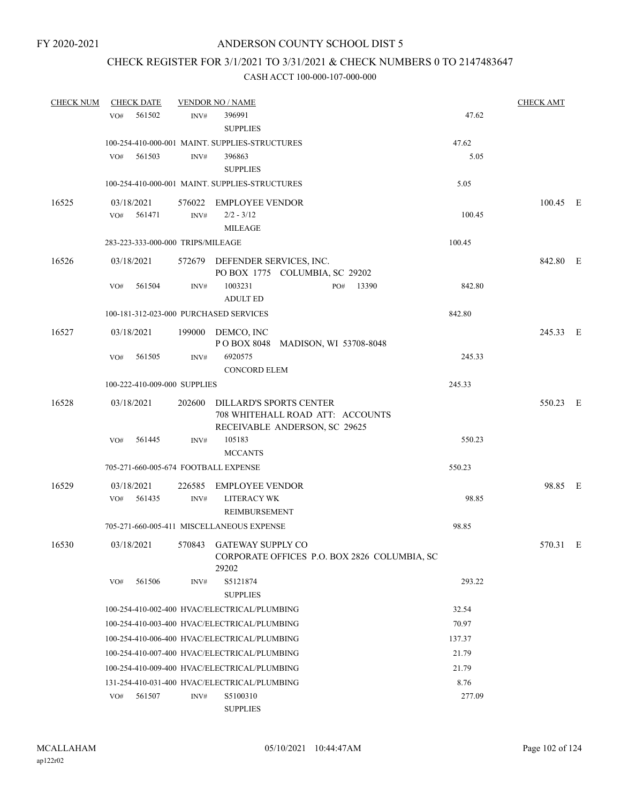# CHECK REGISTER FOR 3/1/2021 TO 3/31/2021 & CHECK NUMBERS 0 TO 2147483647

| <b>CHECK NUM</b> | <b>CHECK DATE</b> |        |                                   | <b>VENDOR NO / NAME</b>                                                                             |           |        | <b>CHECK AMT</b> |  |
|------------------|-------------------|--------|-----------------------------------|-----------------------------------------------------------------------------------------------------|-----------|--------|------------------|--|
|                  | VO#               | 561502 | INV#                              | 396991                                                                                              |           | 47.62  |                  |  |
|                  |                   |        |                                   | <b>SUPPLIES</b>                                                                                     |           |        |                  |  |
|                  |                   |        |                                   | 100-254-410-000-001 MAINT. SUPPLIES-STRUCTURES                                                      |           | 47.62  |                  |  |
|                  | VO#               | 561503 | INV#                              | 396863                                                                                              |           | 5.05   |                  |  |
|                  |                   |        |                                   | <b>SUPPLIES</b>                                                                                     |           |        |                  |  |
|                  |                   |        |                                   | 100-254-410-000-001 MAINT. SUPPLIES-STRUCTURES                                                      |           | 5.05   |                  |  |
| 16525            | 03/18/2021        |        |                                   | 576022 EMPLOYEE VENDOR                                                                              |           |        | 100.45 E         |  |
|                  | VO# 561471        |        | INV#                              | $2/2 - 3/12$                                                                                        |           | 100.45 |                  |  |
|                  |                   |        |                                   | <b>MILEAGE</b>                                                                                      |           |        |                  |  |
|                  |                   |        | 283-223-333-000-000 TRIPS/MILEAGE |                                                                                                     |           | 100.45 |                  |  |
| 16526            | 03/18/2021        |        |                                   | 572679 DEFENDER SERVICES, INC.<br>PO BOX 1775 COLUMBIA, SC 29202                                    |           |        | 842.80 E         |  |
|                  | VO#               | 561504 | INV#                              | 1003231                                                                                             | PO# 13390 | 842.80 |                  |  |
|                  |                   |        |                                   | <b>ADULT ED</b>                                                                                     |           |        |                  |  |
|                  |                   |        |                                   | 100-181-312-023-000 PURCHASED SERVICES                                                              |           | 842.80 |                  |  |
| 16527            | 03/18/2021        |        |                                   | 199000 DEMCO, INC<br>POBOX 8048 MADISON, WI 53708-8048                                              |           |        | 245.33 E         |  |
|                  | VO#               | 561505 | INV#                              | 6920575                                                                                             |           | 245.33 |                  |  |
|                  |                   |        |                                   | <b>CONCORD ELEM</b>                                                                                 |           |        |                  |  |
|                  |                   |        | 100-222-410-009-000 SUPPLIES      |                                                                                                     |           | 245.33 |                  |  |
| 16528            | 03/18/2021        |        |                                   | 202600 DILLARD'S SPORTS CENTER<br>708 WHITEHALL ROAD ATT: ACCOUNTS<br>RECEIVABLE ANDERSON, SC 29625 |           |        | 550.23 E         |  |
|                  | VO#               | 561445 | INV#                              | 105183<br><b>MCCANTS</b>                                                                            |           | 550.23 |                  |  |
|                  |                   |        |                                   | 705-271-660-005-674 FOOTBALL EXPENSE                                                                |           | 550.23 |                  |  |
|                  |                   |        |                                   |                                                                                                     |           |        |                  |  |
| 16529            | 03/18/2021<br>VO# | 561435 | INV#                              | 226585 EMPLOYEE VENDOR<br><b>LITERACY WK</b>                                                        |           | 98.85  | 98.85 E          |  |
|                  |                   |        |                                   | REIMBURSEMENT                                                                                       |           |        |                  |  |
|                  |                   |        |                                   | 705-271-660-005-411 MISCELLANEOUS EXPENSE                                                           |           | 98.85  |                  |  |
| 16530            | 03/18/2021        |        |                                   | 570843 GATEWAY SUPPLY CO<br>CORPORATE OFFICES P.O. BOX 2826 COLUMBIA, SC<br>29202                   |           |        | 570.31 E         |  |
|                  | VO#               | 561506 | INV#                              | S5121874<br><b>SUPPLIES</b>                                                                         |           | 293.22 |                  |  |
|                  |                   |        |                                   | 100-254-410-002-400 HVAC/ELECTRICAL/PLUMBING                                                        |           | 32.54  |                  |  |
|                  |                   |        |                                   | 100-254-410-003-400 HVAC/ELECTRICAL/PLUMBING                                                        |           | 70.97  |                  |  |
|                  |                   |        |                                   | 100-254-410-006-400 HVAC/ELECTRICAL/PLUMBING                                                        |           | 137.37 |                  |  |
|                  |                   |        |                                   | 100-254-410-007-400 HVAC/ELECTRICAL/PLUMBING                                                        |           | 21.79  |                  |  |
|                  |                   |        |                                   | 100-254-410-009-400 HVAC/ELECTRICAL/PLUMBING                                                        |           | 21.79  |                  |  |
|                  |                   |        |                                   | 131-254-410-031-400 HVAC/ELECTRICAL/PLUMBING                                                        |           | 8.76   |                  |  |
|                  | VO#               | 561507 | INV#                              | S5100310                                                                                            |           | 277.09 |                  |  |
|                  |                   |        |                                   | <b>SUPPLIES</b>                                                                                     |           |        |                  |  |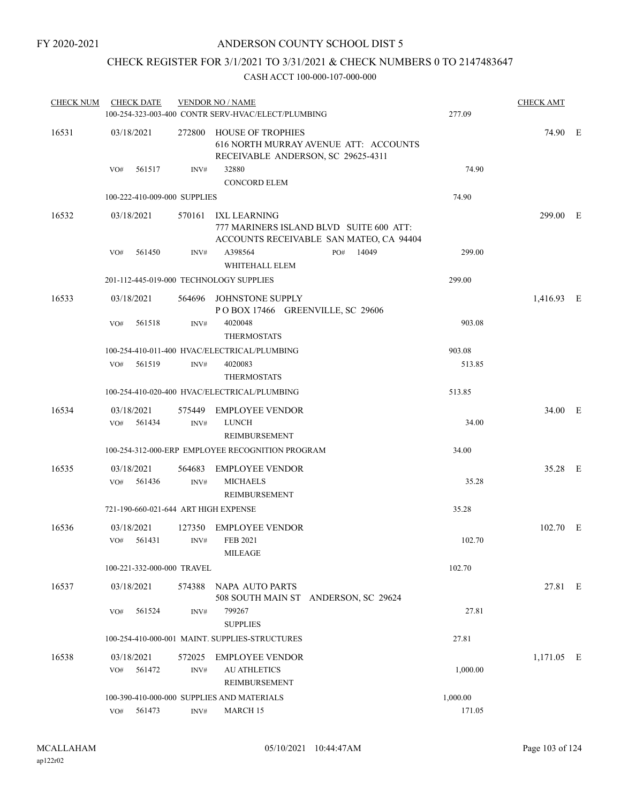# CHECK REGISTER FOR 3/1/2021 TO 3/31/2021 & CHECK NUMBERS 0 TO 2147483647

| <b>CHECK NUM</b> | <b>CHECK DATE</b>                       |                | <b>VENDOR NO / NAME</b>                                                                                   |          | <b>CHECK AMT</b> |  |
|------------------|-----------------------------------------|----------------|-----------------------------------------------------------------------------------------------------------|----------|------------------|--|
|                  |                                         |                | 100-254-323-003-400 CONTR SERV-HVAC/ELECT/PLUMBING                                                        | 277.09   |                  |  |
| 16531            | 03/18/2021                              |                | 272800 HOUSE OF TROPHIES<br>616 NORTH MURRAY AVENUE ATT: ACCOUNTS<br>RECEIVABLE ANDERSON, SC 29625-4311   |          | 74.90 E          |  |
|                  | 561517<br>VO#                           | INV#           | 32880<br><b>CONCORD ELEM</b>                                                                              | 74.90    |                  |  |
|                  | 100-222-410-009-000 SUPPLIES            |                |                                                                                                           | 74.90    |                  |  |
| 16532            | 03/18/2021                              |                | 570161 IXL LEARNING<br>777 MARINERS ISLAND BLVD SUITE 600 ATT:<br>ACCOUNTS RECEIVABLE SAN MATEO, CA 94404 |          | 299.00 E         |  |
|                  | 561450<br>VO#                           | INV#           | A398564<br>14049<br>PO#<br>WHITEHALL ELEM                                                                 | 299.00   |                  |  |
|                  | 201-112-445-019-000 TECHNOLOGY SUPPLIES |                |                                                                                                           | 299.00   |                  |  |
| 16533            | 03/18/2021                              |                | 564696 JOHNSTONE SUPPLY<br>POBOX 17466 GREENVILLE, SC 29606                                               |          | 1,416.93 E       |  |
|                  | 561518<br>VO#                           | INV#           | 4020048<br><b>THERMOSTATS</b>                                                                             | 903.08   |                  |  |
|                  |                                         |                | 100-254-410-011-400 HVAC/ELECTRICAL/PLUMBING                                                              | 903.08   |                  |  |
|                  | 561519<br>VO#                           | INV#           | 4020083<br><b>THERMOSTATS</b>                                                                             | 513.85   |                  |  |
|                  |                                         |                | 100-254-410-020-400 HVAC/ELECTRICAL/PLUMBING                                                              | 513.85   |                  |  |
| 16534            | 03/18/2021                              |                | 575449 EMPLOYEE VENDOR                                                                                    |          | 34.00 E          |  |
|                  | $VO#$ 561434                            | INV#           | <b>LUNCH</b><br>REIMBURSEMENT                                                                             | 34.00    |                  |  |
|                  |                                         |                | 100-254-312-000-ERP EMPLOYEE RECOGNITION PROGRAM                                                          | 34.00    |                  |  |
| 16535            | 03/18/2021<br>561436<br>VO#             | 564683<br>INV# | <b>EMPLOYEE VENDOR</b><br><b>MICHAELS</b><br>REIMBURSEMENT                                                | 35.28    | 35.28 E          |  |
|                  | 721-190-660-021-644 ART HIGH EXPENSE    |                |                                                                                                           | 35.28    |                  |  |
| 16536            | 03/18/2021<br>$VO#$ 561431              | 127350<br>INV# | <b>EMPLOYEE VENDOR</b><br><b>FEB 2021</b><br><b>MILEAGE</b>                                               | 102.70   | 102.70 E         |  |
|                  | 100-221-332-000-000 TRAVEL              |                |                                                                                                           | 102.70   |                  |  |
| 16537            | 03/18/2021                              | 574388         | NAPA AUTO PARTS<br>508 SOUTH MAIN ST ANDERSON, SC 29624                                                   |          | 27.81 E          |  |
|                  | 561524<br>VO#                           | INV#           | 799267<br><b>SUPPLIES</b>                                                                                 | 27.81    |                  |  |
|                  |                                         |                | 100-254-410-000-001 MAINT. SUPPLIES-STRUCTURES                                                            | 27.81    |                  |  |
| 16538            | 03/18/2021<br>561472<br>VO#             | 572025<br>INV# | <b>EMPLOYEE VENDOR</b><br><b>AU ATHLETICS</b><br>REIMBURSEMENT                                            | 1,000.00 | 1,171.05 E       |  |
|                  |                                         |                | 100-390-410-000-000 SUPPLIES AND MATERIALS                                                                | 1,000.00 |                  |  |
|                  | 561473<br>VO#                           | INV#           | MARCH 15                                                                                                  | 171.05   |                  |  |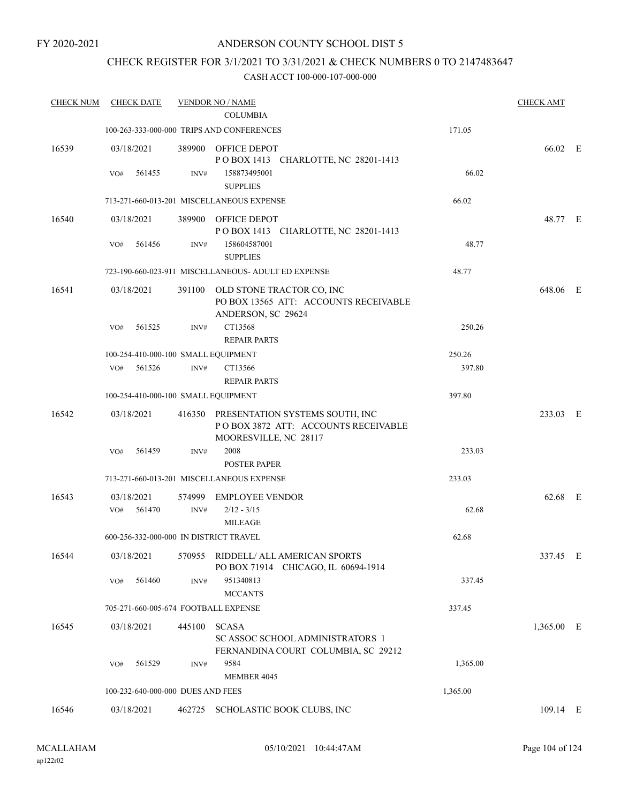# CHECK REGISTER FOR 3/1/2021 TO 3/31/2021 & CHECK NUMBERS 0 TO 2147483647

| <b>CHECK NUM</b> | <b>CHECK DATE</b>                      |        | <b>VENDOR NO / NAME</b><br><b>COLUMBIA</b>                                                             |          | <b>CHECK AMT</b> |  |
|------------------|----------------------------------------|--------|--------------------------------------------------------------------------------------------------------|----------|------------------|--|
|                  |                                        |        | 100-263-333-000-000 TRIPS AND CONFERENCES                                                              | 171.05   |                  |  |
|                  |                                        |        |                                                                                                        |          |                  |  |
| 16539            | 03/18/2021                             |        | 389900 OFFICE DEPOT<br>POBOX 1413 CHARLOTTE, NC 28201-1413                                             |          | 66.02 E          |  |
|                  | VO#<br>561455                          | INV#   | 158873495001<br><b>SUPPLIES</b>                                                                        | 66.02    |                  |  |
|                  |                                        |        | 713-271-660-013-201 MISCELLANEOUS EXPENSE                                                              | 66.02    |                  |  |
| 16540            | 03/18/2021                             |        | 389900 OFFICE DEPOT                                                                                    |          | 48.77 E          |  |
|                  |                                        |        | POBOX 1413 CHARLOTTE, NC 28201-1413                                                                    |          |                  |  |
|                  | 561456<br>VO#                          | INV#   | 158604587001                                                                                           | 48.77    |                  |  |
|                  |                                        |        | <b>SUPPLIES</b>                                                                                        |          |                  |  |
|                  |                                        |        | 723-190-660-023-911 MISCELLANEOUS- ADULT ED EXPENSE                                                    | 48.77    |                  |  |
| 16541            | 03/18/2021                             |        | 391100 OLD STONE TRACTOR CO, INC                                                                       |          | 648.06 E         |  |
|                  |                                        |        | PO BOX 13565 ATT: ACCOUNTS RECEIVABLE<br>ANDERSON, SC 29624                                            |          |                  |  |
|                  | VO#<br>561525                          | INV#   | CT13568                                                                                                | 250.26   |                  |  |
|                  |                                        |        | <b>REPAIR PARTS</b>                                                                                    |          |                  |  |
|                  | 100-254-410-000-100 SMALL EQUIPMENT    |        |                                                                                                        | 250.26   |                  |  |
|                  | VO# 561526                             | INV#   | CT13566                                                                                                | 397.80   |                  |  |
|                  |                                        |        | <b>REPAIR PARTS</b>                                                                                    |          |                  |  |
|                  | 100-254-410-000-100 SMALL EQUIPMENT    |        |                                                                                                        | 397.80   |                  |  |
| 16542            | 03/18/2021                             |        | 416350 PRESENTATION SYSTEMS SOUTH, INC<br>POBOX 3872 ATT: ACCOUNTS RECEIVABLE<br>MOORESVILLE, NC 28117 |          | 233.03 E         |  |
|                  | VO#<br>561459                          | INV#   | 2008                                                                                                   | 233.03   |                  |  |
|                  |                                        |        | <b>POSTER PAPER</b>                                                                                    |          |                  |  |
|                  |                                        |        | 713-271-660-013-201 MISCELLANEOUS EXPENSE                                                              | 233.03   |                  |  |
| 16543            | 03/18/2021                             | 574999 | <b>EMPLOYEE VENDOR</b>                                                                                 |          | 62.68 E          |  |
|                  | 561470<br>VO#                          | INV#   | $2/12 - 3/15$                                                                                          | 62.68    |                  |  |
|                  | 600-256-332-000-000 IN DISTRICT TRAVEL |        | <b>MILEAGE</b>                                                                                         |          |                  |  |
|                  |                                        |        |                                                                                                        | 62.68    |                  |  |
| 16544            | 03/18/2021                             | 570955 | RIDDELL/ ALL AMERICAN SPORTS<br>PO BOX 71914 CHICAGO, IL 60694-1914                                    |          | 337.45 E         |  |
|                  | 561460<br>VO#                          | INV#   | 951340813<br><b>MCCANTS</b>                                                                            | 337.45   |                  |  |
|                  | 705-271-660-005-674 FOOTBALL EXPENSE   |        |                                                                                                        | 337.45   |                  |  |
| 16545            | 03/18/2021                             | 445100 | <b>SCASA</b>                                                                                           |          | 1,365.00 E       |  |
|                  |                                        |        | SC ASSOC SCHOOL ADMINISTRATORS 1<br>FERNANDINA COURT COLUMBIA, SC 29212                                |          |                  |  |
|                  | 561529<br>VO#                          | INV#   | 9584                                                                                                   | 1,365.00 |                  |  |
|                  |                                        |        | <b>MEMBER 4045</b>                                                                                     |          |                  |  |
|                  | 100-232-640-000-000 DUES AND FEES      |        |                                                                                                        | 1,365.00 |                  |  |
| 16546            | 03/18/2021                             | 462725 | SCHOLASTIC BOOK CLUBS, INC                                                                             |          | $109.14$ E       |  |
|                  |                                        |        |                                                                                                        |          |                  |  |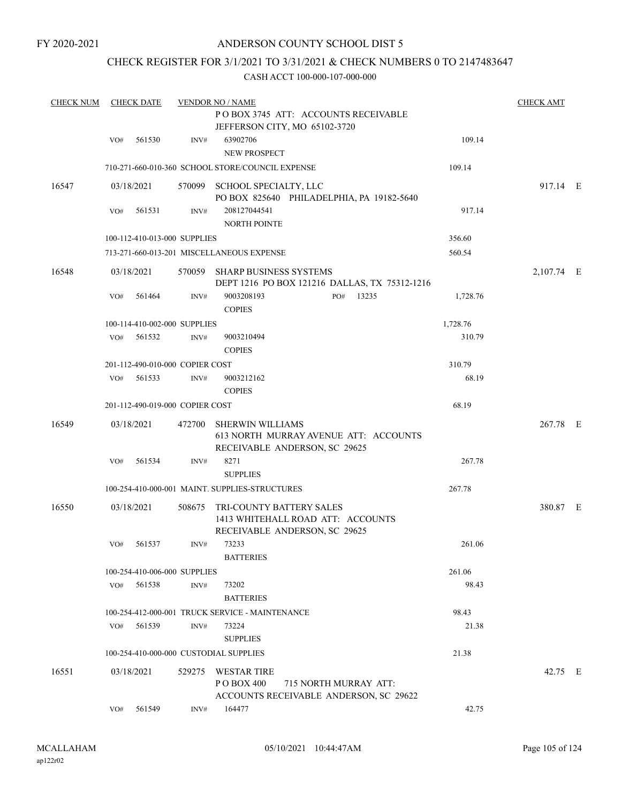# CHECK REGISTER FOR 3/1/2021 TO 3/31/2021 & CHECK NUMBERS 0 TO 2147483647

| <b>CHECK NUM</b> |     | <b>CHECK DATE</b> |                                 | <b>VENDOR NO / NAME</b>                                                                           |     |                       |          | <b>CHECK AMT</b> |  |
|------------------|-----|-------------------|---------------------------------|---------------------------------------------------------------------------------------------------|-----|-----------------------|----------|------------------|--|
|                  |     |                   |                                 | POBOX 3745 ATT: ACCOUNTS RECEIVABLE<br>JEFFERSON CITY, MO 65102-3720                              |     |                       |          |                  |  |
|                  | VO# | 561530            | INV#                            | 63902706<br>NEW PROSPECT                                                                          |     |                       | 109.14   |                  |  |
|                  |     |                   |                                 | 710-271-660-010-360 SCHOOL STORE/COUNCIL EXPENSE                                                  |     |                       | 109.14   |                  |  |
| 16547            |     | 03/18/2021        |                                 | 570099 SCHOOL SPECIALTY, LLC<br>PO BOX 825640 PHILADELPHIA, PA 19182-5640                         |     |                       |          | 917.14 E         |  |
|                  | VO# | 561531            | INV#                            | 208127044541<br><b>NORTH POINTE</b>                                                               |     |                       | 917.14   |                  |  |
|                  |     |                   | 100-112-410-013-000 SUPPLIES    |                                                                                                   |     |                       | 356.60   |                  |  |
|                  |     |                   |                                 | 713-271-660-013-201 MISCELLANEOUS EXPENSE                                                         |     |                       | 560.54   |                  |  |
| 16548            |     | 03/18/2021        |                                 | 570059 SHARP BUSINESS SYSTEMS<br>DEPT 1216 PO BOX 121216 DALLAS, TX 75312-1216                    |     |                       |          | 2,107.74 E       |  |
|                  | VO# | 561464            | INV#                            | 9003208193<br><b>COPIES</b>                                                                       | PO# | 13235                 | 1,728.76 |                  |  |
|                  |     |                   | 100-114-410-002-000 SUPPLIES    |                                                                                                   |     |                       | 1,728.76 |                  |  |
|                  | VO# | 561532            | INV#                            | 9003210494<br><b>COPIES</b>                                                                       |     |                       | 310.79   |                  |  |
|                  |     |                   | 201-112-490-010-000 COPIER COST |                                                                                                   |     |                       | 310.79   |                  |  |
|                  | VO# | 561533            | INV#                            | 9003212162<br><b>COPIES</b>                                                                       |     |                       | 68.19    |                  |  |
|                  |     |                   | 201-112-490-019-000 COPIER COST |                                                                                                   |     |                       | 68.19    |                  |  |
| 16549            |     | 03/18/2021        | 472700                          | <b>SHERWIN WILLIAMS</b><br>613 NORTH MURRAY AVENUE ATT: ACCOUNTS<br>RECEIVABLE ANDERSON, SC 29625 |     |                       |          | 267.78 E         |  |
|                  | VO# | 561534            | INV#                            | 8271<br><b>SUPPLIES</b>                                                                           |     |                       | 267.78   |                  |  |
|                  |     |                   |                                 | 100-254-410-000-001 MAINT, SUPPLIES-STRUCTURES                                                    |     |                       | 267.78   |                  |  |
| 16550            |     | 03/18/2021        | 508675                          | TRI-COUNTY BATTERY SALES<br>1413 WHITEHALL ROAD ATT: ACCOUNTS<br>RECEIVABLE ANDERSON, SC 29625    |     |                       |          | 380.87 E         |  |
|                  | VO# | 561537            | INV#                            | 73233<br><b>BATTERIES</b>                                                                         |     |                       | 261.06   |                  |  |
|                  |     |                   | 100-254-410-006-000 SUPPLIES    |                                                                                                   |     |                       | 261.06   |                  |  |
|                  | VO# | 561538            | INV#                            | 73202<br><b>BATTERIES</b>                                                                         |     |                       | 98.43    |                  |  |
|                  |     |                   |                                 | 100-254-412-000-001 TRUCK SERVICE - MAINTENANCE                                                   |     |                       | 98.43    |                  |  |
|                  | VO# | 561539            | INV#                            | 73224<br><b>SUPPLIES</b>                                                                          |     |                       | 21.38    |                  |  |
|                  |     |                   |                                 | 100-254-410-000-000 CUSTODIAL SUPPLIES                                                            |     |                       | 21.38    |                  |  |
| 16551            |     | 03/18/2021        | 529275                          | WESTAR TIRE<br>P O BOX 400<br>ACCOUNTS RECEIVABLE ANDERSON, SC 29622                              |     | 715 NORTH MURRAY ATT: |          | 42.75 E          |  |
|                  | VO# | 561549            | INV#                            | 164477                                                                                            |     |                       | 42.75    |                  |  |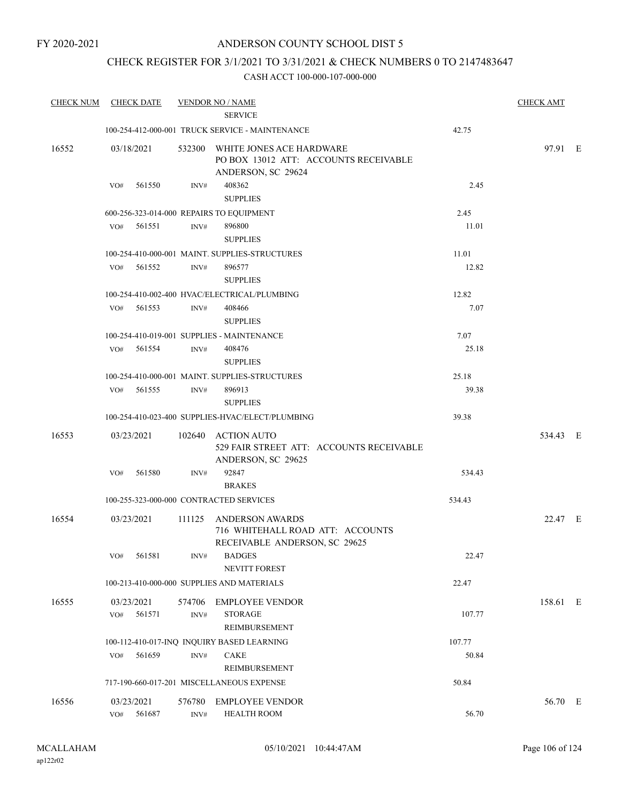# CHECK REGISTER FOR 3/1/2021 TO 3/31/2021 & CHECK NUMBERS 0 TO 2147483647

| <b>CHECK NUM</b> | <b>CHECK DATE</b>                        |                | <b>VENDOR NO / NAME</b><br><b>SERVICE</b>                                                                |        | <b>CHECK AMT</b> |  |
|------------------|------------------------------------------|----------------|----------------------------------------------------------------------------------------------------------|--------|------------------|--|
|                  |                                          |                | 100-254-412-000-001 TRUCK SERVICE - MAINTENANCE                                                          | 42.75  |                  |  |
| 16552            | 03/18/2021<br>561550<br>VO#              | INV#           | 532300 WHITE JONES ACE HARDWARE<br>PO BOX 13012 ATT: ACCOUNTS RECEIVABLE<br>ANDERSON, SC 29624<br>408362 | 2.45   | 97.91 E          |  |
|                  |                                          |                | <b>SUPPLIES</b>                                                                                          |        |                  |  |
|                  | 600-256-323-014-000 REPAIRS TO EQUIPMENT |                |                                                                                                          | 2.45   |                  |  |
|                  | 561551<br>VO#                            | INV#           | 896800<br><b>SUPPLIES</b>                                                                                | 11.01  |                  |  |
|                  |                                          |                | 100-254-410-000-001 MAINT. SUPPLIES-STRUCTURES                                                           | 11.01  |                  |  |
|                  | VO#<br>561552                            | INV#           | 896577<br><b>SUPPLIES</b>                                                                                | 12.82  |                  |  |
|                  |                                          |                | 100-254-410-002-400 HVAC/ELECTRICAL/PLUMBING                                                             | 12.82  |                  |  |
|                  | $VO#$ 561553                             | INV#           | 408466<br><b>SUPPLIES</b>                                                                                | 7.07   |                  |  |
|                  |                                          |                | 100-254-410-019-001 SUPPLIES - MAINTENANCE                                                               | 7.07   |                  |  |
|                  | VO#<br>561554                            | INV#           | 408476<br><b>SUPPLIES</b>                                                                                | 25.18  |                  |  |
|                  |                                          |                | 100-254-410-000-001 MAINT. SUPPLIES-STRUCTURES                                                           | 25.18  |                  |  |
|                  | VO# 561555                               | INV#           | 896913<br><b>SUPPLIES</b>                                                                                | 39.38  |                  |  |
|                  |                                          |                | 100-254-410-023-400 SUPPLIES-HVAC/ELECT/PLUMBING                                                         | 39.38  |                  |  |
| 16553            | 03/23/2021                               |                | 102640 ACTION AUTO<br>529 FAIR STREET ATT: ACCOUNTS RECEIVABLE<br>ANDERSON, SC 29625                     |        | 534.43 E         |  |
|                  | 561580<br>VO#                            | INV#           | 92847<br><b>BRAKES</b>                                                                                   | 534.43 |                  |  |
|                  | 100-255-323-000-000 CONTRACTED SERVICES  |                |                                                                                                          | 534.43 |                  |  |
| 16554            | 03/23/2021                               |                | 111125 ANDERSON AWARDS<br>716 WHITEHALL ROAD ATT: ACCOUNTS<br>RECEIVABLE ANDERSON, SC 29625              |        | 22.47 E          |  |
|                  | VO#<br>561581                            | INV#           | <b>BADGES</b><br><b>NEVITT FOREST</b>                                                                    | 22.47  |                  |  |
|                  |                                          |                | 100-213-410-000-000 SUPPLIES AND MATERIALS                                                               | 22.47  |                  |  |
| 16555            | 03/23/2021<br>561571<br>VO#              | 574706<br>INV# | <b>EMPLOYEE VENDOR</b><br><b>STORAGE</b><br>REIMBURSEMENT                                                | 107.77 | 158.61 E         |  |
|                  |                                          |                | 100-112-410-017-INQ INQUIRY BASED LEARNING                                                               | 107.77 |                  |  |
|                  | VO#<br>561659                            | INV#           | <b>CAKE</b><br>REIMBURSEMENT                                                                             | 50.84  |                  |  |
|                  |                                          |                | 717-190-660-017-201 MISCELLANEOUS EXPENSE                                                                | 50.84  |                  |  |
| 16556            | 03/23/2021<br>561687<br>VO#              | 576780<br>INV# | <b>EMPLOYEE VENDOR</b><br><b>HEALTH ROOM</b>                                                             | 56.70  | 56.70 E          |  |
|                  |                                          |                |                                                                                                          |        |                  |  |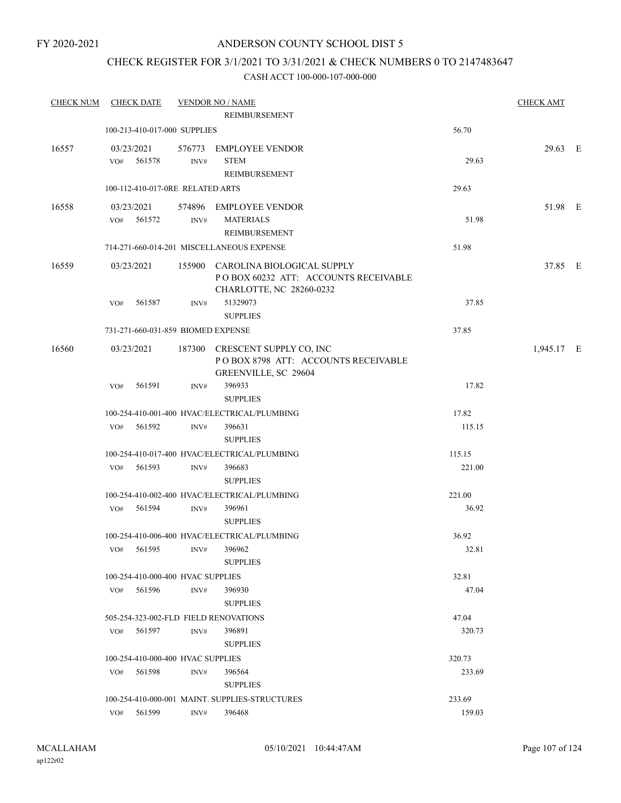# CHECK REGISTER FOR 3/1/2021 TO 3/31/2021 & CHECK NUMBERS 0 TO 2147483647

| <b>CHECK NUM</b> | <b>CHECK DATE</b>                 |        |      | <b>VENDOR NO / NAME</b>                                                                               |        | <b>CHECK AMT</b> |  |
|------------------|-----------------------------------|--------|------|-------------------------------------------------------------------------------------------------------|--------|------------------|--|
|                  |                                   |        |      | <b>REIMBURSEMENT</b>                                                                                  |        |                  |  |
|                  | 100-213-410-017-000 SUPPLIES      |        |      |                                                                                                       | 56.70  |                  |  |
| 16557            | 03/23/2021<br>VO# 561578          |        | INV# | 576773 EMPLOYEE VENDOR<br><b>STEM</b><br>REIMBURSEMENT                                                | 29.63  | 29.63 E          |  |
|                  | 100-112-410-017-0RE RELATED ARTS  |        |      |                                                                                                       | 29.63  |                  |  |
| 16558            | 03/23/2021<br>VO#                 | 561572 | INV# | 574896 EMPLOYEE VENDOR<br><b>MATERIALS</b><br>REIMBURSEMENT                                           | 51.98  | 51.98 E          |  |
|                  |                                   |        |      | 714-271-660-014-201 MISCELLANEOUS EXPENSE                                                             | 51.98  |                  |  |
| 16559            | 03/23/2021                        |        |      | 155900 CAROLINA BIOLOGICAL SUPPLY<br>POBOX 60232 ATT: ACCOUNTS RECEIVABLE<br>CHARLOTTE, NC 28260-0232 |        | 37.85 E          |  |
|                  | VO#                               | 561587 | INV# | 51329073<br><b>SUPPLIES</b>                                                                           | 37.85  |                  |  |
|                  |                                   |        |      | 731-271-660-031-859 BIOMED EXPENSE                                                                    | 37.85  |                  |  |
| 16560            | 03/23/2021                        |        |      | 187300 CRESCENT SUPPLY CO, INC<br>POBOX 8798 ATT: ACCOUNTS RECEIVABLE<br>GREENVILLE, SC 29604         |        | 1,945.17 E       |  |
|                  | VO#                               | 561591 | INV# | 396933<br><b>SUPPLIES</b>                                                                             | 17.82  |                  |  |
|                  |                                   |        |      | 100-254-410-001-400 HVAC/ELECTRICAL/PLUMBING                                                          | 17.82  |                  |  |
|                  | VO#                               | 561592 | INV# | 396631<br><b>SUPPLIES</b>                                                                             | 115.15 |                  |  |
|                  |                                   |        |      | 100-254-410-017-400 HVAC/ELECTRICAL/PLUMBING                                                          | 115.15 |                  |  |
|                  | VO# 561593                        |        | INV# | 396683<br><b>SUPPLIES</b>                                                                             | 221.00 |                  |  |
|                  |                                   |        |      | 100-254-410-002-400 HVAC/ELECTRICAL/PLUMBING                                                          | 221.00 |                  |  |
|                  | VO# 561594                        |        | INV# | 396961<br><b>SUPPLIES</b>                                                                             | 36.92  |                  |  |
|                  |                                   |        |      | 100-254-410-006-400 HVAC/ELECTRICAL/PLUMBING                                                          | 36.92  |                  |  |
|                  |                                   |        |      | VO# 561595 INV# 396962<br><b>SUPPLIES</b>                                                             | 32.81  |                  |  |
|                  | 100-254-410-000-400 HVAC SUPPLIES |        |      |                                                                                                       | 32.81  |                  |  |
|                  | VO#                               | 561596 | INV# | 396930<br><b>SUPPLIES</b>                                                                             | 47.04  |                  |  |
|                  |                                   |        |      | 505-254-323-002-FLD FIELD RENOVATIONS                                                                 | 47.04  |                  |  |
|                  | VO# 561597                        |        | INV# | 396891<br><b>SUPPLIES</b>                                                                             | 320.73 |                  |  |
|                  | 100-254-410-000-400 HVAC SUPPLIES |        |      |                                                                                                       | 320.73 |                  |  |
|                  | VO# 561598                        |        | INV# | 396564<br><b>SUPPLIES</b>                                                                             | 233.69 |                  |  |
|                  |                                   |        |      | 100-254-410-000-001 MAINT. SUPPLIES-STRUCTURES                                                        | 233.69 |                  |  |
|                  | VO# 561599                        |        | INV# | 396468                                                                                                | 159.03 |                  |  |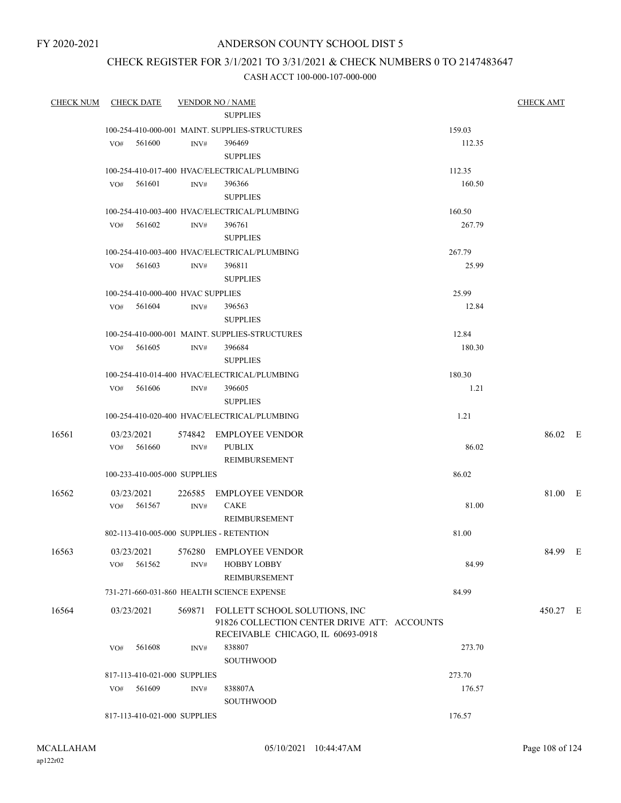FY 2020-2021

# ANDERSON COUNTY SCHOOL DIST 5

# CHECK REGISTER FOR 3/1/2021 TO 3/31/2021 & CHECK NUMBERS 0 TO 2147483647

| <b>CHECK NUM</b> | <b>CHECK DATE</b>                        |      | <b>VENDOR NO / NAME</b>                                                             |        | <b>CHECK AMT</b> |  |
|------------------|------------------------------------------|------|-------------------------------------------------------------------------------------|--------|------------------|--|
|                  |                                          |      | <b>SUPPLIES</b>                                                                     |        |                  |  |
|                  |                                          |      | 100-254-410-000-001 MAINT. SUPPLIES-STRUCTURES                                      | 159.03 |                  |  |
|                  | VO# 561600                               | INV# | 396469                                                                              | 112.35 |                  |  |
|                  |                                          |      | <b>SUPPLIES</b>                                                                     |        |                  |  |
|                  |                                          |      | 100-254-410-017-400 HVAC/ELECTRICAL/PLUMBING                                        | 112.35 |                  |  |
|                  | $VO#$ 561601                             | INV# | 396366                                                                              | 160.50 |                  |  |
|                  |                                          |      | <b>SUPPLIES</b>                                                                     |        |                  |  |
|                  |                                          |      | 100-254-410-003-400 HVAC/ELECTRICAL/PLUMBING                                        | 160.50 |                  |  |
|                  | VO# 561602                               | INV# | 396761                                                                              | 267.79 |                  |  |
|                  |                                          |      | <b>SUPPLIES</b>                                                                     |        |                  |  |
|                  |                                          |      | 100-254-410-003-400 HVAC/ELECTRICAL/PLUMBING                                        | 267.79 |                  |  |
|                  | $VO#$ 561603                             | INV# | 396811                                                                              | 25.99  |                  |  |
|                  |                                          |      | <b>SUPPLIES</b>                                                                     |        |                  |  |
|                  | 100-254-410-000-400 HVAC SUPPLIES        |      |                                                                                     | 25.99  |                  |  |
|                  | VO# 561604                               | INV# | 396563                                                                              | 12.84  |                  |  |
|                  |                                          |      | <b>SUPPLIES</b>                                                                     |        |                  |  |
|                  |                                          |      | 100-254-410-000-001 MAINT. SUPPLIES-STRUCTURES                                      | 12.84  |                  |  |
|                  | VO# 561605                               | INV# | 396684                                                                              | 180.30 |                  |  |
|                  |                                          |      | <b>SUPPLIES</b>                                                                     |        |                  |  |
|                  |                                          |      | 100-254-410-014-400 HVAC/ELECTRICAL/PLUMBING                                        | 180.30 |                  |  |
|                  | VO# 561606                               | INV# | 396605                                                                              | 1.21   |                  |  |
|                  |                                          |      | <b>SUPPLIES</b>                                                                     |        |                  |  |
|                  |                                          |      | 100-254-410-020-400 HVAC/ELECTRICAL/PLUMBING                                        | 1.21   |                  |  |
| 16561            |                                          |      | 03/23/2021 574842 EMPLOYEE VENDOR                                                   |        | 86.02 E          |  |
|                  | $VO#$ 561660                             | INV# | <b>PUBLIX</b>                                                                       | 86.02  |                  |  |
|                  |                                          |      | REIMBURSEMENT                                                                       |        |                  |  |
|                  | 100-233-410-005-000 SUPPLIES             |      |                                                                                     | 86.02  |                  |  |
| 16562            | 03/23/2021                               |      | 226585 EMPLOYEE VENDOR                                                              |        | 81.00 E          |  |
|                  | VO# 561567                               | INV# | <b>CAKE</b>                                                                         | 81.00  |                  |  |
|                  |                                          |      | REIMBURSEMENT                                                                       |        |                  |  |
|                  | 802-113-410-005-000 SUPPLIES - RETENTION |      |                                                                                     | 81.00  |                  |  |
|                  |                                          |      |                                                                                     |        |                  |  |
| 16563            |                                          |      | 03/23/2021 576280 EMPLOYEE VENDOR                                                   |        | 84.99 E          |  |
|                  | 561562<br>VO#                            | INV# | <b>HOBBY LOBBY</b>                                                                  | 84.99  |                  |  |
|                  |                                          |      | <b>REIMBURSEMENT</b>                                                                |        |                  |  |
|                  |                                          |      | 731-271-660-031-860 HEALTH SCIENCE EXPENSE                                          | 84.99  |                  |  |
| 16564            | 03/23/2021                               |      | 569871 FOLLETT SCHOOL SOLUTIONS, INC<br>91826 COLLECTION CENTER DRIVE ATT: ACCOUNTS |        | 450.27 E         |  |
|                  |                                          |      | RECEIVABLE CHICAGO, IL 60693-0918                                                   |        |                  |  |
|                  | 561608<br>VO#                            | INV# | 838807                                                                              | 273.70 |                  |  |
|                  |                                          |      | <b>SOUTHWOOD</b>                                                                    |        |                  |  |
|                  | 817-113-410-021-000 SUPPLIES             |      |                                                                                     | 273.70 |                  |  |
|                  | 561609<br>VO#                            | INV# | 838807A                                                                             | 176.57 |                  |  |
|                  |                                          |      | <b>SOUTHWOOD</b>                                                                    |        |                  |  |
|                  | 817-113-410-021-000 SUPPLIES             |      |                                                                                     | 176.57 |                  |  |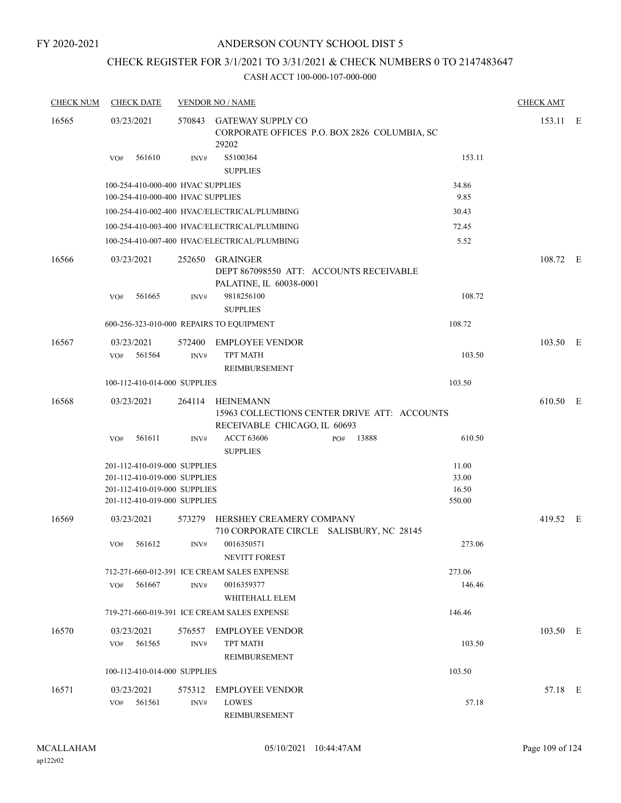### ANDERSON COUNTY SCHOOL DIST 5

# CHECK REGISTER FOR 3/1/2021 TO 3/31/2021 & CHECK NUMBERS 0 TO 2147483647

| <b>CHECK NUM</b> | <b>CHECK DATE</b>                                                                                                            |                | <b>VENDOR NO / NAME</b>                                                                          |     |       |                                   | <b>CHECK AMT</b> |  |
|------------------|------------------------------------------------------------------------------------------------------------------------------|----------------|--------------------------------------------------------------------------------------------------|-----|-------|-----------------------------------|------------------|--|
| 16565            | 03/23/2021                                                                                                                   |                | 570843 GATEWAY SUPPLY CO<br>CORPORATE OFFICES P.O. BOX 2826 COLUMBIA, SC<br>29202                |     |       |                                   | 153.11 E         |  |
|                  | 561610<br>VO#                                                                                                                | INV#           | S5100364<br><b>SUPPLIES</b>                                                                      |     |       | 153.11                            |                  |  |
|                  | 100-254-410-000-400 HVAC SUPPLIES<br>100-254-410-000-400 HVAC SUPPLIES                                                       |                |                                                                                                  |     |       | 34.86<br>9.85                     |                  |  |
|                  |                                                                                                                              |                | 100-254-410-002-400 HVAC/ELECTRICAL/PLUMBING                                                     |     |       | 30.43                             |                  |  |
|                  |                                                                                                                              |                | 100-254-410-003-400 HVAC/ELECTRICAL/PLUMBING                                                     |     |       | 72.45                             |                  |  |
|                  |                                                                                                                              |                | 100-254-410-007-400 HVAC/ELECTRICAL/PLUMBING                                                     |     |       | 5.52                              |                  |  |
| 16566            | 03/23/2021                                                                                                                   | 252650         | <b>GRAINGER</b><br>DEPT 867098550 ATT: ACCOUNTS RECEIVABLE<br>PALATINE, IL 60038-0001            |     |       |                                   | 108.72 E         |  |
|                  | 561665<br>VO#                                                                                                                | INV#           | 9818256100<br><b>SUPPLIES</b>                                                                    |     |       | 108.72                            |                  |  |
|                  | 600-256-323-010-000 REPAIRS TO EQUIPMENT                                                                                     |                |                                                                                                  |     |       | 108.72                            |                  |  |
| 16567            | 03/23/2021<br>561564<br>VO#                                                                                                  | 572400<br>INV# | <b>EMPLOYEE VENDOR</b><br><b>TPT MATH</b><br>REIMBURSEMENT                                       |     |       | 103.50                            | 103.50 E         |  |
|                  | 100-112-410-014-000 SUPPLIES                                                                                                 |                |                                                                                                  |     |       | 103.50                            |                  |  |
| 16568            | 03/23/2021                                                                                                                   | 264114         | <b>HEINEMANN</b><br>15963 COLLECTIONS CENTER DRIVE ATT: ACCOUNTS<br>RECEIVABLE CHICAGO, IL 60693 |     |       |                                   | 610.50 E         |  |
|                  | VO#<br>561611                                                                                                                | INV#           | <b>ACCT 63606</b><br><b>SUPPLIES</b>                                                             | PO# | 13888 | 610.50                            |                  |  |
|                  | 201-112-410-019-000 SUPPLIES<br>201-112-410-019-000 SUPPLIES<br>201-112-410-019-000 SUPPLIES<br>201-112-410-019-000 SUPPLIES |                |                                                                                                  |     |       | 11.00<br>33.00<br>16.50<br>550.00 |                  |  |
| 16569            | 03/23/2021                                                                                                                   | 573279         | HERSHEY CREAMERY COMPANY<br>710 CORPORATE CIRCLE SALISBURY, NC 28145                             |     |       |                                   | 419.52 E         |  |
|                  | 561612<br>VO#                                                                                                                | INV#           | 0016350571<br><b>NEVITT FOREST</b>                                                               |     |       | 273.06                            |                  |  |
|                  |                                                                                                                              |                | 712-271-660-012-391 ICE CREAM SALES EXPENSE                                                      |     |       | 273.06                            |                  |  |
|                  | 561667<br>VO#                                                                                                                | INV#           | 0016359377<br>WHITEHALL ELEM                                                                     |     |       | 146.46                            |                  |  |
|                  |                                                                                                                              |                | 719-271-660-019-391 ICE CREAM SALES EXPENSE                                                      |     |       | 146.46                            |                  |  |
| 16570            | 03/23/2021<br>561565<br>VO#                                                                                                  | 576557<br>INV# | <b>EMPLOYEE VENDOR</b><br><b>TPT MATH</b><br>REIMBURSEMENT                                       |     |       | 103.50                            | 103.50 E         |  |
|                  | 100-112-410-014-000 SUPPLIES                                                                                                 |                |                                                                                                  |     |       | 103.50                            |                  |  |
| 16571            | 03/23/2021<br>561561<br>VO#                                                                                                  | 575312<br>INV# | <b>EMPLOYEE VENDOR</b><br><b>LOWES</b><br>REIMBURSEMENT                                          |     |       | 57.18                             | 57.18 E          |  |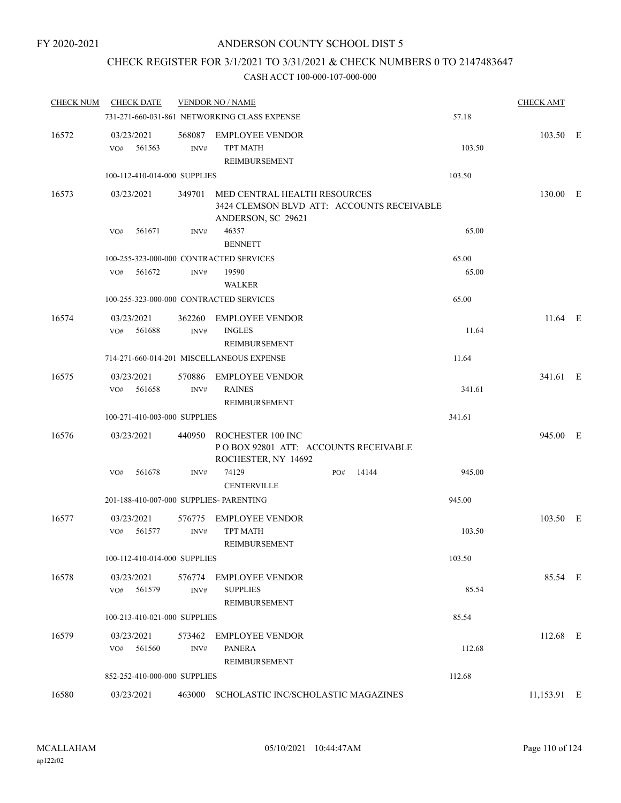### CHECK REGISTER FOR 3/1/2021 TO 3/31/2021 & CHECK NUMBERS 0 TO 2147483647

| <b>CHECK NUM</b> | <b>CHECK DATE</b>                       |                | <b>VENDOR NO / NAME</b>                                                                          |     |       |        | <b>CHECK AMT</b> |  |
|------------------|-----------------------------------------|----------------|--------------------------------------------------------------------------------------------------|-----|-------|--------|------------------|--|
|                  |                                         |                | 731-271-660-031-861 NETWORKING CLASS EXPENSE                                                     |     |       | 57.18  |                  |  |
| 16572            | 03/23/2021<br>561563<br>VO#             | 568087<br>INV# | <b>EMPLOYEE VENDOR</b><br><b>TPT MATH</b><br>REIMBURSEMENT                                       |     |       | 103.50 | 103.50 E         |  |
|                  | 100-112-410-014-000 SUPPLIES            |                |                                                                                                  |     |       | 103.50 |                  |  |
| 16573            | 03/23/2021                              | 349701         | MED CENTRAL HEALTH RESOURCES<br>3424 CLEMSON BLVD ATT: ACCOUNTS RECEIVABLE<br>ANDERSON, SC 29621 |     |       |        | 130.00 E         |  |
|                  | 561671<br>VO#                           | INV#           | 46357<br><b>BENNETT</b>                                                                          |     |       | 65.00  |                  |  |
|                  | 100-255-323-000-000 CONTRACTED SERVICES |                |                                                                                                  |     |       | 65.00  |                  |  |
|                  | 561672<br>VO#                           | INV#           | 19590<br><b>WALKER</b>                                                                           |     |       | 65.00  |                  |  |
|                  | 100-255-323-000-000 CONTRACTED SERVICES |                |                                                                                                  |     |       | 65.00  |                  |  |
| 16574            | 03/23/2021<br>561688<br>VO#             | INV#           | 362260 EMPLOYEE VENDOR<br><b>INGLES</b><br>REIMBURSEMENT                                         |     |       | 11.64  | $11.64$ E        |  |
|                  |                                         |                | 714-271-660-014-201 MISCELLANEOUS EXPENSE                                                        |     |       | 11.64  |                  |  |
| 16575            | 03/23/2021<br>561658<br>VO#             | 570886<br>INV# | <b>EMPLOYEE VENDOR</b><br><b>RAINES</b><br>REIMBURSEMENT                                         |     |       | 341.61 | 341.61 E         |  |
|                  | 100-271-410-003-000 SUPPLIES            |                |                                                                                                  |     |       | 341.61 |                  |  |
| 16576            | 03/23/2021                              |                | 440950 ROCHESTER 100 INC<br>POBOX 92801 ATT: ACCOUNTS RECEIVABLE<br>ROCHESTER, NY 14692          |     |       |        | 945.00 E         |  |
|                  | VO#<br>561678                           | INV#           | 74129<br><b>CENTERVILLE</b>                                                                      | PO# | 14144 | 945.00 |                  |  |
|                  | 201-188-410-007-000 SUPPLIES- PARENTING |                |                                                                                                  |     |       | 945.00 |                  |  |
| 16577            | 03/23/2021<br>VO#<br>561577             | 576775<br>INV# | <b>EMPLOYEE VENDOR</b><br><b>TPT MATH</b><br>REIMBURSEMENT                                       |     |       | 103.50 | 103.50 E         |  |
|                  | 100-112-410-014-000 SUPPLIES            |                |                                                                                                  |     |       | 103.50 |                  |  |
| 16578            | 03/23/2021<br>561579<br>VO#             | 576774<br>INV# | <b>EMPLOYEE VENDOR</b><br><b>SUPPLIES</b><br><b>REIMBURSEMENT</b>                                |     |       | 85.54  | 85.54 E          |  |
|                  | 100-213-410-021-000 SUPPLIES            |                |                                                                                                  |     |       | 85.54  |                  |  |
| 16579            | 03/23/2021<br>VO#<br>561560             | 573462<br>INV# | <b>EMPLOYEE VENDOR</b><br><b>PANERA</b><br>REIMBURSEMENT                                         |     |       | 112.68 | 112.68 E         |  |
|                  | 852-252-410-000-000 SUPPLIES            |                |                                                                                                  |     |       | 112.68 |                  |  |
| 16580            | 03/23/2021                              |                | 463000 SCHOLASTIC INC/SCHOLASTIC MAGAZINES                                                       |     |       |        | 11,153.91 E      |  |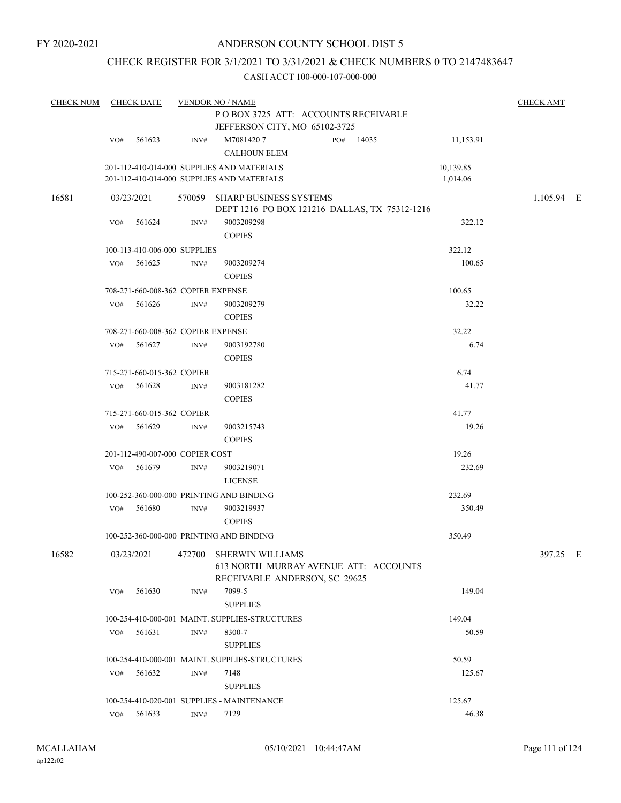### CHECK REGISTER FOR 3/1/2021 TO 3/31/2021 & CHECK NUMBERS 0 TO 2147483647

| <b>CHECK NUM</b> | <b>CHECK DATE</b><br><b>VENDOR NO / NAME</b><br>POBOX 3725 ATT: ACCOUNTS RECEIVABLE<br>JEFFERSON CITY, MO 65102-3725 |        |                |                                                                                                              |     |       |                       | <b>CHECK AMT</b> |  |
|------------------|----------------------------------------------------------------------------------------------------------------------|--------|----------------|--------------------------------------------------------------------------------------------------------------|-----|-------|-----------------------|------------------|--|
|                  | VO#                                                                                                                  | 561623 | INV#           | M70814207<br><b>CALHOUN ELEM</b>                                                                             | PO# | 14035 | 11,153.91             |                  |  |
|                  |                                                                                                                      |        |                | 201-112-410-014-000 SUPPLIES AND MATERIALS<br>201-112-410-014-000 SUPPLIES AND MATERIALS                     |     |       | 10,139.85<br>1,014.06 |                  |  |
| 16581            | 03/23/2021                                                                                                           |        |                | 570059 SHARP BUSINESS SYSTEMS<br>DEPT 1216 PO BOX 121216 DALLAS, TX 75312-1216                               |     |       |                       | 1,105.94 E       |  |
|                  | VO#                                                                                                                  | 561624 | INV#           | 9003209298<br><b>COPIES</b>                                                                                  |     |       | 322.12                |                  |  |
|                  | 100-113-410-006-000 SUPPLIES                                                                                         |        |                |                                                                                                              |     |       | 322.12                |                  |  |
|                  | VO#                                                                                                                  | 561625 | INV#           | 9003209274<br><b>COPIES</b>                                                                                  |     |       | 100.65                |                  |  |
|                  | 708-271-660-008-362 COPIER EXPENSE                                                                                   |        |                |                                                                                                              |     |       | 100.65                |                  |  |
|                  | VO#                                                                                                                  | 561626 | INV#           | 9003209279<br><b>COPIES</b>                                                                                  |     |       | 32.22                 |                  |  |
|                  | 708-271-660-008-362 COPIER EXPENSE                                                                                   |        |                |                                                                                                              |     |       | 32.22                 |                  |  |
|                  | VO#                                                                                                                  | 561627 | INV#           | 9003192780<br><b>COPIES</b>                                                                                  |     |       | 6.74                  |                  |  |
|                  | 715-271-660-015-362 COPIER                                                                                           |        |                |                                                                                                              |     |       | 6.74                  |                  |  |
|                  | VO#                                                                                                                  | 561628 | INV#           | 9003181282<br><b>COPIES</b>                                                                                  |     |       | 41.77                 |                  |  |
|                  | 715-271-660-015-362 COPIER                                                                                           |        |                |                                                                                                              |     |       | 41.77                 |                  |  |
|                  | VO#                                                                                                                  | 561629 | INV#           | 9003215743<br><b>COPIES</b>                                                                                  |     |       | 19.26                 |                  |  |
|                  | 201-112-490-007-000 COPIER COST                                                                                      |        |                |                                                                                                              |     |       | 19.26                 |                  |  |
|                  | VO#                                                                                                                  | 561679 | $\text{INV}\#$ | 9003219071<br><b>LICENSE</b>                                                                                 |     |       | 232.69                |                  |  |
|                  |                                                                                                                      |        |                | 100-252-360-000-000 PRINTING AND BINDING                                                                     |     |       | 232.69                |                  |  |
|                  | VO#                                                                                                                  | 561680 | INV#           | 9003219937<br><b>COPIES</b>                                                                                  |     |       | 350.49                |                  |  |
|                  |                                                                                                                      |        |                | 100-252-360-000-000 PRINTING AND BINDING                                                                     |     |       | 350.49                |                  |  |
| 16582            |                                                                                                                      |        |                | 03/23/2021 472700 SHERWIN WILLIAMS<br>613 NORTH MURRAY AVENUE ATT: ACCOUNTS<br>RECEIVABLE ANDERSON, SC 29625 |     |       |                       | 397.25 E         |  |
|                  | VO#                                                                                                                  | 561630 | INV#           | 7099-5<br><b>SUPPLIES</b>                                                                                    |     |       | 149.04                |                  |  |
|                  |                                                                                                                      |        |                | 100-254-410-000-001 MAINT. SUPPLIES-STRUCTURES                                                               |     |       | 149.04                |                  |  |
|                  | $VO#$ 561631                                                                                                         |        | INV#           | 8300-7<br><b>SUPPLIES</b>                                                                                    |     |       | 50.59                 |                  |  |
|                  |                                                                                                                      |        |                | 100-254-410-000-001 MAINT. SUPPLIES-STRUCTURES                                                               |     |       | 50.59                 |                  |  |
|                  | VO#                                                                                                                  | 561632 | INV#           | 7148<br><b>SUPPLIES</b>                                                                                      |     |       | 125.67                |                  |  |
|                  |                                                                                                                      |        |                | 100-254-410-020-001 SUPPLIES - MAINTENANCE                                                                   |     |       | 125.67                |                  |  |
|                  | VO# 561633                                                                                                           |        | INV#           | 7129                                                                                                         |     |       | 46.38                 |                  |  |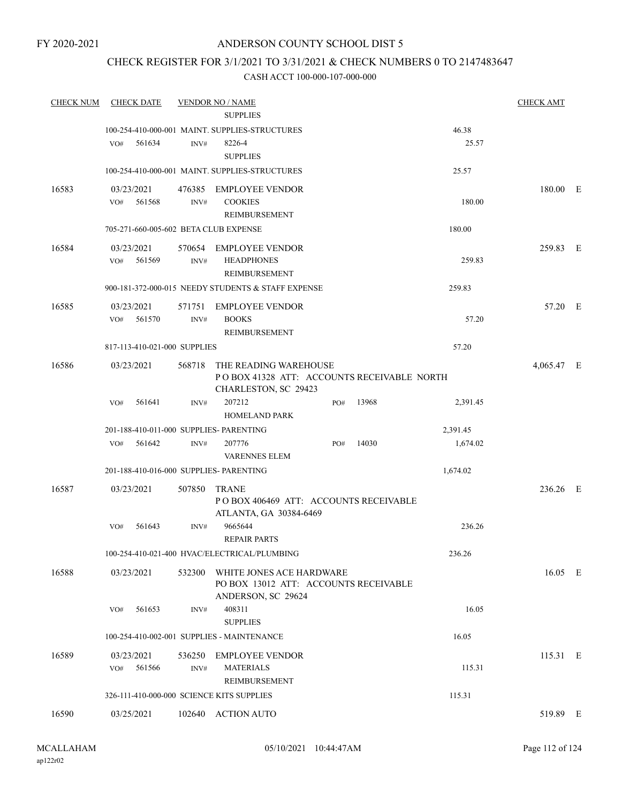### CHECK REGISTER FOR 3/1/2021 TO 3/31/2021 & CHECK NUMBERS 0 TO 2147483647

| <b>CHECK NUM</b> | <b>CHECK DATE</b>                         |                | <b>VENDOR NO / NAME</b><br><b>SUPPLIES</b>                                                  |     |       |          | <b>CHECK AMT</b> |  |
|------------------|-------------------------------------------|----------------|---------------------------------------------------------------------------------------------|-----|-------|----------|------------------|--|
|                  |                                           |                | 100-254-410-000-001 MAINT. SUPPLIES-STRUCTURES                                              |     |       | 46.38    |                  |  |
|                  | 561634<br>VO#                             | INV#           | 8226-4<br><b>SUPPLIES</b>                                                                   |     |       | 25.57    |                  |  |
|                  |                                           |                | 100-254-410-000-001 MAINT. SUPPLIES-STRUCTURES                                              |     |       | 25.57    |                  |  |
| 16583            | 03/23/2021<br>561568<br>VO#               | INV#           | 476385 EMPLOYEE VENDOR<br><b>COOKIES</b>                                                    |     |       | 180.00   | 180.00 E         |  |
|                  |                                           |                | <b>REIMBURSEMENT</b>                                                                        |     |       |          |                  |  |
|                  | 705-271-660-005-602 BETA CLUB EXPENSE     |                |                                                                                             |     |       | 180.00   |                  |  |
| 16584            | 03/23/2021<br>VO#<br>561569               | INV#           | 570654 EMPLOYEE VENDOR<br><b>HEADPHONES</b><br>REIMBURSEMENT                                |     |       | 259.83   | 259.83 E         |  |
|                  |                                           |                | 900-181-372-000-015 NEEDY STUDENTS & STAFF EXPENSE                                          |     |       | 259.83   |                  |  |
| 16585            | 03/23/2021<br>561570<br>VO#               | 571751<br>INV# | <b>EMPLOYEE VENDOR</b><br><b>BOOKS</b>                                                      |     |       | 57.20    | 57.20 E          |  |
|                  |                                           |                | REIMBURSEMENT                                                                               |     |       |          |                  |  |
|                  | 817-113-410-021-000 SUPPLIES              |                |                                                                                             |     |       | 57.20    |                  |  |
| 16586            | 03/23/2021                                | 568718         | THE READING WAREHOUSE<br>POBOX 41328 ATT: ACCOUNTS RECEIVABLE NORTH<br>CHARLESTON, SC 29423 |     |       |          | 4,065.47 E       |  |
|                  | 561641<br>VO#                             | INV#           | 207212<br><b>HOMELAND PARK</b>                                                              | PO# | 13968 | 2,391.45 |                  |  |
|                  | 201-188-410-011-000 SUPPLIES- PARENTING   |                |                                                                                             |     |       | 2,391.45 |                  |  |
|                  | VO#<br>561642                             | INV#           | 207776<br><b>VARENNES ELEM</b>                                                              | PO# | 14030 | 1,674.02 |                  |  |
|                  | 201-188-410-016-000 SUPPLIES- PARENTING   |                |                                                                                             |     |       | 1,674.02 |                  |  |
| 16587            | 03/23/2021                                | 507850         | <b>TRANE</b><br>PO BOX 406469 ATT: ACCOUNTS RECEIVABLE<br>ATLANTA, GA 30384-6469            |     |       |          | 236.26 E         |  |
|                  | 561643<br>VO#                             | INV#           | 9665644<br><b>REPAIR PARTS</b>                                                              |     |       | 236.26   |                  |  |
|                  |                                           |                | 100-254-410-021-400 HVAC/ELECTRICAL/PLUMBING                                                |     |       | 236.26   |                  |  |
| 16588            | 03/23/2021                                | 532300         | WHITE JONES ACE HARDWARE<br>PO BOX 13012 ATT: ACCOUNTS RECEIVABLE<br>ANDERSON, SC 29624     |     |       |          | 16.05 E          |  |
|                  | 561653<br>VO#                             | INV#           | 408311<br><b>SUPPLIES</b>                                                                   |     |       | 16.05    |                  |  |
|                  |                                           |                | 100-254-410-002-001 SUPPLIES - MAINTENANCE                                                  |     |       | 16.05    |                  |  |
| 16589            | 03/23/2021<br>561566<br>VO#               | INV#           | 536250 EMPLOYEE VENDOR<br><b>MATERIALS</b><br>REIMBURSEMENT                                 |     |       | 115.31   | 115.31 E         |  |
|                  | 326-111-410-000-000 SCIENCE KITS SUPPLIES |                |                                                                                             |     |       | 115.31   |                  |  |
| 16590            | 03/25/2021                                |                | 102640 ACTION AUTO                                                                          |     |       |          | 519.89 E         |  |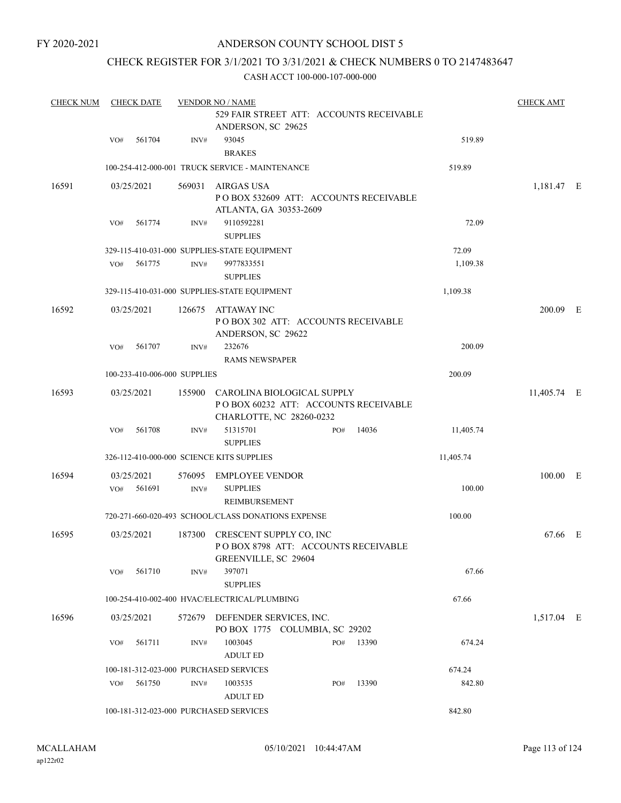### CHECK REGISTER FOR 3/1/2021 TO 3/31/2021 & CHECK NUMBERS 0 TO 2147483647

| <b>CHECK NUM</b> | <b>CHECK DATE</b>                         |        | <b>VENDOR NO / NAME</b>                                                                               |           | <b>CHECK AMT</b> |  |
|------------------|-------------------------------------------|--------|-------------------------------------------------------------------------------------------------------|-----------|------------------|--|
|                  |                                           |        | 529 FAIR STREET ATT: ACCOUNTS RECEIVABLE<br>ANDERSON, SC 29625                                        |           |                  |  |
|                  | 561704<br>VO#                             | INV#   | 93045<br><b>BRAKES</b>                                                                                | 519.89    |                  |  |
|                  |                                           |        | 100-254-412-000-001 TRUCK SERVICE - MAINTENANCE                                                       | 519.89    |                  |  |
| 16591            | 03/25/2021                                |        | 569031 AIRGAS USA<br>POBOX 532609 ATT: ACCOUNTS RECEIVABLE<br>ATLANTA, GA 30353-2609                  |           | 1,181.47 E       |  |
|                  | 561774<br>VO#                             | INV#   | 9110592281<br><b>SUPPLIES</b>                                                                         | 72.09     |                  |  |
|                  |                                           |        | 329-115-410-031-000 SUPPLIES-STATE EQUIPMENT                                                          | 72.09     |                  |  |
|                  | 561775<br>VO#                             | INV#   | 9977833551<br><b>SUPPLIES</b>                                                                         | 1,109.38  |                  |  |
|                  |                                           |        | 329-115-410-031-000 SUPPLIES-STATE EQUIPMENT                                                          | 1,109.38  |                  |  |
| 16592            | 03/25/2021                                |        | 126675 ATTAWAY INC<br>POBOX 302 ATT: ACCOUNTS RECEIVABLE<br>ANDERSON, SC 29622                        |           | 200.09 E         |  |
|                  | 561707<br>VO#                             | INV#   | 232676<br><b>RAMS NEWSPAPER</b>                                                                       | 200.09    |                  |  |
|                  | 100-233-410-006-000 SUPPLIES              |        |                                                                                                       | 200.09    |                  |  |
| 16593            | 03/25/2021                                |        | 155900 CAROLINA BIOLOGICAL SUPPLY<br>POBOX 60232 ATT: ACCOUNTS RECEIVABLE<br>CHARLOTTE, NC 28260-0232 |           | 11,405.74 E      |  |
|                  | 561708<br>VO#                             | INV#   | 51315701<br>14036<br>PO#<br><b>SUPPLIES</b>                                                           | 11,405.74 |                  |  |
|                  | 326-112-410-000-000 SCIENCE KITS SUPPLIES |        |                                                                                                       | 11,405.74 |                  |  |
| 16594            | 03/25/2021                                | 576095 | <b>EMPLOYEE VENDOR</b>                                                                                |           | 100.00 E         |  |
|                  | 561691<br>VO#                             | INV#   | <b>SUPPLIES</b><br>REIMBURSEMENT                                                                      | 100.00    |                  |  |
|                  |                                           |        | 720-271-660-020-493 SCHOOL/CLASS DONATIONS EXPENSE                                                    | 100.00    |                  |  |
| 16595            | 03/25/2021                                | 187300 | CRESCENT SUPPLY CO, INC<br>POBOX 8798 ATT: ACCOUNTS RECEIVABLE<br>GREENVILLE, SC 29604                |           | 67.66 E          |  |
|                  | 561710<br>VO#                             | INV#   | 397071<br><b>SUPPLIES</b>                                                                             | 67.66     |                  |  |
|                  |                                           |        | 100-254-410-002-400 HVAC/ELECTRICAL/PLUMBING                                                          | 67.66     |                  |  |
| 16596            | 03/25/2021                                |        | 572679 DEFENDER SERVICES, INC.<br>PO BOX 1775 COLUMBIA, SC 29202                                      |           | 1,517.04 E       |  |
|                  | 561711<br>VO#                             | INV#   | 1003045<br>PO#<br>13390<br><b>ADULT ED</b>                                                            | 674.24    |                  |  |
|                  | 100-181-312-023-000 PURCHASED SERVICES    |        |                                                                                                       | 674.24    |                  |  |
|                  | 561750<br>VO#                             | INV#   | 1003535<br>13390<br>PO#<br><b>ADULT ED</b>                                                            | 842.80    |                  |  |
|                  | 100-181-312-023-000 PURCHASED SERVICES    |        |                                                                                                       | 842.80    |                  |  |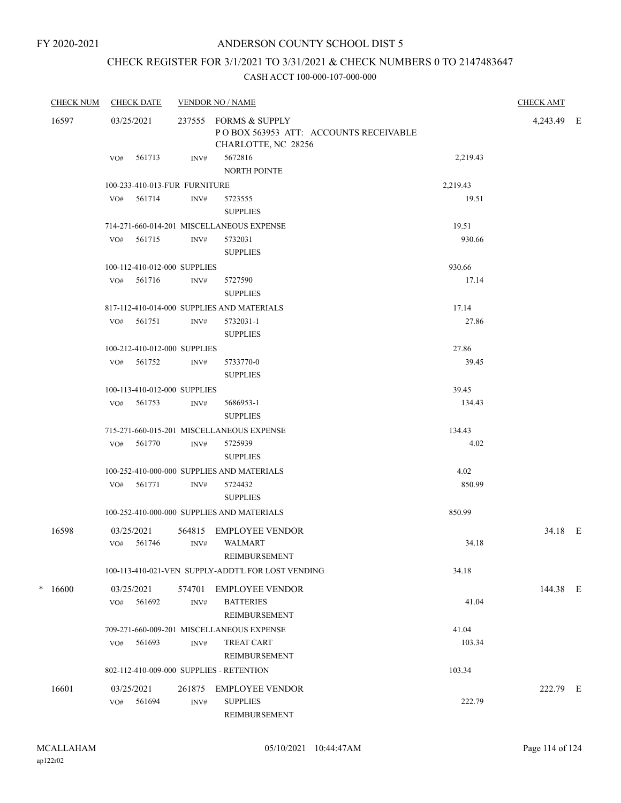# CHECK REGISTER FOR 3/1/2021 TO 3/31/2021 & CHECK NUMBERS 0 TO 2147483647

| <b>CHECK NUM</b> | <b>CHECK DATE</b><br><b>VENDOR NO / NAME</b> |                               | <b>CHECK AMT</b> |                                                                                       |          |            |  |
|------------------|----------------------------------------------|-------------------------------|------------------|---------------------------------------------------------------------------------------|----------|------------|--|
| 16597            |                                              | 03/25/2021                    |                  | 237555 FORMS & SUPPLY<br>POBOX 563953 ATT: ACCOUNTS RECEIVABLE<br>CHARLOTTE, NC 28256 |          | 4,243.49 E |  |
|                  | VO#                                          | 561713                        | INV#             | 5672816<br><b>NORTH POINTE</b>                                                        | 2,219.43 |            |  |
|                  |                                              | 100-233-410-013-FUR FURNITURE |                  |                                                                                       | 2,219.43 |            |  |
|                  | VO#                                          | 561714                        | INV#             | 5723555<br><b>SUPPLIES</b>                                                            | 19.51    |            |  |
|                  |                                              |                               |                  | 714-271-660-014-201 MISCELLANEOUS EXPENSE                                             | 19.51    |            |  |
|                  | VO#                                          | 561715                        | INV#             | 5732031<br><b>SUPPLIES</b>                                                            | 930.66   |            |  |
|                  |                                              | 100-112-410-012-000 SUPPLIES  |                  |                                                                                       | 930.66   |            |  |
|                  | VO#                                          | 561716                        | INV#             | 5727590<br><b>SUPPLIES</b>                                                            | 17.14    |            |  |
|                  |                                              |                               |                  | 817-112-410-014-000 SUPPLIES AND MATERIALS                                            | 17.14    |            |  |
|                  |                                              | VO# 561751                    | INV#             | 5732031-1<br><b>SUPPLIES</b>                                                          | 27.86    |            |  |
|                  |                                              | 100-212-410-012-000 SUPPLIES  |                  |                                                                                       | 27.86    |            |  |
|                  |                                              | VO# 561752                    | INV#             | 5733770-0<br><b>SUPPLIES</b>                                                          | 39.45    |            |  |
|                  |                                              | 100-113-410-012-000 SUPPLIES  |                  |                                                                                       | 39.45    |            |  |
|                  |                                              | VO# 561753                    | INV#             | 5686953-1<br><b>SUPPLIES</b>                                                          | 134.43   |            |  |
|                  |                                              |                               |                  | 715-271-660-015-201 MISCELLANEOUS EXPENSE                                             | 134.43   |            |  |
|                  |                                              | VO# 561770                    | INV#             | 5725939<br><b>SUPPLIES</b>                                                            | 4.02     |            |  |
|                  |                                              |                               |                  | 100-252-410-000-000 SUPPLIES AND MATERIALS                                            | 4.02     |            |  |
|                  |                                              | VO# 561771                    | INV#             | 5724432<br><b>SUPPLIES</b>                                                            | 850.99   |            |  |
|                  |                                              |                               |                  | 100-252-410-000-000 SUPPLIES AND MATERIALS                                            | 850.99   |            |  |
| 16598            |                                              | 03/25/2021<br>VO# 561746      | 564815<br>INV#   | EMPLOYEE VENDOR<br>WALMART<br>REIMBURSEMENT                                           | 34.18    | 34.18 E    |  |
|                  |                                              |                               |                  | 100-113-410-021-VEN SUPPLY-ADDT'L FOR LOST VENDING                                    | 34.18    |            |  |
| $*16600$         | VO#                                          | 03/25/2021<br>561692          | 574701<br>INV#   | <b>EMPLOYEE VENDOR</b><br><b>BATTERIES</b><br>REIMBURSEMENT                           | 41.04    | 144.38 E   |  |
|                  |                                              |                               |                  | 709-271-660-009-201 MISCELLANEOUS EXPENSE                                             | 41.04    |            |  |
|                  | VO#                                          | 561693                        | INV#             | <b>TREAT CART</b><br><b>REIMBURSEMENT</b>                                             | 103.34   |            |  |
|                  |                                              |                               |                  | 802-112-410-009-000 SUPPLIES - RETENTION                                              | 103.34   |            |  |
| 16601            | VO#                                          | 03/25/2021<br>561694          | 261875<br>INV#   | <b>EMPLOYEE VENDOR</b><br><b>SUPPLIES</b><br>REIMBURSEMENT                            | 222.79   | 222.79 E   |  |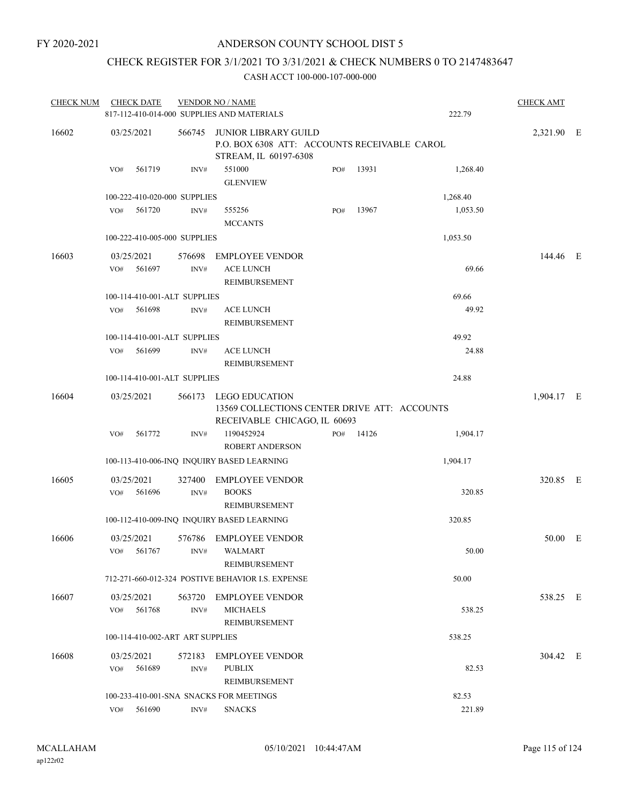### CHECK REGISTER FOR 3/1/2021 TO 3/31/2021 & CHECK NUMBERS 0 TO 2147483647

| <b>CHECK NUM</b> |     | <b>CHECK DATE</b>        |                                  | <b>VENDOR NO / NAME</b><br>817-112-410-014-000 SUPPLIES AND MATERIALS                          |     |       | 222.79   | <b>CHECK AMT</b> |  |
|------------------|-----|--------------------------|----------------------------------|------------------------------------------------------------------------------------------------|-----|-------|----------|------------------|--|
| 16602            |     | 03/25/2021               | 566745                           | JUNIOR LIBRARY GUILD<br>P.O. BOX 6308 ATT: ACCOUNTS RECEIVABLE CAROL<br>STREAM, IL 60197-6308  |     |       |          | 2,321.90 E       |  |
|                  | VO# | 561719                   | INV#                             | 551000<br><b>GLENVIEW</b>                                                                      | PO# | 13931 | 1,268.40 |                  |  |
|                  |     |                          | 100-222-410-020-000 SUPPLIES     |                                                                                                |     |       | 1,268.40 |                  |  |
|                  | VO# | 561720                   | INV#                             | 555256<br><b>MCCANTS</b>                                                                       | PO# | 13967 | 1,053.50 |                  |  |
|                  |     |                          | 100-222-410-005-000 SUPPLIES     |                                                                                                |     |       | 1,053.50 |                  |  |
| 16603            | VO# | 03/25/2021<br>561697     | 576698<br>INV#                   | <b>EMPLOYEE VENDOR</b><br><b>ACE LUNCH</b><br>REIMBURSEMENT                                    |     |       | 69.66    | 144.46 E         |  |
|                  |     |                          | 100-114-410-001-ALT SUPPLIES     |                                                                                                |     |       | 69.66    |                  |  |
|                  | VO# | 561698                   | INV#                             | ACE LUNCH<br><b>REIMBURSEMENT</b>                                                              |     |       | 49.92    |                  |  |
|                  |     |                          | 100-114-410-001-ALT SUPPLIES     |                                                                                                |     |       | 49.92    |                  |  |
|                  | VO# | 561699                   | INV#                             | ACE LUNCH<br>REIMBURSEMENT                                                                     |     |       | 24.88    |                  |  |
|                  |     |                          | 100-114-410-001-ALT SUPPLIES     |                                                                                                |     |       | 24.88    |                  |  |
| 16604            |     | 03/25/2021               | 566173                           | LEGO EDUCATION<br>13569 COLLECTIONS CENTER DRIVE ATT: ACCOUNTS<br>RECEIVABLE CHICAGO, IL 60693 |     |       |          | 1,904.17 E       |  |
|                  | VO# | 561772                   | INV#                             | 1190452924<br><b>ROBERT ANDERSON</b>                                                           | PO# | 14126 | 1,904.17 |                  |  |
|                  |     |                          |                                  | 100-113-410-006-INQ INQUIRY BASED LEARNING                                                     |     |       | 1,904.17 |                  |  |
| 16605            |     | 03/25/2021               | 327400                           | <b>EMPLOYEE VENDOR</b>                                                                         |     |       |          | 320.85 E         |  |
|                  | VO# | 561696                   | INV#                             | <b>BOOKS</b><br>REIMBURSEMENT                                                                  |     |       | 320.85   |                  |  |
|                  |     |                          |                                  | 100-112-410-009-INQ INQUIRY BASED LEARNING                                                     |     |       | 320.85   |                  |  |
| 16606            |     | 03/25/2021<br>VO# 561767 |                                  | 576786 EMPLOYEE VENDOR<br>INV# WALMART<br>REIMBURSEMENT                                        |     |       | 50.00    | 50.00 E          |  |
|                  |     |                          |                                  | 712-271-660-012-324 POSTIVE BEHAVIOR I.S. EXPENSE                                              |     |       | 50.00    |                  |  |
| 16607            |     | 03/25/2021<br>VO# 561768 | INV#                             | 563720 EMPLOYEE VENDOR<br><b>MICHAELS</b>                                                      |     |       | 538.25   | 538.25 E         |  |
|                  |     |                          | 100-114-410-002-ART ART SUPPLIES | REIMBURSEMENT                                                                                  |     |       | 538.25   |                  |  |
| 16608            | VO# | 03/25/2021<br>561689     | INV#                             | 572183 EMPLOYEE VENDOR<br><b>PUBLIX</b><br>REIMBURSEMENT                                       |     |       | 82.53    | 304.42 E         |  |
|                  |     |                          |                                  | 100-233-410-001-SNA SNACKS FOR MEETINGS                                                        |     |       | 82.53    |                  |  |
|                  |     | VO# 561690               | INV#                             | <b>SNACKS</b>                                                                                  |     |       | 221.89   |                  |  |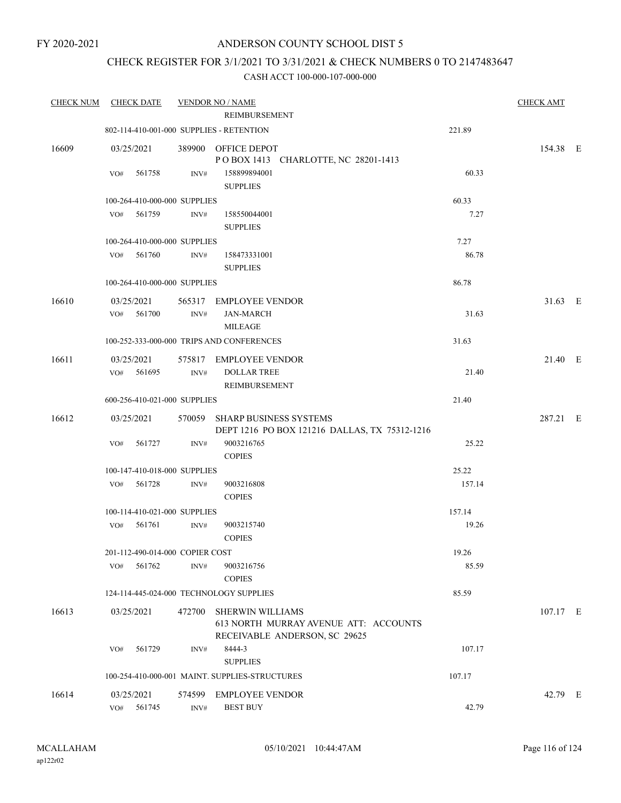### CHECK REGISTER FOR 3/1/2021 TO 3/31/2021 & CHECK NUMBERS 0 TO 2147483647

| <b>CHECK NUM</b> | <b>CHECK DATE</b><br><b>VENDOR NO / NAME</b> |        |                                 |                                                                                            |        |            |  |
|------------------|----------------------------------------------|--------|---------------------------------|--------------------------------------------------------------------------------------------|--------|------------|--|
|                  |                                              |        |                                 | REIMBURSEMENT                                                                              |        |            |  |
|                  |                                              |        |                                 | 802-114-410-001-000 SUPPLIES - RETENTION                                                   | 221.89 |            |  |
| 16609            | 03/25/2021                                   |        |                                 | 389900 OFFICE DEPOT<br>POBOX 1413 CHARLOTTE, NC 28201-1413                                 |        | 154.38 E   |  |
|                  | VO#                                          | 561758 | INV#                            | 158899894001                                                                               | 60.33  |            |  |
|                  |                                              |        |                                 | <b>SUPPLIES</b>                                                                            |        |            |  |
|                  |                                              |        | 100-264-410-000-000 SUPPLIES    |                                                                                            | 60.33  |            |  |
|                  | VO#                                          | 561759 | INV#                            | 158550044001<br><b>SUPPLIES</b>                                                            | 7.27   |            |  |
|                  |                                              |        | 100-264-410-000-000 SUPPLIES    |                                                                                            | 7.27   |            |  |
|                  | VO#                                          | 561760 | INV#                            | 158473331001<br><b>SUPPLIES</b>                                                            | 86.78  |            |  |
|                  |                                              |        | 100-264-410-000-000 SUPPLIES    |                                                                                            | 86.78  |            |  |
| 16610            | 03/25/2021                                   |        |                                 | 565317 EMPLOYEE VENDOR                                                                     |        | 31.63 E    |  |
|                  | VO# 561700                                   |        | INV#                            | <b>JAN-MARCH</b><br><b>MILEAGE</b>                                                         | 31.63  |            |  |
|                  |                                              |        |                                 | 100-252-333-000-000 TRIPS AND CONFERENCES                                                  | 31.63  |            |  |
|                  |                                              |        |                                 |                                                                                            |        |            |  |
| 16611            | 03/25/2021<br>VO#                            | 561695 | INV#                            | 575817 EMPLOYEE VENDOR<br><b>DOLLAR TREE</b>                                               | 21.40  | 21.40 E    |  |
|                  |                                              |        |                                 | REIMBURSEMENT                                                                              |        |            |  |
|                  |                                              |        | 600-256-410-021-000 SUPPLIES    |                                                                                            | 21.40  |            |  |
| 16612            | 03/25/2021                                   |        |                                 | 570059 SHARP BUSINESS SYSTEMS<br>DEPT 1216 PO BOX 121216 DALLAS, TX 75312-1216             |        | 287.21 E   |  |
|                  | VO#                                          | 561727 | INV#                            | 9003216765                                                                                 | 25.22  |            |  |
|                  |                                              |        |                                 | <b>COPIES</b>                                                                              |        |            |  |
|                  |                                              |        | 100-147-410-018-000 SUPPLIES    |                                                                                            | 25.22  |            |  |
|                  | VO#                                          | 561728 | $\text{INV}\#$                  | 9003216808<br><b>COPIES</b>                                                                | 157.14 |            |  |
|                  |                                              |        | 100-114-410-021-000 SUPPLIES    |                                                                                            | 157.14 |            |  |
|                  | VO#                                          | 561761 | INV#                            | 9003215740                                                                                 | 19.26  |            |  |
|                  |                                              |        |                                 | <b>COPIES</b>                                                                              |        |            |  |
|                  |                                              |        | 201-112-490-014-000 COPIER COST |                                                                                            | 19.26  |            |  |
|                  | VO#                                          | 561762 | INV#                            | 9003216756<br><b>COPIES</b>                                                                | 85.59  |            |  |
|                  |                                              |        |                                 | 124-114-445-024-000 TECHNOLOGY SUPPLIES                                                    | 85.59  |            |  |
| 16613            | 03/25/2021                                   |        | 472700                          | SHERWIN WILLIAMS<br>613 NORTH MURRAY AVENUE ATT: ACCOUNTS<br>RECEIVABLE ANDERSON, SC 29625 |        | $107.17$ E |  |
|                  | VO#                                          | 561729 | INV#                            | 8444-3                                                                                     | 107.17 |            |  |
|                  |                                              |        |                                 | <b>SUPPLIES</b>                                                                            |        |            |  |
|                  |                                              |        |                                 | 100-254-410-000-001 MAINT. SUPPLIES-STRUCTURES                                             | 107.17 |            |  |
| 16614            | 03/25/2021                                   |        |                                 | 574599 EMPLOYEE VENDOR                                                                     |        | 42.79 E    |  |
|                  | VO#                                          | 561745 | INV#                            | <b>BEST BUY</b>                                                                            | 42.79  |            |  |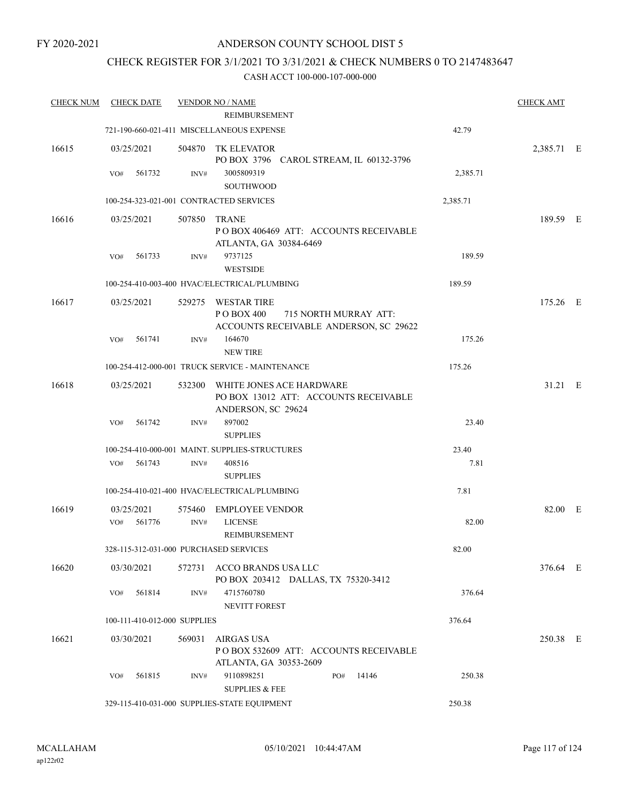### CHECK REGISTER FOR 3/1/2021 TO 3/31/2021 & CHECK NUMBERS 0 TO 2147483647

| <b>CHECK NUM</b> | <b>CHECK DATE</b>                      |        | <b>VENDOR NO / NAME</b>                                                                              |          | <b>CHECK AMT</b> |  |
|------------------|----------------------------------------|--------|------------------------------------------------------------------------------------------------------|----------|------------------|--|
|                  |                                        |        | REIMBURSEMENT                                                                                        |          |                  |  |
|                  |                                        |        | 721-190-660-021-411 MISCELLANEOUS EXPENSE                                                            | 42.79    |                  |  |
| 16615            | 03/25/2021                             | 504870 | TK ELEVATOR<br>PO BOX 3796 CAROL STREAM, IL 60132-3796                                               |          | 2,385.71 E       |  |
|                  | 561732<br>VO#                          | INV#   | 3005809319<br><b>SOUTHWOOD</b>                                                                       | 2,385.71 |                  |  |
|                  |                                        |        | 100-254-323-021-001 CONTRACTED SERVICES                                                              | 2,385.71 |                  |  |
| 16616            | 03/25/2021                             | 507850 | <b>TRANE</b><br>POBOX 406469 ATT: ACCOUNTS RECEIVABLE                                                |          | 189.59 E         |  |
|                  | 561733<br>VO#                          | INV#   | ATLANTA, GA 30384-6469<br>9737125<br><b>WESTSIDE</b>                                                 | 189.59   |                  |  |
|                  |                                        |        | 100-254-410-003-400 HVAC/ELECTRICAL/PLUMBING                                                         | 189.59   |                  |  |
| 16617            | 03/25/2021                             | 529275 | <b>WESTAR TIRE</b><br>P O BOX 400<br>715 NORTH MURRAY ATT:<br>ACCOUNTS RECEIVABLE ANDERSON, SC 29622 |          | 175.26 E         |  |
|                  | VO#<br>561741                          | INV#   | 164670<br><b>NEW TIRE</b>                                                                            | 175.26   |                  |  |
|                  |                                        |        | 100-254-412-000-001 TRUCK SERVICE - MAINTENANCE                                                      | 175.26   |                  |  |
| 16618            | 03/25/2021                             | 532300 | WHITE JONES ACE HARDWARE<br>PO BOX 13012 ATT: ACCOUNTS RECEIVABLE<br>ANDERSON, SC 29624              |          | 31.21 E          |  |
|                  | 561742<br>VO#                          | INV#   | 897002<br><b>SUPPLIES</b>                                                                            | 23.40    |                  |  |
|                  |                                        |        | 100-254-410-000-001 MAINT. SUPPLIES-STRUCTURES                                                       | 23.40    |                  |  |
|                  | 561743<br>VO#                          | INV#   | 408516<br><b>SUPPLIES</b>                                                                            | 7.81     |                  |  |
|                  |                                        |        | 100-254-410-021-400 HVAC/ELECTRICAL/PLUMBING                                                         | 7.81     |                  |  |
| 16619            | 03/25/2021                             | 575460 | <b>EMPLOYEE VENDOR</b>                                                                               |          | 82.00 E          |  |
|                  | 561776<br>VO#                          | INV#   | <b>LICENSE</b><br>REIMBURSEMENT                                                                      | 82.00    |                  |  |
|                  | 328-115-312-031-000 PURCHASED SERVICES |        |                                                                                                      | 82.00    |                  |  |
| 16620            | 03/30/2021                             |        | 572731 ACCO BRANDS USA LLC<br>PO BOX 203412 DALLAS, TX 75320-3412                                    |          | 376.64 E         |  |
|                  | 561814<br>VO#                          | INV#   | 4715760780<br>NEVITT FOREST                                                                          | 376.64   |                  |  |
|                  | 100-111-410-012-000 SUPPLIES           |        |                                                                                                      | 376.64   |                  |  |
| 16621            | 03/30/2021                             | 569031 | <b>AIRGAS USA</b><br>POBOX 532609 ATT: ACCOUNTS RECEIVABLE<br>ATLANTA, GA 30353-2609                 |          | 250.38 E         |  |
|                  | 561815<br>VO#                          | INV#   | 9110898251<br>PO#<br>14146<br><b>SUPPLIES &amp; FEE</b>                                              | 250.38   |                  |  |
|                  |                                        |        | 329-115-410-031-000 SUPPLIES-STATE EQUIPMENT                                                         | 250.38   |                  |  |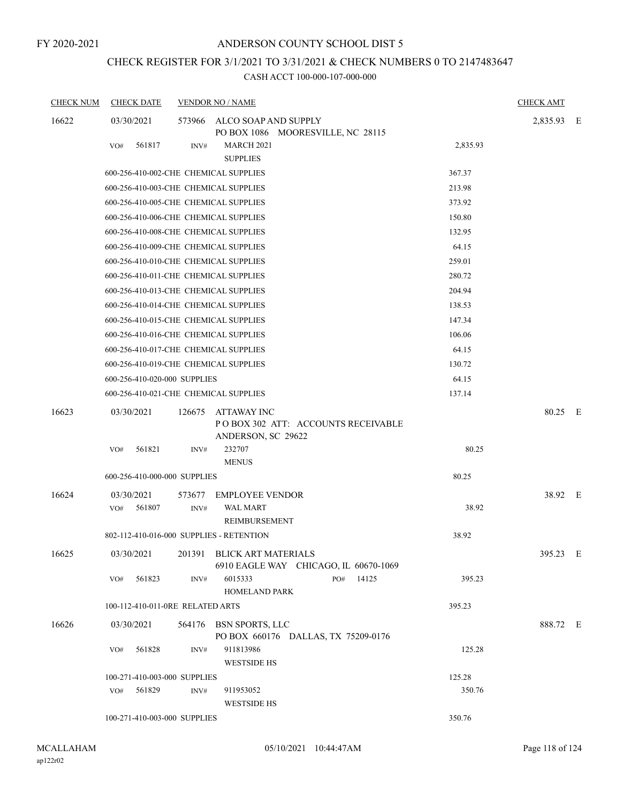# CHECK REGISTER FOR 3/1/2021 TO 3/31/2021 & CHECK NUMBERS 0 TO 2147483647

| <b>CHECK NUM</b> | <b>CHECK DATE</b>                        |                | <b>VENDOR NO / NAME</b>                                                        |          | <b>CHECK AMT</b> |  |
|------------------|------------------------------------------|----------------|--------------------------------------------------------------------------------|----------|------------------|--|
| 16622            | 03/30/2021                               |                | 573966 ALCO SOAP AND SUPPLY<br>PO BOX 1086 MOORESVILLE, NC 28115               |          | 2,835.93 E       |  |
|                  | 561817<br>VO#                            | INV#           | <b>MARCH 2021</b><br><b>SUPPLIES</b>                                           | 2,835.93 |                  |  |
|                  | 600-256-410-002-CHE CHEMICAL SUPPLIES    |                |                                                                                | 367.37   |                  |  |
|                  | 600-256-410-003-CHE CHEMICAL SUPPLIES    |                |                                                                                | 213.98   |                  |  |
|                  | 600-256-410-005-CHE CHEMICAL SUPPLIES    |                |                                                                                | 373.92   |                  |  |
|                  | 600-256-410-006-CHE CHEMICAL SUPPLIES    |                |                                                                                | 150.80   |                  |  |
|                  | 600-256-410-008-CHE CHEMICAL SUPPLIES    |                |                                                                                | 132.95   |                  |  |
|                  | 600-256-410-009-CHE CHEMICAL SUPPLIES    |                |                                                                                | 64.15    |                  |  |
|                  | 600-256-410-010-CHE CHEMICAL SUPPLIES    |                |                                                                                | 259.01   |                  |  |
|                  | 600-256-410-011-CHE CHEMICAL SUPPLIES    |                |                                                                                | 280.72   |                  |  |
|                  | 600-256-410-013-CHE CHEMICAL SUPPLIES    |                |                                                                                | 204.94   |                  |  |
|                  | 600-256-410-014-CHE CHEMICAL SUPPLIES    |                |                                                                                | 138.53   |                  |  |
|                  | 600-256-410-015-CHE CHEMICAL SUPPLIES    |                |                                                                                | 147.34   |                  |  |
|                  | 600-256-410-016-CHE CHEMICAL SUPPLIES    |                |                                                                                | 106.06   |                  |  |
|                  | 600-256-410-017-CHE CHEMICAL SUPPLIES    |                |                                                                                | 64.15    |                  |  |
|                  | 600-256-410-019-CHE CHEMICAL SUPPLIES    |                |                                                                                | 130.72   |                  |  |
|                  | 600-256-410-020-000 SUPPLIES             |                |                                                                                | 64.15    |                  |  |
|                  | 600-256-410-021-CHE CHEMICAL SUPPLIES    |                |                                                                                | 137.14   |                  |  |
| 16623            | 03/30/2021                               | 126675         | ATTAWAY INC<br>POBOX 302 ATT: ACCOUNTS RECEIVABLE<br>ANDERSON, SC 29622        |          | 80.25 E          |  |
|                  | 561821<br>VO#                            | INV#           | 232707<br><b>MENUS</b>                                                         | 80.25    |                  |  |
|                  | 600-256-410-000-000 SUPPLIES             |                |                                                                                | 80.25    |                  |  |
| 16624            | 03/30/2021<br>VO#<br>561807              | 573677<br>INV# | <b>EMPLOYEE VENDOR</b><br><b>WAL MART</b>                                      | 38.92    | 38.92 E          |  |
|                  | 802-112-410-016-000 SUPPLIES - RETENTION |                | REIMBURSEMENT                                                                  | 38.92    |                  |  |
| 16625            |                                          |                | 03/30/2021 201391 BLICK ART MATERIALS<br>6910 EAGLE WAY CHICAGO, IL 60670-1069 |          | 395.23 E         |  |
|                  | 561823<br>VO#                            | INV#           | 14125<br>6015333<br>PO#<br>HOMELAND PARK                                       | 395.23   |                  |  |
|                  | 100-112-410-011-0RE RELATED ARTS         |                |                                                                                | 395.23   |                  |  |
| 16626            | 03/30/2021                               |                | 564176 BSN SPORTS, LLC<br>PO BOX 660176 DALLAS, TX 75209-0176                  |          | 888.72 E         |  |
|                  | VO# 561828                               | INV#           | 911813986<br><b>WESTSIDE HS</b>                                                | 125.28   |                  |  |
|                  | 100-271-410-003-000 SUPPLIES             |                |                                                                                | 125.28   |                  |  |
|                  | 561829<br>VO#                            | INV#           | 911953052<br><b>WESTSIDE HS</b>                                                | 350.76   |                  |  |
|                  | 100-271-410-003-000 SUPPLIES             |                |                                                                                | 350.76   |                  |  |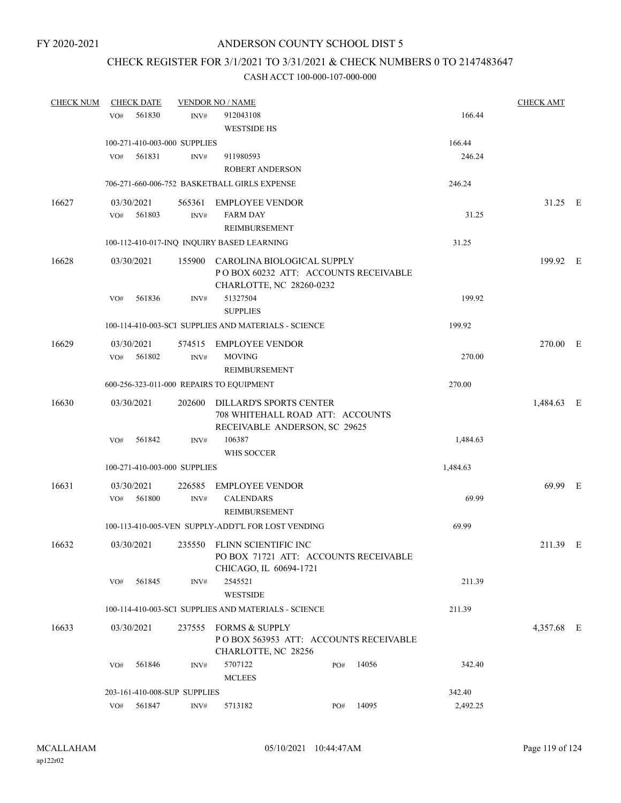### CHECK REGISTER FOR 3/1/2021 TO 3/31/2021 & CHECK NUMBERS 0 TO 2147483647

| <b>CHECK NUM</b> | <b>CHECK DATE</b>            |        | <b>VENDOR NO / NAME</b>                                         |                                  |                                       |          | <b>CHECK AMT</b> |     |
|------------------|------------------------------|--------|-----------------------------------------------------------------|----------------------------------|---------------------------------------|----------|------------------|-----|
|                  | 561830<br>VO#                | INV#   | 912043108<br><b>WESTSIDE HS</b>                                 |                                  |                                       | 166.44   |                  |     |
|                  | 100-271-410-003-000 SUPPLIES |        |                                                                 |                                  |                                       | 166.44   |                  |     |
|                  | VO#<br>561831                | INV#   | 911980593                                                       |                                  |                                       | 246.24   |                  |     |
|                  |                              |        | <b>ROBERT ANDERSON</b>                                          |                                  |                                       |          |                  |     |
|                  |                              |        | 706-271-660-006-752 BASKETBALL GIRLS EXPENSE                    |                                  |                                       | 246.24   |                  |     |
| 16627            | 03/30/2021                   | 565361 | <b>EMPLOYEE VENDOR</b>                                          |                                  |                                       |          | 31.25 E          |     |
|                  | 561803<br>VO#                | INV#   | <b>FARM DAY</b>                                                 |                                  |                                       | 31.25    |                  |     |
|                  |                              |        | REIMBURSEMENT                                                   |                                  |                                       |          |                  |     |
|                  |                              |        | 100-112-410-017-INQ INQUIRY BASED LEARNING                      |                                  |                                       | 31.25    |                  |     |
| 16628            | 03/30/2021                   |        | 155900 CAROLINA BIOLOGICAL SUPPLY<br>CHARLOTTE, NC 28260-0232   |                                  | POBOX 60232 ATT: ACCOUNTS RECEIVABLE  |          | 199.92 E         |     |
|                  | 561836<br>VO#                | INV#   | 51327504<br><b>SUPPLIES</b>                                     |                                  |                                       | 199.92   |                  |     |
|                  |                              |        | 100-114-410-003-SCI SUPPLIES AND MATERIALS - SCIENCE            |                                  |                                       | 199.92   |                  |     |
| 16629            | 03/30/2021                   |        | 574515 EMPLOYEE VENDOR                                          |                                  |                                       |          | 270.00 E         |     |
|                  | 561802<br>VO#                | INV#   | <b>MOVING</b>                                                   |                                  |                                       | 270.00   |                  |     |
|                  |                              |        | <b>REIMBURSEMENT</b>                                            |                                  |                                       |          |                  |     |
|                  |                              |        | 600-256-323-011-000 REPAIRS TO EQUIPMENT                        |                                  |                                       | 270.00   |                  |     |
| 16630            | 03/30/2021                   | 202600 | <b>DILLARD'S SPORTS CENTER</b><br>RECEIVABLE ANDERSON, SC 29625 | 708 WHITEHALL ROAD ATT: ACCOUNTS |                                       |          | 1,484.63 E       |     |
|                  | 561842<br>VO#                | INV#   | 106387<br>WHS SOCCER                                            |                                  |                                       | 1,484.63 |                  |     |
|                  | 100-271-410-003-000 SUPPLIES |        |                                                                 |                                  |                                       | 1,484.63 |                  |     |
| 16631            | 03/30/2021                   | 226585 | <b>EMPLOYEE VENDOR</b>                                          |                                  |                                       |          | 69.99            | - E |
|                  | 561800<br>VO#                | INV#   | <b>CALENDARS</b><br>REIMBURSEMENT                               |                                  |                                       | 69.99    |                  |     |
|                  |                              |        | 100-113-410-005-VEN SUPPLY-ADDT'L FOR LOST VENDING              |                                  |                                       | 69.99    |                  |     |
| 16632            | 03/30/2021                   |        | 235550 FLINN SCIENTIFIC INC<br>CHICAGO, IL 60694-1721           |                                  | PO BOX 71721 ATT: ACCOUNTS RECEIVABLE |          | 211.39 E         |     |
|                  | 561845<br>VO#                | INV#   | 2545521<br><b>WESTSIDE</b>                                      |                                  |                                       | 211.39   |                  |     |
|                  |                              |        | 100-114-410-003-SCI SUPPLIES AND MATERIALS - SCIENCE            |                                  |                                       | 211.39   |                  |     |
| 16633            | 03/30/2021                   |        | 237555 FORMS & SUPPLY<br>CHARLOTTE, NC 28256                    |                                  | POBOX 563953 ATT: ACCOUNTS RECEIVABLE |          | 4,357.68 E       |     |
|                  | 561846<br>VO#                | INV#   | 5707122<br><b>MCLEES</b>                                        | PO#                              | 14056                                 | 342.40   |                  |     |
|                  | 203-161-410-008-SUP SUPPLIES |        |                                                                 |                                  |                                       | 342.40   |                  |     |
|                  | 561847<br>VO#                | INV#   | 5713182                                                         | PO#                              | 14095                                 | 2,492.25 |                  |     |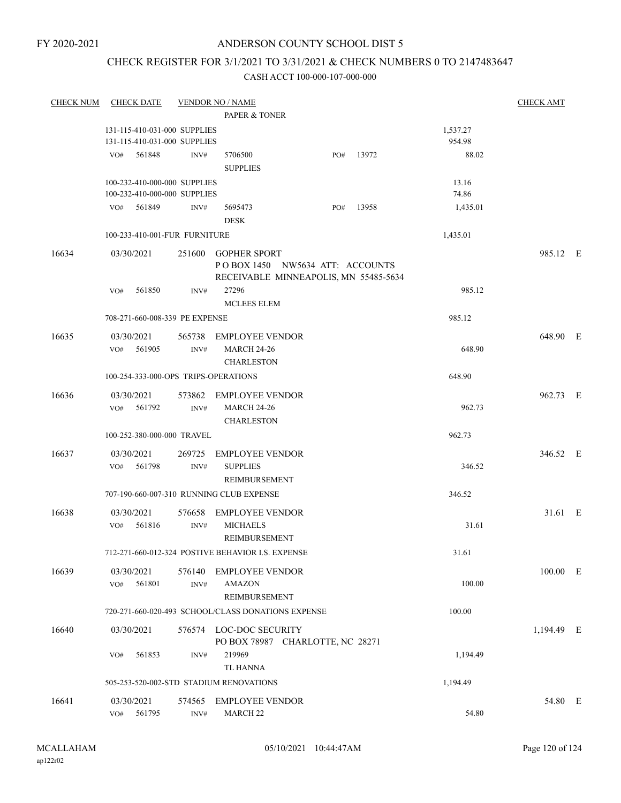#### ANDERSON COUNTY SCHOOL DIST 5

### CHECK REGISTER FOR 3/1/2021 TO 3/31/2021 & CHECK NUMBERS 0 TO 2147483647

| <b>CHECK NUM</b> | <b>CHECK DATE</b>                    |                | <b>VENDOR NO / NAME</b>                                                                         |     |       |          | <b>CHECK AMT</b> |  |
|------------------|--------------------------------------|----------------|-------------------------------------------------------------------------------------------------|-----|-------|----------|------------------|--|
|                  |                                      |                | PAPER & TONER                                                                                   |     |       |          |                  |  |
|                  | 131-115-410-031-000 SUPPLIES         |                |                                                                                                 |     |       | 1,537.27 |                  |  |
|                  | 131-115-410-031-000 SUPPLIES         |                |                                                                                                 |     |       | 954.98   |                  |  |
|                  | VO# 561848                           | INV#           | 5706500<br><b>SUPPLIES</b>                                                                      | PO# | 13972 | 88.02    |                  |  |
|                  | 100-232-410-000-000 SUPPLIES         |                |                                                                                                 |     |       | 13.16    |                  |  |
|                  | 100-232-410-000-000 SUPPLIES         |                |                                                                                                 |     |       | 74.86    |                  |  |
|                  | 561849<br>VO#                        | INV#           | 5695473<br><b>DESK</b>                                                                          | PO# | 13958 | 1,435.01 |                  |  |
|                  | 100-233-410-001-FUR FURNITURE        |                |                                                                                                 |     |       | 1,435.01 |                  |  |
| 16634            | 03/30/2021                           |                | 251600 GOPHER SPORT<br>POBOX 1450 NW5634 ATT: ACCOUNTS<br>RECEIVABLE MINNEAPOLIS, MN 55485-5634 |     |       |          | 985.12 E         |  |
|                  | 561850<br>VO#                        | INV#           | 27296                                                                                           |     |       | 985.12   |                  |  |
|                  |                                      |                | <b>MCLEES ELEM</b>                                                                              |     |       |          |                  |  |
|                  | 708-271-660-008-339 PE EXPENSE       |                |                                                                                                 |     |       | 985.12   |                  |  |
| 16635            | 03/30/2021<br>$VO#$ 561905           | INV#           | 565738 EMPLOYEE VENDOR<br><b>MARCH 24-26</b><br><b>CHARLESTON</b>                               |     |       | 648.90   | 648.90 E         |  |
|                  | 100-254-333-000-OPS TRIPS-OPERATIONS |                |                                                                                                 |     |       | 648.90   |                  |  |
|                  |                                      |                |                                                                                                 |     |       |          |                  |  |
| 16636            | 03/30/2021<br>VO#<br>561792          | INV#           | 573862 EMPLOYEE VENDOR<br><b>MARCH 24-26</b><br><b>CHARLESTON</b>                               |     |       | 962.73   | 962.73 E         |  |
|                  | 100-252-380-000-000 TRAVEL           |                |                                                                                                 |     |       | 962.73   |                  |  |
| 16637            | 03/30/2021                           |                | 269725 EMPLOYEE VENDOR                                                                          |     |       |          | 346.52 E         |  |
|                  | VO#<br>561798                        | INV#           | <b>SUPPLIES</b><br>REIMBURSEMENT                                                                |     |       | 346.52   |                  |  |
|                  |                                      |                | 707-190-660-007-310 RUNNING CLUB EXPENSE                                                        |     |       | 346.52   |                  |  |
| 16638            | 03/30/2021<br>VO# 561816             | INV#           | 576658 EMPLOYEE VENDOR<br><b>MICHAELS</b>                                                       |     |       | 31.61    | 31.61 E          |  |
|                  |                                      |                | <b>REIMBURSEMENT</b>                                                                            |     |       |          |                  |  |
|                  |                                      |                | 712-271-660-012-324 POSTIVE BEHAVIOR I.S. EXPENSE                                               |     |       | 31.61    |                  |  |
| 16639            | 03/30/2021<br>561801<br>VO#          | 576140<br>INV# | <b>EMPLOYEE VENDOR</b><br><b>AMAZON</b><br><b>REIMBURSEMENT</b>                                 |     |       | 100.00   | $100.00$ E       |  |
|                  |                                      |                | 720-271-660-020-493 SCHOOL/CLASS DONATIONS EXPENSE                                              |     |       | 100.00   |                  |  |
| 16640            |                                      |                |                                                                                                 |     |       |          |                  |  |
|                  | 03/30/2021                           |                | 576574 LOC-DOC SECURITY<br>PO BOX 78987 CHARLOTTE, NC 28271                                     |     |       |          | 1,194.49 E       |  |
|                  | 561853<br>VO#                        | INV#           | 219969<br>TL HANNA                                                                              |     |       | 1,194.49 |                  |  |
|                  |                                      |                | 505-253-520-002-STD STADIUM RENOVATIONS                                                         |     |       | 1,194.49 |                  |  |
| 16641            | 03/30/2021                           | 574565         | <b>EMPLOYEE VENDOR</b>                                                                          |     |       |          | 54.80 E          |  |
|                  | 561795<br>VO#                        | INV#           | MARCH <sub>22</sub>                                                                             |     |       | 54.80    |                  |  |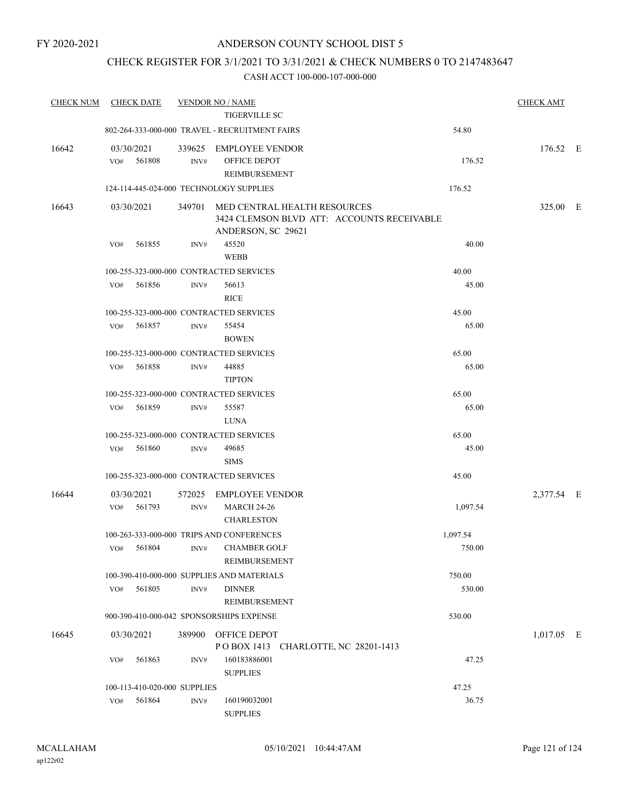### CHECK REGISTER FOR 3/1/2021 TO 3/31/2021 & CHECK NUMBERS 0 TO 2147483647

| <b>CHECK NUM</b> | <b>CHECK DATE</b>                       |        | <b>VENDOR NO / NAME</b>                                                                          |          | <b>CHECK AMT</b> |  |
|------------------|-----------------------------------------|--------|--------------------------------------------------------------------------------------------------|----------|------------------|--|
|                  |                                         |        | <b>TIGERVILLE SC</b>                                                                             |          |                  |  |
|                  |                                         |        | 802-264-333-000-000 TRAVEL - RECRUITMENT FAIRS                                                   | 54.80    |                  |  |
| 16642            | 03/30/2021                              | 339625 | EMPLOYEE VENDOR                                                                                  |          | 176.52 E         |  |
|                  | 561808<br>VO#                           | INV#   | OFFICE DEPOT                                                                                     | 176.52   |                  |  |
|                  |                                         |        | REIMBURSEMENT                                                                                    |          |                  |  |
|                  | 124-114-445-024-000 TECHNOLOGY SUPPLIES |        |                                                                                                  | 176.52   |                  |  |
| 16643            | 03/30/2021                              | 349701 | MED CENTRAL HEALTH RESOURCES<br>3424 CLEMSON BLVD ATT: ACCOUNTS RECEIVABLE<br>ANDERSON, SC 29621 |          | 325.00 E         |  |
|                  | 561855<br>VO#                           | INV#   | 45520<br><b>WEBB</b>                                                                             | 40.00    |                  |  |
|                  | 100-255-323-000-000 CONTRACTED SERVICES |        |                                                                                                  | 40.00    |                  |  |
|                  | 561856<br>VO#                           | INV#   | 56613                                                                                            | 45.00    |                  |  |
|                  |                                         |        | <b>RICE</b>                                                                                      |          |                  |  |
|                  | 100-255-323-000-000 CONTRACTED SERVICES |        |                                                                                                  | 45.00    |                  |  |
|                  | 561857<br>VO#                           | INV#   | 55454                                                                                            | 65.00    |                  |  |
|                  |                                         |        | <b>BOWEN</b>                                                                                     |          |                  |  |
|                  | 100-255-323-000-000 CONTRACTED SERVICES |        |                                                                                                  | 65.00    |                  |  |
|                  | 561858<br>VO#                           | INV#   | 44885                                                                                            | 65.00    |                  |  |
|                  |                                         |        | <b>TIPTON</b>                                                                                    |          |                  |  |
|                  | 100-255-323-000-000 CONTRACTED SERVICES |        |                                                                                                  | 65.00    |                  |  |
|                  | 561859<br>VO#                           | INV#   | 55587                                                                                            | 65.00    |                  |  |
|                  |                                         |        | <b>LUNA</b>                                                                                      |          |                  |  |
|                  | 100-255-323-000-000 CONTRACTED SERVICES |        |                                                                                                  | 65.00    |                  |  |
|                  | 561860<br>VO#                           | INV#   | 49685                                                                                            | 45.00    |                  |  |
|                  |                                         |        | <b>SIMS</b>                                                                                      |          |                  |  |
|                  | 100-255-323-000-000 CONTRACTED SERVICES |        |                                                                                                  | 45.00    |                  |  |
| 16644            | 03/30/2021                              | 572025 | EMPLOYEE VENDOR                                                                                  |          | 2,377.54 E       |  |
|                  | 561793<br>VO#                           | INV#   | <b>MARCH 24-26</b>                                                                               | 1,097.54 |                  |  |
|                  |                                         |        | <b>CHARLESTON</b>                                                                                |          |                  |  |
|                  |                                         |        | 100-263-333-000-000 TRIPS AND CONFERENCES                                                        | 1,097.54 |                  |  |
|                  | 561804<br>VO#                           | INV#   | <b>CHAMBER GOLF</b>                                                                              | 750.00   |                  |  |
|                  |                                         |        | REIMBURSEMENT                                                                                    |          |                  |  |
|                  |                                         |        | 100-390-410-000-000 SUPPLIES AND MATERIALS                                                       | 750.00   |                  |  |
|                  | VO#<br>561805                           | INV#   | <b>DINNER</b>                                                                                    | 530.00   |                  |  |
|                  |                                         |        | REIMBURSEMENT                                                                                    |          |                  |  |
|                  |                                         |        | 900-390-410-000-042 SPONSORSHIPS EXPENSE                                                         | 530.00   |                  |  |
|                  |                                         |        |                                                                                                  |          |                  |  |
| 16645            | 03/30/2021                              | 389900 | OFFICE DEPOT<br>POBOX 1413 CHARLOTTE, NC 28201-1413                                              |          | 1,017.05 E       |  |
|                  | 561863<br>VO#                           | INV#   | 160183886001                                                                                     | 47.25    |                  |  |
|                  |                                         |        | <b>SUPPLIES</b>                                                                                  |          |                  |  |
|                  | 100-113-410-020-000 SUPPLIES            |        |                                                                                                  | 47.25    |                  |  |
|                  | 561864<br>VO#                           | INV#   | 160190032001                                                                                     | 36.75    |                  |  |
|                  |                                         |        | <b>SUPPLIES</b>                                                                                  |          |                  |  |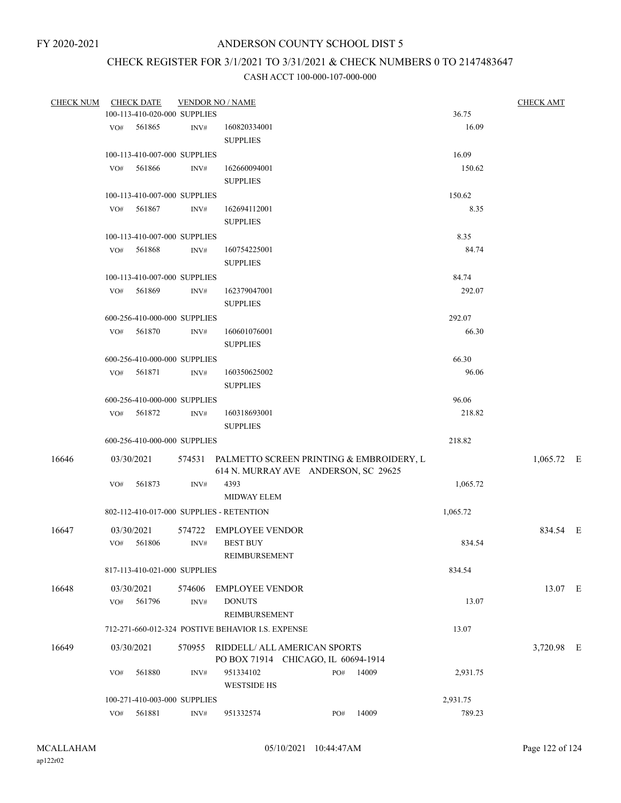# CHECK REGISTER FOR 3/1/2021 TO 3/31/2021 & CHECK NUMBERS 0 TO 2147483647

| <b>CHECK NUM</b> |                                                   | <b>CHECK DATE</b>            |                | <b>VENDOR NO / NAME</b>                                                                 |  |     |       |          | <b>CHECK AMT</b> |  |
|------------------|---------------------------------------------------|------------------------------|----------------|-----------------------------------------------------------------------------------------|--|-----|-------|----------|------------------|--|
|                  |                                                   | 100-113-410-020-000 SUPPLIES |                |                                                                                         |  |     |       | 36.75    |                  |  |
|                  | VO#                                               | 561865                       | INV#           | 160820334001<br><b>SUPPLIES</b>                                                         |  |     |       | 16.09    |                  |  |
|                  |                                                   | 100-113-410-007-000 SUPPLIES |                |                                                                                         |  |     |       | 16.09    |                  |  |
|                  | VO#                                               | 561866                       | INV#           | 162660094001                                                                            |  |     |       | 150.62   |                  |  |
|                  |                                                   |                              |                | <b>SUPPLIES</b>                                                                         |  |     |       |          |                  |  |
|                  |                                                   | 100-113-410-007-000 SUPPLIES |                |                                                                                         |  |     |       | 150.62   |                  |  |
|                  | VO#                                               | 561867                       | INV#           | 162694112001<br><b>SUPPLIES</b>                                                         |  |     |       | 8.35     |                  |  |
|                  |                                                   | 100-113-410-007-000 SUPPLIES |                |                                                                                         |  |     |       | 8.35     |                  |  |
|                  | VO#                                               | 561868                       | INV#           | 160754225001<br><b>SUPPLIES</b>                                                         |  |     |       | 84.74    |                  |  |
|                  |                                                   | 100-113-410-007-000 SUPPLIES |                |                                                                                         |  |     |       | 84.74    |                  |  |
|                  | VO#                                               | 561869                       | INV#           | 162379047001<br><b>SUPPLIES</b>                                                         |  |     |       | 292.07   |                  |  |
|                  |                                                   | 600-256-410-000-000 SUPPLIES |                |                                                                                         |  |     |       | 292.07   |                  |  |
|                  |                                                   | VO# 561870                   | INV#           | 160601076001<br><b>SUPPLIES</b>                                                         |  |     |       | 66.30    |                  |  |
|                  |                                                   | 600-256-410-000-000 SUPPLIES |                |                                                                                         |  |     |       | 66.30    |                  |  |
|                  | VO#                                               | 561871                       | INV#           | 160350625002<br><b>SUPPLIES</b>                                                         |  |     |       | 96.06    |                  |  |
|                  |                                                   | 600-256-410-000-000 SUPPLIES |                |                                                                                         |  |     |       | 96.06    |                  |  |
|                  |                                                   | VO# 561872                   | INV#           | 160318693001<br><b>SUPPLIES</b>                                                         |  |     |       | 218.82   |                  |  |
|                  |                                                   | 600-256-410-000-000 SUPPLIES |                |                                                                                         |  |     |       | 218.82   |                  |  |
| 16646            |                                                   | 03/30/2021                   |                | 574531 PALMETTO SCREEN PRINTING & EMBROIDERY, L<br>614 N. MURRAY AVE ANDERSON, SC 29625 |  |     |       |          | $1,065.72$ E     |  |
|                  | VO#                                               | 561873                       | INV#           | 4393                                                                                    |  |     |       | 1,065.72 |                  |  |
|                  |                                                   |                              |                | <b>MIDWAY ELEM</b>                                                                      |  |     |       |          |                  |  |
|                  |                                                   |                              |                | 802-112-410-017-000 SUPPLIES - RETENTION                                                |  |     |       | 1,065.72 |                  |  |
| 16647            |                                                   | 03/30/2021                   | 574722         | <b>EMPLOYEE VENDOR</b>                                                                  |  |     |       |          | 834.54 E         |  |
|                  |                                                   | VO# 561806                   | INV#           | <b>BEST BUY</b><br><b>REIMBURSEMENT</b>                                                 |  |     |       | 834.54   |                  |  |
|                  | 817-113-410-021-000 SUPPLIES                      |                              |                |                                                                                         |  |     |       | 834.54   |                  |  |
| 16648            | VO#                                               | 03/30/2021<br>561796         | 574606<br>INV# | <b>EMPLOYEE VENDOR</b><br><b>DONUTS</b>                                                 |  |     |       | 13.07    | 13.07 E          |  |
|                  |                                                   |                              |                | REIMBURSEMENT                                                                           |  |     |       |          |                  |  |
|                  | 712-271-660-012-324 POSTIVE BEHAVIOR I.S. EXPENSE |                              |                |                                                                                         |  |     | 13.07 |          |                  |  |
| 16649            |                                                   | 03/30/2021                   | 570955         | RIDDELL/ ALL AMERICAN SPORTS<br>PO BOX 71914 CHICAGO, IL 60694-1914                     |  |     |       |          | 3,720.98 E       |  |
|                  | VO#                                               | 561880                       | INV#           | 951334102<br><b>WESTSIDE HS</b>                                                         |  | PO# | 14009 | 2,931.75 |                  |  |
|                  |                                                   | 100-271-410-003-000 SUPPLIES |                |                                                                                         |  |     |       | 2,931.75 |                  |  |
|                  |                                                   | VO# 561881                   | INV#           | 951332574                                                                               |  | PO# | 14009 | 789.23   |                  |  |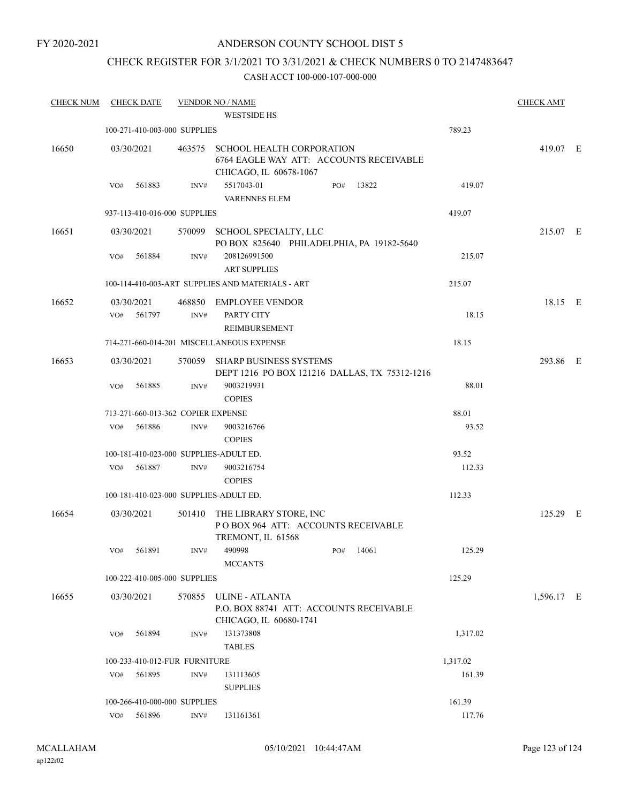### ANDERSON COUNTY SCHOOL DIST 5

# CHECK REGISTER FOR 3/1/2021 TO 3/31/2021 & CHECK NUMBERS 0 TO 2147483647

| <b>CHECK NUM</b> | <b>CHECK DATE</b>                      |        | <b>VENDOR NO / NAME</b><br><b>WESTSIDE HS</b>                                                         |          | <b>CHECK AMT</b> |  |
|------------------|----------------------------------------|--------|-------------------------------------------------------------------------------------------------------|----------|------------------|--|
|                  | 100-271-410-003-000 SUPPLIES           |        |                                                                                                       | 789.23   |                  |  |
|                  |                                        |        |                                                                                                       |          |                  |  |
| 16650            | 03/30/2021                             | 463575 | <b>SCHOOL HEALTH CORPORATION</b><br>6764 EAGLE WAY ATT: ACCOUNTS RECEIVABLE<br>CHICAGO, IL 60678-1067 |          | 419.07 E         |  |
|                  | 561883<br>VO#                          | INV#   | 5517043-01<br>13822<br>PO#<br><b>VARENNES ELEM</b>                                                    | 419.07   |                  |  |
|                  | 937-113-410-016-000 SUPPLIES           |        |                                                                                                       | 419.07   |                  |  |
| 16651            | 03/30/2021                             |        | 570099 SCHOOL SPECIALTY, LLC<br>PO BOX 825640 PHILADELPHIA, PA 19182-5640                             |          | 215.07 E         |  |
|                  | 561884<br>VO#                          | INV#   | 208126991500<br><b>ART SUPPLIES</b>                                                                   | 215.07   |                  |  |
|                  |                                        |        | 100-114-410-003-ART SUPPLIES AND MATERIALS - ART                                                      | 215.07   |                  |  |
| 16652            | 03/30/2021                             |        | 468850 EMPLOYEE VENDOR                                                                                |          | 18.15 E          |  |
|                  | 561797<br>VO#                          | INV#   | PARTY CITY<br><b>REIMBURSEMENT</b>                                                                    | 18.15    |                  |  |
|                  |                                        |        | 714-271-660-014-201 MISCELLANEOUS EXPENSE                                                             | 18.15    |                  |  |
| 16653            | 03/30/2021                             | 570059 | <b>SHARP BUSINESS SYSTEMS</b><br>DEPT 1216 PO BOX 121216 DALLAS, TX 75312-1216                        |          | 293.86 E         |  |
|                  | 561885<br>VO#                          | INV#   | 9003219931<br><b>COPIES</b>                                                                           | 88.01    |                  |  |
|                  | 713-271-660-013-362 COPIER EXPENSE     |        |                                                                                                       | 88.01    |                  |  |
|                  | 561886<br>VO#                          | INV#   | 9003216766<br><b>COPIES</b>                                                                           | 93.52    |                  |  |
|                  | 100-181-410-023-000 SUPPLIES-ADULT ED. |        |                                                                                                       | 93.52    |                  |  |
|                  | VO#<br>561887                          | INV#   | 9003216754<br><b>COPIES</b>                                                                           | 112.33   |                  |  |
|                  | 100-181-410-023-000 SUPPLIES-ADULT ED. |        |                                                                                                       | 112.33   |                  |  |
| 16654            | 03/30/2021                             | 501410 | THE LIBRARY STORE, INC<br>POBOX 964 ATT: ACCOUNTS RECEIVABLE<br>TREMONT, IL 61568                     |          | 125.29 E         |  |
|                  | VO# 561891                             |        | INV# 490998<br>PO# 14061<br><b>MCCANTS</b>                                                            | 125.29   |                  |  |
|                  | 100-222-410-005-000 SUPPLIES           |        |                                                                                                       | 125.29   |                  |  |
| 16655            | 03/30/2021                             |        | 570855 ULINE - ATLANTA<br>P.O. BOX 88741 ATT: ACCOUNTS RECEIVABLE<br>CHICAGO, IL 60680-1741           |          | 1,596.17 E       |  |
|                  | 561894<br>VO#                          | INV#   | 131373808<br><b>TABLES</b>                                                                            | 1,317.02 |                  |  |
|                  | 100-233-410-012-FUR FURNITURE          |        | 1,317.02                                                                                              |          |                  |  |
|                  | 561895<br>VO#                          | INV#   | 131113605<br><b>SUPPLIES</b>                                                                          | 161.39   |                  |  |
|                  | 100-266-410-000-000 SUPPLIES           |        |                                                                                                       | 161.39   |                  |  |
|                  | VO# 561896                             | INV#   | 131161361                                                                                             | 117.76   |                  |  |